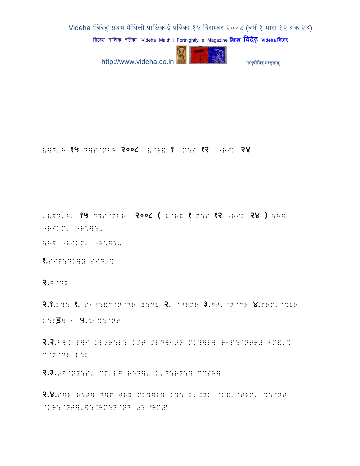িরেদহ' পািkক পিtকা Videha Maithili Fortnightly e Magazine িরেদহ िवदेह **Videha** িবেদহ



V]D'H १५ D]S@MBR २००८ V@R& १ M:S १२ "RIK २४

'V]D'H' १५ D]S@MBR २००८ ( V@R& १ M:S १२ "RIK २४ ) \H] "RIKM' "REAL"

 $\#H$   $\#H$ :  $\#H$ :  $\#H$ 

१.SIP:DK]Y SID'%

 $2.8.99$ 

२.१. T. १. S. Straw Year & Straw II 2. Straw 3.54. Trans 8. Premium. B.  $15:5:11 \times 9.11 \times 11.13$ 

२.२.BB: PBK : EPHEN (PP TEMP-PP TIMBER BHPN MPBER BTE.T CONDITIONS CONDITIONS

२.३.9P CREW: COMPARY: POSSESSION CONTROL COMPARY

२.४.FBF RYPE PER PRI 21988 COR BLOCK CORPORATE THOR @KR:@NT]-\$:.RM:N@ND 0: **'**RM#**'**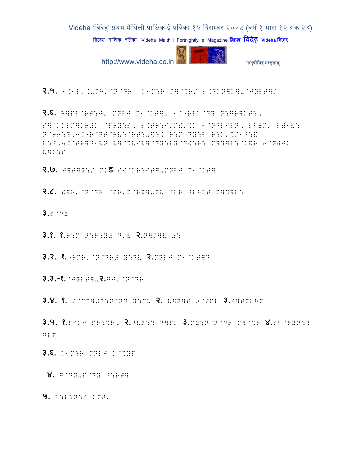িরেদহ' পািkক পিtকা Videha Maithili Fortnightly e Magazine িরেদহ िवदेह **Videha** িবেদহ



२.९. (8) 1.1.24. 12.24 (1971) 1971 2012 10:24:24:24:24

२.६. ANDER MARTIN MINL MINDS OF THE LIGHT MARTIN MINDS OF THE RESERVE OF LIGHT OF LIGHT OF LIGHT OF LIGHT OF L

SA MILE MALEJE, MARGAN, S, 1864-1708, MILA MAREKE ALL, EFSO, 1964-19 N@66:?,3."R@NT@RV:@RT:-\$:. R:M DY:L R:K'%/1^:& L:^,4.@TR]^1VN V]@%VIV]@DY:LY@D!:R: M]?]L:@K&R 6@N)JK ESS : :

२.७. अमेरमेशको लाइ उत्तर संस्कृतसम्मालमा अला सम

२.८. ::RR @PRYME @PRIMAGRADHIST REPORT MENT MINES

 $3.9.992$ 

3.8. 8.R:M PRESSER B. R.PHTHE 23

३.२. १. AMRY YESHA BIRL २.MALADR YOURES

३.३.-१. '#HEPER.2.#Al' YPITH

३.४. १. : \*\*\*#.:\*१.९ ७९ 3191. २. 1.424. . 1.431. ३. 44.71.42

३.५. १.PPIA PR: TR. 2.01.251 99PI 3.MY:N MAR M9 MR M.PH 93251 **Big** 

3.6. KHTH:R MNLH KOMAN

 $8.$  Bowmar Cap Constant

9. B:L:N:N: ITE.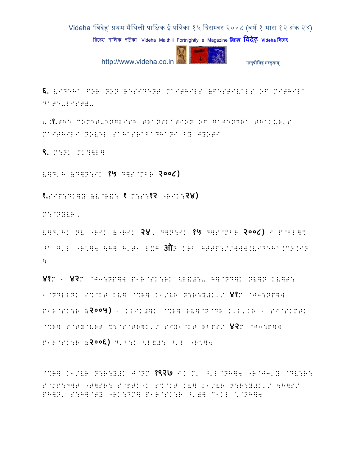িরেদহ' পািkক পিtকা Videha Maithili Fortnightly e Magazine িরেদহ िवदेह **Videha** িবেদহ



६. VIDEHA FOR NON RESIDENT MAITHILS (FESTIVALS OF MITHILA DATE-LIST)-

8.१.THE COMET-ENGLISH TRANSLATION OF GAJENDRA THAKUR'S MAITHILI NOVEL SAHASRABADHANI BY JUODI

**S. MARY MEDICAL MEDICAL** 

V]D'H (D]N:IK १५ D]S@MBR २००८)

१.SIP:DK]Y (V@R&: १ M:S:१२ "RIK:२४)

M:@NYVR,

DERLEY PE SECORD RIGHT 28, REPACT 89 REPACT ROOG) FOR PREST  $\mathcal{M}$  GeVer Hot  $\mathcal{M}_\mathrm{F}$  and  $\mathcal{M}_\mathrm{F}$  in  $\mathcal{M}_\mathrm{F}$  . The Hotel interval interval  $\ddot{\mathbf{r}}$ 

४१M 1 ४२M @J3:NP]W P1R@SK:RK <L&#:- H]@ND]K NV]N KV]T: 1@NDLLNK S%@KT KV] @%R] K1/VR N:R:Y#K'/ ४१M @J3:NP]W PHR SKIGE (2009) 1 KLEVIER CONFRIDENT PRODUCED A SACKING @%R] S@TY@VRT %:@S@TR]K'/ SIY1@KT RBPS/ ४२M @J3:P]W  $P_1$  Research  $P_2$  (2006)  $P_1$  (2011)  $P_2$  (2011)  $P_3$  (301)  $P_4$  (41)  $P_5$ 

@%R] K1/VR N:R:Y#K J@NM १९२७ I. M' ^'L@NH]4 "R@J3'Y @DV:R: S MP:DER THE "THE SAMPLE SAMPLE SAMPLE SAMPLE SAMPLE SAMPLE SAMPLE SAMPLE SAMPLE SAMPLE SAMPLE SAMPLE SAMPLE S PHER, SINHETRO (PICNER P) P(PICNER ), BECH 2000 C1PHER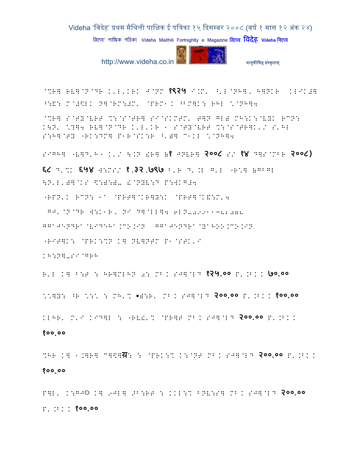িরেদহ' পািkক পিtকা Videha Maithili Fortnightly e Magazine িরেদহ िवदेह **Videha** িবেদহ



@%R] RV]@N@DR K'L'KRK J@NM १९२५ I.M' ^'L@NH], H]NKR KLIK#] ^:&: M@#\$LK N]@RM:#M' @PRM1. ^BM]K: RHL \*@NH]4 @%R] S@TY@VRT %:@S@TR] SI@SKMTM' T]N GL) MH:K:@VYK RCN: KAR, STAN RAVESTE KILLE KORT MAD TE TE SODIE KON S:H]@TY "RK:DM] P1R@SK:R ^')] C1KL \*@NH]4  $S^2$   $S^2$   $S^2$   $S^2$   $S^2$   $S^2$   $S^2$   $S^2$   $S^2$   $S^2$   $S^2$   $S^2$   $S^2$   $S^2$   $S^2$   $S^2$   $S^2$   $S^2$   $S^2$   $S^2$   $S^2$   $S^2$   $S^2$   $S^2$   $S^2$   $S^2$   $S^2$   $S^2$   $S^2$   $S^2$   $S^2$   $S^2$   $S^2$   $S^2$   $S^2$   $S^2$   $S^2$ ६८ प. प. ६५४ सालात १,३२,७९७ BC में सालात अंशिक सालमा \N'L')]@KS \$:):)- !@NYV:D P:WKG#4 "RPN'K RCN: 1A @PRT]@KR]Y:K @PRT]@K&:M'4 GG, THE SILE WINDOWS CONTROL SERVICES GGALANDRA SENDRA CO.IN GAJENDRAMA SENDRA CO.IN GAJENDRA "RITH" NITH IS NOT THE PART OF THE STATE OF THE UPSTALL AT **KANSA KENDER** R.E CR PAR A: HRRIBHN 24: MP. SHRIBHN 829.00 P. M. S. 100.00 \*\*]Y: ^R \*:\* : MH'% **•**):R' MB. SJ]@LD २००.०० P'.BK. १००.०० KLHR' MY ALHART START START MART MART AND START MARTING १००.००  $35\pm 0.1$  in a stripp of the probability of the stripping  $\mu$  and  $\mu$  are  $\mu$  .  $\mu$  and  $\mu$ १००.००

PHEL CHRAO CH GAEH GRABE NOCCEEN PRENCH NPC CAHIER ROO.00

 $P: B: B: \{00, 00\}$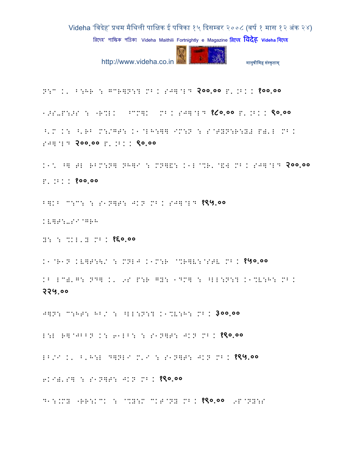6KI)'S] : S1N]T: JKN MB. १९०.०० D1:.MY "RR:KCK : @%Y:M CKT@NY MB. १९०.०० 9P@NY:S

LB/I K' B'H:L D]NLI M'I : S1N]T: JKN MB. १९५.००

L:L RENDIS IN RIPLY NON-SERN ANS NO ROOO

J]N: C:HT: HB/ : ^LL:N:? K1%V:H: MB. ३००.००

### २२५.००

KB LC 200 LC (AC) AND REALLY THE NORTH SECTIONS OF A

K10 KR1N KORING KING KANG KITERA KATA KATA KARA SERENGGAN KATA SERENGGAN MENGERAKAN SERENGGAN MENGERAKAN SEREN

Y: : %KL'Y MB. १६०.००

TESHILL OF THE W

BEC: THIS SECTION MEDIC IN STREET 889.00

 $P: E: E \to \mathbb{R}$ 

^'M K: ^'RB M:/GT: K1@LH:]] IM:N : S@TYN:R:Y# P)'L MB. SJ]@LD २००.०० P'.BK. ९०.००

KIN SHI REMINI RHEN : MRHEN I : MR. TER MI : RHH H ROO.00

 $\cdot$  Set Parties :  $\cdot$  (Problem 2010)  $\cdot$  (Problem 2010)  $\cdot$  (Problem 2010)  $\cdot$  (Problem 2010)  $\cdot$ 

 $P: C \to P: E \to P$  and  $P: C \to P: C$  and  $P: C$  . So the  $P: C \to P$  of  $P$ 

Videha 'विदेह' प्रथम मैथिली पाक्षिक ई पत्रिका १५ दिसम्बर २००८ (वर्ष १ मास १२ अंक २४)

িরেদহ' পািkক পিtকা Videha Maithili Fortnightly e Magazine িরেদহ िवदेह **Videha** িবেদহ

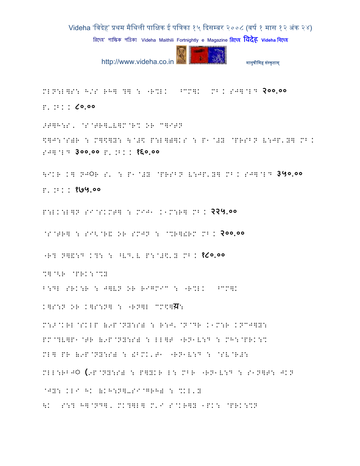\IKR K] NJ◌R S' : P1@#Y @PRSBN V:JP'Y] MB. SJ]@LD ३५०.००  $\mathbb{P}$ .  $\mathbb{P}$ : १७५.०० P:LIN SIMPLY : PRODUCT IN THE STAMP IN STRIP CONTROL STATE IN STRIP CONTROL STATE IN STRIP CONTROL STATE IN ST @S@TR] : SI<@R& OR SMJN : @%R]!RM MB. २००.०० "RE PERTY ITT ROOMS AND PITTED AND POSSESS %]@<R @PRK:@%Y B:DR SRK:R : JANS DE REARTEN : "ANIX" : "PNAL KREAK OR KIN OR KING TO THE CONSTRUCT IN THE CONSTRUCTION OF THE CONSTRUCTION OF THE CONSTRUCTION OF THE CONST M:>@KRL@SKLP (9P@NY:S) : R:J'@N@DR K1M:R KNCJ]Y: PM MERRY VAN BAP VRGEE 'S LLAN (APPERT) : MH: MH: SV ML] PR (9P@NY:S) : !BMK'T1 "RN1V:D : @SV@R#: MILL:RBJ¤ (2Ponynys in Physical in Marchieler in Stephen and MARY CONTROL AND BELLIN CHOOSE IN THE CONTROL OF THE CONTROL OF THE CONTROL OF THE CONTROL OF THE CONTROL OF T \K S:? H]@ND], MK?]L] M'I S@KR]Y 1PK: @PRK:%N

>T]H:S, @S@TR]-V]M@R% OR C]ITN  $5$  P P  $3$  )  $\sim$  M  $\sim$  M  $\sim$  P  $\sim$  P  $\sim$  P  $\sim$  P  $\sim$  P  $\sim$  P  $\sim$  P  $\sim$  P  $\sim$  P  $\sim$  P  $\sim$  P  $\sim$  P  $\sim$  P  $\sim$  P  $\sim$  P  $\sim$  P  $\sim$  P  $\sim$  P  $\sim$  P  $\sim$  P  $\sim$  P  $\sim$  P  $\sim$  P  $\sim$  P  $\sim$  P  $\sim$  P  $\sim$  P  $\sim$  SJ]@LD ३००.०० P'.BK. १६०.००

 $P: B: B \to C$ .  $C \circ \circ \circ$ 

MLPN: BOY RHE ?B N RENE : "PORT OF PRESERVE ROO.00

http://www.videha.co.in <u>सार्थ को सार्थ करने क</u>र्म मानुषीमिह संस्कृताम्



Videha 'विदेह' प्रथम मैथिली पाक्षिक ई पत्रिका १५ दिसम्बर २००८ (वर्ष १ मास १२ अंक २४) িরেদহ' পািkক পিtকা Videha Maithili Fortnightly e Magazine িরেদহ िवदेह **Videha** িবেদহ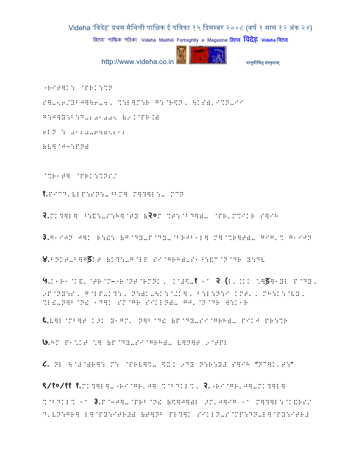িরেদহ' পািkক পিtকা Videha Maithili Fortnightly e Magazine িরেদহ िवदेह **Videha** িবেদহ



"RIT]K: @PRK:%N

S]-56/YBJ]\6-4, %:L]M:R G:@R\$N, \KS)'I%N-II

B:JH:D:D-20105 (9.0005)

6LN : 0120-6475212

(V]@J3:PN)

@%R1T] @PRK:%NS/

१.PICD'VLP:SN:-^BM] M]?]L:- MCN

२.MK?BER (PENGEPAR GE &ROM MENGER) PENCYMIK SEPA

 $3$ jsiza poseb poseb George Pag, na padlig po poseblje Grad, posebao

 $S$ . Both Fig. Block Companies (Signet Signet)

५.K1R1@K&'@TR@M**–**"R@NT@RMNK, .@#\$-१ 1A २ (L'.KK \*]ड़]1YL P@DY, 9P@NY:S, G@LP-K?:, N:)K-\K:@+K], B:L:N:I KMT', MH:K:@VY, %L!-N]B@N! 1D]K SM@GR SIKLN)- GJ'@N@DR W:K1R

 $6.1.91$  TP AB (2.0) B-AT, PAP TAN AP TANK-TAPPAN PRIP PRITH

U.HT PHONE OR BE TRINKS TRING. ERPRESS THIS

८. NL \@#@)R]: M: @PRV]%- \$X. 9DY N:R:Y# S]IH **"**NC]K'T:**"**

९/१०/११ १.MK?]L]-"RI@GR'J] %@BDKL%, २."RI@GR'J]-MK?]L] %@BDKL% 1A ३.P@3J]-@PRB@N! (\$]J])L >M'J]IG 1A M]?]L:@K&RS/ D'VN:GR] L]@PY:ITR#) (T]NB PL?]K SIKLN-S@MP:DN-L]@PY:ITR#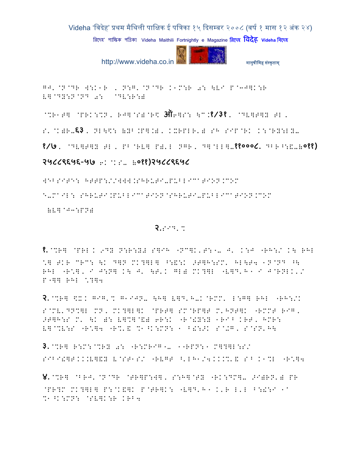িরেদহ' পািkক পিtকা Videha Maithili Fortnightly e Magazine িরেদহ िवदेह **Videha** িবেদহ



GG, OR ORE GRIEVE , STER OR OR IS THE GROUP COMPROHE BUSHENG ON DEALER

@%R1T] @PRK:%N, RJ]@S)@R\$ ऑ6]S: \C.१/३१, @DV]T]Y TL,

S'. MARG**.63**, NRASA BOR SERIA, ISBEER, A SA SAPARA) IN NAONEOL

 $\{ \}$ / $\{ \}$ ,  $\{ \}$   $\{ \}$   $\{ \}$ ,  $\{ \}$   $\{ \}$   $\{ \}$   $\{ \}$   $\{ \}$   $\{ \}$   $\{ \}$   $\{ \}$   $\{ \}$   $\{ \}$   $\{ \}$   $\{ \}$   $\{ \}$   $\{ \}$   $\{ \}$   $\{ \}$   $\{ \}$   $\{ \}$   $\{ \}$   $\{ \}$   $\{ \}$   $\{ \}$   $\{ \}$   $\{ \}$   $\{ \}$   $\{ \}$   $\$ 

# $29228845-96$   $\ldots$   $\ldots$   $\ldots$   $\ldots$   $\ldots$

WEBSITE: HTTP://WWW.SHRUTI-PUBLICATION.COM

E-MAIL: SHRUTI.PUBLICATION@SHRUTI-PUBLICATION.COM

(BLS) MANYSH

# $2.533.5$

१.@%R] @PRL. 9DY N:R:Y# S]IH "NC]K'T:"- J' K:J "RH:/ K\ RHL  $\mathbf{U} \mathbf{B}$  and  $\mathbf{B}$  are constant  $\mathbf{B}$  . The  $\mathbf{B}$  is the conduction of  $\mathbf{B}$ RHL "PENTL" IN 1978 DE 19. 19. 19. 1. THE DICTITE "PETL ROOM IN TERED. D P"]] RHL \*?]4

२. MER SIL GRUE TO BLAND, AND EST. R.I GRUE TAND HRE CHRAM S@MV'DN%]L MN, MK?]L]K @PRT] SM@RP]T M'HNT]K "RMMT RIG, >T]H:S M' \K ): V]%]@&) 6R:K "R@!Y:Y 1RI^ KRT, HMR: V]@%V:S "R\*]4 "R%'& %1^K:MN: 1 B!:>K S@+G, S@SN'H\

३.@%R] R:M:@%RY 0: "R:MRIG"- ""RPN:" M]?]L:S/ SIGI PARA DO CHROBO EL GERE EL CORRAR DO LA REGIA DO COLO DO SO A COLO DE CORRAR

४.@%R] @BRJ'@N@DR @TR]P:W], S:H]@TY "RK:DM]- >I)RN') PR @PR?M MK?]L] P:@K&]K P@TR]K: "V]D'H" K'R L'L B:!:I 1A %1^K:MN: @SV]K:R KRB4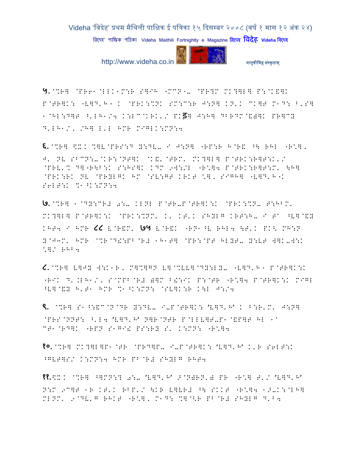িরেদহ' পািkক পিtকা Videha Maithili Fortnightly e Magazine িরেদহ िवदेह **Videha** িবেদহ



५.@%R] @PR61@LLK1M:R S]IH "MCN"- @PR?M MK?]L] P:@K&]K P@TR]K: "V]D'H" K @PRK:%NK SM:C:R J:N] KN'K CK]T M1D: B'S] 1@HL:D]T ^'LH1/4 K:LC@KRK'/ PKड़] J:H] DBRDM@&)]K PR]CY D'LH1/, /H] L'L HMR MIGLK:MN:4

 $\mathbf{S}_k$  when  $\mathbf{S}_k$  is the vertex  $\mathbf{S}_k$  in a sequence of  $\mathbf{S}_k$  . The result is the  $\mathbf{S}_k$ J' NV SBCN:-@KR:@NT]K @K&'@TRM' MK?]L] P@TRK:R]T:K'/ @PRV'% D]"R\B:K S:HS]K KDM 9W:/L "R\*]4 P@TRK:R]T:M' \H] @PRK:RK NV @PRYLGK HM @SV:GT KRKT \*], SIGH] "V]D'H"K  $\frac{1}{2}$  ,  $\frac{1}{2}$  ,  $\frac{1}{2}$  ,  $\frac{1}{2}$  ,  $\frac{1}{2}$  ,  $\frac{1}{2}$  ,  $\frac{1}{2}$  ,  $\frac{1}{2}$  ,  $\frac{1}{2}$  ,  $\frac{1}{2}$  ,  $\frac{1}{2}$ 

७.@%R] 1@DY:CR# 0:- KLNL P@TR-P@TR]K:K @PRK:%N- T:HBM' MANY POSTED AND RESERVE KIND AND A CHILD AND HEADSHIPS OF THE RESERVE AND RELEASED AND RELEASED AND RELEASED A KHAT4 I HMR 66 KIRT, 69 KIRT, 1995 I RANIV RHL4 HALI PIK MHYR Y@J3M' HMR @%R@D!:PB@R# 1H1T] @PR:@PT HLYT- Y:VT W]K-W:K  $\frac{1}{2}$  RHB44

८.@%R] V]JY W:K1R, M]%]GN V]@%VV]@DY:LY- "V]D'H" P@TR]K:K "RIK D'ALL'HIK D'.L'HIK D'EN 1982 BERTA BINYON BEN'AR "PRINER "BOTRERE NO D'ARE ^V]@&Y H'T1 HMR %1^K:MN: @SV]K:R K\L J:/4

९. @%R] S1^:&C@N@DR Y:DV- I-P@TR]K: **'**V]D'H**'** K B:R'M' J:N] @PRS@NNT: ^'L4 **'**V]D'H**'** N]R@NTR P@LLV]T-P1@&P]T HL 1A TH "RPN" SHE'S BIRD STAR STATE STAR

१०.@%R] MK?]L]P1@TR @PRD]P- I-P@TR]K: **'**V]D'H**'** K'R S6LT:K ^GVT]S/ K:MN:4 HMR PB@R# SHYLG RHT4

११.\$X. @%R] ^]MN:? 0:- **'**V]D'H**'** >@N)RN') PR "R\*] T'/ **'**V]D'H**'** N:M 9C]T 1R KT'K RBP'/ \KR V]VR# ^\ SKKT "R\*]4 1>-K:@LH] MERN, "STREJA" BADA "RENA JOSTA NA RENAB BETBØR SHIFA "BJER"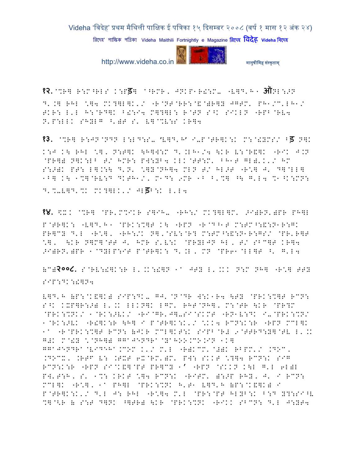িরেদহ' পািkক পিtকা Videha Maithili Fortnightly e Magazine িরেদহ िवदेह **Videha** িবেদহ



१२. WHE FANDER CONSTRUCTED CONDITIONS CONTROL SERVICE SMOKE D'.] RHL \*]4 MK?]L]K'/ "R@NT@RR:@&@)R]Y JGTM' PH1/C'LH1/ THE ROOMS IN THE RESEARCH STATE OF THE ROOM IN STATE OF THE SAME  $\alpha$ N'P:LLA SHYLG SHYLG SHYLG SHYLG SHYLG SHYLG SHYLG SHYLG SHYLG SHYLG SHYLG SHYLG SHYLG SHYLG SHYLG SHYLG SHYLG

१३. @%R] R:JN@NDN L:LD:S- **'**V]D'H**'** I-P@TR]K:K M:@!YMS/ Bड़ N]K K:SA: KA: BA: (NHL) D'EBAL (ARAGEN (R. 11 A)ZG, ALB (EN DERA)K (ARZ) (A.1D. @PR]) N]K:LB T/ HMR: PW:YB4 KLK@TT:M' BH1T GL)'K'/ HM  $S:1.1411$  (Pufficient PLOT, CAN TO HANGE TION AT ALLAH TANG ALONG TILES 1B] K\ 1%]@RV:D DKTH1/, M1D: 9MR 1B B'%] ^\ G'L4 %1^K:MN:

 $P$ , T.1.49, T. I. T.1911,  $P$  and  $\overline{S}$ : H. Link

१४. \$X. @%R] @PR'M%IKR S]IH- "RH:/ MK?]L]M' >I)RN')PR PH]L P@TR]K: "V]D'H" @PRK:%]T K\ "RPN "R@D^1T M:TM^:&:N1R:GK PRACH A. P. (1985) THE STRIP CONTROL (PRODUCT ) AND MELLINES \*], \KR N]M]@TT J' HMR S'V:K @PRYLJN HL, T/ SBC]T KR]4 >I)RN')PR 1@DYLP:IT P@TR]K: D'.L, MN @PR61@LL]T ^' G'L4

(EMBROOC. SMRK: SARTING LI.K: SERRY TTY THAN IN LITE OF A DARE THAN HAND

SIP: DK: NAMPH

 $E$ B'A) BESTEDELE GJYEST, 2004, TRANTSK HSV-PA, AAD (TRANSTER) PTRS S^K KXP]R:>) L'.K LLKN]K LGM' RHT@NH], M:@TR \KR @PR?M @PRK:%NK/ 1@RK:>VK/ "RI@GR'J]-SI@SKMT "RN1V:DK I-@PRK:%N/ 1@RK:>VK "R!]K:R \H] I P@TR]K:K'/ \*KK4 RCN:K:R "RPN MCL]K 1A "R@PRK:%]T RCN: (JKR MCL]KT:K SIPB@R# 9@TTRD:Y]@TV L'.K G#K M@!Y \*@NH]) GGAJENDRA@YAHOO.CO.IN 1K] GGAJENDRA@VIDEHA.COM K'/ M'L "R)KCM'@#)K RBPM'/ .DOC, .DOCY, .REAR EN JACA PC/BO, BO, PAN POIA SIMA ESPNI PYR RCN:K:R "RPN SI@K&]@PT PR]CY 1**'** "RPN @SKKN K\L G'L 6L)L PW'TH: K. STEIRIE MAN ROPE, SPART, BEAT PRI, A. S. POPE MCLARI, 1A PHILA PHILA PHONO ING HALANG AT HE PENDENT AT A P@TR]K:K'/ D'L J: RHL "R\*]4 M'L @PR:@PT HLYB:K B:D Y?:SI^V %]@<R ( S:T D]NK ^]TR) \KR @PRK:%NK "RIKK SBCN: D'L J:YT4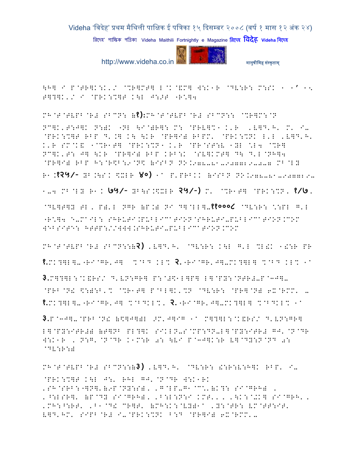িরেদহ' পািkক পিtকা Videha Maithili Fortnightly e Magazine িরেদহ िवदेह **Videha** িবেদহ



 $\frac{1}{2}$   $\frac{1}{2}$  P. The Higgs 1 is the Miragi model of the  $\frac{1}{2}$   $\frac{1}{2}$   $\frac{1}{2}$   $\frac{1}{2}$   $\frac{1}{2}$   $\frac{1}{2}$   $\frac{1}{2}$   $\frac{1}{2}$   $\frac{1}{2}$   $\frac{1}{2}$   $\frac{1}{2}$   $\frac{1}{2}$   $\frac{1}{2}$   $\frac{1}{2}$   $\frac{1}{2}$   $\frac{1}{2}$ THR THE STREET REPORT TO THE STREET

MH@T@TWPE@R# SBCN: (18):MH@T@T@T@T@T@T@TYPB@R# STCN: MT@TVP RTBL.#NABL PNBL (PR AC'HEBY)T: TEERT((L)E (LBT.A. T. C. @PRK:%]T RBP D'.] K\ \KR @PR]I) RBPM' @PRK:%NK L'L 'V]D'H' K. BY SMACK "@ KYRT PARTICIPE STORY" (NEW PROSTS IN A PROVINCIPE STORY IN A PROSTS IN A PROPERTY IN A PROPERTY NCHE, JAN (AH) ALAK (MAHAYA) AFAT (LAFNI) (MAHAYA) CAH (MA) MILANHA @PR]I) RBP H:@R\$B:9@N\$ (ISBN NO.978-81-907729-0-7 MB@LY  $R: 183/4$  B.  $R: 1.221 P(3)$   $(1.221 P(30)$   $(1.221 P(30)P(30)$ . قاح 19 سال 19 سال 1940، 1947 - 1940، 1940، 1940، 1940، 1940، 1940، 1940، 1940، 1940، 1940، 1940، 1 @DV]T]Y TL, P)'L NGR (P.) NI D]@LL]-११०००८ @DV:R: \*:PL G'L "R\*]4 E-MAIL: SHRUTI.PUBLICATION@SHRUTI-PUBLICATION.COM WEBSITE: HTTP://WWW.SHRUTI-PUBLICATION.COM

MH@T@TVPB@R# SBCN::(२) 'V]D'H' @DV:R: K\L G'L %L!K 1!:R PR १.MK? असे साइल से साइल के साथ की साइल की साइल से साइल की साइल की साइल की साइल की साइल की साइल की साइल की साइल<br>प्राचीन की साइल की साइल की साइल की साइल की साइल की साइल की साइल की साइल की साइल की साइल की साइल की साइल की साइ

 $3.$ MATH: N: MERIC: D: LONARA PN: LAN: ART (FACE) CORPLEL NAARL @PRB@N! \$:):B'% @%R1T] P@BL]K'%N @DV:R: @PR]@N) 6X@RMM' - १. MK?) से साथ साथ लिखकर से लगा करते हैं था RIC (RIGHT) के साथ लिखने वाली साथ लिखने के साथ लिखने के साथ साथ लि

3.P.1009. TERPOR BRANNEL (F.0900) C. PATHER TERRITORIES L]@PY:ITR#) (T]NB PL?]K SIKLN-S@MP:DN-L]@PY:ITR# GJ'@N@DR W:K1R , N:G, TRIP (1916 2: GR CHI PO-CHI R RITHER OF 2: @DV:R:)

MH@T@TOTGP# SBCN:::CON:CON: I-BPE SPECIAL POSTAGE SPECIAL AND DV: @PRK:%]T K\L J:' RHL GJ'@N@DR W:K1RK 'SH@SRB:"]N]'(9P@NY:S), 'G@LP-G1@C\*'(K?: SI@GRH) , '^:LSR]' (P@DY SI@GRH), 'B:L:N:I KMT'', '\K:@+K] SI@GRH', 'MH:^:RT' 'B1@D! CR]T' (MH:K:@VY)1A 'Y:@TR: VM@TT:IT'  $\mathbb{R}$ B'HM' SIPPE I-M' SIPPE I-D'HA B:D'H'E BE OPRETTEN A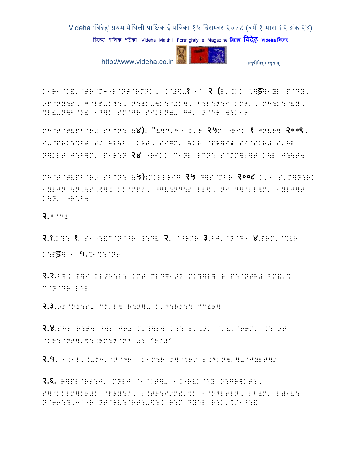িরেদহ' পািkক পিtকা Videha Maithili Fortnightly e Magazine িরেদহ िवदेह **Videha** িবেদহ



K1R1@K&'@TR@M**–**"R@NT@RMNK, .@#\$-१ 1A २ (L'.KK \*]ड़]1YL P@DY, 9P@NY:S, G@LP-K?:, N:)K-\K:@+K], B:L:N:I KMT', MH:K:@VY, %L!-N]B@N! 1D]K SM@GR SIKLN)- GJ'@N@DR W:K1R

MH TATALET THE PITTLE BY): "EST, R. F. R. 29M (RRIT 8 STEAR 2008) I-@PRK:%1THP-AS REAR (SEA) SYPT, ASE (TEAPS SYCHOLOGICAL  $P(X)$  and  $P(X)$  is the set  $X$  denotes the  $X$  -contract  $\mathbb{R}^n$  . So the  $\mathbb{R}^n$  same  $\mathbb{R}^n$  is the  $\mathbb{R}^n$ 

MHOTO TO THE SECTOR SACTO SACTO SACTO SACTO THE SACTO THE SACTO THE SACTO THE SACTO SACTO THE SACTO SACTO THE S 1YLJN \N.\S.\$]. KK@MPS, ^GV:ND:S RL\$, NI D]@LL]M' 1YLJ]T  $143. -9144$ 

 $2.9.999$ 

२.१.: १. ?. PHETTE THE STRE २. THER ३.88, TETTE ४.PRMY TEE  $1.9.754 + 9.13.1911$ 

२.२.FB: PBC : FARSES : PHOPEPHOND PLIBER (FOR PARA FIL. 1) CONDITIONS OF THE

२.३.<sub>9</sub>P (1989) - CMYSINE R:NHIPS CONTROL CONTROL CONTROL

२.४.PR R:PR PRE PRE CONNECTIVE (CR) COLORED (PRE ) TRIPP @KR:@NT]-\$:.RM:N@ND 0: **'**RM#**'**

२.९. (Bel. 1204, 1979) (1971) 787182 (CRIPER R27931982)

२.६. BAPE NEWSAL CORA CONCRAT OUR CORRECTED ON DEPENDENT SA MOLEORO BUEL (PROGRES) E CARNACOUR, SI MORARE AL 2. TRIBOS, TERREN N@66:?,3."R@NT@RV:@RT:-\$:. R:M DY:L R:K'%/1^:&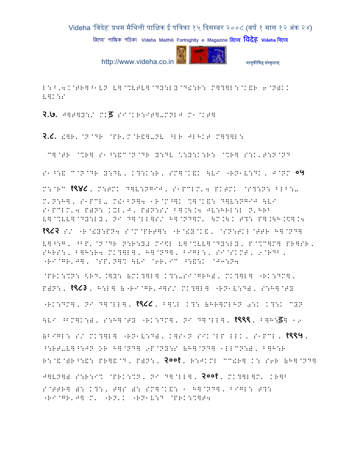িরেদহ' পািkক পিtকা Videha Maithili Fortnightly e Magazine িরেদহ िवदेह **Videha** িবেদহ



L:^,4.PTPP# P.E.P. L# MLPL#.PMP#E BIMENE (P#T#EN)CER (P#TP#E) **WEDST** 

२.७. Japaner, MS Protescas. Material Montes

२.८. deb. 19796 (PR.C.BeelP.R. H.B. 41916 CRBBIN

CORPORE CONDITIONS OF CONDITIONS OF A SINOR CONDITIONS OF A SINOR SERVICE OF THE SERVICE OF THE SERVICE OF THE S1^: PED IT TO THE CONDITIONS OF CONDITIONS OF THE CONDITIONS OF THE CONDITIONS OF THE CONDITIONS OF THE CONDI M: NHT 8886, MNAPH DERNESSER REPORT OF PRESS OF PRESS BEFORE M.PGAB. S4PTE. ME4984 4BMMAH. MBNIEG MBEGOARA GEO SPORT A PART COLVA, PARTEZ PAJRIN ALTANIN R.HR  $\mathbb{E}$  and the contract of the contract of the contract of the contract of the contract of the contract of the contract of the contract of the contract of the contract of the contract of the contract of the contract of १९८२ S/ Herodarda Srdreem Heroda Campain Sene Hardter  $\mathbb{E}[\mathbf{H}:\mathbf{V}:\mathbf{P}:\mathbf{P}:\mathbf{V}:\mathbf{V}:\mathbf{P}:\mathbf{V}:\mathbf{P}:\mathbf{P}:\mathbf{P}:\mathbf{P}:\mathbf{P}:\mathbf{P}:\mathbf{P}:\mathbf{P}:\mathbf{P}:\mathbf{P}:\mathbf{P}:\mathbf{P}:\mathbf{P}:\mathbf{P}:\mathbf{P}:\mathbf{P}:\mathbf{P}:\mathbf{P}:\mathbf{P}:\mathbf{P}:\mathbf{P}:\mathbf{P}:\mathbf{P}:\mathbf{P}:\mathbf{P}:\mathbf{P}:\mathbf{P}:\mathbf{P$ SHRS:, B]H:R4 MK?]L], H]@ND], BIGL:, SI@SKMT, 9@RDB,  $R$  (P)  $R$  (P)  $R$  (P)  $R$  and  $R$  and  $R$   $\mathbb{R}$   $\mathbb{R}$   $\mathbb{R}$   $\mathbb{R}$   $\mathbb{R}$   $\mathbb{R}$   $\mathbb{R}$   $\mathbb{R}$   $\mathbb{R}$   $\mathbb{R}$   $\mathbb{R}$   $\mathbb{R}$   $\mathbb{R}$   $\mathbb{R}$   $\mathbb{R}$   $\mathbb{R}$   $\mathbb{R}$   $\mathbb{R}$   $\mathbb{R}$   $\mathbb{R}$ @PRK:%N: <RD'.]Y: (MK?]L] K?:-SI@GRH), MK?]L] "RK:DM], PART:, १९८३, History Book Mary, Mary Times (Articlina), Sithonic "RESTRIM, PK:PHIER, <mark>1966.</mark> PHIE CHR BREACHRE 2:K CHRIMHD  $\Sigma$  Beach (Decrease), Similar (Decrease), Similar (Decrease), Similar (Decrease),  $\Sigma$  $\mathbb{R}^2$ litics some states  $\mathbb{R}^2$  . Some states the significant control  $\mathbb{R}^2$  ,  $\mathbb{R}^2$  $\sim$  PD-V, Eq. (F) or the set of the set of the set of the set of the set of the set of the set of the set of the set of the set of the set of the set of the set of the set of the set of the set of the set of the set of t R: TECHER: PRRECK, PHP:, 2008, R:JKML CORPORATION: REPORT J]VN]) S:R:I% @PRK:%N, NI D]@LL], २००१, MK?]L]M' KR]B

 $S$  (Barbo ): Kr), Some (As (Big), T.S (The Card of the Carolina (Big), T.S. (Big), T.S. (Big), T.S. (Big), T. "RICOR, PROVINCE "RIGHT" TERRITHEN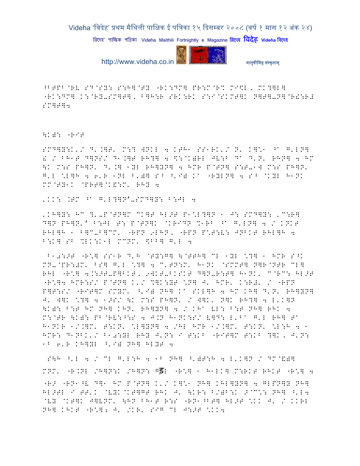িরেদহ' পািkক পিtকা Videha Maithili Fortnightly e Magazine িরেদহ िवदेह **Videha** িবেদহ



^BTPB@RV SD@SY: S:H]@TY "RK:DM] PR:M@R% MI\$L, MK?]L]  $R$ RC:DMIN C: DMINISTERN, BURGE SECHEL SIGNIFICANT UNDER DECIFIE SMART

 $\mathcal{H}:\mathcal{B}\to\mathcal{B}\mathcal{B}$ 

SMPARRING MAN CHE AND A CHAR SSPENGER CAN SAN A GETA ! / BH1T D]NS/ D1.]T RH?] 4 \$:@K)RL JV:B DA D'N' RHN] 4 HM  $\Lambda$  , the phase of the results phase  $\Lambda$  and  $\Lambda$  is the positive phase  $\Lambda$ B. E SI H 4 6'R 1'H (1.4H 2) S (20 E) SA E T A HINK 4 S (1.1) H N R MM@TY1K @PRT]@K&:M' RHY 4

'KK: .TM ^A G'L?]N**'**-SMD]Y: B:JL 4

'KH]Y: HC ?'-P@TN]M CK]T HL>T P1\*L?]N 1 J: SMD]Y: 'C:R] D]N PH]N'**'** B:JL T: P@TN]K @KRIDN %1RB ^A G'LN] 4 / KNKT RHL]H 1 B]C-B]CM' "RPN 9LHN, "RPN P\*T:V: JNBKT RHL]H 4 B:HISB MILL: SB WORL BEFRIELD

B10: T "R\* TO "R\* THE R\* DOMESTIC TO THE CLOSE OF THE STAR STATE OF THE SAME STATE OF THE SAME STATE OF THE SA MAL-MERGED, FINR ALE (1989) 4 C. PAGO, ARAN DI SOMAR ARE MER CLAR RHL "R\*] 4.:>T-P]BKT, 9WKT-BKSKT D]N-R:T] H1NK' C@RC: HL>T "R\*]4 HMR:S/ P@TN] K'/ %]K:YT \*N] J' HMR' K:R#' / "RPN PRESEZ "PERBRO EDDOL" FLYB D'ER O'N EOLERE A HO C'ER PLOV. BERDDR JR, MARI (1988) A 1-SAN AI (1998) PARP, (2004) ARE (1998) A LISTER (1998)  $K$  Home  $K$  and  $K$  and  $K$  are  $K$  in  $K$  and  $K$  in  $K$  . Because  $K$  is not  $K$  and  $K$  is not  $K$  and  $K$ M:@TR \K): PB@RV:^:S 4 J.N H1NK:S/ V]D: L'BA G'L RH] TA H1NKR 1/.]MY T:KN' T:HINK 4 /HL HMR 1/.JHM, 2013. I:NH 4 1 HORS: PHOTO IN: PHONE (PHOTO), DS: IN: I THE "PHOTO" PSICH "THIS IN PLOS 1B 6'R KH]YL ^'I) NH] HLYT 4

 $\sim$  2014 / CL G'L: H  $\sim$  1B NH]  $\sim$  4  $\sim$  1D  $\sim$  1B H  $\sim$  1B  $\sim$  1B  $\sim$  1B  $\sim$  1B  $\sim$  1B  $\sim$  1B  $\sim$  1B  $\sim$  1B  $\sim$  1B  $\sim$  1B  $\sim$  1B  $\sim$  1B  $\sim$  1B  $\sim$  1B  $\sim$  1B  $\sim$  1B  $\sim$  1B  $\sim$  1B  $\sim$  1B  $\sim$  1B  $\$ MONI "P.NL /HITL /HITLE MINI PIS "P.N. 1 H1LK MINI PIS PRI R "RAN "RAN PAL" MAN POR "RORA DILA "DAN POR "DAN HANNE "A GHI KONG DAN HESTL I TTE TO THE COMPANY AND IN THE RESIDENCE OF THE SPACE OF THE SAME IN THE SAME  $\mathcal{H}$ @VY @KT]K J]VNM' \HN BH1T R:S "RN1^BT] HL>T \*KK J' / KKRL NHE CHIF "RYBE" AL SIR, SYB ME ANSBYSING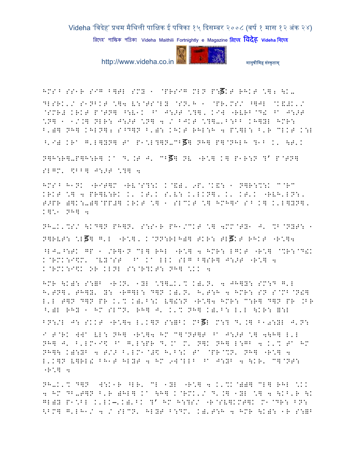িরেদহ' পািkক পিtকা Videha Maithili Fortnightly e Magazine িরেদহ िवदेह **Videha** িবেদহ



HMS RESORT STRING MANAGEMENT PRESS STRING WAS ARRESTED FOR STRING WAS ARRESTED FOR A RESORT FOR A SAMPLE RELATIONS OF RECORDING A SAMPLE RELATIONS OF RECORDING A SAMPLE RELATIONS OF RELATIONS OF RELATIONS OF RELATIONS OF R DESRK THREE CHEATSEN BY THAT A PERSON HAD NAME. @SMR# KRKT P@TN] ^:V1K ^A J:>T \*?], KIW "RVRB@D! ^A J:>T \*N] 1 1/.] NLR: J:>T \*N] 4 / BJKT \*?]-'B:BB KH]YL HMR: B')] NH] KHLN]; S^D]N B'): KHKT RHL:H 4 P\*]L: B'R CLKT K:L ^'I) KRA G'L]YN] TA P1\*L?]N-CBड़] NH] P]@NHLH ?1B K' \T'K

N]H:R]-P]H:R] KA D'.T J' CBड़] NV "R\*] K] P1R:N ?**'** P@TN] SLGM' \$BB] J:>T \*?] 4

HOS F H1PS (PRIPRO) (PRESIDENT SON EL L'ADLINIONE (POPPRODE), OSPO KRKT ARKEN KOMMUNIST FRAME ARKENE KOMMUNIST THAT ROOMS ) AND IN THE ROOMS IN THE ROOMS IN THE LATE TO A CONTROL IN THE LATE TO A KILL AND THE LATE TO A KI **THIS THE 4** 

NH-K'SON SIMP PHR, PHILP PHILM SING SINGER AL MEMPHER (

NARLAN MISA ALI "RYAL I MANGHIAN ALEN AISIA RHIA" (PYAH

^LJ-^:TK GP 1 /R]1N CL] RHL "R\*] 4 HMR: LGKT "R\*] @%R:@D!K K MEDINARDI, I MEDINARI I AMILIK SLOVEN BILI SPER ARGHER JANGSE ALL K@RKX:DRK:IBK S:@RXAT:PHP \*KK 4

HMR ADER BYER (H.D. FOR NORDI), N.N.D. A.D. A HARON BYER R.E H.PND, PHOS. SY: "RADIY MON CB.N. A.PYH 4 HMR: SN SMM MNEO L.E AND MAD PR K.T.C.B.FAL BARAD (ANAH AMR) "ARR MAD PR SPR  $\left\{ \frac{1}{2}, \frac{1}{2} \right\}$  is the subset of  $\left\{ \frac{1}{2}, \frac{1}{2} \right\}$  , the subset of  $\mathbb{R}$  is the subset of  $\mathbb{R}$ 

BIOSTE "PS STILE" (BNEAR BLIOED SSEELING) DRIE D'AT ML IEN PRISEL PLOSE

I T@RK WWA VL: NH] "R\*]4 HM C]@NT]T ^A J:>T \*] 4\H] L'L NHE A. F.ETHYS PORTHER R. D. T. PRI PHE ENH, A L.T. BOART NH]\ K):YB 4 T/> B'LM1@#\$ H'B:K TA @PR@%N' NH] "R\*] 4 L'K]N V]RL! BH1T HLYT 4 HM 9W@LLB ^A J:YB 4 \KR' C]@NT:  $\mathcal{A}$  and  $\mathcal{A}$  and  $\mathcal{A}$  and  $\mathcal{A}$ 

NH-K'% D]N W:K1R ^LR' CL 1YL "R\*] 4 K'%K@))] CL] RHL \*KK 4 HM DB-THLEED BIR BER IN BHE I MANILI DI KE KE NE A RIBIR K GL)Y P1\*BL K'LK**—**'K)'BK ?**'** HM H:?S/ "R@SV]KMT]K M1@DR: BN: SPIR B:BH/ 4 / SBMB, HENR BYT, IN STR A HMR RING (P SYN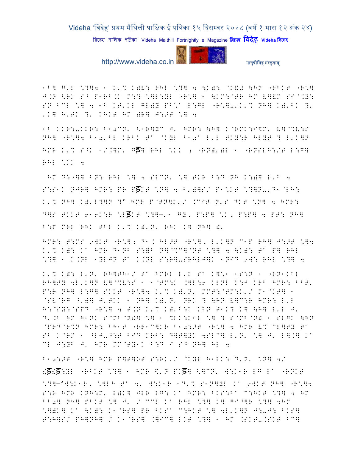িরেদহ' পািkক পিtকা Videha Maithili Fortnightly e Magazine িরেদহ िवदेह **Videha** িবেদহ



1B] G'L \*?]4 1 K'% K)V: RHL \*?] 4 \K): @K&# \HN "RBKT "R\*] J.N ABI SA PIRBAN TAN ANIAN (PANG) ANTA'NE BI LANI SY'NIN SN BCL 4 1B KT (SN BORN GL) SN BY A LIGH (SN BH) AN LIGHT (SN B Y BE ?'  $K$  . The second is the second of  $\mathbb{R}^n$  in the second in  $\mathbb{R}^n$  and  $\mathbb{R}^n$  are set of  $\mathbb{R}^n$ 

1B KKR:-KKR: B10CN' <1R]YC J' HMR: \H] K@RMK:I\$M' V]@%V:S NHE "ANHA BYAZED (BE) AN "NOB" BYAN BLI ANOGH HLOH O LLION HMR KIM K'S SOM K'S SOM K' GES IN THE SOME FORD A THRUSH FOR LIGHT **RHL WILE** 

HM D: "BAR D: PHILL AND AN AIR B: BIR B: BIR B: BAR B: BIR B: B S:S1K NJR] HMR: PR Pड़KT \*N] 4 B')]S/ P1\*KT \*?]N-'D1@LH: K'% NH] K)'L?]N ?**'** HMR P@TN]K'/ .CIT N'S DKT \*N] 4 HMR: D]S TKKT 616K:R \*Lड़KT \*?]**—**'1 GY, P:P] \*K, P:P] 4 PT: NH] B:P MRL RHK RHK KONG KO RHK KR RHB K.

HMR: PROC 2414 (PROBLEM), D1. HLPP (PROBLEM), LOCAD MY BOARD PROPERTY K'% K): KA HMR D1NB S:=B N]@%C]@NT \*?] 4 \K): TA P] RHL \*?] 1 K.NL 1YLJN TA K.NL S:R]-SRHLJ]K 1NID 9W: RHL \*?] 4

K." KOR E.A. PHOPHI A' RTHI E.E SA KOR, YSTA Y GRAIKE RHAGE ALLIAD EATTEN KONGIDIE IANGER ILD: 19 ALLIAD HORIGIE B P:R NH] L:G] SKKT "R\*]4 K'% K)'N' MMT:@TM:K'/ M1@KT] 1 @SV@RG ^')] J'TKK 1 NH] K)'N' NRK ? \HN V]C:R HMR: L'L H:@SY:@SPD "R\*] 4 T.N K'% K)'B:K KLN T1K? K] \H] L'L J' D'.B HANN HIND SAMBON SERIES IN SAMBON SAMBON SAMBON IN SERIES IN SERIES IN SERIES IN SUPERFECTIVE IN SUCH A S @PRD@R%N HMR: BH1T "RR1C]KR B10:>T "R\*] 4 HMR V% CL]TY TA SB K@RM 1 ^LJ-^:T BID KRB: D]T]YK 4SLC] L'N' \*] J' L].] KA TE ANDER AL AUR UNIGHEL FINT A SI PAR AE 4

B10:>T "R\*] HMR P]T]OT S:RK'/ @KYL H1LK: D'N' \*N] 4/ 25.5:8 (RBKT \* THE \* PHR \$1 FKST FINES (RD PR \$1 HMR \$ \*?]**—'**W:K1R, \*]LH TA 4' W:K1R 1D'% S1N]YL KA 9WKT NH] "R\*]4 S:R HMR KNH:M' L)K] JLR LG: KA HMR: BKS:BA C:HKT \*?] 4 HM BB028 PBC PBKT # JOSEF TO AN RHL \*\*\* RHL \*\*\* FRIED \*\*\* \*])K] KA \K): K1@RS] PR BKSA C:HKT \*] 4L'K]N J:-J: BKS] T:HIS/ PHERHE / CATE(BATH) . ICL BCB ATH A THO . ICL BUILDED FTH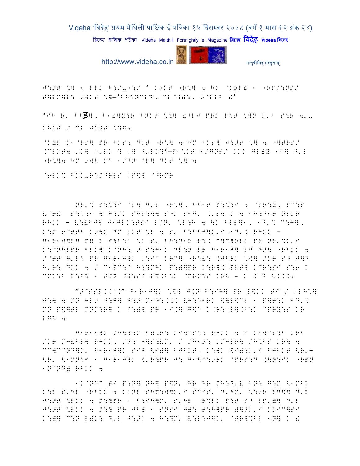িরেদহ' পািkক পিtকা Videha Maithili Fortnightly e Magazine িরেদহ िवदेह **Videha** িবেদহ



J:>T \*] 4 LLK H:/-H:/ **'** KRKT "R\*] 4 HM @KRL! 1 "RPM:NS/ T]LM]L: 9WKT \*]**—'**BH:NCLD, CL@)):, 9@LLB !**'**

**'**IH R' BBड़], B1!]Y:R BNKT \*?] !^LJ PRK P:T \*]N L'B S:R 4'- KHKT / CL J:>T \*?]4

@KYL K1@RS] PR BKS: DKT "R\*] 4 HM BKS] J:>T \*] 4 ^]TRS/ .CLKT4 'K] ^'LK ? K] ^'LK?**'—**PB\*KT 1/GNS/ KKK GL)Y 1B] G'L  $H$  + 1/4  $H$  + 1/4  $H$  = 1/4  $H$  + 1/4  $H$  + 1/4  $H$  + 1/4  $H$  + 1/4  $H$  + 1/4  $H$  + 1/4  $H$  + 1/4  $H$  + 1/4  $H$  + 1/4  $H$  + 1/4  $H$  + 1/4  $H$  + 1/4  $H$  + 1/4  $H$  + 1/4  $H$  + 1/4  $H$  + 1/4  $H$  + 1/4  $H$  + 1/4  $H$  + 1/4  $H$ 

@6LK% BKK-R:M^RLS KP\$] @^RMR

 NR'% P:\*:I CL] G'L "R\*], BH1T P:\*:I 4 @PR:Y, PC:S B:BE STILL 4 MILL SHP:WE SIG' SAME LINKS A BHINGE NLIK RHKK **–** V:VBJ] JIGLK:TSI L/N' \*L:H 4 \K BLL]1, 1D'% C:H], K:M 6@TTH K>\K DM LKT \*L 4 S' B:BBJ]K'I 1D'% RHKK **–** G1R1, B: ARE P= L JOHN P1R1, C1R L: CAST P= L BH: P1R NR PRO NR L: C K: MHITE BILA KOMAN JERNE ALIK TE AFERIA IA ARI SHITA 4 /@TT G'L: PR G1R1J]K K:IC KRC] "R?V: .JBRK \*\$] /KR S^ J]D H. BY CRIT A 2 CONTROL PYRTH I CHARDER CORRECTED A CONTROL CORPORATION OF A CMK:B L:G\ 1 T.N ^W:SI L].B:K @PRY:S KR\ **–** K . G <...4

 **"**>@SSP....**"** G1R1J]K \*\$] J.N B:IH] PR P\$KK TI / LLH\*]  $\mathcal{A}$  in a model of the set of the state  $\mathcal{B}$  is the set of the set of the set of the set of the set of the set of the set of the set of the set of the set of the set of the set of the set of the set of the set of MN P\$\$PTL MNM:RB: C PS#B PR (KRIB: P\$S) C CRS EBIC SO (PRBS) C R  $\frac{1}{2}$   $\frac{1}{2}$   $\frac{1}{2}$   $\frac{1}{2}$   $\frac{1}{2}$ 

B(B) AND (PHAND FACH).PHONE BHILL A I KINYA MIR (DR) /KR MJVBR] RHKK, /N: H]S:VM' / /H1N: KMJLR] MH%BS KR\ 4 CCWC@ND]M' G1R1J]K SIG <I)] BJBKT, K:WK \$I):K'I BJBKT <R'**–** RE CROTES (ROBERT REPORT) THE REPORT OF THE RESIDENCE OF THE PROPERTY OF THE PROPERTY OF THE REPORT OF THE REPO 1N@ND) RHKK 4

 1N@NDC TI P:N] NH] P\$N' HR HR MH:D'V BN: G:M <1MBK K:L S'HL "RBKK 4 KLED SHP:WELK STYS' D'L'HM. NISP BERB 9.1 J:>T \*LKK 4 M:?PR 1 B:IH]M' S'HL "R%LK P:T S^ LP')] D'L J:>T \*LKK 4 M:? PR JB) 1 SNSI J): T:H]PR )]NK'I KKIC]SI K:)) C:N LIGE BE CONSTRUCTED AN INC. THE CONSTRUCTION OF DEVICE A LIGHT  $\mathcal{L}^{\mathcal{A}}$  and the construction of the construction of the construction of the construction of the construction of the construction of the constr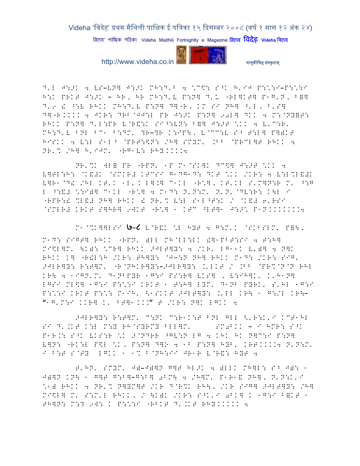িরেদহ' পািkক পিtকা Videha Maithili Fortnightly e Magazine িরেদহ िवदेह **Videha** িবেদহ



D'L J:>K 4 VS**–**VN] J:>K MH:D'B 4 \*C\$: S^K H'IJ P:\*:I**–**P:\*:I H:K PRKT J:>K **–** HR, HR MH:D'V P:N] D'U "RL]KT] P1G'N, B=] D'9 ! ^:V RHKK MH:D'V P:N] D]"R, KM SI NH] ^'L, B'S] DE PRODOCT A JADRE JER JYANE (PR JAGRE) PER DRI DA BI 1900. A JOS DRBRE RHKK PSPU P.FSPE K SEDI PY SING PUP PSPU NIK A K. TSE. MH:D'V BNL BC1 B:DM' ?R**–**?R K:IP\, V@CC:V S^ T:L] P])KT HASKK 4 LY: SPRING MEREYRY .PROGRAM . DER MERT: 98 BRKK 4 NR'% /H] H'IJM' "RG1V: RHY....4

TR'S HE PR HER, YE TY MIN TTE ANDER MIL 4 LAND MINISTER WAS ARRESTED FOR A KNOWN AND THE MAIN WAS ARRESTED FOR A MANAGEMENT OF THE UNITED AND MANAGEMENT OF THE UNITED AND MANAGEMENT OF THE UNITED AT A SUBSTITUTION OF THE UNITED AT A SUBSTITUTION OF THE UNITED AT A RAD: VALIA (B. KT'KL KTH'K "VI GH'AL ALI. LA MARIN'N: MAR L ^: PADE (NAPHER ) THO ESCAPE AN DIRETTY OR ORDINAL OR ON THE ABLE IN MIDS "RPR: "REAL PHE RHID" & PR. " L'AL SHE RHID" / "IEA 6. BER @SMLR# KRKT S]HR] 9WKT "R\*] 1 KTC ^LT]1 J:>\* P1N.......4

M1@%K]]LSI ७**–**८ V@R&K \*L HYT 4 G:M'K @SKBSLM' P=\,

M1D: SIGT] RHKK "RPN' )LL MH@LL:LK !]1PBT:SI 4 T:H] MANI AMI AMI DENGAN PERTAMAN DI PROVINCI ADA DAN SER RHIC: DR. (PRIEGH) ZIRG: BHRGG, JAAGO OHR PHIC: OV 7G, ZIRG' RAR. >JLR]Y: R:T]M' "R@NHKR]Y:**–**>JLR]Y: .'LKT / .BB @PR%@N@N RHL KRA 4 1IGP, D. PIPERBY PRY PYR 1018 1G:PE , ISOPER , V.IHP LGSI ML\$] 1G:I P:\*:I KRKT 1 T:H] LYM' D1NB PYRK' S'HL 1G:I P:\*:I KRKT P:\*: M1IH' <1SKKT >JLT]Y: .'LL KR\ 1 G:/L KR\**– "**1G'M:I KKR] K' BT]1...**"** T /KR: N]K LGKK 4

 >JLR]Y: R:T]M' C:NK C:R1K:T BNL GLL <'R:K'I KCT1HL SI D'.KT K:L M:Y RH@SYRMY BLL]M' SM0BKK **–** I HMR: S^K P1R.: S^K VKS:R \*K >@NDRR ^GV:N LG 4 KHK HK N]C:I P:N] V]N: "RK:L P\$L \*K, P:N] D]O 4 1B P:N] HYB' KRT....4 N'N:M' I B:T S@TY LGKK 1 1% B@NH:II JR1R V@R&: HYT 4

 T'HN' SMYM' J)**–**J)]N G]T HL>K 4 )LLK MH]L: S^ J): 1 J)]N KN\ 1 G]T G:B]**–**G:B] 0BM\ 4 /H]M' P1R1& NH], N'N:K'I \*1) RHKK 4 NR'% N]YM]T /KR D@R%K RH\, /KR SIG] >JLT]Y: /H] MI\$L] M' S:M'L RHKK, / \K)K /KR: S^K'I 0BK] K 1G:I B=KT 1 THERE IN A ROOT RESEARCHED AND RESEARCHED AT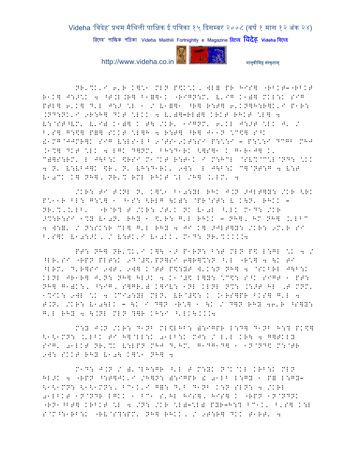িরেদহ' পািkক পিtকা Videha Maithili Fortnightly e Magazine িরেদহ िवदेह **Videha** িবেদহ



 NR'%K'I 6'R K]\*1 MLN P\$K\*K, WL= PR HIS] "RBKT**–**"RBKT R1KE ANDRE SKIRKE HET FRIGHEN SKAPPNE. BEVP ISBN 20181 2018 PALA 6'KIA D'AL JI: VI C'AMARA D'AR B'APA 6'KIRANGERI 2' PVEN .ND:NK'I 9R:H] DKT \*LKK 4 V')]**–**RL)] KRKT RHKT \*L] 4 V:@ST^VM' V'I) K1)] K T\ /KR' 1IGNM' 6'KL J:>T \*LK J' /  $B$  ,  $B$  given the state of  $B$  and  $B$  and  $B$  and  $B$   $\bar{B}$  and  $\bar{C}$  so  $\bar{C}$ !1MG@JJMR]K SIG V:LS1L^ 9@TS19KT:SI P:\*:I **–** P:\*:I DCGB MHJ .1%] DKT \*LK 4 LGK D]NM' BH:D1RK <]S]1 K G1R1J] K' TAGETHE, E AGES, SHER TVIE HSAI K TSATE ISLETTA TES SI 4 R. LYEPAN: NB. R. EPYTEL, 201 | FART: TNYRRH 4 EYE V10CK K] NH], NR'% RML RHKT \*L /H] .'LM' 4

 /KR: TI T.NL N' K]\*1 B10:YL RHK J.N >JLT]Y: /KR <RK P\*11R BL: G:\*] 1 ^1S: <RLG \K): @PR@ST: V K\N' RHKK **–** NR.T.:LB', "RORT # 2161 28.1 T. LAR AIL TETL 216 >%:R:SI 1%Y V10N' RHY 1 \$'R: G'L RHKK **–** NH], HM NH] .'LBC 4 W:=' / N:SK:R CL] G'L RHY 4 JI K] >JLT]Y: /KR: 9M'R SI B'S REPORT OF STREET AND A CONTROLLED AND A CHARGE OF THE SERVICE OF THE SERVICE OF THE SERVICE OF THE SERVICE OF THE SERVICE OF THE SERVICE OF THE SERVICE OF THE SERVICE OF THE SERVICE OF THE SERVICE OF THE SERVICE OF THE

 PT: NH] NR'%K'I K]\ 1> P1RN: B:T MLN P\$ L:GL \*K 4 /  $\left\{ \begin{array}{ccc} \mathrm{H}(\mathrm{F},\mathrm{F},\mathrm{F}) & \mathrm{H}(\mathrm{F},\mathrm{F},\mathrm{F}) \geq \mathrm{H}(\mathrm{F},\mathrm{F},\mathrm{F},\mathrm{F}) \geq \mathrm{H}(\mathrm{F},\mathrm{F},\mathrm{F},\mathrm{F}) \geq \mathrm{H}(\mathrm{F},\mathrm{F},\mathrm{F},\mathrm{F},\mathrm{F}) \geq \mathrm{H}(\mathrm{F},\mathrm{F},\mathrm{F},\mathrm{F},\mathrm{F},\mathrm{F},\mathrm{F},\mathrm{F}) \geq \mathrm{H}(\mathrm{F},\mathrm{F},\mathrm{F},\mathrm{F},\mathrm{$ ^LRM' D'R]SI 9WT, 9W] K@TT P\$:YT W'K:N NH] 4 @SKBRL J\B:K KLANL JARI BALANG DAN JINI SELATAN SARAT SARAT KE KILOMATAN SELATAN SIGNA NHE RHEIS, PERR, KRRE, ESPRING N SE SIGN DON MINISTER (SAN MINIS 1%IK: 9WL \*K 4 .CI0:YL MLN' VR@#\$: K .1RS]PR BKS] G'L 4 T.N' /KR: V10\LK **–** \K I D]N "R\*] 1 \K / D]N RHY 46'R ^S]Y: B. E RHY 4 RIN THY THE CHY AICHICLY

M:Y J.D. D: PK: D: DIRING AND AND L:DIR ON D: AND D: PH RENETH NIME AT HINI AN INC. THE COLL CHE A MUSCLE SIG' 01LKT NR'%K V:LPN MHJ D'HM' G1DG1D] 1 1N@ND\$ M:@TR 9W: SKKT RHY V10\ K]\*1 NH] 4

MAND OR DESCRIPTION OF A STATE OF A MILLION OF A HL>K 4 "RPN ^:T]JK'I /H]N: ):IGPR ! 01LB L:GY 1 P= L:GY**–** RA BOTH SEARAINN IS A TAILOR ANN AN AIR AN DHOISIGH ANN AN ISIA 01LBKT 1N@NDR LGKK 1 BC1 S'HL HIS], HIS] K "RPN 1N@NDNK "RN1^BT] KRBKT \*L 4 /N: /KR \*L)**–**\*L) PYR**–**H:? BC1K' B'S] K:L S@M^:1RB:K "RV@S?:PM' NH] RHKK, / 9T:R] DKK T1RT' 4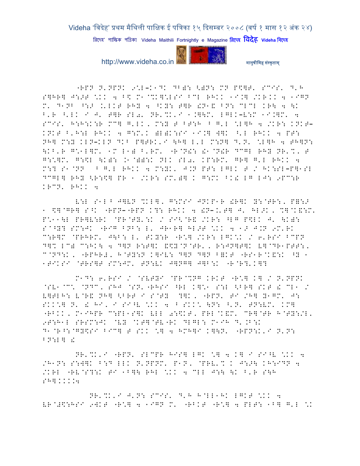িরেদহ' পািkক পিtকা Videha Maithili Fortnightly e Magazine িরেদহ िवदेह **Videha** িবেদহ

http://www.videha.co.in **स्किन्ध्य स्कल्प् स्कल्प् स्कल्प्** 

 "RPN N'NPNK 9\*L**–**K1DK DB): <)N: MN P\$]T' SCIS' D'H SARAH ANJA NI A B\$ M1 M1 ANJAR PA BANI 1I.ANG MIRI 21. M. DRIGHT AND IN BOAT AGAING AND AGAING AGAING THING OAN ACAD B'R ^'LK I J' T]R SL0' NR'%K'I 1.]\M' LGLK**–**V:M 1I.]M' 4 SCIS' H:H:K:R MC] G'LK, M:Y T BT:H ^ G'L \*L]H 4 /KR: KNKT**–** KNKT B'H:L RHKK 4 GYEN 1 SENTRA 1991 111. SI 11. NH] M:Y KLN**–**KLN DKB P]TRK'I \H] L'L M:N] D'N' \*L]H 4 TH]N: \KB'R G\*1L]M' 1M L1) B'RM' "R@N!: !1@N!R DCGL RHY NR'%, T G:\*]M' G:\$L \K): .1@)):K NLK SL0' KP:RM' GR] G'L RHKK 4 M:? S1@NN ^ G'L RHKK 4 M:YK' J.N PT: LGLK T / HK:SL**–**P]1SL DCGL] RHY <R:\$] PR 1 /KR: SM')] K G:MK BK! LG LJ: 9PC:R KRTP. RHKK 4

 $L$  Silon  $L$  -  $L$  and  $L$  since  $L$  is proportional to  $R$  in the since  $L$  in the since  $L$ 1 \$]@GR] S^K "RPN**–**"RPN K?: RHKK 4 !N**–**.'T] J' HL>K, %]@K&:M' PTV: PAE (PRAEGRO) (PROTRE): SOUND PAR (PECULOR): KRAF (PREO) ALC ADES SMORE SMARI (PRAP LEPLACE) HRVER PESENTIS (ACVICENT PICE) C:REMO (PRHRM) JARES EL BODSE JANA (NERS EMINO) / EL BERTECTE DAT LCA CIRIN 4 DAR RIPHT ETHIR-TR'N, RIPHTHE, RACHPITERIA, C@ND:K, "RPHR#, H@TY:N K]IV: D]N D]N B=KT "RS1R@K&:K ^Y 1  $\sim$  2001  $\pm$  2001  $\pm$  2001  $\pm$  2001  $\pm$  2001  $\pm$  300  $\pm$  900  $\pm$  900  $\pm$  900  $\pm$  900  $\pm$  900  $\pm$ 

 M1D: 6'RSI / @SVTYI @PR@%NG KRKT "R\*] K] / N'NPNK @SV1@C\* @NDC, SHJ @SN'"RHSI ^RL K]\*1 S:L <BR] SKT ! CL1 / LAND I SOMETHE REPORT I SOMETHE REPORT I SOMETHERT IN THE SKKAR DE EN EN SKAN ALL A FSKKA 405 FEDERALDER (DDB)  $R$ BKIC, M2000 M10 THIR C:PL1S[COURT] AND CONTROLL 0:\$KT, PRESS HOMEOGY 9T:H1L SRSM:JK @VY @KT]@TV"RK DLGL: M1IH D'.B:K DE NEW PRINSY FYTH & SKI AN A HOMHY INNE, AROUN (7.0.0) BN:LI

NR'S KIN'S HIS RESOURCE HIS ARREST HIS LOCAL HIS AN INTERFERING TO A LIGHT AND LOCAL AND LOCAL AND LOCAL AND L /H1N: S:W]K B:D LLK N'NPNM' P1N, @PRV'% K J:>\ KH:IDN 4 /CRE "PROSTED" RACHA BHR "BHL" NOON "BE" ANN AO AO AN START SHARD.101

RR'SK' AND STAR THAT HOMES IN START VR@#\$:HSI 9WKT "R\*] 4 1IGN M' "RBKT "R\*] 4 PLT: 1B] G'L \*K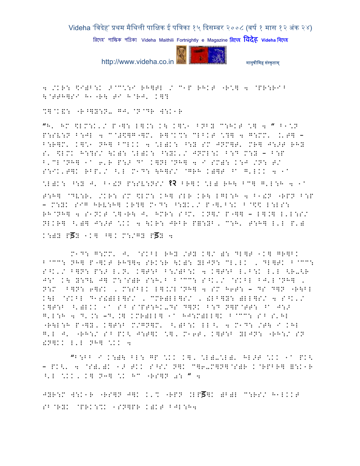িরেদহ' পািkক পিtকা Videha Maithili Fortnightly e Magazine িরেদহ िवदेह **Videha** িবেদহ



4 /KR: \$I)B:K >@C\*:I RH]TL / C1P RHKT "R\*] 4 @PR:RI^  $\ddot{\textbf{H}}$  THERPY AN APP AND HOME CONT

 $\ddotsc$  , which are the contracted and the contracted and with a second contracted and with a second contracted

**"**H' HM \$LM:K'/ P"]: L].: K\ K]\*1 BNBY C:HKT \*] 4 **"** B1\*N P:SV:N B:JL 4 C@#\$]G"]M' R]@K%: CLBKT \*?] 4 G:MM' .'T] **–** B:R]M' K]\*1 NH] BCLKK 4 \*L)K: ^:Y SM JNM]T' MR] J:>T RHY S' \$LMK H:?S/ \K): \*L)K: ^:YK'/ JNML:K B:D M:Y **–** B:P B, ME MAHE 37 (A.B) 2513 MP (1931-1948) 4 IN SMORE (1941-1951-22) SS:IK'R REAGENT REPORT OF A GREET AND A GREET AND A GREET AND A

 $\lambda$ : B1  $\lambda$  ,  $\lambda$  and  $\lambda$   $\lambda$  and  $\lambda$  and  $\lambda$  and  $\lambda$   $\lambda$  and  $\lambda$   $\lambda$  and  $\lambda$  is  $\lambda$  is  $\lambda$  and  $\lambda$  and  $\lambda$  and  $\lambda$  and  $\lambda$  and  $\lambda$  and  $\lambda$  and  $\lambda$  and  $\lambda$  and  $\lambda$  and  $\lambda$  and  $\lambda$  and  $\lambda$  and  $\lambda$ 

T:H] @DV:R' /KR: SM \$LM: KH] SLR KR\ LGL:H 4 B1!N "RPN B:P **–** M:YK SIG HRV:H] KR?] M1D: ^:YK'/ P"]'B:K B@\$\$ L:LS: RH@NH] 4 S1NKT \*]"R\ J' HMR: S^M' KN]/ P"]] **–** L].] L'L:S/ NLIFR AND PHIR NII A HIFN PHIR POID , THA PHPH E.E P.D.

**K:00 PS: 00 PS: 00 PS: 00 PS: 00 PS: 00 PS: 00 PS: 00 PS: 00 PS: 00 PS: 00 PS: 00 PS: 00 PS: 00 PS: 00 PS: 00** 

D: PS (PSDD) (1981) 1911 FED (2008) 1912 (1812) PEPPER (PDF) PEPPER B@CCC: NH] P-912 P+994 SR(18 SL28 SRK: CLIPS CLILK , DE92 B@CC: Y S^K'/ B]N: P:> L'N' K]T:B B:/)B:K 4 K]T:B L'B:K L'L <R-<R J:A K\ Y:DV J] M:@S)R S:H'B B@CC: S^K'/ @SKBL BJ'L@NH] , N:M B]N: 6]SK , M:SBLK L]./L@NH] 4 SM H6T: **–** DS D]N "R\BL  $\Gamma$  Al  $\sim$  (SKB) discrete and  $\sim$  , constant and  $\Gamma$  , and a set  $\Gamma$  , and a set  $\Gamma$  ,  $\Gamma$ KARA KALILAT PERTEMBENAN BERTAH DI POST G'L:H 4 D'.: **–**D'.] KMR)LL] 1A HJ:M)LL]K B@CC: S^ S'HL "R\L:H P"]Y, K]T:B M/GN]M' ^')B:K LL^' 4 M1D: /T\ I KHL G'L E G'AL ("PHANIC" SON PARTS AND THE LOOP PHONE COMPANY IN THE PARTS OF PARTS AND !N]KK L'L NH] \*KK 4

 **"**B:BB I K:)\ BL: GP \*KK K], \*L)-\*L)' HL>T \*KK 1A PK< **–** PK<' 4 @S)')K 1> TKK S^S/ N]K C]6-M]N]@S)R K@RPBR] =:K1R ^'L \*KK, K] N3] \*K HC "RS]N 0: **"** 4

JABEST ASLAB (B2AR JAR) LUT (BPP) BP<mark>S</mark>AL BLAB "SB22 H(Bl12 SB@RYK @PRK:%K 1SN]PR K)KT BJL:H4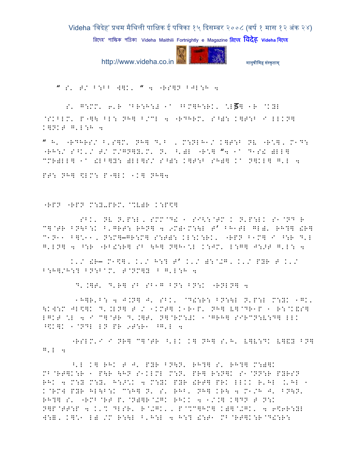িরেদহ' পািkক পিtকা Videha Maithili Fortnightly e Magazine িরেদহ िवदेह **Videha** িবেদহ



**"** S' T/ B:BB W]K' **"** 4 "RS]N BJL:H 4

S' GRIT, E.R CREARS ON BIRGEN, NES OR DIR  $\overline{\phantom{a}}$  (  $\overline{\phantom{a}}$  )  $\overline{\phantom{a}}$  (  $\overline{\phantom{a}}$  )  $\overline{\phantom{a}}$  (  $\overline{\phantom{a}}$  )  $\overline{\phantom{a}}$  (  $\overline{\phantom{a}}$  )  $\overline{\phantom{a}}$  (  $\overline{\phantom{a}}$  )  $\overline{\phantom{a}}$  (  $\overline{\phantom{a}}$  )  $\overline{\phantom{a}}$  (  $\overline{\phantom{a}}$  )  $\overline{\phantom{a}}$  (  $\overline{\phantom{a}}$ KHIL:H G'L:H 4

**"** H' "RDHRS/ B'S]M' NH] D'B , M:NLH1/ K]T:B NV "R\*], M1D: "RH:/ S^K'/ T/ M/GN]Y'M' N' ^')L "R\*] **"**4 1A D1S! )LL] CORALLE 1A "L'INLETTER (ALLERNO IN 1894 SI): CA PARE (CO): PROLETTER (B. 1894)

PH: 994 9121 P (911 - 119 9994

#### "RPN" "RPN" M:Y-PRN "M:Y-PRN"

 SBK' NV N'P:L, SMM@D! 1 SI<:@TM K N'P:LK S1@ND R C]@TR BN\B:K B'GRT: RHN] 4 9M)1M:\L T**'** BH1TL GL)' RH?] !R] C1N11 B]\*11, N:M]**—**GR:M] S:T): KL:K:RK' "RPN B1M] I ^:R D'L G'LIN 4 ^:R "RB" (PA RING YOU AND INDUCT) IN ANY LIN AND AN ANY HIS GO.

 K'/ !R**—** M1\$], K'/ H:? T**'** K'/ ):@+G, K'/ PYR T K'/ B:H:H:B:BB:B:B, B:H:H:B + H.E:H 4

D'.]T' D'R] SB SB1G BN: BN:K "RNLN] 4

1HB: 5 4 J.NH 4, 201. TENN (PNH P.TH THE 1GK 1W.  $K$  and  $K$  denotes the proposition of  $K$  . The  $K$  denotes the proposition  $K$  is a result of  $K$ LAGKT \*L 4 I CATALLAGHE \*L 1991 (100 PRINCE \*L 100 PRINCE \*L 100 PRINCE \*LLK 100 PRINCE \*LLK  $R$  100  $R$  100  $R$  1. Pr 9. 100  $R$  1. 100  $R$  1. 100  $R$  1. 100  $R$  4. 100  $R$  4. 100  $R$  4. 100  $R$  4. 100  $R$  4. 100  $R$  4. 100  $R$  4. 100  $R$  4. 100  $R$  4. 100  $R$  4. 100  $R$  4. 100  $R$  4. 100  $R$  4. 100  $R$  4. 100

"RSLOW" PO DRA TALLAR I NEW DRAFTS WAR BARNT (BADY PDA  $H_1$   $H_2$   $H_3$ 

 ^'L K] RHK T J' PYR BN\N' RH?] S' RH?] M:)]K MB MBBRIK:R 1 PAB SHA SKILMI MI MIR. PAR SHARRI SH MARIN PABEN RHK 4 MYS MYS H: HIN A: YYS MYR AREA PRK LLIKK RIHL . KAL . K TEDHI POR HERFAT (TAHRI D. ST. SHF). DHRI C'HRI HI DYSH H. FORRD. RH?] S' "RMB@RT P'@N)]R@+GK RHKK 4 1/.] K]DN T N:K PAR TERMS' 4 K.Y. MIRE, ROGANI, P. MOMARA KER'GAN, 4 656RME W:=, K]\*1 L) /M R:\L B'H:L 4 H:? !:T1 MB@RT]K:R@D!:R: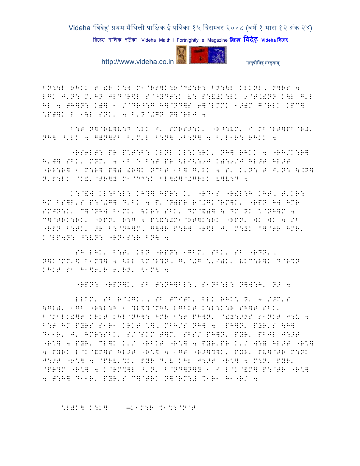িরেদহ' পািkক পিtকা Videha Maithili Fortnightly e Magazine িরেদহ िवदेह **Videha** িবেদহ



BOSAI ERIC R KE ISE DY BRAKSE NATHAR FOSAI (1100), DARK 4 LAG J.M: MORE JERGE SOMMAN AN PHERING SANGHA IN AL AL HE 4 FANDS CHN 6 ZONDAGA AN OPNOL 2002 FOR A GAR A GDEC COMM \*PROFILE 1998 10 AU 10 AU 10 AU 10 AU 10 AU 10 AU 10 AU 10 AU 10 AU 10 AU 10 AU 10 AU 10 AU 10 AU 10 AU 10 AU 1

 B:T N]@RV]V:D \*LK J' SMRST:K' "R^:VM' I MB@RT]PB@R#' NH] ^'LK 4 G=N]SB B'M'L B:N] 9B:N] 4 B'L1R: RHKK 4

"RSGERT: PR PYRTE (1991) (1911) NHL: (204) RHKK 4 "RHZKYRH H, SBK YA DI, MOROL 1941 - PR BI PR BI PR ALI PANGHA MENGHAM HE PR BI PR DIE "RR:RRI 1 M:RRI PIB 281, PTER 19 MILE 4 S. 1.25 B A K. P. N. T N'P:LK @K&'@TR]Y M1@DD:K BL]!]@+GRLK V]V:D 4

K: KI:B:L: KE: KE: KI:B:L: KE:B:L: KHT; Ki: Y:B:L: A: Ki:B:L: A: Ki:B:N: HM BS]L'S P:@+G] D'BK 4 P'@N)PR R@+GK@RM]K' "RPN HW HMR SMJN:K' C]@NHW B1MK' \KR: SBK' DM@&)] \ DM NK \*@NH]M 4 CA CARD ARD LOO ARE A REACH "ROW ARD THAT WAS ARRESTED AND A SAFEKEEPING WHAT A SAFEKEEPING WAS SAFEKEEPING WA "RPN B:TK' >R B:@NH]M, G]WR P:R] "R\$L J' M:YK C]@TR HMR' K@LP4N: CHAN: APROVINCE

 SH LHK' B:T' KLN "RPN: 1GBM' SBK' SB "RDN', NAM YOUR BEETH 4 RIE ROMANN, AN WAR NEWEN, ENTERN MENSE KHKT SB HIT SAN HIS SB HIT SAN HIT

 $R$  . The set of the set of the set of the set of the set of the set of the set of the set of the set of the s

 LLKM' SB R@+GK', SB TCITK' LLK RHK\* N' 4 />M'S \GL)' 1GB "R\L:H 1 ?L\$?@MH< LGBKT K:L:K:R SH]T SBK' B@MBLK##@MBLFX#MWPH#N@HMB@PH#N.@NHHAPF@PHPK@HA B:T HM PYRS START (BIR) THOS SIRI PIR 4 PHIRE, PYRY'S HIP D11R, A. PTENNI, S/MIT ANT, SPS/ PPHP, PHE, PPHP ANDR "R\*] 4 PYR' CL]K K'/ "RBKT "R\*] 4 PYR'PR K'/ W:= HL>T "R\*] 4 PYRK L@K@&M]S HL>T "R\*] 4 1GT "RT]?]K' PYR' PV]@TR M:NL J:>T "R\*] 4 @PRV'%K' PYR D'V KHL J:>T "R\*] 4 M:N' PYR' @PR?M "R\*] 4 K@RM%]L ^'N' B@ND]N]Y 1 I L@K@&M] P:@TR "R\*] 4 T:H] D11R' PYR'S C]@TRK N]@RM:# %1R1 H1"R/ 4

\*L)K] K:K] **—**K1M:R %1%:@N@T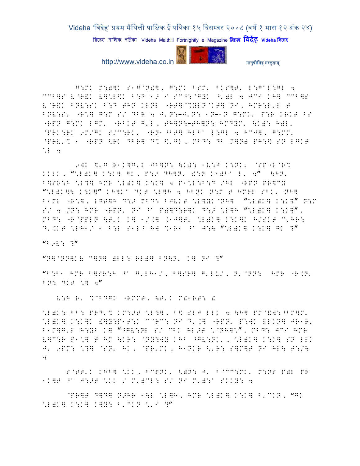িরেদহ' পািkক পিtকা Videha Maithili Fortnightly e Magazine িরেদহ िवदेह **Videha** িবেদহ



G:MA: MAGE: G:MHIZEE, BAN: BKN, BIZEE, EARSEAR: G CCB SOFT CONSTRUCTION BY A SCONSING AND A SCAN COMPANY V@R&K BNV:SK B:D THN KLNL "RT]@%YLN@KT] NI, HMR:L'L T BNV:S' "R\*] G:M S/ DBR 4 J'N:**–**J'N: 1N**–**1N G:MK' P:R KRKT BS "RPN G:MK LGM' "RBKT G'L, TH]N:**–**TH]N: HMDYM' \K): H)L' @PRK:RK 9M/GK S/C:RK' "RN1^BT] HLBA L:GL 4 HCJ], G:MM' @PRV'% 1 "RPN <RK DBR] D% \$'GK, MBD: DB M]N) PH:\$ SN LGKT  $\mathcal{L}$  4  $\mathcal{L}$ 

9WL \$'G R1KIG'S ARE AN AN AN AN AN AN AN AN AN AN A KKLK, **"**\*L)K] K:K] GK, P:> DH]N' !:N K1)BA L' 4**"** \HN' B]SR:H \*L?] HMR \*L)K] K:K] 4 P1\*L:B:D /HL "RPN PR]CY **"**\*L)K]\ K:K]**"** KH]KA DKT \*L]H 4 HBNK N:M T HMRL SBK' NH] B1ML "R\*], LGT]H D:> MBD: BJVKT \*L]YK@NH] **"**\*L)K] K:K]**"** N:M S/ 4 /N: HMR "RPN' NI ^A P)]D:R]K D:> \*L]H **"**\*L)K] K:K]**"**, MBD: "R@PPLN \T'K K] 1/.] .1J]T' \*L)K] K:K]K H/SKT C'HR: D'.KT \*LH1/ 1 B:L S1L^ HW %1R1 ^A J:\ **"**\*L)K] K:K] GK ?**"**

**"**B9V: ?**"**

**"**N]@NN]K( C]N] )BL: RL)] BN\N' K] NI ?**"**

**"**B:B1 HMR B]SR:H ^A G'LH1/, B]SR] G'LU/, N'@NN: HMR "R.N' BN: DKT \*] 4**"**

BY R. TUUR GRIE , AR. CIRARD

 $M$  and  $\mu$  are property to the theory of the subset of the subset of the subset of the subset of the subset of the subset of the subset of the subset of the subset of the subset of the subset of the subset of the subset \*L)K] K:K]K !]Y:P1T:K C@RC: NI D'.] "RPN' P:WK LLKN] JR1R' B1M]G'L H:YB K] **"**^GV:NL S/ CBK HL>T \*@NH]\***"**, MBD: JCI HMR V]C:R P1\*] T HM \KR: @NY:WY KHB ^GV:NK', \*L)K] K:K] SN LLK JP, GEDS (1981) MOR, AT , MER, DI , AROUR AL BS PEDBE OF AFRICANT  $\ddot{\phantom{a}}$ 

S MARIO (1959) MICOL (POPROJ) RARNE AL (POMONO), DNRKE PAL PR 1986 - P. 4536 101 2 M.AT: S. 27 M.A. M.A. M.A. MINI 4

 @PR]T D]D] N>HR 1\L \*L]H, HMR \*L)K] K:K] B'CKN, **"**GK \*L)K] K:K] K]Y: B'CKN \*'I ?**"**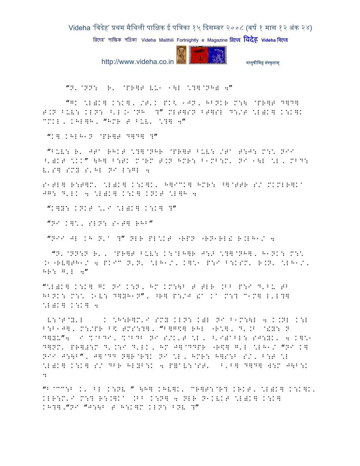িরেদহ' পািkক পিtকা Videha Maithili Fortnightly e Magazine িরেদহ िवदेह **Videha** িবেদহ



**"**N'@NN: R' @PR]T VU1 1\L \*?]@NH) 4**"**

 **"**GK \*L)K] K:K], /T'K PK< 1JN, HBNKR M:\ @PR]T D]D] T.N BUV: KLN: ^'L.1@NH ?**"** MLT]SN BT]SL D:/T \*L)K] K:K]K CMKL, KHL]H, **"**HMR T BUV' \*?] 4**"**

**"**K] KHLH1N @PR]T D]D] ?**"**

 **"**BUV: R' JTA RHKT \*?]@NHR @PR]T BUV: /TA T:J: M:\* NII ^')KT \*KK**"** \H] B:TK M@RM T.N HMR: B1MB:M' NI 1\L \*L, MBD: V'S] SMY S'HL NI L:GL 4

S1TL] R:T]M' \*L)K] K:K]K' H]ICK] HMR: ^]@TTR S/ MKMLR]KA JG: D'LK 4 \*L)K] K:K] KNKT \*L]H 4

**"**K]Y: KNKT \*'I \*L)K] K:K] ?**"**

**"**NI K]\*, SLN: S1T] RHB**"**

**"**NII JL KH N'A ?**"** NLR PL\*KT "RPN "RN1RL! R.LH1/ 4

 **"**N'@NN:N R', @PR]T BUV: K:@LH]R J:> \*?]@NH], H1NK: M:\* .1"RV]TH1/ 4 PKIC N'N' \*LH1/, K]\*1 P:I B:KSM' R.N' \*LH1/, HR: G'L 4**"**

**"**\*L)K] K:K] GK NI K:N, HM KM:\B T TLR .BB P:I D'BU TB HBNK: M:\* .1V: D]YH1N**"**, ^R] P:/J !A KA M:? C1M] L'L?] \*L)K] K:K] 4

 V:@T@Y'L K \*H:R]M'I SMY KLN: K)L NI B1M:\L 4 K.NL K:L B:B1J], M:/PR B\$ TMS:?], **"**B]G\$] RHL "R\*], D'.B @!Y: N D]YU**"**4 I %@BDI, %@BDB NI S/K'T \*L, ^'I)ABL: SJ:YK' 4 K]\*1 D]NM' PR]#:M D'.:I D'LK, HM J]@DDPR "R\$] G'L \*LH1/ **"**NI K] NII J:\B**"**, J]@DD N]R@R?K NI \*L, HMR: H]S:B S/, B:T \*L  $\Lambda$ E:K] A: N) S/ B: K]  $\Lambda$  (state  $\Lambda$  be a perturbative  $\Lambda$  , with  $\Lambda$  parts and  $\Lambda$  and  $\Lambda$  $\ddot{\bullet}$ 

**"**B@CC:B K' BL K:NV **"** \H] KHV]K' CR]T:@R? KRKT, \*L)K] K:K]K' KLR:M'I M:? R:.]KA .BB K:N] 4 NLR N1KVKT \*L)K] K:K] KH?],**"**NI **"**J:\B T H:K]M KLN: BNV ?**"**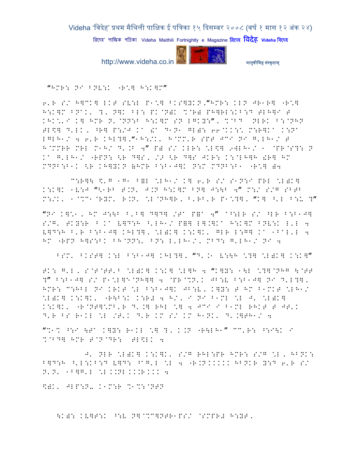িরেদহ' পািkক পিtকা Videha Maithili Fortnightly e Magazine িরেদহ िवदेह **Videha** িবেদহ



**"**HMR: NI BNV:K "R\*] H:K]M**"**

6'R S/ H]CK] LKT SV:L P1\*] BKS]YKN,**"**HMR: KLN JR1R] "R\*] H:K]M BNAK' (PK) PH] PEN BONDEL THE BHHE KIRN BEHHA A KHK\*'I K] HMR N'@NN:B H:K]M SN LGKY:**"**, %@BD NLRK B:@NHN TL\$] D'LK, ^R] P:/J KA !A D1N1 GL): 66@KK:\* M:R]KA K:NA LGLH1/ 4 6'R KHL?],**"**1H:/K' H@MM'R SPT JCI NI G'LH1/ T H@MMRR MRL M1H/ D'.B 4**"** P) S/ KLR: \*L\$] 9WLH1/ 1 @PR@S?: N KA G'LH1/ "RPN: <R D]S, /> <R D]S JKR: K:@LH]H !R] HM MDA:B1K (RECEPBILA) BAMB:B1N (HAI) DAM MONDA:B1K (HAI) B1

TGBBB \$'GB' \*BH \*LHI MERKIN SHI BU BI BI BI BI BI TEH MEBOBI K:K]K 1V:J **"**<1RB T.N' J.N H:K]M BN] J:\B 4**"** M:/ S/G SBTB M:/K' 1@%C1@RYM' R.N' \*L@NH]R, B'RB'R P1\*?], **"**K] ^'L B:U ?**"**

**"**NI K]\*1, HM J:\B B'B] D]D] /TA P=A 4**"** @^:LR S/ ^LR B:B1J] S/G, B:BH (F) LETH (FOR) FBR FEND (SID: TELL E.F 4) B:H BER B: BIR BY BY BER BIR, INDIALY CONTROL, I HE BY BOARD ON A FINE LET A 1 HM "RPN H]S:BK BH@NN:' BN: L'LH1/, MBD: G'LH1/ NI 4

BSM' BKST] K:L B:B1J] KHL?], **"**D'.1 V:\H \*?] \*L)K] K:K]**"**

TK: G'L, S@T@TT'B \*L)K] K:K] \*L]H 4 **"**K]Y: 1\L \*?]@NHG \@TT ?**"** B:B1J] S/ P1\*L]E@NH]] 4 @PR@%N'K JB:V B:B1J] NI D'L?], HMR: C:HBL NI KRKET AL B:B1JAR: JP:L. NRH: B1JH P1J:B1J \*L)K] K:K]K' "R\B:K K:R# 4 H/, I NI B1ML \*L J' \*L)K] K:KI:KI "R@NTARITI I BUTI I BHE NIK A JATA A JA TI BAI BUR ABLI D'R BS R1KL \*L /T'K D'R KM S/ KM H1NK' D'.]TH1/ 4

**"**%1% ^:I \TA K]Y: R1KL \*] ?, K.N "R\LH1**"** CC'R: ^:I\K I %@BD] HMR T@N@DR: TL\$LK 4

 J' NLR \*L)K] K:K]K' S/G RHL:PR HMR: S/G \*L, HBNK: B)BOS ALENES BOS VIDEO A CHILE NE REPORTED A DATA DE SIN A GRANDE BLACK Y N'N' 18 AN D'AIRIN A' 1999 - 1999 - 1999 - 1999 - 1999 - 1999 - 1999 - 1999 - 1999 - 1999 - 1999 - 1999 - 199

**BE: HIRE: N-ME WANTHE** 

\K): KV]T:K ^:V N]@%C]NTR1PS/ @SMPR# H:YT,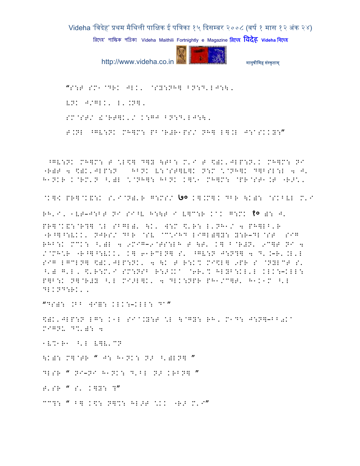িরেদহ' পািkক পিtকা Videha Maithili Fortnightly e Magazine িরেদহ िवदेह **Videha** িবেদহ



**"STEP STARTED AND ASSESSME PRITIPIES.** 

RN GUNDER STREET

SMOST RTHERT CONTROLLERS IN THE REPORT OF THE STATE OF THE STATE OF THE STATE OF THE STATE OF THE STATE OF THE

T.NL ^GV:NK MH]M: PB@R#R1PS/ NH] L].L J:ASKKY:**"**

 ^GV:NK MH]M: T \*L\$] D]Y \TB: M'I T \$)K'JLP:N'K MH]M: NI "RAP 4 \$A). HIPSP | HIP: LS YAHLAN PSP S THAN THENK H. A. A. H(RIB)I 'BZ,P (R.A. )'C'PARY A(R) IR'N ZAHZY 'PROSPOR' (B) (BJ),

@K][ PR]@K&:K S'I@N)'R G:MS/ ७० K].M]. DBR \K): @SKBVL M'I

RH, P. 1914-P: B. T. IVT. P: B. P: B. P. LETTE III (T. P: II) (<mark>So</mark> (B: P.):

PR]@K&:@R?] \*L SBGL)' \K' W:M \$'R: L'NH1/ 4 PH]LB'R "R^]^:VKK' NJRS/ DBR @SV @C\*IHD LIGL)]Y: Y:R**–**DL@ST SIG RHB:K MCK: ^')L 4 9MIG**–**9@TS:LH T \T' K] B@R#N' 9C]T NI 4 /@MH\*R "R^]^:VKK' K] 61RCLN] S' ^GV:N J:N?] 4 D'.**–**R'.L'L SIG LATER SELVALEND, A AL 2 BALT DIREK SEN D'IRE S AN ^') G'L, \$'R:M'I SM:NSB R:>.KA @6R'% HLYB:KL'L KLK:**–**KLL: P]B:K N]@R#Y ^'L MI>L]K' 4 DLK:NPR PH1/C]T' H1K1M ^'L **BLIPPERICK** 

**"**DS): .BB WI=: KLK:**–**KLL: DA**"**

\$)K'JLP:N LG: K1L SI@.Y:T \*L \@GY: RH, M1D: J:N]**–**BB0KA MIGNU D%'): 4

 $1.17.44$   $1.1$   $1.441.73$ 

\K): M]@TR **"** J: H1NK: N> ^')LN] **"**

DLSR **"** NI**–**NI H1NK: D'BL N> KRBN] **"**

T'SR **"** S' K]Y: ?**"**

CC?: **"** B] K\$: N]%: HL>T \*KK "R> M'I**"**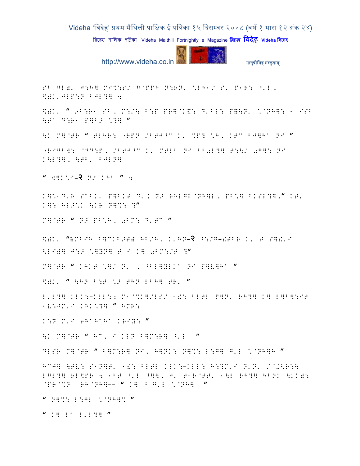িরেদহ' পািkক পিtকা Videha Maithili Fortnightly e Magazine িরেদহ िवदेह **Videha** িবেদহ



SB GL)' J:H] MI%:S/ G@PPH N:RN' \*LH1/ S' P1R: ^'L, \$)K'JLP:N BJL?] 4

\$)K' **"** 9B:R1 SB, M:/\ B:P PR]@K&: D'BL: P=\N' \*@NH]: 1 ISB \TA D:R1 P]B> \*?] **"**

\K M]@TR **"** TLHR: "RPN /BTJ^C K' %P? \*H, KTC BJ]HA NI **"**

"Gow and any company of the second transferred to the second sequence of the Ni Bologne Ni Bologne S  $\ldots$  :  $\ldots$   $\ldots$   $\ldots$  :  $\ldots$  :  $\ldots$ 

**"** W]K\*I**–**२ N> KHB **"** 4

KABK' PILOT PILOT D'EN RESTRITUELLE D'ANNE D'EST DE L'AUGURE D'EN MILL, PERSON DE L'AUGURE DE L'AUGURE DE L'AU K]: HL>\*K \KR N]%: ?**"**

M]@TR **"** N> PB\*H, 0BM: D'TC **"**

\$)K' **"**(MBIH B]CKB>T) HB/H, K'HN**–**२ ^:/G**–**!TBR K' T S]!'I <LI)] J:> \*]YN] T I K] 0BM:/T ?**"**

M]@TR **"** KHKT \*]/ N' , ^BL]YLKA NI P]V]HA **"**

\$)K' **"** \HN B:T \*> THN LBH] TR' **"**

L'L?] KLK:**–**KLL:; M1@%K]/LS/ 1!: BLTL P]N' RH?] K] L]B]:IT 1V:JM'I KHK\*?] **"** HMR:

K:N M'I 6HAHAHA KRIY: **"**

**"** N]%: L:GL \*@NH]% **"**

**"** K] LA L'L?] **"**

\K M]@TR **"** HC, I KLN B]M:R] ^'L **"**

DLSR M]@TR **"** B]M:R] NI, H]NK: N]%: L:G] G'L \*@NH]H **"**

HCJ] \TV: S1N]T' 1!: BLTL KLK:**–**KLL: H:?M'I N'N' /@+<R:\ LAGRE RESERVANCE ALS PRESSAGE RANGER (ARTICA-PART ACTES) @PR@%N RH@NH]**–– "** K] ^ G'L \*@NH] **"**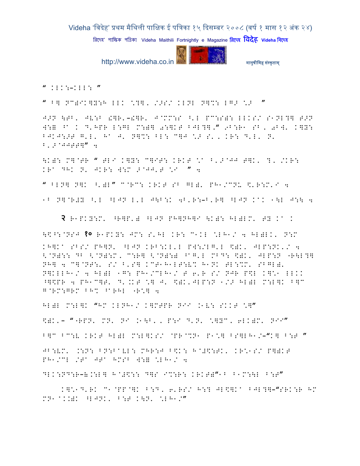িরেদহ' পািkক পিtকা Videha Maithili Fortnightly e Magazine িরেদহ िवदेह **Videha** িবেদহ



**"** KLK:**–**KLL: **"**

**"** B] NC)IK]Y:H LLK \*?], />S/ KLNL N]%: LG> \*> **"**

J>N \TB' JV:B !]R'**–**!]R' J@MM:S ^'L PC:S): LLKS/ S1NL?] T>N W:: ^A K O K D'HPR L:GL M:E W: OH: CH OH BIL?], OH: CH OH: CH OH: CH OH: CH OH: CH OH: CH OH: CH OH: CH OH: CH O BJANDE BIK, PO AL JANNES PEN MARCO KLIVEN BIK DEL J B'>@JJTT]**"** 4

 $K$  Albert  $\mathbb{R}$  TR  $\mathbb{R}$  (and  $\mathbb{R}$  transformation  $\mathbb{R}$  ) and  $\mathbb{R}$   $\mathbb{R}$   $\mathbb{R}$   $\mathbb{R}$  and  $\mathbb{R}$   $\mathbb{R}$   $\mathbb{R}$   $\mathbb{R}$  and  $\mathbb{R}$   $\mathbb{R}$   $\mathbb{R}$   $\mathbb{R}$  and  $\mathbb{R}$   $\mathbb{R}$   $\mathbb{R}$ KRA DHK N' <del>JKRI N' JKRI N' JKRI N' 4</del>

**"** BLN] N]K ^')L**"** C@RC: KRKT SB GL)' PH1/CNU \$'R:M'I 4

1B N]@R#Y ^'L ^LJN L'L J\B:K 4B'R:**–**B'R] ^LJN KAK 1\L J:\ 4

 २ R1PKY:M' ^R]P') ^LJN PH]NH]I \K): HL)LM' TY KA K  $\,$  80 R1PK  $\,$  80 R1PK IIM: STATE (FL) ALL) (FR). CN: C1KL  $\,$  N:MEL). CN:MEL KHENY SPSY PHER, PHOR KAPINIA, PORNIBA E ROL ALPHARICY 4  $K$  (pans (PH):  $K$  (pans)). Inspect  $K$  (pansal MP,  $K$  , purpose for  $K$  and  $K$  -defined by NH] 4 C]@NT:' S/ B'S] KCT1H1LT:V% H1NK TL:%M' SBGL)' NALLER 2 H HLD (AS PRIZABRIZ BOL) PIE 20 NAME PAL KALL ^]\$PR 4 PH1C]T' D'.KT \*] J' \$)K'JLP:N 1/> HL)L M:L]K B]C G@RM:GRM BH% ^ARHL "R\*] 4

HL)L M:L]K **"**HM KLNH1/ K]MTPR NII .1V: SKKT \*]**"** \$)K'**– "**"RPN' MN' NI .1\B', P:I D'N' \*]YC, 6LK)M' NII**"** B]C BC:V KRKT HL)L M:L]KS/ @PR@%N1 P1\*] BS]LH1/**–"**K] B:T **"** JB:VAL: .:N: BN:BAVL: MAR:A BN:BAVL: MAR:A:THE: PHAIL: TKY PHILMS W: #PANIFARMSB W:

DLK:ND:R**–**(.:L] H@#\$:: D]S I%:R: KRKT)**"**1B B1M:\L B:T**"**

 K]\*1D'RK C1@PP@]K B:D, 6'RS/ H:? JL\$]KA BJL?]**–"**SRK:R HM MN1@..)K ^LJNK' B:T K\N' \*LH1/**"**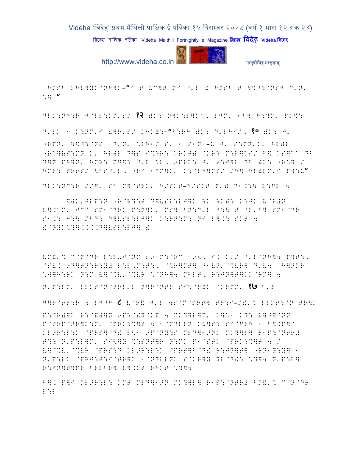িরেদহ' পািkক পিtকা Videha Maithili Fortnightly e Magazine িরেদহ िवदेह **Videha** িবেদহ



HMSB KHIRIYAR <del>(</del>"I T UCH SP KI K HMSB F NI HMSB T.T. \*] **"**

DRAME RESERVED IN STRACK ORDER TO A RESERVE THE RESERVED IN THE RESERVE IN THE RESERVE IN THE RESERVE IN THE R

D'LK 1 K:NM'I !]R'S/ KHKY:**–"**B:RH )K: D'LH1/, १० )K: J'

"RPN' \\$^:@NS D'N' \*LH1/ S' 1 S1N1**–**U J' S:MN'K' HL)L "RENNBERGOODL) PE BELIJANSK KONSTANTIER IN DIE ROSKE ALS KONSTANTIER (\* 1980) DAR PHAN, ANDS NARS (LE SE, 2PRKS: J. 654AL DR 8:S (BSA) 2 HMR: TR6S/ <BS^'L, "RI 1DM]K' K:@LH]MS/ /H] HL)LM'I PW:U**"**

DLK:ND:R S/G' SB M]@TRK' H/SKT**–**H/SKT P') D1.:\ L:GL 4

 $X'_{11}$  , and the state of the state of the new state  $X'_{11}$  ,  $X'_{12}$  is the new state  $X'_{12}$ LA DOD, JAMY JEDY MARI JESPAI. JOŽE POSTIJE JASA JE JA JA BODY MAR  $S$  . The production of the product  $S$  and  $S$  $\pm$  0.000 0.000 0.000 0.000 0.000 0.000 0.000 0.000 0.000 0.000 0.000 0.000 0.000 0.000 0.000 0.000 0.000 0.0

 $\mathbb{R}$  with construction  $\mathbb{R}^n$  and  $\mathbb{R}^n$  i. The construction of  $\mathbb{R}^n$  i. The construction of  $\mathbb{R}^n$  and  $\mathbb{R}^n$  is the construction of  $\mathbb{R}^n$  and  $\mathbb{R}^n$  is the construction of  $\mathbb{R}^n$  an @SV. 9D]TN:R:Y# L:L,M:T:, @%R]MT] ^1VN'@%VR] D'V4 H]NKR  $\Lambda$ HB+GBI MAC BBYIB, MIBP N:MAHA MIBLE, RGHPHPBII MBMB 4

N'P:LM' LLKT@N@TRL'L N]R@NTR SI<@R&K @KRMM' १७ B'R

G]R@6T:R 4 LG^G ८ V@R& J'L 4S@M@PRT] TR:I**–**M!'% LLKT:@N@TR]K

P:@R)]K R:@&)]Y 9P:@!Y@K& 4 MK?]L]M' K]\*1 K?: V]^]@NN POBRIMENT, MIRING 4 1 1991 FROLLAN SIMBA 1 99.991 KLP: KRAL: KREATING IN: KALDERA DI PRSPIN DI THIN BS PACHAEL T?: N'P:L]M' SI<]Y %:SNT]R N:MK P1@STK @PRK:%]T 4 /  $\mathbb{R}$  of the comparison of the set of the polynomial dependence of  $\mathbb{R}$  . N'P:LK @PRJ:T:I@TR]K 1@NDLLNK S@KR]Y YL@D!: \*?]4 N'P:L] R:JAPRERE BRLBRIDGE BRLBRIDGE

B]. P]I KL>R:L: KMT MLD]1>N MK?]L] R1P:@NTR# BM&'% C@N@DR L:L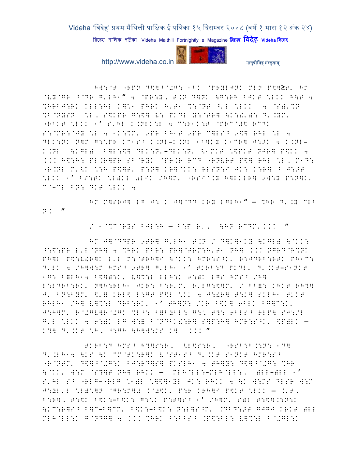িরেদহ' পািkক পিtকা Videha Maithili Fortnightly e Magazine িরেদহ िवदेह **Videha** িবেদহ



 HW:@T "RPN D\$]^@+G: 1BK @PRYLJNK MLN P\$]**≥**T' HM @VY@GR ^@DR G'LH1**"** 4 @PR:Y, T.N D]NK \G:RH BJKT \*LKK H\T 4 %HRBJ:RK KLL:HL K]\*1 PHRK H'T1 %:@NT ^'L \*LKK 4 @S)'%N %B@NYSN \*L, S\$KPR G:\$] V: PKDL Y:@TR] \K:!'): D'.YM' "RBKT \*LKK 1**'** S'HL K.NLK:L 4 C:R1K:T @PRC@#\$ RCDK S: WHIT HIS REPORT OF BHIT 9 AND THE PRESS OF BHITTING AND RELEASED AND RELEASED AND RELEASED AND RELEASED AND DLK:NK N]M G:\*PR KC1S^ K.NL**–**K.NL 1B]KY K1CR] J:>K 4 K.NL**–** K.NDB) - ALIPE BILI FIBENERI IPE LADK-PE LADK: NYING BILANDIR DIPERTING AT ... H\$:H: PL.R]PR SB@RYK @PR.R RCD "RNVRT P\$] RHL \*L, M1D: "R.NL M.N. MAR PSHE, PAPH (PHINIC BEFORE ALS CAPE FORGE \*LKK 1**'** BS:TK \*L)KL 0LIK /H]M' "RSI@.Y H]LKLR] 9W:Y P:N]K' THE BILL BOOK

 HM M]SRJ] LG J: K J]@DD KRY LGLH1**" —** %HR D'.Y CLB N. **"**

/ 1@%C@RYS BJL:H **—** B:P R', \HN RCDM'... **"**

HO JAN SARRE 9TRA 1910 DI KATA 1910 NA KATA 1910 DI KATA 1910 DI KATA 1910 DI KATA 1910 DI KATA 1910 DI KATA 1 ^:\$:PR L'L@NH] 4 %HRK PBR: PR]@TRM:H'T1 NH] ... NGRD@R%NK PHE PS:LORD LI TEGRAR BOID ATRICE REARDING PHTT D'LK 4 /H]W:M HMS^ 9TR] G'LH1 1**'** TKRB:D PKDL' D'.KT**–**S1NKT 1G: B=LH14 B\$]):K' V]%:L LLH:K 6:)K LGS HMS^ /H] L:LDRB:RK' N]H:RLH1 JKR: B:R'M' R'LG:\$]M' / BB=: KHKT RH?] J' BN:BYM' \$'= KRL\$ L:GT P\$L \*KK 4 J:!R] T:K] SKLH1 TKKT RHLH1 /H] V]%:L DRB:RK' 1**'** TH]N: /KR B\$K] 6BLK BG]C:K' J:H]M' R@+GV]R@+GK %L^: B=BYBL: G:\* T?: 6BLS^ RLP] SJ:/L G'L \*LKK 4 6:)K LG W:= B@NDBK!:R] S]P:H] HMR:S^K' \$P)LK **—** KRR T. KT \*H, \*H<sup>H,</sup> \*HH, \*HH, YT \*H, \*..

 TKRB:D HMS^ H?]S:R, <L\$S:R, "RSB:B.:N: 1D] D'.LH14 \KS \K CM@TK:R]K V@ST1S^ D'.KT S1NKT HMR:S^ "R@NTM' D\$]^@+G:K BJ:RD]S] PKSLH1 4 TH]Y: D\$]^@+G: %HR \@KK' W:M @S?]T NH] RHKK **—** MLH@LL:**–**MLH@LL:, )LL**–**)LL 1**'** S'HL S^ "RLG**–**"RLG \*1)L \*]\$]1YL JK: RHKK 4 \K W:MS DLSR W:M J:YL'L \*L)\*]N @GR:M]# .@#\$K' P:R KRH]I P\$KT \*LKK **—** .'T, B:R], T:\$K B\$K:**–**B\$K: G:\*K P:T]S^ 1**'** /H]M' S)L T:\$].:N:K \KC:R]S^ B]C**–**B]CM' B\$K:**–**B\$K: N:L]S^M' .DBD:>T GJGJ KRKT )LL MLH: MLES AL: C ADD A:BL: C ADD A:BL: VI B:BL: VI B:BL: VI B:BL: VI B:BL: VI B:BL: VI B:BL: VI B:BL: VI B:BL: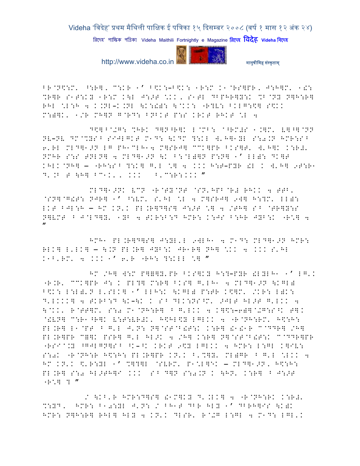িরেদহ' পািkক পিtকা Videha Maithili Fortnightly e Magazine িরেদহ िवदेह **Videha** িবেদহ



BR@N\$:M' ^:R], C:KR 1**'** B\$K:**–**B\$K: 1R:M K1@RS]PR, J:H]M' 1!: WHER STRICH THIS CHE ANDRE WILL STREET WORKERS WORK NUMBER RHL \*L:H 4 K.NL**–**K.NL \K:!): \@KK: "R?V: BKLG:\$] S\$KK MYSSER AND MORE BOOK FRIETRY PERSONS AND A

BUSES ON MARK DURING DINA DINA LANGUN NVA–DRO PO TORE FORME MI BOV PACH SIJLGKI MI SIJLGK SIJLGKT MORAE FO 6'RL MLD]1>N LG PH1CLH14 M]SRJ] CCK]PR BKS]T' W'H]K K:R#' NMHR S:S TNLN] 4 MLD]1>N \K B:@L)]N P:N] 1**'** LL): DK]T KHLK@NH] **—** "RH:S^ ?:K] G'L \*] 4 ... H:T**–**PYR !L K W'H] 9T:R1 D'.B T \H] BC1K', ... B'C:R:... **"**

 MLD]1>NK VCN "R@TY@NT @SN'HPB@R# RHKK 4 TTB' @SN]@G!T: NJR] 1**'** ^:VM' S'HL \*L 4 M]SRJ] 9W] H:?M' LL): LKT BJL:H **—** HM KN'K PL.R]D]S] J:>T \*] 4 /TH] S^ @TR]Y:S NATH PRINAME. AND A BIBING HOB: CHAP PHAR HOB: ANCH A **"**

HOW PLONGHER HIS I: YHEN A ON THRUS HOPE RLK] L'LK] **—** \.N PL.R] JYB:K JR1R] NH] \*KK 4 ... S'HL K1B'RM' 4 ... 1**'** 6'R "RH: ?:KLL \*] **"**

 HM /H] W:M P]=]Y'PR BKS]KY H:?**–**PYR !LYLH1 1**'** LG'K "RESERT COMPOSITION AND STOLEN BY DISPLACING A DISPLACEMENT AS AN ALGORITHM AND ALL AND ALL AND ALL AND ALL AN B\$K: L:L)'N L'SLK] 1**'** LLH:K \KGL) P:TR K\$]M' /KR: L)K: D'LKKK] 4 TKRB:D \K**–**\K K S^ DLK:NS^M' >JLT HL>T G'LKK 4 \@KK' R@TT]M' S:0 M1@NH:R] ^ G'LKK 4 K]\$:**–**6)]@+G:S^K T].  $\overline{C}$  Construction of the control of the H  $\overline{C}$  LGC  $\overline{C}$  and  $\overline{C}$  and  $\overline{C}$  and  $\overline{C}$  has  $\overline{C}$  and  $\overline{C}$  and  $\overline{C}$  and  $\overline{C}$  and  $\overline{C}$  and  $\overline{C}$  and  $\overline{C}$  and  $\overline{C}$  and  $\overline{C$ PL.R] L1@PT ^ G'L J'N: N]@ST@B!T:K K:R] !1!1R C@DDR] /H] PL.R]PR C=]K PSR] G'L HL>K 4 /H] K:R] N]@ST@B!T:K C@DDR]PR  $\sim$  Party of the Party Politics (1919) of Party 1 HMR: Light 1 HMR: Light Carty S:0K "RANH:R H\$:H: PL.PHER (PL) ML, RED, OF GREAT WELL (SECO) A HM KN'K \$'R:YL 1**'** %]?]L @SVRM' P1\*L]EK **—** MLD]1>N, H\$:H: PL.CHR STA PLAPPER (111) STA TRE STACK CONFERENCE PLATER. "R\*] ? **"**

 / \KB'R HMR:D]S] !1M]KY D'.LK] 4 "R@NH:RK K:R#' %:YD, HMR: B10:YL J'N: / BH1T DBR HLY 1**'** DBRH]IS \K)K HMR: N]H:R] RHL] HLY 4 KN'K DLSR' R@+G L:GL 4 M1D: LGL'K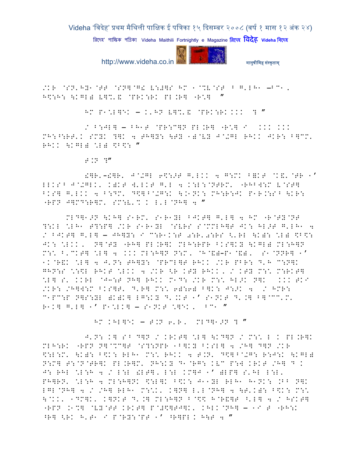িরেদহ' পািkক পিtকা Videha Maithili Fortnightly e Magazine িরেদহ िवदेह **Videha** িবেদহ



/KR @SN'HY1@TT @SN]@G! V:#]S HM 1@%V@ST ^ G'LH1 **—**BC1, H\$:H: \KGL) V]%'& @PRK:RK PL.R] "R\*] **"**

HM P1\*L]EK **—** K'HN V]%'& @PRK:RK... ? **"**

 / B:JL] **—** BH1T @PR:C]N PL.R] "R\*] I ... ... MH:^:RT'K SMYK PH:^:RT'K SMYK ARYK JANG RHKK JKR: BAYK JKR: B RHKK \KGL) \*L) \$B\$: **"**

T.N ?**"**

 !]R'**–**!]R' J@+GL 6\$:>T G'LKK 4 G:MK B=KT @K&'@TR 1**'** LLCKS AND MILL CONSTRAINS WORKER GENERAL GERMANY AND MYSTER  $B$  (  $B$  )  $B$  ,  $B$  ,  $C$  )  $B$  ,  $B$  ,  $B$  ,  $C$  ,  $D$  ,  $D$  ,  $D$  ,  $D$  ,  $D$  ,  $D$  ,  $D$  ,  $D$  ,  $D$  ,  $D$  ,  $D$  ,  $D$  ,  $D$  ,  $D$  ,  $D$  ,  $D$  ,  $D$  ,  $D$  ,  $D$  ,  $D$  ,  $D$  ,  $D$  ,  $D$  ,  $D$  ,  $D$  ,  $D$  ,  $D$  ,  $D$  , "RPN J]MD:R]M' SM:V'% K L'L@NH] 4 **"**

 MLD]1>N \KH] S1RM' S1R1YL BJKT] G'L] 4 HM "R@TY@NT ?:KL \*LH1 T?:P] /KR S1R1YL @SVRS S@MMLH]T JK: HL>T G'LH1 4 / BJKT] G'L] **—** JH]Y: I C:R1K:T 0:R'0:RS <'RL \K): \*L) \$B\$: JK: \*LKK, N]@TY "RH] PL.R]K MLH:RPR BKS]KY \KGL) ML:H]N M:\* B'CKT] \*L] 4 ... ML:H]N N:M, @H@&)**–**P1@&), S1@NNR] 1**'** 1K@R&K \*L] 4 J'N: TH]Y: @PRCL]T RHKK /KR PBR: D'H C:N]K GHARAY SARE (BHIR SEIL) A /M:B RB IRB BHII, / KTYRI MAN MARIRR \*L] S' KKRL @J3:T NH] RHKK M1D: /KR M:\* HL>K N]K ... TKI /KR: /H]W:M BKS]T' D'R] M:\* 6):6) B]K: J:>K 4 / HMR: C1PC:P N]S:YL )K)K] LG:KY D'.KT 1**'** S1NKT D'.] B]@CC'M' R1K] G'L] 1**'** P1\*LK] **—** S1NKT \*]EK, BC1 **"**

HM KHL]EK **—** T.N 6'R, MLD]1>N ? **"**

 J'N: K] S^ D]N / KRKT] \*L] \KD]N / M:\* L K PL.R]K MLH:RK "REN NA MURA" NIARIEN (1982) BKSLIED (1982) MER \$:L:M' \K): B\$K: RLH1 M:\* RHKK 4 T.N' D\$]^@+G: R:J:K \KGL) N:M] T:@N@TR]K PL.R]M' NH:KY D1@RG: KVC P:W KRKT /H] D K J: RHL \*L:H 4 / L:L !LT], L:L KM]J 1**'** )LP] S'HL L:L' PHARN, MENH 4 MENHANI KNEAL: PUN HING HI BEHI HING NING DA DI B LGL@NH] 4 / /H] RLH1 M:\*K' K]N] L'L@NH] 4 \T'K): B\$K: M:\*  $\#M$  ( ) and the set of the set of the set of the set of the set of the set of the set of the set of the set of the set of the set of the set of the set of the set of the set of the set of the set of the set of the set o "RPN .1%] @VY@TT KRKT] P@#\$]TJ]K' KHLK@NH] **—** 1I T "RH:K ^R] <RK H'T1 I P@RY:@PT 1**'** ^R]PL. H\T 4 **"**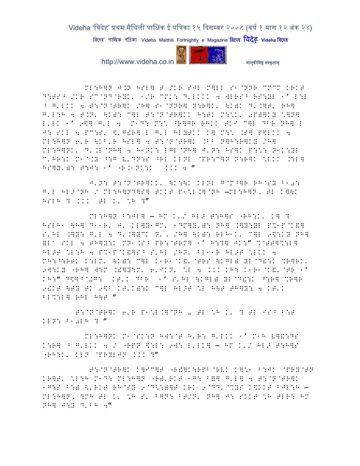িরেদহ' পািkক পিtকা Videha Maithili Fortnightly e Magazine িরেদহ िवदेह **Videha** িবেদহ



ML:HARD: HISL HER B. B. MIR SHE MARE SIN MODER MOMO KRISH D:TS^ /KR SC@ND@RYK' 1/R CMK: D'LKKK 4 WLRS^ RS:YL 1**'** L:L ^ G'LKK 4 T:@N@TR]K /H] S1@NNR] N:R]K' \K)K D'.]T' RH] G'L:H 4 Y A'L: CAD'EN (MAE) YEN ME MEREDO (PAYE) OPNOL (WEBPER (NAPPR) L'LK 1**'** 9\$] G'L 4 M1D: M:\* ^R]GR RHKK TKI C]L DBR NH] L J: SKL 4 PC:S' \$'G!R] L G'L HLYTKK K] M:\* .S] P\$LKK 4 ML:HABR:H.H. H. H. K. K. K. H. H. H. H. MR. NAHB N. M. H. MARSHID B. MAR. ML:H]NK' D'.L@NH] 4 H1NK: LGL@NH] J'N: HS]K P:\*: N1K:YL C'HR: C'HAI GE VED SLAPPE VED C'HR: C'HRICHD DIREC (SIC) CHER HS]Y'): T:J: 1**'** "R.1NK:K ... 4 **"**

 J'N: T:@N@TR]KK' \K:\K KLNL G@M^]R RH@SY B10: G'L HL>@NH / ML:H]ND]S] TKKT P1\*L.]@NH **—**ML:H]N, TL K]\K HSLH ? ... TL K' \*H ?**"**

 ML:H]N B:JL] **—** HM K'/ HL> T:H]S "RH:K' K] ? HSLH1 APR P11R, P. 1188-PM, 19788.81 PPR 18818 FMP P 1ER S'HL . (1935) PLETTA TRITISHED, DI. L. (1949) ACHENTEER POLITIKE TRIED (2011) DARK =LA SKL 4 TH]Y:K MN1.S^ PR:@TRM] 1**'** H:?] JK:**"** %@TT]%:L] HIST TEN A PRETTENT FINE (MR. TEN BALLA MIN' B MH:^:RTK K:LM' \\RK' K:LM' \RK' K:LM' \RK' K:LM' \RK' K:LM' \RK' KI:LM' \RK' K:LM' \RK' KI:LM' \RK' \RK' \RK' 9W:KY "RH] W:M .!]Y:M' 6'IKN' \*L 4 ... KH: K1R1@K&'@TR 1**'** KH:**"** D\$]^@+G: KT'K DBR 1**'** S'HL \KGL) YL@D!:K ^:R] %R]R 9!KT \TY TK 9\$B KT'K):K C]L HL>T \*L H\T TH]Y: 4 KT'K BL%:L] RHL H\T **"**

THE MONETAGE OF THE SECOND AND TRICE IN THE SECOND AND TRICE TO TAKE A SECOND ASSOCIATE THE SECOND BETWEEN THE KLN: B10LH ? **"**

 ML:H]NK M1@SK:N HW:@T H'R: G'LKK 1**'** M1H V]&:DS K:R] ^ G'LKK 4 / "RPN \$:L: 9W: L'LK] **—** HM K'/ HL> T:H]S "RH:K' KLN @PRYLJN ... ?**"**

 T:@N@TR]K K]IC]T "R!]K:RPB@RVK K]\*1 B:JK @PRY@TN KRART MID: MATH MID: MALRIE 1991 FAR PLEA A PROMOTHER 1G:S B:) <'RKT RH@SY 9@D<:)]T KRK 9@DD'@%YS K\$KKT BJL:H **—** ML:HAND: SHIN, BE SI, SA SK, PHDE PRIJD, DAN AE SIJE IS SK REAG AD NH] J:Y D'BH 4**"**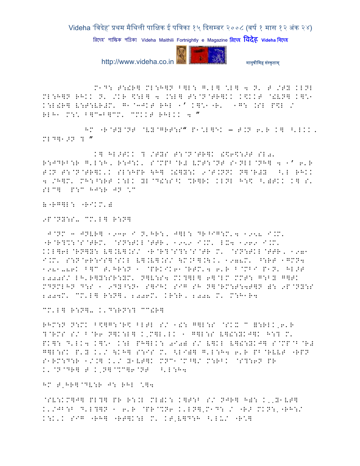িরেদহ' পািkক পিtকা Videha Maithili Fortnightly e Magazine িরেদহ िवदेह **Videha** িবেদহ



 M1D: T:!R] ML:H]N B]L: G'L] \*L] 4 N' T /TY KLNL ML:HARS RHKK S. ZIR SYNCH A: LYNCH RYSSERHEIN ISKNIF MELSH ISKN K:N:R:B:T:LN:RN:B:XIV, TP: 1091 B: B:P:L (K) 1916 (B), (K) PN / 1S1 / PRE / 2 RLH1 M:\* B]C**–**B]CM' CMKKT RHLKK 4 **"**

 HM "R@TY@NT @VY@GRT:S**"** P1\*L]EK **—** T.N 6'R K] ^'LKK, MLD]1>N ? **"**

KA HUBBAR TE SHIRI PATHOLOGI IN SERIES SE R:JDRB:R G'L:H, R:J:K' S@MPB@R# VMT:@NT S1NLL@NH] 4 1**'** 6'R T.N T: T.N T: HE SALING TO THE SALING THE SALING TO THE YOUR NEW YORK OF THE YOUR ALLEY A PLACE OF THE YOUR NA  $4$  /HIT. Thinking time  $\mathcal{L}$  and there is the first contact  $\mathcal{L}$  and  $\mathcal{L}$  so  $\mathcal{L}$ SLCH P:C HAND AN SC

("RG]L: "RIKM')

9P@NY:S- CM'L] R:N]

JANM 3 JANA 2 JAN 3 JAN 3 JARANG DI DROIG: JAN 2 1958 I.M "R@R?%:@S@TRM' @SN:TKL@TTR, 1959 I.M' LX4 1969 I.M' KKLARN YERARI KARENY (BYETYTI VYSE M. VYRIBI YER, 1971 I.M' S:NOR: THE SECRET OF SALE ONE OF THE SALE OF THE SALE OF SALE OF SALE IN A POTER. 1981-86K B]C T'HR:N 1 @PRKIK61@RTM'4 6'R B@MBI P1N' HL>T 2000S/ LH'R]Y:SR:YM' N]V:S4 MK?]L] 6]@LM MMT: G:BY G]TK MONDLAD: DYN A: S 20 HYDA: NDYAN SIG SA NG NA TANGANAN AN SA SA NOONG 2004M' CM'L] R:N], 2006M' KR:R, 2008 M' M:H1R4

CONSTRUCT CONTROL CONTROL CONTROL CONTROL CONTROL CONTROL CONTROL CONTROL CONTROL CONTROL CONTROL CONTROL CONT

RHM:N N:MK B\$]G:@R\$ BLTL S/ 1!: G]L:S @SKX C =:RLK6'R ?@RMS S/ B@R6 N]K:L] KM]L'LK 1 G]L:S V]!:YKJ]K H:? M' PK]: D'LK4 K]\*1 K:L PH]LK: 0I0) S/ V]KL V]!:YKJ] S@MP@B@R# GREGEL B.B.C. SGREGGE TO GEREAR ALEGAN B.B. PORCHALA GRT SPECTOR POST IN SHER COOPS CORN CORPS (COOPS) PR  $K$   $\mathbb{R}$   $\mathbb{R}$   $\mathbb{R}$   $\mathbb{R}$   $\mathbb{R}$   $\mathbb{R}$   $\mathbb{R}$   $\mathbb{R}$   $\mathbb{R}$   $\mathbb{R}$   $\mathbb{R}$   $\mathbb{R}$   $\mathbb{R}$   $\mathbb{R}$   $\mathbb{R}$   $\mathbb{R}$   $\mathbb{R}$   $\mathbb{R}$   $\mathbb{R}$   $\mathbb{R}$   $\mathbb{R}$   $\mathbb{R}$   $\mathbb{R}$   $\mathbb{R}$ 

HM THR]@DV:R J: RHL \*]4

@SV:KM]J] PL?] PR R:.L ML)K: K]T:B S/ NJR] H): KY1VT] K', J'AR: NR. (1980) - PROS (1980) ISBN 001-88 (JOST PNOT) - PROS (1980) - PROS K:K'K SIG "RH] "RT]K:L M' KTV]D:H ^'LU/ "R\*]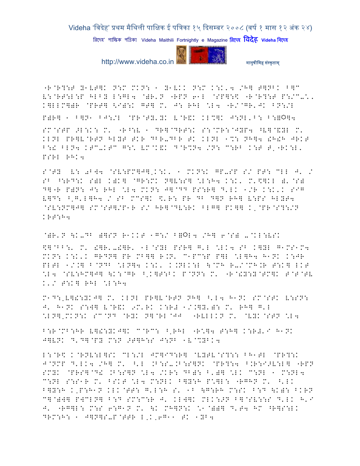িরেদহ' পািkক পিtকা Videha Maithili Fortnightly e Magazine িরেদহ िवदेह **Videha** িবেদহ



"RETRIK DE KART (PAP) PIPA 'N DE KI: PAP (AI), A' 298 (ARP) E RIN V:@RT:L:P HLBY L:GL4 @)R'N "RPN 61L @SP]:\$ "R@R?:T P:/C-\*, KALLMAD (PRPH KABI APA M. 29 PPE MA "B."AR'AN BNIL

PARA 1 BAD: PANZE (PRINGEL B): NORD (ESSE) PND (PN) BIGGA

SM STREET ON STATISTIC ORDER OF THE STREET OF THE STREET OPEN THE SECOND UP. KLART PRANCIPAR HERR ALP TKRID TKR DI KLART TKR PRANCIPAR I PRI A B:! BLN4 KTC-KTC G:\* VM@K&K D@R%N4 /N: C:RB K:T T"RK:L' PSRL RHK4

S@TY V: 0BW4 @SV:PM]J]K:K' 1 MKN:K GP-SP S/ PT: CLL J' / SB ^:PGBPG1 (KA) 181 H (PHBGI) DHEGRH:MK GRH: 191. D. CHIK:MK A. MKA DRAH PARA AN BAI MEA DIRK ARTUU PINAR DII KIR INII RYU V]D: ^G'L]H4 / SB MCS]K \$'R: PR DB D]N RH] V:PS HLYT4 @SV:NM]J] SM@ST]/P1R S/ HR]@DV:RK BLG] PK]] K@PR@S?:/N KRT:H4

@)R'N \K-DB )]SN R1KKT 1G:/ B=◌L4 /H] 6@S) -@KL:VSK

\$]@BB:' M' !]R'-!]R' 1L@SYL PSR] G'L \*LK4 SB K]YL G1MS1M4 MKD: K:K'K GROND PR MBILE R.N. THITH PHISTIPH HITK (1986) PLTL 1/.] B@NDB \*LN]4 K:K' K.NLK:L \@MH R-/@MH.R T:K] LKT  $\Delta$ E-Gr)  $\Delta$  or the state  $\Delta$  th possible parameter  $\Delta$  the  $\Delta$  to the term of  $\Delta$  to the term of  $\Delta$ K. *T:K* RH #H \* N:H4

MONICS MIDS ON THE WARD OF THE RESONANCE OF THE SMALL SERVICE OF THE SMALL SERVICE OF THE UNION OF THE UNION O J' H1NK S:W] V@R&K 9M'RK K:R# 1/.]Y'): M' RH] G'L \*LN]MKN:K SC@ND @RYK N]@RL@JJ "RVLLKN M' @VYK@STN \*L4

B:R@MB:HR V]!:YKJ]K C@RC: ^RHL "R\*]4 T:H] K:R#'I H1NK JANK D'OUR D'OUR D'ANNER ANN SE MONSE

L: SCRA KOL: PER SA KORNO LISK CLIGARISME DI RISK CLIGARISME DI PROVINCE DI PREPIRE DI PREPIRE DI PROPERTA E S J@NMP D'LK4 /H] M' ^'L .B:S-.B:S]NK @PR?:4 ^.R:I>V:L] "RPN SMYK @PRS]@D! .B:S]N \*L4 /KR: DB): B')] \*LK C:NL 1 M:NL4 C:NL S:SIR M' BSKT FLORID THE STATE OF THE STATE STATE AND MY ALL BILLIONS OF THE UNION OF THE UNION OF THE UN BIYEN COPER DOCEC GREECH, EGROP, ALCOHOL:BY BY SK BIGHT: BC BERNINGED CA) MARI BACEBA ESP SOSCIA RUCLEARI OBILISTA ERISISTE PUBLICE J' "RG]L: M:S 6:G1N M' \K MH]N:K \*1@))] D'T4 HM ^R]S:LK BRM: 1 HONDA LANGIL LANGIL SI SI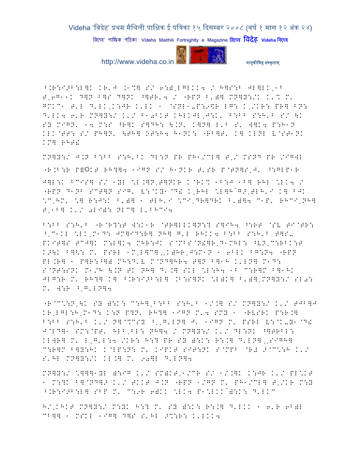িরেদহ' পািkক পিtকা Videha Maithili Fortnightly e Magazine িরেদহ िवदेह **Videha** িবেদহ

http://www.videha.co.in<br>स्कित्र्यामान्य स्कूलाम्

^.R:I>B:L]K KR'J .1%] S/ 6:)LGLKK4 / H]S:B JL]LK1B T6G11K D]N B]S D]NK ^]TR'4 / "RPN B')] MN]Y:/K K'% M' GMACH TE D'ALL D'LAGE (1911) - SANDH-GDAORE I PACI (21 BACTER PRA) R.B.G. B.B SPARING KILL BILD CHECHE AND START SYMPOSONE SH MIGHT IN THE SHIPS RIN, SHIPS SO WINDOWS PIPS KLATT: SATT: SY PHINN, "APHIL SPANA" AS NA HING (API NA LA LA LA LA STASINA) KM] RHT!

MNBRAY: J.N B:BB S:/ START DRIVER PHILOSOFIC PROVIDENT PROJECTION "REST AR "PEODE" BANNER "PART "BOOM AFSTE "BOOK PORTHED, AO "PART PHIP" B J]L:K BCIS] S/ 1YL \*L.]NT]NKR K@RK% 1B:J 1B] RHL \*LK4 / "RPD" RUPE STAND SYN, ESTIG THE LIANE TRANSPORTATION ON BAT \*CHM' \*] R:J:K B')] 1 TLH'I \*CIDR]DRK B')]4 C1P' RHCINH] **F** (18): NLC (2001): NLC (2001): NLC (2002): NLC (2002): NLC (2002): NLC (2002): NLC (2003): NLC (2004): NLC (2004): NLC (2004): NLC (2004): NLC (2004): NLC (2004): NLC (2004): NLC (2004): NLC (2004): NLC (2004): NLC (200

B:BB S:H'B "A:B:BB AND "RANDERSTY" SUPPARTNA "SIL ROVARY ^C1KL \*LKM1D: JM]ID:R] NH] G'L RHKK4 B:BB S:H'B T]S-PKIT]S TCJ]K M:L]K4 MHR:JK S@MBS@N!]RD1MHL: ^VNC:RBK:T K: MORE IS NOT THE RESOURCE IN THE POST OF THE RESOURCE IN THE MELTIC BETWEEN 1997 PL.RA 1 PASSAR CHIT.E COPANNA ARP FALL DIPE COT S@NT:SNK M1/H \.N TK NH] D'.] SKL \*L:H4 1B C:R]M B]1HK JALANA DI RHYA CA MININA MATU DINA RADI NA BIANG KILANG ANG ANG M' W:R ^G'LN]4

"RACTORIAL SE GALACTORALISM SAN SAN SON SON DIABAN SON APPAR KRLEGE: NY MY 11GN RHP. 1IGN MY 11GN MY 11GN MY 11GN MY 11GN MY 11GN MY 11GN MY 1 B:BB S:BB S: MOLO CONTROL PORTION AT PSPL V: PER LEGICARY TRE J@LD]1 SM:@PT' HLBBL: NH]4 / MN]Y:/ K'/ DL:NK ^]TRBL: KLARA M. EUR.15a MIRS PSY PR SY BSIGH, PSIR R.19R.15PR. TEACH BEEN IN BYSKE ANDER SITE: SOME MALP SITE:N S'HL MANN MONTH MANN MONTH

MARIN SHURI BYA IS MIR, SM KO SIN IGH IS PLY 1 M:?K B]@ND]> K'/ TKKT J.N "RPN 1/GN M' PH1/CL] T/KR M:Y ^.R:I>B:L] SBP M' C:9R 6)KK \*LK4 P1\*LKK):K: D'LKC

H/KHKT MN]Y:/ M:YK H:? M' SY ):K: R:.] D'LKK 1 6'R 6B)L MARK 1 MSKL 11 MSKL 11 MSKL 11 MSKL 11 MSKL 11 MSKL 11 MSKL 11 MSKL 11 MSKL 11 MSKL 11 MSKL 11 MSKL 11 MSKL 11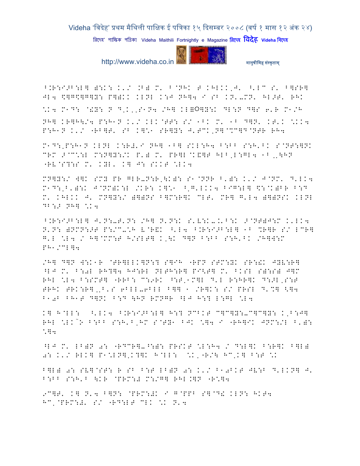িরেদহ' পািkক পিtকা Videha Maithili Fortnightly e Magazine িরেদহ िवदेह **Videha** িবেদহ



^.R:I>B:L] ):K: K'/ .B) M' B@NHK T KHLKKJ' ^'LC S' B]SR] JULA SHASHAHIN FANIL KINI KNA PAHA 2 SA KRILINE ALIJA, RAK \*K1 & M1D: ^ Y: N OKS1N4 /HID: N DAN DAN DAN DI DAN DI DAN DI DAN DI DAN DI DAN DI DAN DI DAN DAN DI DAN DI DA NHE CERANDA PSAKR CLO CEC'HEN BO KAL DO HA MRRI CELCONCOA P:H1N K'/ "RB]T' SB K]\*1 SR]Y: J'TCKN]@%C]D@NTR RH4

M1D:P:H1N KLNL K:R#'I NH] 1B] SKL:H4 B:BB S:H'BK S@NT:]NK TRO 20TUAL ORABBAZI BLB:OL BHB:OBBB:DAEFIELBAHH (FU) "RICH" RV@S" (RV@S) SKKT \*LK44

MARAY:/ WRITECH PR GLASH SI@N BY MARK PIEN II: K'/ MMANN MIEIG MN PROFILABRE CAPITALES IN LOCATES OF BRITISH IN A LEGISLATION BREAK BROKE BROKE REPORT M. KHLKK J' MANGHAM BUBAY CHUNGHU, MER. MAH ALEB BUBAY CEPE DB: NH] \* NH] \* NH] \* NH] \* NH] \* NH] \* NH] \* NH] \* NH] \* NH] \* NH] \* NH] \* NH] \* NH] \* NH] \* NH] \* NH] \* NH] \* NH] \* NH] \* NH] \* NH] \* NH] \* NH] \* NH] \* NH] \* NH] \* NH] \* NH] \* NH] \* NH] \* NH] \* NH] \* NH] \* NH] \* NH] \* NH

^.R:I>B:L] J'N:-T'N: /H] N'N:K S'V:K-.'B:K >@NT)J:M K'LK4 N'N: ARDIANA (PSZTUNA ESPED) (P. EA. PIB %RAK SER (P. TORR) 20. ETBR G'L E SLEAT / HETODYA POSTERE I JAI DAD AR THE SYN BY SYN BILL OPERAT PH<sub>1</sub>/Class

/H] D]N W:K1R @TR]LLK]N:? S]IH "RPN STM:YK SR:!K JYV:R] ^LJ M' B:0L RH?]4 HJ:RL NLTH:R] PI<T] M' BKSL S):S) J]M RHL \*L4 B:SMT] "RRB: C:9RK ^:T1M]L D'L R:HR]K D:>LS:T TRHK TRK:R]B'S 6BLL-6BLL B]] 1 /R]K: S/ PRSL D'%] <]4 B10B BH1T D]NK B:D \HN RMNGR ^LJ H:? L:GL \*L4

K) HOLL: 'LAG' HIS HOLL: 'LAG' HIS HOLL: 'LAG' HIS HIS NORTH CALL HIS HIS NORTH COMPANY BHL MINOR BY SYNCHOLD BY STRIK FAN MHA Y "RHARN ARTNEL FLAN  $^{\prime}$  . Here  $^{\prime}$ 

^LJ M' LB)N 0: "RDCR]-^:): PRSKT \*L:H4 / D:L]K B:R]K B]L) 0: K'/ RLK] P1\*LN]K?]K H@LL: \*K"R/\ HCK] B:T \*K

BULG AS BLUMBER RICH BILD AS LITTLE FOR HER MILITUM A B:BB S:BB S:BS S:B:BB S:DOM: BHL.1N S:DAY

9C]T' K] N'4 B]N: @PRM:#K I G@PPB S]@D! KLN: HKT4 HC@PRM:#' S/ "RD:LT CLK \*K N'4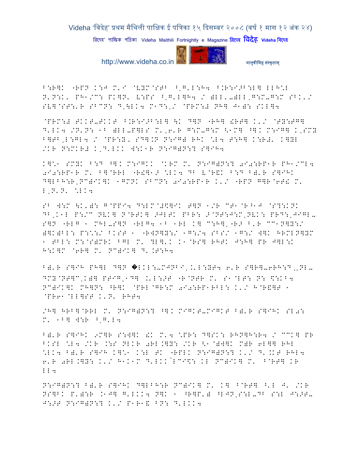িরেদহ' পািkক পিtকা Videha Maithili Fortnightly e Magazine িরেদহ िवदेह **Videha** িবেদহ



B:R]K "RPN K:J M'I @VYM@STB ^G'L:H4 ^.R:I>B:L] LLH\*L N.PY. PH1/C: BIR. LYP. 1,8.1964 / BIL.ABI,8YZ.9YZ.PY./ SLATERNIE SPORT OUEDE DE VERDOOK MEERTE NHA JE STIAA

@PRM:# TKKT-TKKT ^.R:I>B:L] \K D]N "RH] !RT] K'/ @TY:TG] D'LE LA 2010 NE 1 ALLEAN E COUL-ME SAN DE L'ANDRE ME CONSTANT FARF ENDER Y MARIN STAND REFORM AND NEW YORK THAN THAT /KR N:MKR# KD'LKK W:K1R N:IG)N:? S]IH4

KALA BISHI B:D YEARS ONE CONSTRUCTS AND MELTING 0I0:RP1R M' B]@RRL "R!]1> \*LK4 DB V@R&K B:D B)'R S]IHK D]LBH:RNC)IK]K 1GMNK SBCN: 0I0:RP1R K'/ "RPN G]R@6T! M' LN.N. MILA

SB W:M A D: G@PPIF4 DA:ED:LARRA D:GRE A DE DAY THAT A CATALOG DBK1L P:/C NORTH P:/C NORTH POINT PERSONS PROVIDED AND LITTLE PROVIDED AND LITTLE PROVIDED AND LITTLE PROVIDED  $S$ N RLG 1 MHL-S RLG 1 MHL-S 1 MHL-S RLG (18 MHL-S RLG 18 MHL-S BIR CO )]K)BL: P:\*:/ BKST 1 "RWN]Y:/ 1G:/4 SBS/ 1G:/ W]K HRMLN]YM 1 TBL: M:@S)MRK BGL M' ?L]'K K1@RS] RHTK J:H] PR J]L:K H:K]M @6R] M' NC)IK] D'.T:H4

F)B)'R SARTH: PHAL (PAR) �ECESLINAR (S), ESARH: B, B) SARAHAIRHSIR (SRE). DMY@NT]CK)] PTIG1D] .'L:>T "R@NTR M' S1@LT: N: \$:KB4 NC)IK]K MH]N: ^R]K @PRL@GR:M 0I0:RP1RBL: K'/ H@R&]T 1 WHEN THE REAL REAL BRACK

/H] HRB]@RRL M' N:IG)N:? ^]. MIGKT-MIGKT B)'R S]IHK SL0:  $T_1$   $\rightarrow$  FB  $\oplus$  W:R  $\oplus$  R:R  $\oplus$ 

B)'R S]IHK 9M]R S:W]K !K M'4 \*PR: D]SK: RHN]H:R4 / CCK] PR BKSL \*L4 /KR .:S NLKR 0RL.]Y: /KR <1@)W]K M)R 6L]] RHL \*LK4 B)'R S]IH K]\*1 K:L TK "RPLK N:IG)N:? K'/ D'.KT RHL4 8.B 200 CHING. IS HIS TO MULL. IN THIS CONTROL IN THE COMPANY  $\vdots$ 

R:PHONE FEAR PORT TO REPAIR TO NO CONTROL AT A VIR NSABA PORTAS PORTA PORTAS DA PARTICA E ALA SER ANTICADA E ANGELANDAS. J:B N:MENT NI N:HE BN: DIL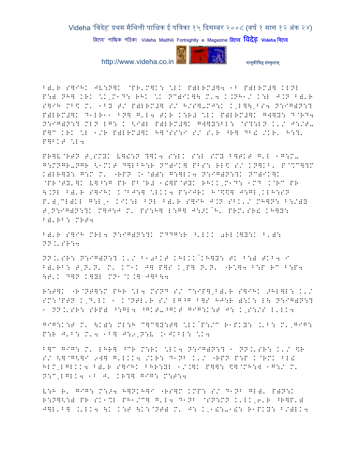িরেদহ' পািkক পিtকা Videha Maithili Fortnightly e Magazine িরেদহ िवदेह **Videha** িবেদহ



B)B)'R SARARI (ARINGANI MER'MALIK ING POLANG 1B POLANG INDIA (1998) PSB PHE DED SOURCHE ERD SOURCHEND. A DICHARD DE CASE AND FELE SAIH MAS M' 1BY THAN ME BOAR SA' HASALAN DO LA HE ASALAN MENYER P)LRM#]K D1LR11 BN] G'L4 TKR K:R# \*LK P)LRM#]K GW]Y: D@RD4 N:IG)N:? MLN LG: K <I)L P)LRM#]K GW]Y:BL: @S?:LN K'/ J:/T-PACK THE STRIP SERVE THE STRIP OF THE SERVER STRIP OF THE STRIP OF THE SAME IN THE LIGHT OF THE SAME OF THE SAME OF THE SAME IN THE SAME OF THE SAME IN THE SAME OF THE SAME OF THE SAME IN THE SAME IN THE SAME OF THE SAME O PHILE NIA

PRANJERA POZAO NASTA JAKO VIDO ZTE ZA SA SA MRIJE A SITUA BYZPRELPHE REZLA PHIPHYE POWELR PRAY BIR AZ LPHIP. POWCHTE (BEPAGN AND D. GPDP IN NEW ANALIS PINCHERNE PRODUCT @PR@TY']K V]^:G PR PB@R# 1!]P@TYK RHKKM1D: 1MD .@RC PR  $\,$  A) (P))  $\,$  (F)  $\,$  a)  $\,$  (F)  $\,$   $\,$  (F)  $\,$   $\,$  a)  $\,$   $\,$   $\,$   $\,$  (F)  $\,$   $\,$   $\,$  (F)  $\,$   $\,$   $\,$  (F)  $\,$   $\,$   $\,$  (F)  $\,$   $\,$  (F)  $\,$   $\,$  (F)  $\,$  (F)  $\,$  (F)  $\,$  (F)  $\,$  (F)  $\,$  (F) P')CL)KL G:L1 KIK:L BNL B)'R S]IH J.N SBK'/ MH]N: B:/)Y TN:IG)N:?K M]J:J M' PS:H] L:G] J:>KH' PRM'SR! KH]Y: B)'RB: MRT4

FALE PARR TEEN TYPATIN TYPENE RICK ARLIANSER RING NN.'SR:4

NN.YB: N:PHRIT K.Z PYGRIB KHILŠIPHIK BI PSB BIP4 I FB: PFN'A (P. P. CO. 1751) AN ENE COPA P.P. (GRINA FNE BO FNEW  $\text{H}\text{H}\Omega$  DE DE DIE DIE DIE UNIE

R:T]K "R@NT]:M PHR \*L4 MSND S/ C:IP]B)'R S]IHK >HL]L: K'/ SON: MERTY (1,761): LA SON MERTI E SON LER PROPIERE HIS HIS NO BE A RNEBBNY: 1 NN.'SR: SRP) ^:GL4 ^GKT-^GKT GIG:K:T J: KS:/S L'LK4

GRAPSINA DI ACAN DENA MAMBINAR SEL<sup>c</sup>entro akelogn lifn di praph PH 4.9N: MARSHER MARKET

BOBY BARS ON CERE FRY OSEN NING BSARBBS A DRON PESON NE S/ CHIPCHO GHE PLEICH ZIEN POP (112) GEP PNP (1982) FER HEMLE RESSURI POEL BY STRIPES OF PARTIES OF SIGNIFY PORTIONS TO THE MINOR IN PRINTING. **N:CLACK4 1B JONES 1989** 

V:H R' GIG: M:>4 H]NKH]I "RS]M KMP: S/ D1NB GL)' P)N:K R:NURSE DE SKING DESTURDERE DIE MINISTER KLEINER GEWERE JARE L'ARI .'L'ESCHE ALTIT ME ALTERNA DI DI JI: ANTI L'ANTI L'ANTI DE L'ANE L'AI: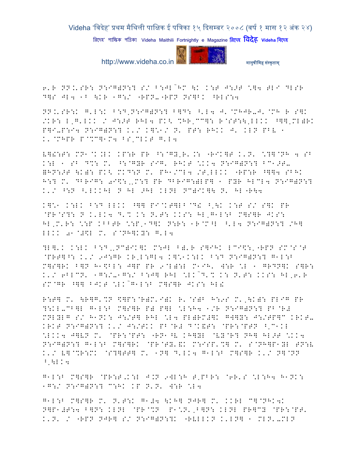িরেদহ' পািkক পিtকা Videha Maithili Fortnightly e Magazine িরেদহ िवदेह **Videha** িবেদহ



6'R NN.'SR: N:IG)N:? S/ B:JLHM \K K:T J:>T \*]4 TLI DLSR DHE HA I RIE IPAN HETLIETT TEUR HEEN.

NN.'S. SAGE CORNER DI SAGE DI SAGE DI SAGE DI SAGE DI SAGE DI SAGE DI SAGE DI SAGE DI SAGE DI SAGE DI SAGE DI /KR: LG'LKK / J:>T RHL4 PK< %HRCC]: R@ST:\LLKK ^]]ML)RK PROSTED NEWSFILM ON A PHOTO CONTROL PROVINCI K' CHE POSSES REPORTED

BECOME TO MINIMUM THE PROPERTY AND HOSPITAL MOST WARRANT K:L 1 SB D%: M' ^:@GYR SIG' RHKT \*KK4 N:IG)N:? BC1>T- =HN:>T \K): PK< MKD:N M' PH1/CL4 /TLLKK "RP:R ^]]4 SBHK H:? M. MERNS GRIEGIS: PR MERNSHIPE ( PHR HIME NISPERS) K'/ ^:N ^'LKKHL N HL >HL KLNL NC)IK]\ N' HL"R\4

K:RN K:NK:LK B:D LAKE B:D LAKE BY MILLER OF THE COUNTRY STATE OF STATE OF BEI @PR@S?: N K'LK4 D'% K: N'T: KKS: HLG1L:B M]S]R JKS: HE MY BY KYET OF FREE NYET FARD (PYER FIRM) IN THE UNLESS PRAIRING MAR LLIN WORKER ON STREET SOME

?L]'K K:LK B:DNC)IK]K M:JL B)'R S]IHK LCI\$:"RPN SM@S@T @PRT]^: K'/ 9J:GR KRL:GL4 K]\*1K:LK B:D N:IG)N:? G1L:B MARARI BAD HIRK BIR BANG BILI MILITARI SARA DI PERDANG SARA K', 2016 ET P.P. 1G: HE P.P. IS A RELIGION OF THE RELIGION OF THE LANGUAGE AND LOCAL THE LOCAL EXTENSION AND R SM THE FROM STATE TO STATE AND STATE

R:THE D. (ARRA)DD (RRIS (RAD) KAI (R. SIA) (PS)B (D. JAI AS II)K PRIG PR ?:KL-CB]L G1L:B M]S]R P) P]L \*L:H4 1/R N:IG)N:? PB@R# MNLAR SY HING SYNCH PHL NEW PEARING SHARE SYNCH (BIR) KRET PROBUSE K.V SIGEN PADE PODER OPRIODE FORE \*LESSEN JARELP (T. 1918) MEN'NY ARPA-PENTAN' NARATAN' NE PARE ALISAN' NI DE R:PHOSE WICH: CHINE: CONDUCT MICHINE MICHINE SEN K'/ V]@%R:MK @S?]TT] M' 1N] D'LK4 G1L:B M]S]R K'/ N]@NN  $\lambda$  . And the  $\lambda$ 

GREEN STRIK BY MINNER IN DIE GEENE HEERSTE DIE GEWONE HIJ DIE NIJSKONGERIE IN DIE DIE GEWONE GEWONE IN DIE DIE 1G:// N:IG)N:// N:IG)N:// N:IG)N:// N:IG)N:// N:IG)N://

B:B: MHINE M. B.AG. M.B: NIRN MARK M. C.B: MN MMIN. NAPH:4 BN: KLNL MENTR @PHOR. PARTICLER PRATE MENTR. K.A. J. (RPN NARE SJ NG-ARNGE) (REFEIN K.ENE ( NEN.2013)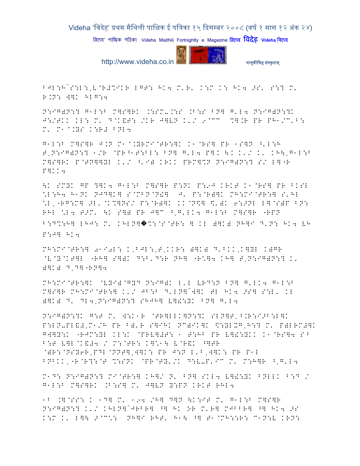িরেদহ' পািkক পিtকা Videha Maithili Fortnightly e Magazine িরেদহ िवदेह **Videha** িবেদহ



BAR:HS:L:V####IKR PRESS: HK4 MIKIN MY S: R.N: WHISK HOME

N:IG)N:? G1L:B M]S]RK .:SM-.:S .B:S BN] G'L4 N:IG)N:?K JOINT CONST. MYSER WE PART C. ZARTT STAR PR PHILTIPS M' M' M' MONT BOARD (1990)<br>And Board (1990) (1990) (1990) (1990)

G1L:B M]S]R J.N M1@.YRMI@TR:]K K1@RS] PR 1S]N ^'L:H TH: IG) NO THE IGN OF THE REPORT OF THE RELEASE TO THE IGN ON THE RELEASE TO THE PLANE OF THE DECISION OF THE S MARCH PORTH NIN KARING PROVINSI KATHA PHICH

 $K$  small group  $K$  group  $K$  and  $K$  and  $K$  and  $K$  is the probability  $K$  and  $K$ \*L:H4 H1NK NJD]K] S@MBN@N!] J' P:@R)]K MH:MI@TR:] S'HL \*L"RG:M] >L'@K%]NS/ P:@R)]K KK@N\$] \$')K 6:>NL L]@S)P BN: RHL SEA PAD, AL YAN PR PAD PALECA BEEN DAPPE (BPP B:D%:H] LHJ: M' KHLN]�%:@S@TR: ] KL )]K) NH]I D'N: HK4 VH Phone High

MH:MIC TRESHI (2018-2019) D'ATRICIA (B) D'EST (2019) D'ATRIC (2019-2019) @V@Y@KT]L "RH] S])K D:B'D:R NH] "R\*]4 KH] TN:IG)N:? K' )]K) DD]"RN]4

MH:MI@TR:]K @VYI)@GYD N:IG)K L'L VRD:N BN] G'LK4 G1L:B M]S]R MH:MI@TR:] K'/ JB:B D'LN]W]K TL HK4 >S] S:L' KL )]K) D' DL4N:IG)N:? SHJH] V]!:YK BN] G'L4

N:IGP)N: K G:T MI W:T MI W:T MI W:T MI W:T MI W:T MI W:T MI W:T MI W:T MI W:T MI W:T MI W:T MI W:T MI W:T MI W P:LOGICA MOMOR PR B.E. POPPY (PORT B) SYLDICA AS:YLXGH:? MILRO BURES (RUM:YE CONSTRUCTS) PROVIDE THINGER CONTROLLED TO THE VEHICLE IS A THING OF THE VEHICLE IN THE VEHICLE I B:T VERSION AND CONTROL CONTROL CONTROL @)R:@NSY6RPDL@NNT]W]K: PR J:N L'BW]K: PR P1L BNBKK (PROTHEN MISSING) (PROTHEN MISSING) (PROTHEN DISPOSITION OF PLACE

M1D: N:IG)N:? MI@TR:] KH]/ N' BN] SKL4 V]!:YK BNLLK B:D / B:B: MARINE STARK T. PHIP NITH LELP PREA

1B .]@SS: K 1D] M' 194 /H] D]N \K:IT M' G1L:B M]S]R N:IG)N:? K'/ KHLN]JRBR] ^] HK OR M'R] MJBBR] ^] HK4 >S K:M K: E8: STIL PHP PHE THE RECOMMENDED TO DE CON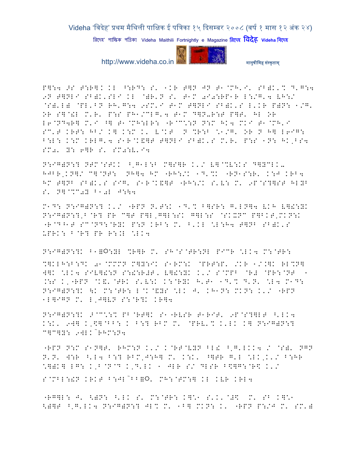িরেদহ' পািkক পিtকা Videha Maithili Fortnightly e Magazine িরেদহ िवदेह **Videha** িবেদহ



PAGE OF RIPAIS IN THE S. KIR RAY AN RESTRICT TO ME THE 9N T]NLI SB)K'SLI KL @)R'N S' T1M 0I0:RP1R L:/G'4 VH:/ @S)'L) @PL'BN RH'G:4 9SM'I T1M T]NLI SB)K'S L'KR P)N: 1/G' OR S]@!L M'R' P:S PH1/CLG'4 T1M D]N-R:T P]T' HL OR L6@ND4R] M'I ^] T1@MH:LR: "R@C\*:N N:M HK4 MKI T1@MH'I SC'T KRT: HB/ K] K:M K' V@KT N %R:B \*1/G' OR N H] L6IG: B:L: K:M KRLG'4 S1R@K&]T T]NLI SB)K'S M'R' P:S 1N: HKBS4 SM0' W: 69 SM0: SM0:VH

N:PHERST RADIOSAL: NJHEST VANAR (L.C.BAJNECO) PAGNECO HARB CORRIGERS OR RESOURCES TO A ROSE REPORT OF A REAL REPORT OF A REAL REPORT OF REAL REPORT OF REAL REPORT O HM T]NB SB)K'S SIG' S1R@K&]T "RH:/K S'V: M' 9P@S?]ST HLYB S' NATIONAL PART (PART

D: T: N:IGRENT (... "RPN N.BY) (T.T. FRIEN B.ENH GJA GRENE) N:IGR)N: PR CHE CITE CITE (PRECIPITION PRECIPITION PRECIPITION) "REDORT SCANDING PER "PER "LEFT" DI BIKL FILM DI BERGHER PER "SPELL S UPRC: BOR: PR R:11 (114)

N:IG)N:?K B1=◌:YL %R]R M' SH@S@TR:NL PICR \*LK4 M:@TR:

%]KLH:B:DK 01@MMMN M]Y:IK S1RM:K @PRT:P' /KR 1/.]K RL%N] WARD THE SPEAKER STEPHEN , EACTRIC D.C. STORE THE MPPTON. .:S K"RPN @K&'@TRK S'V:K K:@RYK H'T1 1D'% D'N' \*L4 M1D: N:IG)N:?K \K M:@TR: L@K@&YS \*LK J' KH1N: MKN: K'/ "RPN 1L]IGN M' LJ]VN S:@R?K KR]4

N:IG)N:?K >@C\*:% PB@RT]K S1"RVSR T1RIT' 9P@S?]LT ^'LK4 K:K' 9W] K REPORT ON BIR MY MI WI MI MAD MI DI MERINT "CONDITION" (CONTROL)

"RPN NSN YFNHA, BRNSK (120 198 SLOK FER 'FRI FILM / "YBL" NHK N'N' W:R ^'L4 B:? RBMJ:H] M' K:K' ^]TR G'L \*LKK'/ B:HR \*])K] LG: KB@N@D KD'LK 1 JLR S/ DLSR B\$]G:@R\$ K'/

SAMBLE: SAMBLE: PARTIES AND STANDARD AND THE SAME CONTROL CONTROL CONTROL CONTROL CONTROL CONTROL CONTROL CONT

"RANDER "AL SUDER "ALL" ("C'HER' S' DER' SA' SA' SA' SA' SE ME SE KATA KAN SA' <)]T ^G'LK4 N:IG)N:? JL% M' 1B] MKN: K' "RPN P:/J M' SM')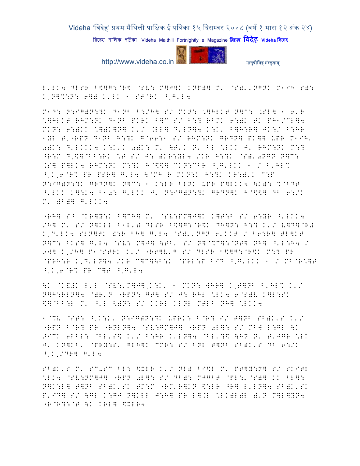িরেদহ' পািkক পিtকা Videha Maithili Fortnightly e Magazine িরেদহ िवदेह **Videha** িবেদহ



L.LLA MIZE PROMIS GEI MORAR INTER I. MEL.MAN SYN ZEN K\PUTHEN & BUILT & STATES OF BUILT

M1D: N:IG)N:?K D1NB B:/H] S/ MKN: \*]HLKT N]C: .SL] 1 6'R \*]HLKT RHM:NK D1NB PKRK B]C S/ B:? RBMK 6:)K TK PH1/CL]4 MKOR: 6:1811 | NABIARA (1.2.)KIBA TUBUH PALI DILI BAHAN HINDI BAHA 1YL T"RPN D1NB H:?K G@66:1 S/ RHM:NK GRDN] PK]] UPR M1IH' 0)K: D'LKKK4 K:K'K 0)K: M' \T'K N' BL \*LKK J' RHM:NK M:? ^R:M D\$]@BB:RK \*T S/ J: )KR:YL4 /KR H:?K @S)'0NGN N]C: .S] P]LK4 RHM:NK M:?K H@\$\$] CKN:CBR ^G'LKK 1 / B'HL%  $\mathcal{L}^k_{\mathcal{M}}$  of  $\mathcal{L}^k$  . The point  $\mathcal{L}^k$  is the point  $\mathcal{L}^k$  and  $\mathcal{L}^k$  and  $\mathcal{L}^k$  and  $\mathcal{L}^k$  and  $\mathcal{L}^k$  and  $\mathcal{L}^k$ DN-PARNS) PETROLDATN K LNIE FIDL WEE PALLIN WAAR TOT TA ^'LKK K]:K4 B10: G'LKK J' N:IG)N:?K GRDN]K H@\$\$] DB 6:/K M. B'BH ". E. M.

"RHAN SO MIRHINI O NYAN' M. "MENEMANAN' INANY SAY ANIHA O LEILA /H] M' S/ N]KLL B1L') DLSR B\$]G:@R\$K DH]N: H:? K'/ V]D]@R# KOMINIA SLAHAR SHE PAR MULA MALIAMA 6.000 ING SHAH ALHIB N]C: BKS] G'L4 @SV: M]J] \TB' S/ N]@%C]:@NT] NH] ^'L:H4 / 9W] K/H] P1@STRK K'/ "RT]V'G S/ DLSR B\$]G:@R\$K M:? PR @PRH:R KD'LN]4 /KR C]C]\B:K @PRL:P BID ^G'LKK 1 / MB@R\*]T ^K6@R% PR C]T ^G'L4

\K @K&#K L'L @SV:'M]J]K:K' 1 MKN: WHR] KT]NB B'HL% K'/ N]H:RLN]4 @)R'N "RPN: GT] S/ J: RHL \*LK4 6@S)V K]L:SK \$]@BB:L M' ^'L <)N: S/ KKRL KLNL MTLB NH] \*LKK4

1@%V @ST: ^K:K' N:IG)N:?K UPRK: B@R? S/ T]NB SB)K'S K'/ HPN B@RT PR "RPINES" (FNLNINGER "RPN 2191 FC" ME 1191 AC >ICK 6LBL: @BL'S\$ K'/ B:HR K'LN]4 @BL'?\$ \HN N' T'JGR \*LK J' KN]KB' @PRY:S' GLH]K CMR: S/ BNL T]NB SB)K'S DB 6:/K  $T$   $T$   $T$   $G$   $G$   $G$   $G$   $G$   $G$   $G$ 

SB)K'S M' SC-SC-SC-SC BL: \$XLR K'N SHE M' PT DI PT AN SALL MAN SALL MAN SA SA SA SA MA' PU PU PU PU PU PU PU P \*LK4 @SV:NM]J] "RPN 0L]: S/ DB): MJGBT @PL:'@S)] KK BL]: NAD SEAR SBAR) (SP) BOKSB) (SB)K SB)KAT RASI BOKSB)K (SBAR)KISK SP)BOKSB)K'S P'ID] S/ \GL K:GJ N]KLL J:H] PR L].L \*LK)L)L )'N M]L]YN4 "R@R?:@T \K KRL] \$XLR4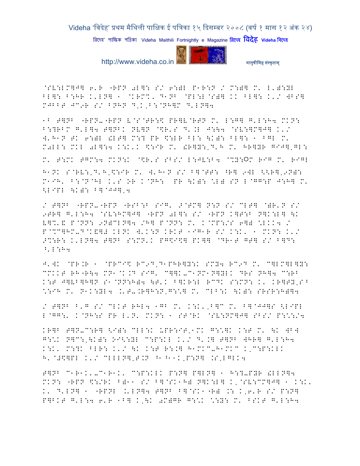িরেদহ' পািkক পিtকা Videha Maithili Fortnightly e Magazine িরেদহ िवदेह **Videha** িবেদহ



@SV:LM]J] 6'R "RPN 0L]: S/ 6:)L P1R:N / M:)] M' L'):YL BL]: B:HR K'LN] 1 @KRM%, D1NB @PL:L@S)] KK BL]: K'/ WBS] MADBERT DER SY DER SYNAMISER

1B T]NB "RPN-"RPN V@S@TR:\$ PR]V@RTN M' L:G] G'L:H4 MKN:  $B$  Side of the second contract  $\mathcal{L}$  ,  $\mathcal{L}$  and  $\mathcal{L}$  are  $\mathcal{L}$  . The social mass of  $\mathcal{L}$  and  $\mathcal{L}$ W. PHOTO: LEGIST WE PROVIDE BY AN INDIANAL AND ASSAULT A LARGE MOTOR WITH A LARGE MOTOR. MULL: MACHINE BERGHOL: MARE M. GERON, R. R. M. PEROE PRAR, REN

M. TEACH TEACH ON THE SAN SERIES AND CONTROL BEFORE THE RIGHT

H(R) SORES R. P. MORT C. (B. P) R. C. B. MORT (BR): ARE (S. B. B. 2NH) M1IH' B:@N@HL K'S OR K@NH: PR \K): \*L) SN L@GG:P J:H] M' **WIND WIND + B1448** 

/ T]NB "RPN-"RPN "RSB:B SIG' >@TM] N:N S/ CLT] @)R'N S/ 9TR] G'L:H4 @SV:HM]J] "RPN 0L]: S/ "RPN K]T:B N]K:L] \K  $K$ 43.0 P.1225 /243 244 /HE P.225 /S. C.1216/F. FHE NECON 6. POSTERDUR MERKE KERK (ALIGE IEK KORKE EGI IGIL) KODIEG ILI  $3.7546$   $1.13946$   $3.9591$   $2.572$  ,  $1.1995$   $2.0191$   $2.0191$   $2.0191$   $2.0191$  $\{L:1,2,3,4\}$ 

J'WK @PR.R 1 @PRCI\$ RC9DD1PHR]Y:K SMY4 RC9D M' C]LM]L]Y: CONSERVANCE COMMISSION CONTROLS ON SIGNAL CONSERVANCE K:T J]VB]H]N S1@NN:H)4 \T'K B]KR:L RCDK S:MN: K' KR]TYS^ \*:IH M' N1K:YL4 .'T-.R]H:NG:\*] M' CLB:K \K): SRSR:H)]4

/ T]NB B'G S/ CLKT RHL4 1GB M' K:K'B]C M' B]@JJ]S <LIPL L@GG:' K@NH:S PR L'N' MKN: 1 ST@RK @SV:NM]J] SBS/ P:\*:/4

THAT BARL THE THE CONSTRUCT WILL IN THE WARDER G:t: PHT: RIB: PRINN THT: I C.M T. ON PHP! ARRA A. EIRA K:K', MYST, KEBY K.J. KI KIET BY BY AN MITLAN MIT KUTEMIEK H. MARHI K.Z MILING,AM ARANG INNG MGIHIN

THE CIRCLIC CONTROL CONTROL CONTROL PIECE AN ANNUELLE ALL PIECE MKN: "RPN \$5/RK B400 KX BB'NI-RA BRINER I, SKNTVRAR ("ISK) K. M.LAN ( GRAN I.LANG BAR BAY) .HYDN GRAN IN LOCKER SKIPS PARIE AL:4 6'R 1-A 1-A 10 GR G:#K FRID GYGBY GYL 1911 A AL:4 66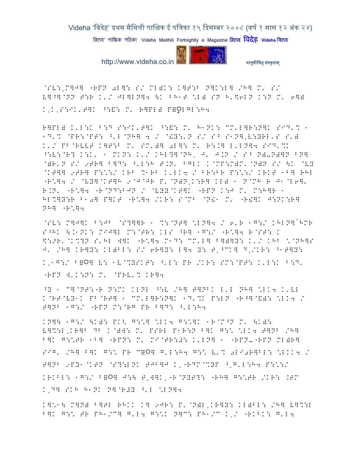িরেদহ' পািkক পিtকা Videha Maithili Fortnightly e Magazine িরেদহ िवदेह **Videha** িবেদহ



@SV:M]J] "RPN 0L]: S/ ML)K: K]T:B N]K:L] /H] M' S/ LA PACTE (BOSS) AND HIS CONTROL AND HIS CONTROLLED TO A REAL CONTROLL OF ALL AND MY GOD AND HIS CONTROLL OF ME

KKS:IK'T: MIN THE PHONE PHONE PHOTO

RAPLE COINS (PRY PROCENT (PER 20 HONG: MICHAEL SIDE) PORT ( 19.7 OPR: PR: 10 OPP : 2 ORD.2 22 FORE STREAMBLY F.B K./ PP@RLE (9PB| T. 27.89 SID: T. BY:0 B.194 K.PO.T. ^:V:@R? K:K' 1 MKN: K'/ KHL?]@NH J' J.N / S^ N)-N)]N BN] MARLIN SY SHAR BRY BIDE BON BAD, BADI I MININ MAR SI MON MAR @KT]] 9TR] P:\*:/ KRB %1RB K'LK4 / BR:BR P:\*:/ KRKT 1B] RHL  $R$  + P (  $R$  )  $R$  ,  $R$  ,  $R$  and  $R$  is the position of  $R$  . The position of  $R$  is the position of  $R$  and  $R$  and  $R$  and  $R$  and  $R$  and  $R$  and  $R$  and  $R$  and  $R$  and  $R$  and  $R$  and  $R$  and  $R$  and  $R$  and  $R$  an R.N' "RANGH" (P.N.T. M.H. 1998) / MILION: C. ARD AN AIR (P.N.T. MY MER) (P. HE SAGAR (F. 144) PAL BO (PRIAR) ISLAM (BITCH) (MER) COLO (PRIAR) (PRIPONEAR)  $19H$   $H_1$   $H_2$ 

@SV: M]J]K B:JB @S?]]R 1 %:@NT] \*LN]4 / 6'R 1G:/ KHLN]HMR STAN AN DIRIC MARK THAN NEW YARD ARE A ROOM ARDEN BY GRANT \$:>R'@K%?N S'HL W]K "R\*]4 M1D: CM'L] B])]Y: K'/ KHB \*@NH]S J', J' AR (1993) (1891) SY 69931 196 31 F (2019 2019) DARBY K1G: PHOTORY VENTILY BELIEVE AND STRIP IS A REVOLUTION "RPN W. W. MY MORE OF THE WAY OF THE WAY OF THE WAY OF THE WAY OF THE WAY OF THE WAY OF THE WAY OF THE WAY OF

 $\overline{\phantom{a}}$  1 C is the state of the state of the control of the control  $\overline{\phantom{a}}$  that the control  $\overline{\phantom{a}}$ K@RT@VINC PROVIDES IN PROVIDING PERSONAL IN CONTROL IN THE RESULTS OF A SALE OF A SALE OF A SALE OF A SALE OF T]NB 1G:/ "RPN M:@RG PR B]D: ^'L:H4

 $k$  , papel of equal to  $k$  , and the set of the papel of equations  $\mathcal{L}^{\mathcal{L}}$  . The set of the set of the set of the set of the set of the set of the set of the set of the set of the set of the set of the set of the LACTE CHA DE KOMER C. PER PIRR PAR AN AN CER PAR CHA BB: #11.88 (FB) 98191 1. MICHIG: MICHIG: MICHIG: MIGHT SIG' /HE FEL PRO TE MERE PLEASE PRO ELIORE ARRENTER OF CO THE PART OF THE STATE OF THE REAL OF HER TO HE SAYS IN A PICTURE. KRKBL: 1G:/ 1G:/ P:// The Language of the Management of the Second Control of the Second Control of the Second KD] SKH H1NK N]@R#Y ^'L \*LN]4

KAN MARY BIL RHKK KALL RIKAR KOMAN KALIFIK KALIFIKRI B]K G:\* TR PH1/C] G'L4 G:\*K N]C: PH1/C K/ "RKBK: G'L4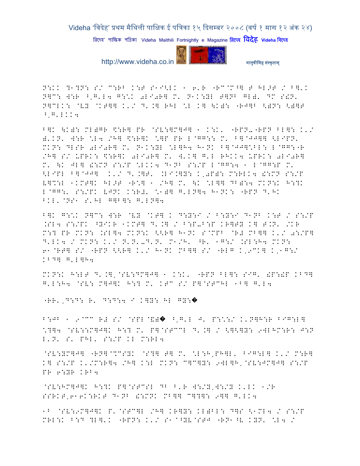িরেদহ' পািkক পিtকা Videha Maithili Fortnightly e Magazine িরেদহ िवदेह **Videha** িবেদহ



N:KK ?1?N: S/ C:RB K:T S1I<LK 1 6'R "RC@M^] T HL>T / B]'K NAC'L GYE 'N HILE' WYLD ALFAEA TI 'N DIGAL' BANK ALL 'NT SIN N]CLK: @VY @KT]] K'/ D'.] RHL \*L K] \K): "RJ]B <)N: <)]T  $\left\langle \mathbf{F}_{1}\mathbf{H}_{2}\right\rangle \leq\left\langle \mathbf{F}_{2}\right\rangle \leq\left\langle \mathbf{F}_{3}\right\rangle$ 

B]K \K): ML)GR \$:R] PR @SV:]M]J] 1 K:K' "RPN-"RPN BL]: K'/ )'KN' W:R \*L4 /H] \$:R]K \*]P PR L@GG:: M' B]@JJ]] <LIPN' MKOR: DESPIGEROMEN MINISTER OLIOPALIS DE BLIGHER BLIGHER DE LA DISPOSICIONE DE LA GGEOGIA /H] S/ UPRK: \$:R]K 0LI0R] M' W'K] G'L RHKK4 UPRK: 0LI0R] M' \K JL] !:MN S:/P \*LKK4 D1NB S:/P L@GG:4 1 L@GG:P M' REPRESENTARE CO. 2005 (REV. ) ERCHAN COURT CORECA ENTR PN/P  $L$  4  $T$  (for  $\lambda$  ) and  $\lambda$  and  $\lambda$  -left  $\mu$  is  $\lambda$  . Then  $\lambda$  is the  $\lambda$  and  $\lambda$  and  $\lambda$  and  $\lambda$  and  $\lambda$  and  $\lambda$  and  $\lambda$  and  $\lambda$  and  $\lambda$  and  $\lambda$  and  $\lambda$  and  $\lambda$  and  $\lambda$  and  $\lambda$  and  $\lambda$  and  $\lambda$  and L@GG:' S:/PK VJNK K:R#' \*1)] G'LN]4 H1NK: "RPN D'HK BKL'ONSTANDER

BAK AND CHIN SHE MED VIRE CONSING A PRINCIPLY CREATING .SL4 S:/PK ^YIKR 1KMT] D'.] / B:P-B:P KR]TY K] T.N' /KR MI: PR MKON: .SLEE MKON: .SLEE HFN: .SMPP @R# MBE # MANN SOME # MANN D'LK4 / MKN: K'/ N'N'-D'N' M1/H' ^R' 1G:/ .SL:H4 MKN: 61@RT] S/ "RPN <<R] K'/ H1NK MB]] S/ "RLG K9CK] K1G:/  $1:99:91:194$ 

MC:PAC: PAER P. DE, GENAPPERE S. DAD. J. (PEP) FEBA BRAE, SEPART DRIPE G'L: ESPA ACSONIA D'EMPRES (PASSE D'L'OLERT SON PRIS PER L'ACHE (PLESA)

"RR'D:D: R' D:D:4 I K]Y: HL GY:�

B:JB 1 9@CC R# S/ @SPL@&)� ^G'L J' P:\*:/ K'N]H:R BIG:L] \*?]4 @SV::M]J]K H:? M' P]@STCCL D'.] / <]<]Y: 9WLHM:R: J:N L'N' S' PHL' S:/P KL M:RL4

@SV:YM]J] "RN]@%CSYK @S?] T] M' \*L:HPH]L' BIG:L] K'/ M:R] KA S:/P KY/M:RA /HA K:L MYS CACAR SARAH (KRSAMAA SIJP PR 6:YR KRB4

@SV:HM]J]K H:?K P]@STCSL DB B'R W:/YW:/Y K'LK 1/R SSRCTER IN BEITHEND IN DITCH DIRECT DIE BEITHEND IN DIE BEITHEND ONE BEITHEND ONE BEITHEND ONLY AN UNIVERSITY O

1B @SV:9M]J]K P'@STC]L /H] KR]Y: KL)BL: D]S <1ML4 / S:/P MRL:K P:D P:D ?LIK "REPS" (11 M) SN 1986 (PPP) "RN 1987," (18 M)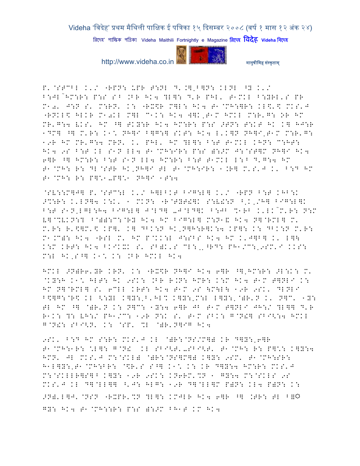িরেদহ' পািkক পিtকা Videha Maithili Fortnightly e Magazine িরেদহ िवदेह **Videha** িবেদহ



P'@STCBL K'/ "RPN: UPR T:NL D'.]B]N: KLNL ^Y K'/ B:JAP:JES PSE PRO PER HE4 9195 9.BO PHL' POTE PSHBLE PR DROWL AND BLOOMNED, CN CABORE DHEN ALACH ACOMMINISTICT, RODICAL A "RNKL\$ HLKR M10KL M]L C1K: HK4 W]KT1M HMKL M:R'G: OR HM MR. AGH (EDEL) HM (FROM HE HOH: PM:R: PGE (FROM HE): PS +TO COR PHISH 1DM] ^] M'R: K1\* NH]I B]G:] SKT: HK4 L'K]N NH]IT1M M:R'G: 19R HM MR'G:4 MRN' K' PHL' HM ?L]: B:T T1MKL KHN: C:HT: HK4 9S B:T KL S1N LL4 T1@MH:IR: P:S ):>M J:@ST]M NH]I HK4 6]R ^] HM:R: B:T S1N LL4 HM:R: B:T T1MKL L:^ D'G:4 HM THE STRIKE RIGHT OF THE RESIDENT OF THE STRIKE REPORTS OF THE STRIKE BY A RIGHT OF THE RED. IN THE RED. THAT A  $H: T\mapsto H: T\mapsto H\mapsto H\mapsto H\mapsto H\mapsto$ 

@SV::M]J] P'@STC:L K'/ H]LBKT BIG:L] K'/ "RPN B:T KHB:K >%:R: K'LN]4 K:K' 1 MKN: "R@TYT!]K S:V!:N ^K/H] BIG:L]K B:T S1NLGL:H4 BIG:T S1NLG-HAIG:T S1NLG-HAIG:T S1NLG-HAIG:T S1NLG-HAIG:T NEW MILES & MELTIC V]@%VKN:? ^@)):C:@RY HK4 HM BIG:L] M:N1& HK4 N]@RML] M' M'R: R'S' R'AGENT, KOM D'E REIST AL D'ANNES AN D'AN HIS A' D'AN D'AN MOINE A' D'AN MOINE A' D'AN MOINE A' D'AN MACHER HEAR (RSL HM POSSE) HEAR HEAR HM KEAPPROSES HE K:M KRET: HK4 BKIKK SY SANG SERIE TEN, BPS BHIKYTS, SON KASS: TH HISPHONIC IS THE HTIE HIM

HMML DARABHU BE CERN' CN (HERRE ARABY HOW HAR (PR)HMNEN DEN CO. @KY:H K1\* HLT: HK 9SK: .BR R.N: HMR: K:M HK4 T1M T]NLI K: HM NATHAR STREETHE STATE OF THE BURGLING DAY OF STREET B\$]G:@R\$ KL <:YL K]Y:B'HL% K]Y:M:L L]Y:@)R'N K' N]C' 1Y: TH AN AN INNI AIR ANN ANN AN AIR A'N ANN AAN NINN ALE R1K: ?: VH:/ PH1/C: 19R N:K S' T1M SBK: G@N!] SBI<:4 HMKL BORN SBILL SE SHI MI MALINDA HI

9SK' B:D HM S:R: MKS'J KL @)R:@NS/M]) KR D]Y:6]R THE MERGET OF THE CHILD OF THE SECOND AND THE SECOND PROPERTY OF THE SECOND AND RELEASE. HMD, JP. MIC. M: MICHIE MORETTER I BEN SHIP ST. 95 MMHEFH H:BR: B: THIRE ORE. FIRIS CONSTRUITE HM:R: MY: M:@SKLLR]S]^ K]Y: 19R 9SK: KN6RM'%N 1 GY:4 M:@SKLS 9S MCS'S', HOO'S AN DIGE TO A HOUSE HARDER ON DIGESTING TO A LIGHT OF THE POINT OF THE DIGESTING ON THE POINT OF T >N)'L]J'@NSN "RXPR'%N ?L]: KMJLR HK4 6]R ^] .TR: TL B=◌ GY: HK4 T1@MH::R: P:S ):>M BH1T KM HK4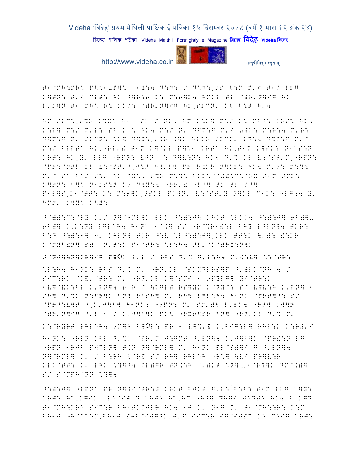িরেদহ' পািkক পিtকা Videha Maithili Fortnightly e Magazine িরেদহ िवदेह **Videha** িবেদহ



TH: MANINES PROVIDENCY (PISH PERP. 2) PEPELAN ASY (2) P. P. D. EER KART FRANSKE HK JANDIBLIK MILLER HANS HE NIBRAAD HK L'K]N T1@MH: R: KKS: @)R'N]IG HKSLCN' K] B:T HK4

HM SLC:6]R K]Y: H11 SL S1NL4 HM K:L] M:/ K: PBJ: KRT: HK4 K:L] M:/ M'R: SB K1\* HK4 M:/ N' D]M:G M'I 0)K: M:R:4 M'R: DACH S. SLCO NA PAGYAR AR AN GIR SLCO LAN PACH C.4 MY: BLLFY: HITTHEORY PHONOGRY THY: TIMES HITTH CHRIS SHOWNG KRAT: HKY' LLG "RPN: VENDER "KONG" DA "PARTETE" HKY'N: NIC VON KONG AT "KRY" RPODER @PR:@NTL KL V:@ST'JJ:N H?'L] PR R.KR N]KL: HK4 M'R: M:?: MIN SB: T S:6 HISB: BL.: BOS: BL.: BURG: F S: BLL: BLL: S: C: BLL: BLL: BLL: BLL: B **THES: PH: B:10 CD: PHILE: 40.2 (00.999.00.00) THE** P1L]SK1@TT: K: M:6]K>SKL PK]N' V:@ST'Y N]KL C1K: HLG:4 Y' HMN: KY: KY: KY:

 $\sim$  (Handrig Cedi Class (PR) (Existing ): Let  $\sim$  (Panger ):  $\sim$  (Panger ):  $\sim$  (Panger ): 6B)] KK:NY LGL:H4 H1NK 1/.] S/ "R@%R1!:R BHY LGLN]4 TKR: B:D ^:):D ^: D ^: D ^: D ^: D ^: D ^: U & THE ^: J & THE ^: J & THE OF THE OF THE LOST  $\mathbb{R}$ K@MYB!N]@S) N'T:K P1@TR: \*L:H4 >L'@K@)RX:N]K

>@NJ]\N]YR]IG P=◌K L'L / RBS D'% G'L:H4 M'!:V] \*:@TR:

\*L:H4 H1NK: RBS D'% M' "RN'KL @SKXDLRS]P ^')LK@NH 4 / SIC:RK @K&Y@TR: MY "ROW" (PIC:RK KIDE) YI@TR:KK @SMI 1 9PYLG  $\sim$  100 matrix  $\sim$  100 matrix  $\sim$  . The control of the synchron control  $\sim$  since  $\sim$  since  $\sim$ /H] D'%K N:GR]K BN] RBSH] M' RH\ LGL:H4 H1NK @PRT]^: S/ @PR^:V]T ^K'J]B] H1NK: "RPN: M' SM')] L'LK4 "RT] KW]N @)R'N]IG ^'L 1 / K'J]B]K PK< "RX6]SR BN] "RN'KL D'% M'

K:@RYRT RHESHE 2MHR PHQES PR 1 WHICH: MISSING PHESH (SHEW)

H) RINK: "RPN MBL D', MINK: "PRYM AND PRESS, ARPENIS' MERINE BA "RPN 1RDP" PATERN BIR 18, THIRD PLANE PLANE PLANE PLANE PLANE N]@RML] M' / B:RH V@R& S/ RH] RHL:H "R\*] \VI PR]V:R KLATT: MERITAN KLATTER TILLER TILLER FRA MERITAN (1998), KT 1000 MERITAN DER PROGRAM DER PROGRAM DER DER STED S/ S/ SPH 722 (2004)

^:):J] "RPN: PR N]YI@TR:# KRKT BJKT G'L:B:B:T1M LLG K]Y: KRAT: HKKKING V: NI SKY SKY (HKAM "PO "PO "PO "PO "PO "PO "PO "PO "L'ANDII" T1@MH:KR: SIC:R BH1TKMJLR HK4 1J K' Y1G M' T1@MH::R: K:M BH1T "ROCKET FHIT SERVICE ROCKET SECOND IS THE CHE.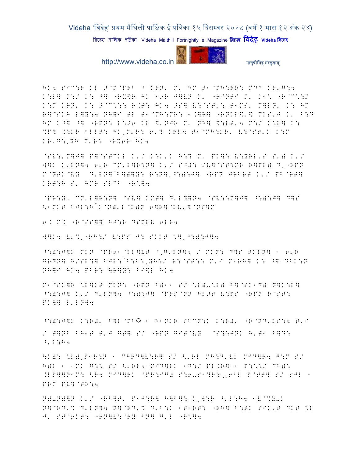িরেদহ' পািkক পিtকা Videha Maithili Fortnightly e Magazine িরেদহ िवदेह **Videha** িবেদহ



HK4 SIC:R KL >@M@PRB ^ KRN' M' HM T1@MH:RR: MDD KR'G:4 K:LI M:/ K: 'R "RX\$R HK 19R JRLA K. 'R'AR' M. K' (R@C\*X:M K:M KERN' K: STORY BIS HE HE STE STYPE ENTRY THERE IN TH RA NORTH LIANG (PRAGUE) AN INDIANA 'N OARACH MRIOG DOOR IN DIE SUITSIG MAAR HM KOR ME HEM KILLE KORE MY NHE WHILE MINISTER IN %PR: .:KP: FREERS HOUR: BS: BORG: FREERS HOWER: EDGERS TO DST KR'G:YH M'R: "RX6R HK4

@SV:'M]J] P]@STCKL K'/ K:K'K H:? M' PK]: V:YRL'S S') K'/ WAR KOMING KOMING KOMING KOMING KOMING SOM STEDS AN ING POSTER DAMAGEMENT OF STEP  $\mathbb{P}^1$ MONTAC ON THE PURCH READY OF PERSONS AND ARRAIGNED AS A COUNTY PROPERTY. KRT:H S' HMR SLCB "R\*]4

@PR:Y, CM'L]R:N] @SV] KMT] D'L?]N4 @SV::M]J] ^:):J] D]S the book of the conditions of the state of the state of the state of the state of the state of the state of the state of the state of the state of the state of the state of the state of the state of the state of the state

6. M. "R@SS]] HJ:R DSMLV 6LR4

WH: WORK SERVES TO SATISFACT THE SERVE TO A SATISFACT TO A SATISFACT TO A SATISFACT TO A SATISFACT TO A SATISFACT TO

^:):J]K MLN @PR61@LL]VT ^G'LN]4 / MKN: D]S TKLN] 1 6'R BBCNDE GROOT HIS CONSINUES AND CONSINUES AND CONSINUES. NH]I HK4 PBR: \R]Y: BI\$L HK4

M1 MORE AND PLACE MENT BELONG AN ALL LEGENDER PRINSIP ^:):J] K'/ D'LN]4 ^:):J] @PRS@NN HL>T V:PS "RPN R@ST: PENN BELLING

 $\sim$  13:15:40 1 NH2,  $\sim$  F.H. (2008)  $\sim$  (300 H)  $\sim$  (800 H)  $\sim$  (2008) 1 Section 3  $\sim$  (800 H) / T]NB BH1T T'J GT] S/ "RPN GIT@VY @S?:JNK H'T1 B]D:  $\mathcal{L}:A\rightarrow A$ 

 $K$  and  $K$  and  $\Gamma$  are  $\Gamma$  -so  $K$  . The prediction  $R$  and  $K$  ,  $\Gamma$  is  $\Gamma$  is  $\Gamma$  and  $\Gamma$  are  $\Gamma$  and  $\Gamma$  are  $\Gamma$  are  $\Gamma$  are  $\Gamma$  are  $\Gamma$  are  $\Gamma$  are  $\Gamma$  are  $\Gamma$  are  $\Gamma$  are  $\Gamma$  are  $\Gamma$  are  $\Gamma$  are HAD A 1MK GY SA SA MATHER 1992 BLOW A PYON THAN .LP]]N1M: <R4 MID]RK @PR:IG# S:6-S1?R:6BL P@TT] S/ SJL 1 PRM PRAM PRODUCT

NALDARR (1.2) (PFRA): KYRANER PRIRA (1.45B) F.ESPA (FRA)CHL( N]@RD'% D'LN]4 N]@RD'% D'B:K 1T1RT: "RH] B:TK SIK'T DKT \*L J' ST@RKT: "RN]V:@RY BN] G'L "R\*]4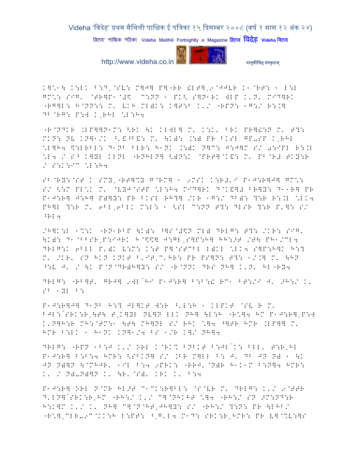িরেদহ' পািkক পিtকা Videha Maithili Fortnightly e Magazine িরেদহ िवदेह **Videha** িবেদহ



KALA KINDI PIT, YILI DAPA BA BERADI PALI PALE CHIPPI NOBE BM: STR, MARRY MR, MARR ( PR) SHR(H) HIP K.R. MITHE "RAPPELS" POTRING TO MORE THAN GOVERNMENT ON THE PRINCIPLE RIGHT BB SHERG: P:W KRHL TEXT

 $R$  . The results of the state  $R$  is the state  $R$  is the state  $R$  and  $R$  is the  $R$ MKOR: NA KORA ZI (ALEPHEN M. 1919). IN BHER ACED ARE BELIEVED BAE \*L]H4 \$:LRBL: D1NB BLR: H1NK .:)K N]C: J:J]M S/ 0:IPL R:.L \*L4 / S^ K]YL KLNL "RNHLN] <)N:K @PRT]@K&: M' PB@R# TKY:R / S:K:IC \*L:H4

 $S$ B@RY: The State of State Company and the State Company and interest and  $R$ S/ S/ PLY MY MARTH WILL MYTH AN UNDER PRINT TO HE TR P1J:RD:RD:RD:RABBBBBC:RB:POINT:RADBBC:CORC:POINT:PHATE:DDB):RD:101-1012-41 PHD THE C. PHILPHI CHIN K AND THR PTN MIN THE E.MN F.  $R$ 

/HEIG: 1%:K "RN1PP PORT" RIGHT (FRINGE DREG: TREG: PRINCIPI) DISPLAYER  $\kappa$ : D1 $\kappa$  , D1, D1, D1, D1, D1, D1, D1, D1,  $\kappa$  , D1, D1, D1, D1, D1,  $\kappa$ DRLAG: W:M: K:M: K:T PI:M:M: K:H: K:T P:M:M: K:T P:M: M. VIR. 23 HKS KSKE B.PRYOHN: PR PSHS: PRINCIPS (1970) MHS ^:V J' / \K P@N@DR)H]Y: S/ "R@NNK DRS NH] K'N' HL"RY4

DRLAG: "RPAR PALIA" B:BIR PIRI BI: RT: BINY: B: PALI SB 1YL B:

P1J:RD:R#PE TH:PP (PDF) #ERIC #SP (PDF) ESP (PCIEDENT MEDIEVIS) BJAL:SRK:RRK:R\T\RT\ THISRK:RT\ THISP REPORT THIN PICE AND PROPERTY RELEASE. K'N]H:R MH:@TM:1 \T\ MH]NL S/ RHK \*]4 ^]TR HMR .LP]] M' HMR B:LK 1 H1NK KN]1/4 BS 1/R K]/ NH]4

DREAMS ( ) RPN 1999 BOLL ADRESS BY DRIVE BY DREAMS BY BILLIANS BY BEING BY BILLIANS BY BILLIANS BY B P1J:R] B:B:4 HMR: <SBKN] S/ .BR M]LL B: J' DB JN N) 1 \K JAD DERD A MARAEL 1IL B:4 1IL BERGH: "RRAJ" MAD PRIO 11 HMRH: "RDRA" K' / NOVEMBER K' HE YEAR KENK KY FYR

P1J:R] ORL N@MR HL>T C1CK:R]BL: @S@VR M' DRLG: K'/ 9@TTR D'LN]SRK:RHM "RH:/ K'/ C]@NHKHT \*]4 "RH:/ SN >M:ND:R H:K]M K'/ K' NH] C]@N@HTJH]Y: S/ "RH:/ ?:N: PR \LHB/ "RENN OF BULKO IN LIGHT I GEREG " PLACE OF THE VEN GER PRIME OF RECONOCATION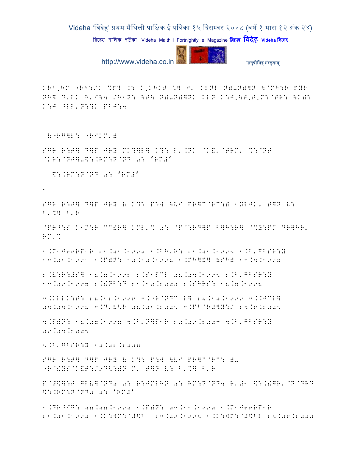িরেদহ' পািkক পিtকা Videha Maithili Fortnightly e Magazine িরেদহ िवदेह **Videha** িবেদহ



KRBHM "PHAZI" MET IN INIMER SHOR A. IFRE RAWRARD A MAHAR FOR NHE M.I. A. MHH . NH NI HAN NALMARN . IN I NA HA A. MI MAN HI A: K:J ^LL'N:?K PBJ:4

(B. PHIL: "RICOLOGIC

 $\bullet$ 

SGR R:T] D]P JRY MK?]L] K?: L'.NK @K&'@TRM' %:@NT @KR:@NT]-\$:.RM:N@ND 0: **'**RM#**'**

\$:.RM:N@ND 0: **'**RM#**'**

5.B'GBSR:Y 10.02.2007

\$:.RM:N@ND0 0: **'**RM#**'**

SGR R:THE SGR R:TIT DIRECT PROVINCE THAT THE SALE OF PRINCIPLES.  $\mathbb{R}$  , then  $\mathbb{R}$  , is @PR^:S K1M:R CC!R] KML'% 0: @P@:RD]P B]H:R] @%Y:PM DR]HR'  $R: \mathbb{R}^n \to \mathbb{R}^n$ 1.M1J66RP1R 21.01.1990 1.BH'R: 21.01.1995 1.B'GBSR:Y 13.01.1991 1.P)N: 10.10.1998 1.MH]&] (SH) 13.4.1997 2.V:R:#S] 18.7.1992 2.S1PCL 08.04.1995 2.B'GBSR:Y 13.09.1997 2.!NB:D 21.10.2000 2.SHRS: 18.7.1998 3.KLLK:T: 28.12.1996 3.1996 3.28.1996 3.10.1996 3.1000 3.1000 3.1000 3.1000 3.1000 3.1000 3.1000 3.1000 3.1000 04.044.1999 3.D'V: RAB 3.D'Un (1998) 3.D'V:/ PERCHET 1.4.0005

arthur Indian

1.DR^IG: 07.07.1990 1.P)N: 03.11.1990 1.M1J66RP1R

 $S$ GR R:T DIR SCR R:T PRICE IS A PRICE IN THE UPS (  $\Xi$ 

 $R$  (Resolution of the Community Property Property Property Property Property Property Property Property Property Property Property Property Property Property Property Property Property Property Property Property Property

4.P)N: 18.07.1997 4.B'N]P1R 20.09.2003 4.B'GBSR:Y

P@#\$]:T GLV]@ND0 0: R:JMLHN 0: RM:N@ND4 R'#1 \$:.!]R'@N@DRD

 $\pm$  0.1199 1.01.1990 1.1990 1.1995 1.1995 1.K:WM:  $\pm$  O.100.1995 1.H:WM:  $\pm$  0.11995 1.K:WM:  $\pm$  0.11995 1.K:WM:  $\pm$  0.11995 1.K:WM:  $\pm$  0.11995 1.K:WM:  $\pm$  0.11995 1.K:WM:  $\pm$  0.11995 1.K:WM:  $\pm$  0.11995 1.K:WM: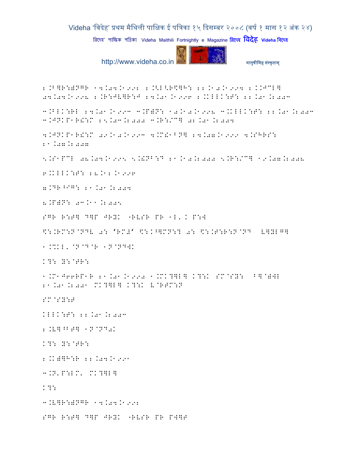িরেদহ' পািkক পিtকা Videha Maithili Fortnightly e Magazine িরেদহ िवदेह **Videha** িবেদহ



2.B]R:)NGR 14.04.1992 2.<L<R\$]H: 22.10.1994 2..JCL] 04.04.1998 2.R:D 2.R:JON 24.01.1998 2.R:J 2.R:J 2.R:J 2.A:D 2.A:D 2.R:J 2.A:D 2.R:J 2.A:D 2.R:J 2.A:D 2.ON:D 2

3.BLK:RL 24.01.1993 3.P)N: 10.10.1998 3.KLLK:T: 22.01.2003 3.JNKP1R!:M 25.03.2000 3.R:/C] 02.01.2004

4.JNKP1R!:M 09.10.1993 4.M!1BN] 24.07.1999 4.SHRS: 2007.2007.2007

5.S1PCL 08.04.1995 5.!NB:D 21.10.2000 5.R:/C] 19.07.2008

6.KLLK:T: 28.12.1996

7.DR^IG: 21.01.2004

8.PHO 89205 103.11

SHR R:TH HE HE SHEER PR 11. 1 PS

\$:.RM:N@NDV 0: **'**RM#**'** \$:.^]MN:? 0: \$:.T:R:N@ND V]YLG]

1.%KL'@N@D@R 1N@NDWK

**KRY: Y: Y: Y: Y:** 

1.M1J66RP1R 21.01.1990 1.MK?]L] K?:K SM@SY: B]@)WL 21.01.2001 MK?]L] K?:K V@RTM:N

SM@SY:T

**CONTROLLER CONTROLLER** 

2.V]^BT] 1N@ND0K

K?: Y:@TR:

2.K)]H:R 22.04.1991

3.N'P:LM' MK?]L]

 $\mathbb{R}^n$ 

3.V]R:)NGR 14.04.1992

 $S$ GR R:T PH ROSE RISK PR PURP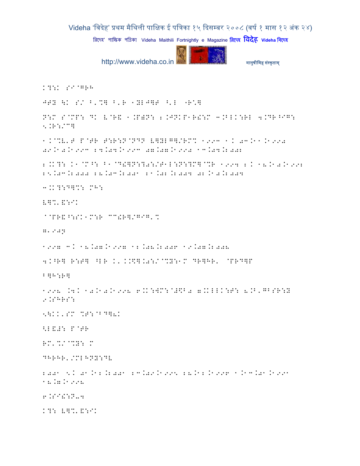িরেদহ' পািkক পিtকা Videha Maithili Fortnightly e Magazine িরেদহ िवदेह **Videha** িবেদহ



KT:K SIMBA JTY AND RIGHT REAL PROPERTY AND REAL PROPERTY AND A REAL PROPERTY AND REAL PROPERTY ARE ARRANGEMENT OF A REAL P N:M S@MP: DK V@R& 1.P)N: 2.JNKP1R!:M 3.BLK:RL 4.DR^IG: 5.R:/C] 1.@%V'T P@TR T:R:N@NDN V]YLG]/RM% 1993 1. 03.11.1990 able also be a danderes and and era condando aar 2.K?: K1@M^: B1@D!]N:?0:/T1L:N:?M]@%R 1994 2. 18.10.1992 25.03.2000 28.03.2001 21.02.2004 02.10.2004 3.K?:D]%: MH: EST. ENGI @@PR&^:SK1M:R CC!R]/GIG'% H. Part 1998 3. 1997 3. 1997 12.09.2006 12.09.2006 12.09.2006 12.09.2008 12.07.2008 12.09.2008 4.^R] R:T] ^LR K'..\$].0:/@%Y:1M DR]HR' @PRD]P Bungang 1998 .4. 10.10.1998 6.K:WM:@#\$B0 7.KLLK:T: 8.B'GBSR:Y 9.SHRS:  $5.5\pm0.1\pm0.1\pm0.1\pm0.1\pm0.1$ REEL PORT RM'%/@%Y: M **MARHRY: CONSTRUCT** 2003 5. 01.12.2001 33.09.1995 28.12.1995 28.12.1995 28.1995 29.1995 29.12.1995 29.12.1995 29.1991 20.1991 20.1 18.7.1998 6.SI!:N-4 **K**: VIII, INTERNATIONAL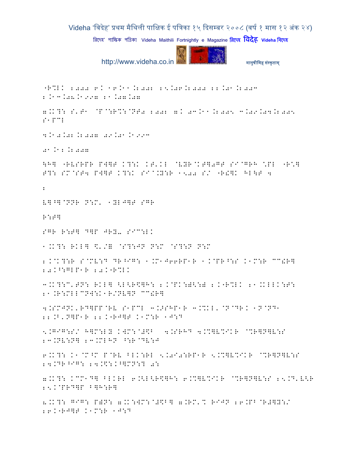িরেদহ' পািkক পিtকা Videha Maithili Fortnightly e Magazine িরেদহ िवदेह **Videha** িবেদহ



WHIT FAAR PIPPING BAAR TEIRTHAAR TEIRTHAAM 2.13.08.1997 21.07.07 7.K?: S'T1 @P@:R%:@NT0 2002 7. 03.11.2005 3.09.04.2005 SHEEPS IN 4.10.2007 09.02.2007 09.02.2007 09.02.2007 09.02.2007 09.02.2007 09.02.2007 09.02. 01.12.2007 The Contract Contract  $\,$  The  $\,$  -player points that  $\,$  (  $\,$  F,  $\,$  )  $\,$  (  $\,$  F,  $\,$  )  $\,$  (  $\,$  F,  $\,$  )  $\,$  (  $\,$  T)  $\,$  (  $\,$  T)  $\,$  (  $\,$  T)  $\,$  (  $\,$  F)  $\,$  (  $\,$  F)  $\,$  (  $\,$  T)  $\,$  (  $\,$  T)  $\,$  (  $\,$  T) TER: SMOSTA PARA CHEC SYSTEM (K.A. S.N (PARA) PERA A  $\ddot{\cdot}$ V]^]@NNR N:M' 1YLJ]T SGR **Right** SAGR R:T DIR STREET 1.K?: RKL] \$'/= @S?:JN N:M @S?:N N:M 2.@K?:R S@MV:D DR^IG: 1.M1J66RP1R 1.@PR^:S K1M:R CC!R] 20.^:GLP1R 20."R%LK 3.K?:C'TN: RKL] <L<R\$]H: 2.@PK:)<:) 2."R%LK 21.KLLK:T: 20.R:MLCNU: MARIA CONTROLLONG 4.SMJNK'RD]PP@RV S1PCL 3.>SHP1R 3.%KL'@N@DR. 1N@ND1 22.B'N:B'N:R 22. 1999 12. 1999 5.GIG:S/ H]M:LY KWM:@#\$B 4.SRHD 4.%]V%IKR @%R]N]V:S 23.NV:N] 23.MLHN ^:R@DV:J 6.K?: K1@M^M P@RV BLK:RL 5.0I0:RP1R 5.%]V%IKR @%R]N]V:S 24.DR^IG: 24.\$:.^]MN:? 0:  $\overline{H}$  in the state of the last contribution of the contribution of  $\overline{H}$  ,  $\overline{H}$  is a set of  $\overline{H}$  , and  $\overline{H}$ 25.@PRD]P B]H:R] 8.K?: GIG: P)N: 7.K:WM:@#\$B] 7.RM'% RIJN 26.PB@R#]Y:/ 10. PHONE 19. PHONE 199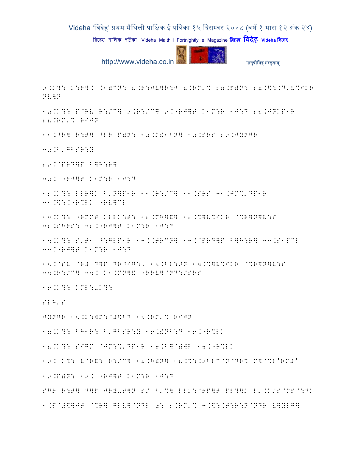িরেদহ' পািkক পিtকা Videha Maithili Fortnightly e Magazine িরেদহ िवदेह **Videha** িবেদহ



9.K?: K:R]. .1)CN: 8.R:JV]R:J 8.RM'% 27.P)N: 27.\$:.D'V%IKR  $71.97$ 10.K?: P@RV R:/C] 9.R:/C] 9."RJ]T K1M:R 1J:D 28.JNKP1R 28.RM'% RIJN 11.^R] R:T] ^LR P)N: 10.M!1BN] 10.SRS 29.JYNGR 30.B'GBSR:Y 29.@PRD]P B]H:R]  $30.21$  (RAH: 1991) (2010) 12.K?: LLR]K B'N]P1R 11.R:/C] 11.SRS 31.JM%'DP1R 31. THE ROOM IS NOT THE RESIDENCE TO A REPORT OF THE RESIDENCE TO A REPORT OF THE RESIDENCE TO A REPORT OF THE 13.K?: "RAMME KLEET" (12.MHER 13. MHERT & STEERING: 12. MHERTHER & R 32.SHRS: 32. SHRS: 32. THRS: 32. 14.K?: S'T1 ^:GLP1R 13..TRCN] 13.@PRD]P B]H:R] 33.S1PCL 33. The Paris of the Control of the Control of the Control of the Control of the Control of the Control of the 15.@SV @R# D]P DR^IG:, 14.BL:>N 14.%]V%IKR @%R]N]V:S 34.R:/C] 34. K1.MN]& "RRV]@ND:/SRS 16.K: K.H.: K.H.: K.H.: K.H.: K.H.: K.H.: K.H.: K.H.: K.H.: K.H.: K.H.: K.H.: K.H.: K.H.: K.H.: K.H.: K.H.: K. SLH'S JYNGR 15.K:WM:@##BD15.K:WM:###BD15.RM 17.K?: BH1R: B'GBSR:Y 16.!NB:D 16."R%LK 18.KT: SIM: MTH.MPP 18.BANA: 18.PAN 19. K?: V@R&: R:/C] 18.H)N] 18.\$:.6BLC@N@DR% M]@%R**'**RM#**'** 19.PHON: 19. THE 19. PHONE RD AND RD AND RD AND RD AND RD AND RD AND RD AND RD AN SGR R:T] D]P JRY-T]N S/ B'%] LLK:@RP]T PL?]K L'.K/S@MP@:DK 1.P@#\$]JT @%R] GLV]@NDL 0: 2.RM'% 3.\$:.T:R:N@NDR V]YLG]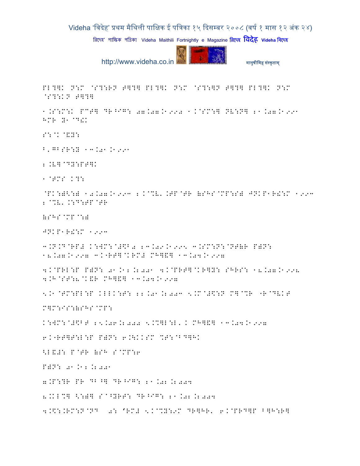িরেদহ' পািkক পিtকা Videha Maithili Fortnightly e Magazine িরেদহ िवदेह **Videha** িবেদহ



PL?]K N:M @S?:RN T]?] PL?]K N:M @S?:]N T]?] PL?]K N:M @S?:KN T]?] 1.S:M:K PCT] DR^IG: 07.07.1990 1.@SM:] NV:N] 21.07.1991 HMR YN YN Y Shipping Control B, Britain 13.01.1991 2.V]@DY:PT]K 1@TMS K?: @PK:)<:) 10.07.1993 2.@%V'.TP@TR (SHS@MP:S) JNKP1R!:M 1993 2@%V'.:D:TP@TR (SHS@MP@:) JNKP1R!:M 1993 3.N.D@RP# K:WM:@#\$B0 23.09.1995 3.SM:N:@NT(R P)N: 18.0887 3.07.1997 3.07.1997 3.07.1997 3.07.1997 3.04.1997 3.04.1997 3.04.1997 3.04.1997 3.04.1997 3.04.1997 3. 4.@PRL:P P)N: 01.12.2001 4.@PRT]@KR]Y: SHRS: 18.07.1998 4.15.ST:8. THE TERR (9.1.000) 13.04.1997 5.1@TM:PL:P KLLK:T: 22.01.2003 5.M@#\$:N M]@%R "R@DVKT M: IS: (SHS) (SHS) (SHS) (SHS) (SHS) (SHS) (SHS) (SHS) (SHS) (SHS) (SHS) (SHS) (SHS) (SHS) (SHS) (SHS) (SHS) (SHS) (SHS) (SHS) (SHS) (SHS) (SHS) (SHS) (SHS) (SHS) (SHS) (SHS) (SHS) (SHS) (SHS) (SHS) (SHS) (SHS) (SHS) (SHS) K:WM:@#\$BT 25.06.2000 5.%]L:L'. MH]&] 13.04.1997 6."RT]T:L:P P)N: 6.\KKSM %T:@BD]HK SHE: PORTRAINS (TPH) P) N: 01.2001 **R:P:TH TR DE DROIG: 21.02.2004** 8.KL178.KYAB KITBER 78.PPM ETAILER 4.\$:.RM:N@ND 0: **'**RM# 5.@%Y:9M DR]HR' 6.@PRD]P B]H:R]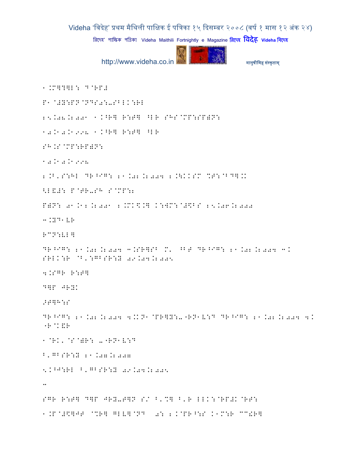িরেদহ' পািkক পিtকা Videha Maithili Fortnightly e Magazine িরেদহ िवदेह **Videha** িবেদহ



1.M]?]L: D@RP# P1@#Y:PN@NDS0:-SBLK:RL 25.08.2001 1.^R] R:T] ^LR SHS@MP:SP)N: 10.10.10.10.10.1998 F:TH R:T SH.S@MP:RP)N: 10.10.1998 2.B'S:HL DR^IG: 21.02.2004 2.\KKSM %T:@BD].K <L&#: P@TR-SH S@MP:2 PAPY ANDER HARR ENTIRE INSTITUTE ENTARKA  $3.12333314$ **RUPALER** DR^IG: 21.02.2004 3.SR]SB M' ^BT DR^IG: 21.02.2004 3. SRLIK: M. SRLK:R & Cantraas  $4.1798$  R198 DAP HEST >T]H:S DR^IG: 21.02.2004 4.KN1@PR]Y:-"RN1V:D DR^IG: 21.02.2004 4.  $\cdot$  P  $\otimes$  R E  $1$  (RN)  $1$  (RN)  $1$  (RN)  $1$  (RN)  $1$  (RN)  $1$  (RN)  $1$  (RN)  $1$  (RN)  $1$  (RN)  $1$ B'GBSR:Y 21.07.2007 5.^J:RL B'GBSR:Y 09.04.2005  $\ddot{\phantom{2}}$ SGR R:T] D]P JRY-T]N S/ B'%] B'R LLK:@RP#K@RT: 1.P@#\$]JT @%R] GLV]@ND 0: 2.@PR^:S K1M:R CC!R]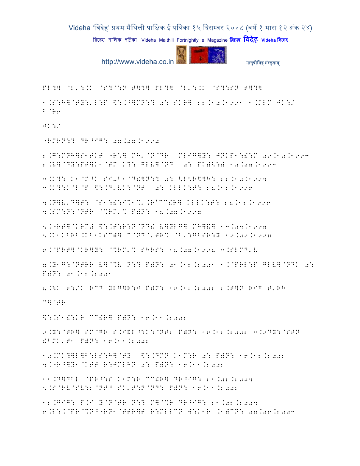িরেদহ' পািkক পিtকা Videha Maithili Fortnightly e Magazine িরেদহ िवदेह **Videha** িবেদহ



PL?] @L':.K @S?@:N T]?] PL?] @L':.K @S?:SN T]?]

1.S:H]@TY:'L:P \$:.^]MN:? 0: SKR] 22.10.1991 1.MLM JK:/ B@R6

 $34.747$ 

"RURN: DROUG ANIAN DER

2.G:MNH]S1TKT "R\*] MH'@N@DR MLIG]Y: JNKP1:!:M 09.10.1993 2.V]@DY:PT]K1@TM K?: GLV]@ND 0: PK)<:) 10.07.1993

3.K?: K1@M^K SI-B1@D!]N:? 0: <L<R\$]H: 22.10.1994 3.K?:K@L@P \$:.D'VK:@NT 0: KLLK:T: 28.12.1996

4.N]V'D]T: @S1:!:I%1%'.R**'**CC!R] KLLK:T: 28.12.1996  $4.14714777998$  (TBT, T-FAF4 ) allaminus

 $5.1$  FB and the time  $\sim$  The Section of the ND  $\sim$  13.000  $\sim$  13.04.1997  $\sim$ 5.K1KBRB.KB1KSC)] C@ND@'TR% @B':GBSR:Y 19.09.1997

6.@PRT]@KR]Y: @%RM'% SHRS: 18.07.1998 3.SLMD'V

7.Y1G:@NTRR V]@%V N:? P)N: 01.12.2001 1.@PRL:P GLV]@NDK 0: P)N: 01.12.2001

8. DEC 1652) 1679 GERRENA PARN 16.12.12.2002 2.TAR RIG TO KA

9.Y:@TR] SM@GR S.I&L^:K:@NT2 P)N: 16.12.2002 3.9DY:@STN

10.MK?]L]B:LS:H]@TY \$:.DMN K1M:R 0: P)N: 16.12.2002

6.L:.@PR@%N^"RN1@TTR]T R:MLLCN W:K1R .1)CN: 07.06.2003

C]@TR

!BMK'T1 P)N: 16.11.2002

\$:.S1!:KR CC!R] P)N: 16.11.2002

4. ROVERS TO RESIDE RESIDENCE RESIDENCE RESIDENCE

11.DRB @PROVIDENTS & CONSTRUCT DRAINS OF CALIFORNIA

12.GIG: P.I Y@N@TR N:? M]@%R DR^IG: 21.02.2004

5.S@RV@SV:2@NT^ SK'T:N@ND: P)N: 16.11.2002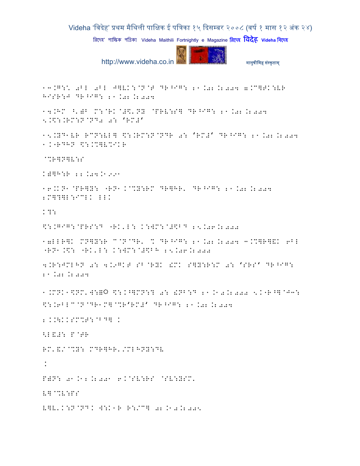িরেদহ' পািkক পিtকা Videha Maithili Fortnightly e Magazine িরেদহ िवदेह **Videha** িবেদহ



13.G: 0BL 0BL 0BL DOWN 9D DRY 11.02.2004 2009 1.02.200 HISPER TRICHT IS THE DEAR 14.HM ^')B M:@RK@#\$'NY @PRV:S] DR^IG: 21.02.2004 5.\$:.RM:N@ND0 0: **'**RM#**'** 15.YD1VR RCN:VL] \$:.RM:N@NDR 0: **'**RM#**'** DR^IG: 21.02.2004  $1.14$  and  $1.14$  and  $1.14$  and  $1.14$  $\overline{\phantom{a}}$ THSP :: Chalery 16.KN1@PR]Y: "RN1.@%Y:RM DR]HR' DR^IG: 21.02.2004 2M]?]L:ICLK LLK  $\mathbb{R}^n$ \$:.GIG:@PRS:D "RK'L: K:WM:@#\$BD 25.06.2000 17LLR]K MN]Y:R C@N@DR' % DR^IG: 21.02.2004 3.%]R]&K 6BL "RNN" RNN: "RNN: K: "RNN" RNN: "RNN: K: "RNN: " 4.R:JMLHN 0: 4.9GKT SB@RYK !MK S]Y:R:M 0: **'**SRS**'** DR^IG: 22.02.2004 St 2004 1.MNK1\$NM'W:=◌ \$:.^]MN:? 0: !NB:D 21.10.2000 5."R^]@J3: \$:.6BLC@N@DR1M]@%R**'**RM#**'** DR^IG: 21.02.2004 2..\KKSM%T:@BD] K REEL PORP RM'&/MORTHLY/MANAGEMENT . PAPI A: D: Daar #1781381 (B11822)  $V$  is variable to  $V$ EALLING COMPANY REPORT OF POST COMPANY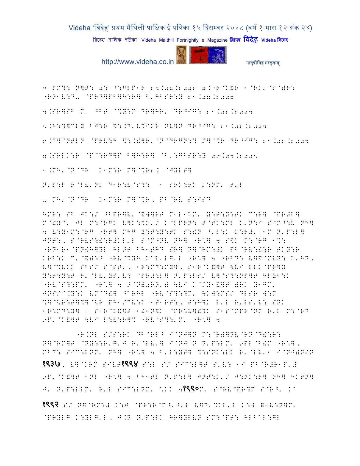িরেদহ' পািkক পিtকা Videha Maithili Fortnightly e Magazine িরেদহ िवदेह **Videha** িবেদহ



3 PM?: N]T: 0: ^:GLP1R 24.08.2002 7."R@K&R 1@RK'@S@)R: "RN1V:D- @PRD]PB]H:R] B'GBSR:Y 21.07.2007

4.SRBB MY ORE MODEL ORDER SERVICE PLACE

5.H:?]CLY BJ:R \$:.D'V%IKR NV]N DR^IG: 21.02.2004

6.C]@NTLN @PRV:H \$:.!]R'@N@DRGN:? M]@%R DR^IG: 21.02.2004

7.SRLK:R @P@:RD]P B]H:R] @B':GBSR:Y 09.04.2005

1.MH'@N@DR K1M:R M]@%R2. @JYLT]

N.PH: BHE.P: PERENTH | PERIDI INT, B.E

- MH'@N@DR K1M:R M]@%R, PB@RV S:ISD

HTP: SP 4151 HTPRE THREE THE CONSIDERED THE TRAFF M TEORIAL CONTRACTORY ARE SIGNED AT THE PROPERTY OF THE SAME CONTRACTORY OF THE CONTRACTORY OF THE UNITS OF TH 4 V:Y1M:@RG "RT] MHG Y:T:Y:TK S:!N ^'L:K K:R#' 1M N'P:L] JNT:, S@RVS:!:R#KL'L S@M^NV NH] "R\*] 4 S\$K M:@RG 1%: "RNIR" TRAPH | RISE BH 200 ARD NO BILI THORAIA E SAN KRB:K C'@&):^ "RV@%YH KAL'LG'L "R\*] 4 "RBD: V]\$@MVN: K'HN, LA VILLE SPECIE STAR, I FRITTEDAR, SFRON DAR ALL SIS TERRA Y:T:Y:T R'@LV'YS'V: @PR#:L] N'P:LS/ V]@S?:NP]T HLYB:K "RESTRIK" RYB A FURNEL HET ("REBB BR BR "B"). JNS/@.Y:K VM@D!] ^ARHL "RV@S?:?M' \KW:MS/ DLSR W:M %]@<R:T]%]@<R PH1/CV:K 1T1RT:, T:H]K L'L R'LS'V: SNK 1R:MD:Y] 1 S1R@K&]T 1!1N]K @PR:V]!]K S1S@MPR@NN R'L M:@RG 9P'@K&]T \VI L:V:R]% "RV@S?:'M' "R\*] 4

"R.NL S/S:RK DB@RL^ SYPARP TYMBRRLOFFURARY N]@RM]T @NY::R'G'J R'@LV'] I@NJ N N'P:LM' 9PL@B!M "R\*], MBO: SIC:LEDD: SPHE (1920) %:SN:PADE (1930) %:SN P. TEL.YT & MEDICE १९३७, V]@KRM SIVT१९९४ S:L S/ SIC:L]T S'V: 1I PB@R#R1P'# 9P'@K&]T BNL "R\*] 4 BH1TL N'P:L] JNT:K'/ J:NK:R] NH] HKTN] J', P. PALLEY, A.L. SYCHEPY, NIL A<sup>8</sup>880M, SORECREPY SORR, IO १९९२ S/ PRIETHE CIE TREIBIT COLLERT, TOLL CIE BELIPRE. @PRYLG K:YLG'L, J.N N'P:LK HR]YLVN SM:@PT: HLBAL:GL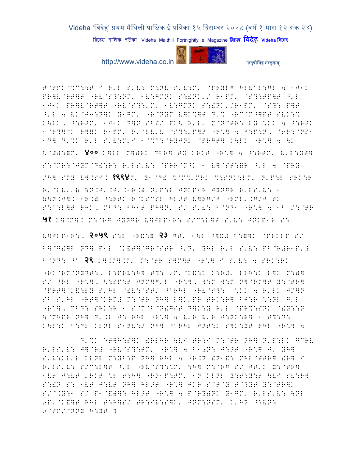িরেদহ' পািkক পিtকা Videha Maithili Fortnightly e Magazine িরেদহ िवदेह **Videha** িবেদহ



FORT TO THE PERSON CONSIDERED HE RESERVED PRALINAAN (PRINTER, FRAAND) PREDICT NEED, INTERPRESSE  $141$  PRESTREE ARITED. INFORMING SINCLETE TO PER  $\{V_k\}_{k=0}$  vanished the state  $\{V_k\}_{k=0}$  . The state  $\{V_k\}_{k=0}$  is the state  $\{V_k\}_{k=0}$ KALK, 'PERZ, 'PA'L' TAD SPENDEN BLE. D'ONDERN ED NIL A "PERZ 1@R?]@K R]=K R1PM' R'@LV'V @S?:'P]T "R\*] 4 J:P:N, @6R:@NS1 1D] D'%K R'L S'V:M'I 1@%C:@RYJNK @PRGT] K\LK "R\*] 4 \K R NEGER, YOO CHEE CHEEL MY KRYEE CHOE "AND HY FGHEC, RIENGER S:@MR:@JYM@D!:R: R'LS'V: @PRR@M^K 1 V]@ST:=R ^'L 4 @PRY /H] SMY V].SI. १९९४M' Y1@D! %@M%'MRK %:SNK:LM' N'P:L SRK:R R. MALVA ARIA, NAJ NEGELA RINGE ARIPHA ANG RINGRA S (\N.J]. 1R.) ^:RTK R@KSCSL HL>T V]RG/J "RML'.G/J TK S:C:L]T RHK, MBD: BH1T PH]N' S/ S'V: B@ND1 "R\*] 4 1B M:@TR **98** CHIMPI MYNGR VIRGE ERHIPEN SYMMER SING VRIEGE SY LARING: 2098 S:L GENE 23 GR. (AL GARRISTER SY B]@G!]L ND] P1L @K&T]@GR@STR ^'N' YHL R'L S'V: PB@R#R1P'# B NDR: P. 29 FRIDEID, DYNE SEDER SRIE S.K. S.KY: 4 SRKYRK "PROTECTOREPHY": ENPERAMMENT: PROTECTOR (CHEVA: EEPNOT EMP) CNAM  $\Omega'$  (B) (RST, China (2008), Orch, Gil an an orchor niche @PRT]@K&:LY S'HL @!V:@ST/ ^ARHL "RV@S?: \*KK 4 R'LK JM]N SB S'HL "RT]@KRM# M:@TR NH] L]K'PR TRK:R] BJ:R \*:NL G'L "RAND: CRIPS YE: SRK:R 1 SAMPLE PROPERTY OF THE SAMPLE OF THE SAMPLE OF THE SAMPLE  $\mathcal{P}$ \@MHPR NH] D'.L J: RHL "R\*] 4 V'R V'R J:NK:R] 1 T?:D: KAL:K B:DL KLNL SHIND SHE PER ANDER SHINGE PHI

D', D' (1988-1988), SALHAR (1987-1988), D'AIRE D'AIRE NA PIRE. R'LS'V: J]@R# "RV@S?:TM' "R\*] 4 B10N: J:>T "R\*] J' YH] S'V:KL'L KLNL M:YB:P NH] RHL 4 "R.N !N1&: MHL@TTR] !R] I R'LS'EN SYCHALAR (R. P. 1981) NATHAIN (1984) NATHAIN SYCHAL I DA NARA THE PALE CECE OF PAPP (PP)PAPP. (P CEPE BAPARA RET PLAPR S: 19 S: 1VT I:VT A S: 1VT A S: 1VT NH 1VT NH 1VT NH 1VT NH 1VT TA 1VT TRIKE WE TA TA 1VT II: 1VT NH 1VT TA 1V S/MOIN S/ P1@F10#5 HLPF "RND" A PMPHER "B1PM, "B1EY, LS' ARE 9P'@K&]T RHL T:H]S/ TR:IV:S]K' JNM:NSM' K'HN ^:VN: 9@TP/@NNY H:YT ?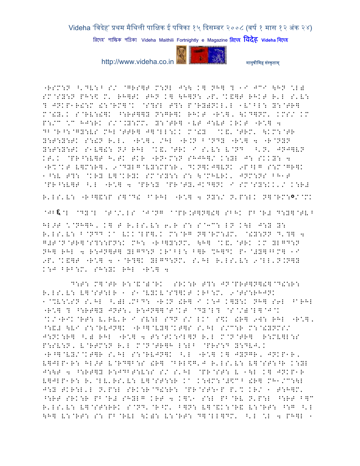িরেদহ' পািkক পিtকা Videha Maithili Fortnightly e Magazine িরেদহ िवदेह **Videha** িবেদহ



 $R$  . The contribution of the contribution of the contribution  $R$  is the contribution of  $R$ SM SYSTEM ASSESSED TO REPORT THE REPORT RELEASED FOR THE RELEASED FOR A RELEASED RYL STATE RELEASED FOR RELEASED RYL STATEMENT RELEASED FOR RELEASED FOR RELEASED FOR RELEASED FOR RELEASED FOR RELEASED FOR RELEASED FOR RELE ? JNKP1R!:M !:@RM]@K @S?SL T?: P@RY)NKL'L 1VABL: Y:@TR] M YEAR OF THE SEAT OF THE RHAND RESIDENT AND AN INCORPORATION OF THE SAME RESIDENT TO THE SAME RESIDENCE. P:/C \*C HJ:RK S/@.Y:MM' Y:@TR] 1VT J:VT KRKT "R\*] 4 DB@R:PS@RO:WS MHL@TTRENING@RO:VS MAD: VOICE MANUFACTRI PER Y:T:Y:TK S:!N R'L' "R\*], /HL "R.N B@NDY "R\*] 4 "R@NYN THENTHE POLARY AS RAL MINIMAL SONIC LONG I SAN ARABLE KT'K @PROVINSING AND AND AND AN INDUSTRIAL AND AN INCOME. "RAN VI B: RAN YER, 9 A OYOR POR BINNEYEYEY: ON DARIK PARD OF PORT AN INVESTIGATION  $\sim$  V Trial Section Section Section Section Section Section Section Section Section Section Section Section Section Section Section Section Section Section Section Section Section Section Section Section Section Section @PR^:V]T ^'L "R\*] 4 @PR:Y @PR@TY'JKD]NK I SM@SY:KK'/ K:R#

R'LS'V: "R^]&:P S]@D! ^ARHL "R\*] 4 NY:/ N'P:LK N]@RM:०/@MK

@JB६@L @DY@L @T@/'LS @J@NG @@PR.T]N]!] SBHK PB@R# D:Y]@TV^

HEVE A MEREN LOS ROBORIS EL BOBORIS E MATEIX EN CAL GEBORE R.B.C.LS' POTTER CONDITIONS TO THE THORSE CONDITIONS TO THE A B#T@N@BY:STORICON: ##H: "R^# YOU" \HE: "YES" NO HEEL NHE RHL 4 RYPPERE BERMYN CROSEN FER MARRY IN MODERN PUR YO 9P'@K&]T "R\*] 4 1@R?]K YLGD:NM' S'HL R'LS'V: 9@LL'N.N]Y K:J BRB:M' SH:YK RHL "R\*] 4

 D:T: M]@TR R:@&@)@RK SRK:R T?: JN@PRT]N]!]@D!:R: R'LS'EN SA MEMBER (1991) EN MEDIE MEDIE AL DE SAN DI SEPARA PO 1@%V:\*SN S'HL ^')L,MBD: "R.N !R] I K:J K]Y:K NH] S6L ^ARHL  $R$  + R\*E  $R$  , RT  $R$  , Recognized as the control of the set  $R$  of  $\Omega$  $\mathcal{M}(\mathcal{E})$  and the risk in  $\mathcal{E}(\mathcal{E})$  is the state state  $\mathcal{E}(\mathcal{E})$  . The symmetry results in  $\mathcal{E}(\mathcal{E})$ ^:&# \VI S:@RVJN]K "R^]@VY]@KT]S S'HL S/C:R M:@!YNMS/ J:NK:R] ^') RHL "R\*] 4 T:@TK:IL]N R'L M@N@TR] R:MV]L:S P:SV:N, V@RTM:N R'L M@N@TR]H L:LB @PRS:D Y:DVJ'K "R^]@VY/@KT]R S'HL S:@RVJN]K ^'L "R\*] K] JYNGR, JNKP1R,  $L$ RIFFER: HIST  $L$  then the state of the state  $\mu$  and  $\mu$  are the state  $\mu$  state JP SAIF (A): P SAIP RESPONDED SO SIGNED ON STEP OF SIGNED ON A SIGNED BY BY BY BY  $\langle\,$  DH P P R P R  $\langle\,$  ( T R ), R F ( R ) & R ( T P F F ) MH  $\gamma$  (  $\gamma$  )  $\gamma$  and  $\gamma$  and  $\gamma$  and  $\gamma$ J:Y TKR:L'L N'P:L SRK:R@D!:R: @PR@ST:1P P'% KR/ 1 T:H]M' \*NH# SRKNE PP@R# SHYR# SH# 4 K9K, \$NH PP@RV R.PNB \$NH# F9~ R.BY.LS'ENTYPSHED YTURN SPUL SAND LATED BELIEVEN SSPURISE \H] V:@RT: S: PB@RVL \K): V:@RT: D]@LL]DM' ^'L \*L 4 PH]L 1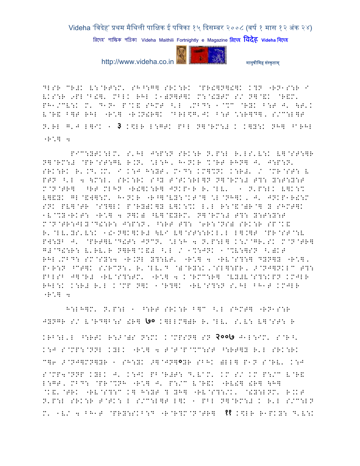িরেদহ' পািkক পিtকা Videha Maithili Fortnightly e Magazine িরেদহ िवदेह **Videha** িবেদহ



DLSR CR#K V:@RT:MY:MORT:MORT:SRC:RECOMPARENT:SRK:RK @PRINS: KOSSE VER PREN 2001 DER KNAPPER SYNSKEES SYNSKER (1981) PH1/MESS ON MY D1N1 PHOTOGE SITES IN THE THIS PSECAL BELI V@R& B]T RHL "R\*] "R.N!R]K @BRL\$G'JK B:T \*:R]D], S/C:L]T N. BI CH, G'I LEATH IN LICHTER PROPERTY IN LICENSE CONTROLLER COMPANY  $R^2$  and  $R^2$  4  $R^2$  4  $R^2$ 

 PIC:YTK:LM' S'HL J:P:N SRK:R N'P:L R'LS'V:K V]@ST:]R N]@RM:# @PR@ST:GV R.N' \*L:H, H1NKR %@RT RHN] J' J:P:N' SRIGHI R. DY. D'. M'I KE:HE. D'YE I DYNIK I KRA. 2000 PENER K PAR OLE 4 ANYEL SAN SON SON BORNERR RACHERS SAY NEWSTAP MONTRE "PER MERN "REALISE "RICENTRY "RICH" (") IN PIECE EALTH  $\overline{K}$ AKGL@W]:M' HINKR "ROW: HINKR "ROW: AN INKR "ROW": MY: AN INKR PARTY: SNK PRACHE STANK PORK AN RAISER BY WORKING WATER 1V@%Y"RKT: "R\*] 4 N]K) ^V]@&YRM' N]@RM:# T?: Y:T:Y:T MORTH: TRIDES ANDRE, THE ANN THEN DEER ENTERED IN R'@LV'YS'V:K 1999 PRODUCED AND ANNOUNCED AND ALL LANDS AND ALL LANDS AND ALL LANDS AND ANNOUNCED AND ANNOUNCED PW:YB J' @PRT]V@D!T: JNCN' \*L:H 4 N'P:L] K:/@GR'SK M@N@TR] BECREAGE E.RE. ROBBECEE S.E. Z (CARDIO ) CHARD SLEEP RHL,MBD: SM@SY:4 "R.NL Y?:VT' "R\*] 4 "RV@S?:] DYN]Y "R\*], P(PNP) PTAR: KZETPY, R, MELT (WORRING TREPER, POPPREET ANY PBLSB JANDER "RESPONDED" "ROSSER "ROSSER KRANDER" "ROSSER KRANDER" "RESPONDED "RESPONDED " RHIN: KNRED RIL:K MP ND 10 NAMP ND NORTH SYSTEM OF THE STATE  $R^2$  +  $R^2$  4  $R^2$  +  $R^2$ 

H:LHEN, R.P:L 1 CHER SRING FAN H.L SHMRA (RN1S:R JYNGR S/ V@RD]B:S !R] ७० K]LLM])R R'@LV' S'V: V]@ST: R KRB:LE PERT REPORT RETULE THEFT RIP ROOU AFENCY. ROBOT K:J SOMP: MAR: SAMP: A SOMP TO STATE "READS" RELEASED CAR CONSTRAINS OF SHILL CARDINAL SERVICE IN THE SAFE (198 S MPH4 MPPE (1981) A. (1941) ER MAGARE R. BOD. ID S. S. CO BR. DAM B: NAB L:GRA), MRD: MPROMAR "RENE "R), P:201 E (BEL) (RELEVED ERE "RRE @K&'@TRK "RV@S?:C K] H:YT ? YH] "RV@S?:/K' @!Y:LNM' R.KT N'P:L SRK:R T@TK: L S/C:L]T L]K 1 PBL N]@RM:# K R'L S/C:LN M. 16. A BH1T MERRING "ROR REPORT OF THE ROLL REPORT OF THE RIGHT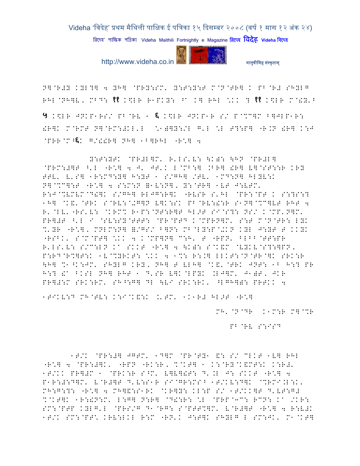িরেদহ' পািkক পিtকা Videha Maithili Fortnightly e Magazine িরেদহ िवदेह **Videha** িবেদহ



N]@R#Y KYL?] 4 YH] @PRY:SM' Y:T:Y:T M@N@TR] K PB@R# SHYLG RHL@NH]V, MBD: ११ K\$LR R1PKY: ^A K] RHL \*KK ? ११ K\$LR M@!Y'B  $9$  CHB FRIPERS PP BL  $\cdot$  & CHB FRIPER S/ P W MP FRHIPER !R]K M@RMT N]@RM:#KL'L \*1)]Y:/L G'L \*L T?:P] "R.N !R] K:J @PRR@M^६K G/!!R] NH] 1B]RHL "R\*] 4

**WI:T:YTHE WINDER REPORT AND ARRIVE AND ARRIVE ASSESSED AT ALL ARRIVE ARRIVE ARRIVE ARRIVE ARRIVE ARRIVE ARRIVE** @PRM:#]T ^'L "R\*] 4 J' JT'K L@MB:] .BR] !R] V]@ST::R KRY TTV: S. MO (POSTINO 1990) / MOTHOL (PR. 1991) 1991 N]@%C]:T "R\*] 4 S:M:N =1V:N], Y:@TR] 1VT J:VTM' R:J@%VMVM@D!]K S/GH] RLJG:R]K "RVSR S'HL @PR:@PT K S:?S:?  $\sim$  0.0  $\pm$  0.0  $\pm$  0.0  $\pm$  0.0  $\pm$  0.0  $\pm$  0.0  $\pm$  0.0  $\pm$  0.0  $\pm$  0.0  $\pm$  0.0  $\pm$  0.0  $\pm$  0.0  $\pm$  0.0  $\pm$  0.0  $\pm$  0.0  $\pm$  0.0  $\pm$  0.0  $\pm$  0.0  $\pm$  0.0  $\pm$  0.0  $\pm$  0.0  $\pm$  0.0  $\pm$  0.0  $\pm$  0.0  $\pm$  R'@LV'"RS'V: @KRM% R1P:@NT:R]T HL>T SI@S?: NS/ K@MP'N]M' PREAR TO A CONSIDERED MENTER CONFIRM (SINCE SOME EX %'YR "R\*], MNLM:N] =/GS/ B]N: MB@LY:P@+KN KYL J:YT T KKYK "REPORT END MER NIC SOME TOMPHER MARIT BLORED, FOR PLACEBER R'LS'EN KATHER IN KILL HRAG A BIEN KALET ALHIENTIMMER. P:RD@R%]T:K 1V@%YRKT: \*KK 4 1%: R:.] LLKT:@N@TR@]K SRK:R  $\,$  ARB (2) SHYLG KRY, NH2G (2) SHE (BC KERR) 2010, NH2, 2010, PRF  $\,$  PRF  $\,$  PRF  $\,$ H: "BKSL NH 1 DE SAN SER VAN DE SAN VAN DE SAN STEDEN . DE SAN SAN DE SAN DE SAN DE SAN DE SAN DE SAN DE SAN D PR]#:M SRK:RM' SH^:G] DL \VI SRK:RK' ^LGH]): PRTKK 4

1971195 TRIKK: MATHE (1911-1191-1191-1191-11

MH'@N@DR K1M:R M]@%R

PROBRET STRAINS

 1T/K @PR:#] JGTM' 1D]M @PR@TY1 &: S/ CLKT 1V] RHL "R\*] 4 @PR:#]K' "RPN "RK:R, %@KT] 1 K:@RY@K&MT:K K:R#' 1T/KK PR]#M 1 @PRK:R S^M' V]V]!T: D'.L J: SKKT "R\*] 4 P(P1R: THIR: DECRETS: DECOMPTED ON A POSSIBLE ORDINAL DISCOVERED ON THE DISCOVERED ON THE UNION OF THE UNION O MH:G:P: "RENE" A MOREDY BOOM DRIGHT OF SING ON A BOOM BROWNER. %@KT]K 1R:!N:M' L:G] N:R] @D!:R: \*L @PRP@3C: RCN: KA /KR: SM:@PTP KYLG'L @PRS/G D1@RG: S@PTT%]M' V@R#]T "R\*] 4 R:V#K 1T/K SM:@PT\* KRV:LKL R:M "RN'K J:T]K SHYLG L SM:JK' M1@KT]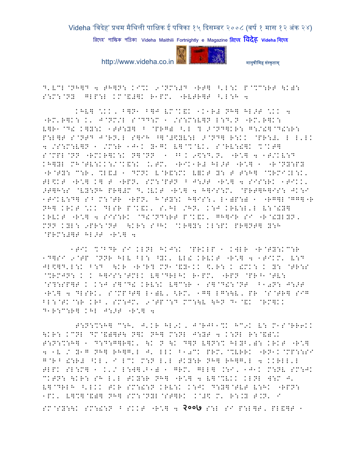িরেদহ' পািkক পিtকা Videha Maithili Fortnightly e Magazine িরেদহ िवदेह **Videha** িবেদহ



B.LTE TRANS 4 FRANK (PTI) & TRIGH "RFA" (LEG) POTTER BIBY SS:M: MY GREET CONSIDERATION OF THE CONSIDERATION OF THE CONSIDERATION OF THE CONSIDERATION OF THE CONSIDERATION

KHAVE MILL FYN FYN AN YN BLOAD HAW HLOE MILL A "RM'R]K: K' J@NM/L S@DD:M 1 /S:M:V]N L:D'N "RM'R]K: V]R1@D! K]Y:K 1TT:Y] ^ @PRG) ^'L ? >@ND]KR: G:/!]@D!:R: P:LIT SONTO JOS SONTO JOS SONTO LA SULLA LA CARDA L'ANDIA SONTO L'ESSE ELLE L'ESSE A L'ESSE A L'ESSE A L'ESSE 4 /ST:VARR ( /ST:R (4): B(R) ART (ATT:B), STRAGH ( 7):28 SAMPLE THE SAMPLAND CHEMPLAN IN 1 2019 HOLD AND A 1TH 2 1TH 2 1TH 2 1TH 2 21TH 2 21TH 2 21TH 2 21TH 2 21TH 2 2 KHAN MH@TV:KK:/K#TV:K#TV:K###F#  $R$  The computation of the computation of the computation  $\mathcal{L}$  . The computation of the computation of the computation of the computation of the computation of the computation of the computation of the computation of t TH RISK "PENN IN REAL SAN THE REAL PENN HEN A SEEMED FREID. >T]H:S @VY:NH PR]#M D'.VKT "R\*] 4 H]IS:M' @PRT]H]IS: JK:I 1TIKV:D] S^ M:@TR "RPN' H@TY:K H]IS:, L1)P:) 1 "RG]L@GG]"R NHE CECA NIC MENE POINT, SLAP (MP. 194 CELHELP ENGANH KREAR "REAR" (POSSESSED) AREAR SI "REAR" (POSSESSED) MNN KYL: 9PR: 9PR: 9PR: SAHK @KRIS: SOHK @HERE @H @PRM:#]T HL>T "R\*] 4

 1TIK %@BDR SI KLNL HKJ:K @PRKLP 1 KWLR "R@TY:KC:R 19920 2001 998 HE BE BE WELL BE IREFURDED A 19517. EST JALAYAN LEGEN A RAYAN A MARYAN BINA SA DA RAYA NA KATI NA DI MANYAN DI MANYAN BINA MARKAN DI MANYAN DI MANYAN @%RMJN: K K H]IS:@TMLK V]@DRLHK R1PM' "RPN @PR^1@TV: @S?:SP]T K K:J S]@D! KRV:K V]C:R 1 S]@D!:@NT B10N: J:>T  $\sim$  8  $\sim$  0.000  $\pm$  small control (  $\pm$  eq. ),  $\pm$  ,  $\pm$  ,  $\pm$  ,  $\pm$  ,  $\pm$  ,  $\pm$  ,  $\pm$  ,  $\pm$  ,  $\pm$  ,  $\pm$  ,  $\pm$  ,  $\pm$  ,  $\pm$  ,  $\pm$  ,  $\pm$  ,  $\pm$  ,  $\pm$  ,  $\pm$  ,  $\pm$  ,  $\pm$  ,  $\pm$  ,  $\pm$  ,  $\pm$  ,  $\pm$  ,  $\$ BLE: MO: THE COM: R KRAP, SM: THE THE COMMON DIRECT OF THE DIRECT DIRECT D:P:P:R (91 4528 4518 4

 T:N:%:H] C:H' J'KR HL9K, J@RJB1%K HC9K V: M1S@RR6KK \KR: KCNL DM@&)]T\ N]K NH] M:NL J:YT 4 K:NL R:@&)\*K T:N:%:H] 1 D:D:G]R]K' \K N \K D]N V]N:% HLYB'): KRKT "R\*]  $4 + 1$  / Will and Phone (1900) (1900) (1900) (1900) (1900) (1900) (1900) G THAN STERN AND CONTINUES IN LOCATION OF THE HANDLE CHOICE IN LICENSE. TLPC SLYCH ( ), MINH SLOW GROUP SLIP (NO. 141) CYME SCYF TIERS RIES EN ELE EIGSE PHR (BSR) A WHITKII IEPE AST AL BETHER RICK BIR STYRN CHRV: TYM: TYMESHE RYR: (HPP) 1PK' V]%]@&)] NH] SM:@NYL@ST]RK .@#\$ M' R:.Y T.N' I SM: STEER SM: SM: SM: SHE REAL ASSESSMENT TO A SACKT "SECTION STATE THAT IS NOT THE TO A SECTION STATE THAT IS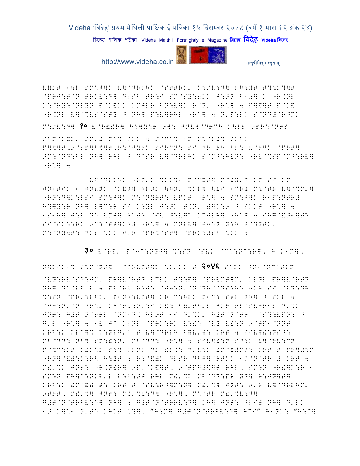িরেদহ' পািkক পিtকা Videha Maithili Fortnightly e Magazine িরেদহ िवदेह **Videha** িবেদহ



 $K$ bel at the small of the strategies of the state of the state of the state  $\mu$ @PRJ:T@N@TRKV:D] DLSB TR:I SM@SY:)KK J:>N B10] K "R.NL K:@RY:PANP PODIC CPHER PRYAND ROP. (RSN 4 PRYAR POD "R.N. VAN VOORSTY ALD VAN DIE VAN DIE VAN DIE VAN DIE VAN DIE VOORGEIE ANDERE DIE VAN DIE VANDER OOK

MILITE 80 E FEREE HINDE 201 JUNE TETH CHIL 2001 2001

SBP@K&K' SM') NH] SKL 4 SIGH] 1N P:@R)] SKHL PARA LOREAR CAR DATA TO SIRCH: SI DR RH BLI DR RH BLI DR RH BLI >M:@ND:BR NH] RHL T DCSR V]@DRLHK S@M^:HVN: "RV@%SP@M^:RV]  $R+1$  4  $R+1$ 

 V]@DRLHK "RN'K %KL]1 P@DYT] M@!Y'D KM SI KM JND PROVINCIA DE EN MINITIK 1 JAN 1 JAN 2011 E MENCHA MENGHAM MENGHAM MONGHAM MENGHAM MENGHAM MENGHAM MENGHAM "RN:D]K:LSI SM:J]K M:@NYRT: VPKT "R\*] 4 SM:J]K R1P:NTR# HTROSH DHR KRYSH PY TSOF PSD. BID, BRISH FRITIB HETR R  $\sim$  2008  $\pm$  2018  $\sim$  1s  $\sim$  2018  $\sim$  1s  $\sim$  1s  $\sim$  1s  $\sim$  1s  $\sim$  1s  $\sim$  1s  $\sim$  1s  $\sim$  1s  $\sim$  1s  $\sim$  1s  $\sim$  1s  $\sim$  1s  $\sim$  1s  $\sim$  1s  $\sim$  1s  $\sim$  1s  $\sim$  1s  $\sim$  1s  $\sim$  1s  $\sim$  1s  $\sim$  1s  $\sim$  1s  $\sim$  1s SI@SK::RK 9D:@TT]KR# "R\*] 4 MNLV]@J3:N Y:H T@?YTK' M:@NY4T: DKT \*KK JKR @PR%@ST] @PRM:#SB \*KK 4

३० E.NEE | PANNESSER THEY | MED | MUNICIPE | H1K1MSI

N]RIK1% S:M@NT] @PRVMT]K \*L'KK T २०४६ S:LK JN1@NDLTLN

WISHING TO SALE THE RUN LOCAL TELL TO A RELEASE THE REPORT OF THE VEHICLE PROPERTY OF THE VEHICLE PROPERTY OF THE VEHICLE PROPERTY OF THE VEHICLE AND RELEASED TO A RELEASED OF THE VEHICLE AND RELEASED OF THE VEHICLE AND RE NH] DK.LG'L 4 PB@RV R:J: @J3:N'@N@DR.@D!:R: 6KR SI @VY:?H %:SN @PR#:L]K' P1NR:VMT] KR C:HLK M1D: S6L NH] ^ SKL 4 @J3:N'@N@DR:K MH@TV:NK:I@K&: B=KTG'L JKR 6L@SVJR1P D'%K JNT: G#T@N@TRL @NM1D. HL>T 1I DK%M' G#T@N@TR @S?:VPN: ^ G'L "R\*NH" 4 1V DON'T FREE TERNARD (DAGA) TOO DOOR VERE TERNISTE KRB:K K:YLGYLGYLGYLE TROLLH BEVORLH BEVORLD BEVORLDIG BEVORLDIG MB@DD: NHI: SM::N' MB, "RFCH": A SA: SA: HOD: "A SA: K VIII SA: K VIII SA: K VIII P@%C:KT M!K%K S:? KLNL DL !L.: D'V:K !M@&)MT: KRT T PR]#:M "RNDA):K:RANI: NEN ROMA AN REGIONAL DA KRT DA PARTIER DE L'AUTORISME (2014) A KR MA, TO 1978 YOF CRAFT ON, TODREY, O'TENEDIRE PRESS AND OPACHONE P SM:N PHP3M:L: IN:NA PH MANN: M MPHP SPR PYPRA KRB:K : KOVIER (PR) T: KRIGHER PEDROP DIK, DR. ADAR (B. B. B. VIREAD) 9TRT, M!'%] JNT: M!'%V:D] "R\*], M:@TR M!'%V:D] G#T@N@TRHV:D] NH] 4 G#T@N@TRRV:D] KH] JNT: ^LI) NH] D'LK 1> K]\*1 N'T: KHKT \*?], **"**H:M] G#T@N@TR]V:D] HCI**"** H1NK: **"**H:M]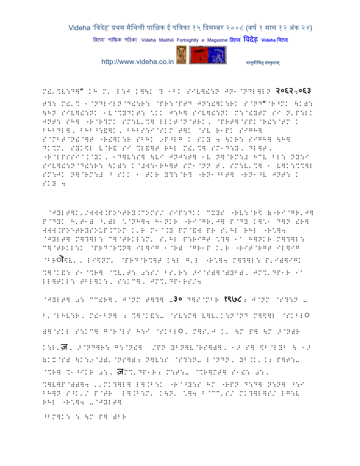িরেদহ' পািkক পিtকা Videha Maithili Fortnightly e Magazine িরেদহ िवदेह **Videha** িবেদহ



M!'%V:D]**"** KH M' L:J K]\K ? 1BK SIV]!:N JN1@NDL]LN २०६२4०६३

T?: M!'% 1@NDLILN@D!:R: @PR:@PTD JN:!]K:RK S@ND**"**@R^MK \K): \HN SIV]!:NK 1V@%YDKT: \*KK J:H] SIV]!:NK M:@!YTM SI N'P:LK JNT: SH] "R@R?MK SM:V'%] LLKT@N@TRK, @PRT]@SPK@R!:@TM K BHBDLEH REEL, BHBS:IN BESCHAPE SIGHER S ON BOYS THE SERIES STAY SPACE CONCRETE SERIES SYNAHOUS DR MONTH SHAKE SY MERHE BHE OWNOR SON THE MITHER "R@LPSSIM ARAWAY TO THE SIMULATE CONTRACTOR IN THE SIMULATION OF THE SIMULATION OF THE UNION OF THE UNION OF T  $S$  -th denotes the small small small small small small small small small small small small small small small small small small small small small small small small small small small small small small small small small sma SM:JK NICH NI SKK (SKI NI TKR Y?:@R) SKY 4

 @JYLT]K'/WWW.POETRY.COMS/ SIP:DKK CXYS "RV:@R\$ ("RI@GR'J] PORD A.A.E KAN SORAH HYDE AROREAN PORSON (RI AR) WAA CERMARKERSOOP.COM KOL RIJ POLITEKTRYS OOK DIE VERWAARD VAN STAA MADE AR CANADIA MARKET MISS OF STANDARD AND A HISPER MANUFOLY AND MANUFOLY AND MANUFOLY AND MINICIPAL AND MINICIPAL AND MINICIPAL AND MINICIPAL AND MINICIPAL AND MINICIPAL AND MINICIPAL AND MINICIPAL AND MINICIPAL AND MINI CAR CARDIERS OF CHRISTIAN IN THE CORRECT INTERFACING IN THE CONTROL IN THE CONTROL INTERFACING IN THE CONTROL I ME@RE, LI\$RPO, MORRMARH (AL ALI GRUA: CADALES D.SAARSA)  $\mathcal{R}$  and the state of the lattice of state  $\mathcal{R}$  , is the state of the state of the state of the state of the state of the state of the state of the state of the state of the state of the state of the state of the LL]TKL: TBL]K:, S:KC], JM%'DP1RS/4

@JYLT] 0: CC!R], J@NM T]?] -३० D]S@MBR १९७८; J@NM @S?:N - B'. MIRESE : CERRITH: SMITHER, MELSCH EAL, CANDING MATH, MELRIE O )]@SKL S:KC] G@R@LS H:I @SKBL◌, M]S'J K' \M P] \M >@N)R  $\lambda$  respectively. The problem of the second problems, which is a positive  $\lambda$  of  $\lambda$  $\mathbb{R}$ : D'or al som that is not the set  $\mathbb{R}$  is the set  $\mathbb{R}$  . The contract  $\mathbb{R}$  is the set  $\mathbb{R}$ WHE WORLD ON **JUST**IN THE MINING WEEKER POINT ON . %]V]P@))]4 ''MK?]L] L].B:K "R@^Y:S HM "RPN D:D] N:N] ^:I BHAN SOKY, PORTRE LI BINARY, CONN. CARLO TROLER DO THE BEZON BAYE. RHL "RTH" 2741194

^BM]K: : \M P] )BR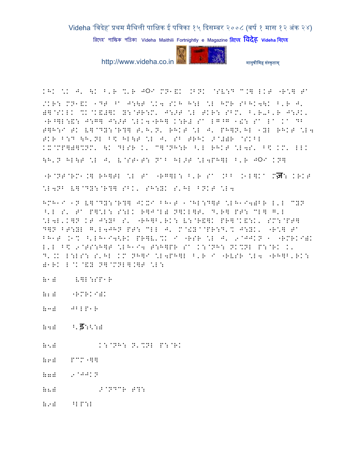িরেদহ' পািkক পিtকা Videha Maithili Fortnightly e Magazine িরেদহ िवदेह **Videha** িবেদহ



KHK \*K J' AL JEL FUB JOLE JEOG DOPERT "DE BIL "MERE" MINI BILE "ENE "BNE BO

/KR: MN1&K 1DT ^A J:\T \*K4 SKH H:L \*L HMR SBHK4\K B'R J' )]@SKLK %K@K&#]K Y:@TR:M' J:>T \*L TKR: SBM' B'R-B'R J:>K' "R^]L:&: J:G] J:>T \*LK4"RH] K:R# SA LG^G 1!: SA LA KA DB TH:I TK VIOLET THE THIN THE REAL PHONE IN THE THE REAL PHONE IN THE THING IN THE T TKR B:D \H'NL B\$ HL\T \*L J' SB TRHK >@#)R @SKBL KX MPRESSING AN TERR KY TEMPPAR ALE RHNE NEWN FRONT FEN

\H'N HL\T \*L J' V@ST1T: NAB HL>T \*L4PH]L B'R J◌I KN]

"R@NT@RM1.] RH]TL \*L TA "RG]L: B'R SA .BB .1L]KA Mज़: KRKT \*L4NB V]@DY:@R?] SBK' SH:YK S'HL BNKT \*L4

HORE OF A DY: BIBLIONNE OR DRIVE OF A LIFE OF A DRIVING ON THE CHEFT BY LIFE ON THE U  $\{L, L, L\}$  and are claims of the political department of  $\{L, L, L\}$  and  $\{L, L\}$  of  $\{L, L\}$ \*L4L'K]N KT J:YB S' "RH]B'RK: V:@R&]K PR]@K&:K' SM:@PT] DRIP: P. BATH: P. B. GYRN PTER: OR E. C. P. DONNE PORT: CLIPANIE, C. GYRNE (BOX BH) A . 1% Y . 1% E RHY PARAID (I PARTICULATE PRODUCT) A . 14 MACHINE 1 "ARD FOR THE PRODUCT IN DIRECT PRODUCT LI B\$ 9@TS:HE MIRAG FYRHE SA KYMP SA KY KY KY D'.K L:LS: S'HL KM NH]I \*L4PH]L B'R I "RVSR \*L4 "RH]B'RK: )1RK L@K@&Y N]@MNL].]T \*L:

- $i: S \longrightarrow S$
- $\mathbf{1}$   $\mathbf{2}$   $\mathbf{3}$   $\mathbf{4}$   $\mathbf{5}$   $\mathbf{6}$   $\mathbf{7}$   $\mathbf{8}$   $\mathbf{8}$   $\mathbf{9}$   $\mathbf{10}$
- **1991** 1991 1992
- $i_{\text{init}}$  :  $\overline{5}:$ ::
- (5) K:@NH: N'%NL P:@RK
- $\text{in}$   $\mathbb{R}$   $\text{in}$   $\text{in}$   $\text{in}$
- $\lim_{t\to\infty}$   $\lim_{t\to\infty}$   $\lim_{t\to\infty}$
- $\begin{array}{ccc} \ldots \end{array}$  . The mass of  $\begin{array}{ccc} \ldots \end{array}$

 $h \cdot d = 9HH$ :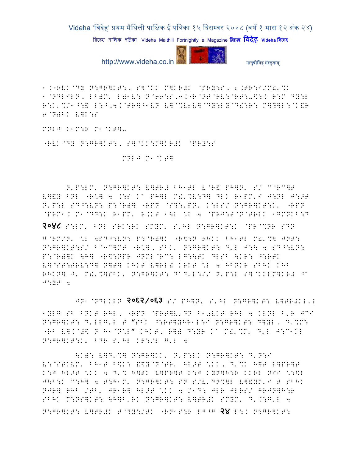িরেদহ' পািkক পিtকা Videha Maithili Fortnightly e Magazine িরেদহ िवदेह **Videha** িবেদহ



 $\sim$  1.481. The criterial and care to contract of the end of the system  $\sim$ 1@NDLILN, LB)M' L)1V: N@66:S,3."R@NT@RV:@RT:-\$:. R:M DY:L R:K'%/1^:& L:^,4.@TR]^1VN V]@%V2V]@DY:LY@D!:R: M]?]L:@K&R  $6.98\pm0.01$   $6.91\pm0.01$ 

MNLJ K1M:R M1@KT]-

"RVK@DY N:GR]KT:, S]@KK:M]KR#K @PRY:S

MNL MONTH MILL

N.P:LT. GREATING BHANTLAN AND LIAN PHILEY AND CATALOG  $k$  BOB II FOR THE REPORT OF THE RIGHT CONTINUES. THE REPORT OF A REPORT OF SAFE N'P:L SD^:VN: P:@R)] "RPN @S?:'PN' K:LS/ N:GR]KT:K' "RPN @PRM1. M1@DD:K R1PM' R.KT 1\L \*L 4 @PRJ:T@N@TRLK 1GMNKB:D

२०४८ Sibil Both Secret Story System Pipper Story Story

GORM/N' AL 425 PERS BY "BERL" (PRYST BH1TL MIN) BLOCK BHOTL MINE N:GREAL ANY AS A MAMALINA (SANG) NA LOCANA DA RAIL ANY ANY ANY ANY ANY ANY ASO OF VALUES. P:MAR) ARE GRYPER APPE BTY EFIRED TEP ADEY THEO V]@ST:TRV:D] N]T] KHKT V]RL! KRKT \*L 4 HBNKR SBHK KHB RHCORE H. ONLOGEN C. ORGHRHCHG IN N. EGNO O. BGE YNE YR NODERED FO J:YT 4

JN1@NDLKLN २०६२/०६३ S/ PH]N' S'HL N:GR]KT: V]TR#KL'L

1YLG SB BNKT RHL, "RPN @PRT]V'DN B10VKT RHL 4 KLNL B'R JCI N:GR]KT: D'LLG'L T **"**SBK ^:RT]YHR1L:I N:GR]KT: D]YL, D'%M: "RB V].@#\$ N H1@N\*L**"** KHKT, R]) D:YR KA M!'%M' D'L J:C1KL N:GR]KT:K' BDR S'HL KR:/L G'L 4

 \K): V]D'%] N:GR]KK' N'P:LK N:GR]KT: D'N:I V:@STKVM' BH1T B\$K: &\$Y@N@TR' HL>T \*KK, D'%K H]T V]PR]T K:J H.J. K. HIST HER 1999 KIN KING VI KING VI K J\B:K C:H] 4 T:H1M' N:GR]KT: SN S/V'DN%]L V]&YM'I T SBHK NJR] RHB /TB' JR1R] HL>T \*KK 4 M1D: JLR JLRS/ GRJN]H:R SBHK M:NSIKT: BIRGHAM: BIRGHAM: BIRGHAM: SMITH, CITR: OSMA N:GR]KT: V]TR#K T@?Y:/TK "RN1S:R LG^G २४ L:. N:GR]KT: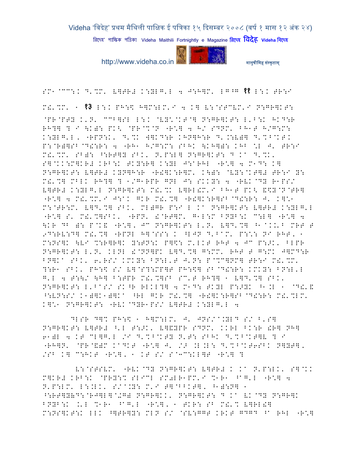িরেদহ' পািkক পিtকা Videha Maithili Fortnightly e Magazine িরেদহ िवदेह **Videha** িবেদহ



SM1 MOC: AND CHEER IN THE WILL 4 JOURNAL AND AN INCORPOR

MAN THE RESEARCT PHONE CONTROL CONTROL CONTROL CONTROL CONTROL CONTROL CONTROL CONTROL CONTROL CONTROL CONTROL CONTROL CONTROL CONTROL CONTROL CONTROL CONTROL CONTROL CONTROL CONTROL CONTROL CONTROL CONTROL CONTROL CONTROL

@PR@PTY K'N' CCB]SL L:. @VY\*@KT@] N:GR]KT: L'B:K HKD:R RH?] ? I \K): PK< @PR@%@N "R\*] 4 H/ SDNM' BH1T H/G:M: K:YOLG'AL, "REPORIS" P.M. GEORGE CHORENE P.M. DELER P.M. D'AMIS P:@R)]SB@D!:R: 4 "RH1 H/G:M: SBHK \KH]): KHB \*L J' TR:I MA: TO, "SPEAR" PREPARE SPOL DRIVER HIS DRAFER ARE DO NO DI. TO, TO, SARING CAMARI BERIK KERBEKAN KERBITAN YANG MANGHIRI TANG MANGHIRI DI RENGAN MENGERAN DI RENGAN MENGERAN DI REN N:GR]KT: V]TR# KYN]H:R "R!]K:R]M' K\): @VY:@KT]# TR:I Y: M!'%] MBLK RH?] ? 1/G1RPR GNL J: SKKY: 4 "RVK@DY R1PS/ V]TR# K:YLG'L N:GR]KT: M!'%K V]RL!M'I BH1T PK< &\$Y@N@TR] "R\*] 4 M!'%M'I J:AK GKR M!'%] "R!]K:R]SB@D!:R: J' K]\*1 M: MAR: M'S SAN A: M' VI A' C'HEAN A' C'HEAN A' C'HEAD A' C'HEAD "RENN' S' MONDONEST "RETRO "BOTHEN". "PRIEST FOREST "MEIN" RENN A \KR DB ): P@K& "R\*], JC N:GR]KT: L'N' V]D'%] ^1@..'B MRT T 9D:RV:D] M!'%] "RPNL H]@SS: K ^LJN D'BAM' P:\*: NI RHT, 1 M:NS]K \VI %:R]R]K Y:TN:K P]\$: M'LKT RHT 4 JC P:>K' BLPR N:GREEN: L'A' KLAND & MARED | LER, NE GRINN, | PRE G' GRIN GENRIE BN]KA SBK' 6'RS/ KMKY: BN:L'T J'N: P@%C]NM] TR:I M!'%M' ?:R1 SBK' PH:\$ S/ V]@S?:MP]T PH:\$] SB@D!:R: KMKY: BN:L'L G'L 4 FI: BI: BEB MI: BEB CELCHER CONCERT BETH A CERT. CHOCK C N:GR]KT: L'BAS/ SK^R RLKL?] 4 M1D: TKYL P:>YK ^1.L 1 @D!'& ^:VN:S/ K1)]K1)]KA ^RL GKR M!'%] "R!]K:R]SB@D!:R: M!'%LM' KAN: THERIBY (BELITERIS CREER CYLEAR) 4

 DLSR D]% PH:\$ 1 H]M:LM' J' JNS/@.YLD S/ B'S] P:GREEN SERES OF PRINT SURFEYER SONG AND AND CHE PAR  $6.41$  G (F CLA) C (F CLA) CLAIR REAL CONSTRUCT P "RHAND," "PROBED" IS ALR RHANN ALL IS . DE DE NOM, TA STRIKE I DANNA N /SB K] C:HKT "R\*], 1 KT S/ S@3C:KL]T "R\*] ?

 V:@STSVM' "RVK@DY N:GR]KT: V]TR# K KA N'P:LK' S]@KK MAD KRAG: KRB: K MORIS SE KRIGHT SMOLRIPH POLIK (MORIH 1918) 41 PHOTOGRAPH (MORI N.P:L. H:LL. C. MIL. M. PHYPIRE, PHYPE, ^:RT]Y(D:@RJ]L]@+G) N:GR]KK' N:GR]KT: D KA VK@DY N:GR]K BRYB: K: Michael "PRI" (PAG'L "BIPS SB MAN" EGRISH M:NST:K LLK ANDRESS MIR SY:MINDED COLD ANAM ON DAY (BYN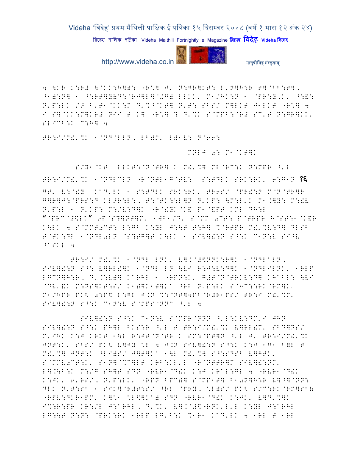িরেদহ' পািkক পিtকা Videha Maithili Fortnightly e Magazine িরেদহ िवदेह **Videha** িবেদহ



 $\mathcal{A}$  , A:CR (1):  $\mathcal{A}$  ,  $\mathcal{A}$  ,  $\mathcal{A}$  ,  $\mathcal{A}$  ,  $\mathcal{B}$  ,  $\mathcal{B}$  ,  $\mathcal{B}$  ,  $\mathcal{B}$  ,  $\mathcal{B}$  ,  $\mathcal{B}$  ,  $\mathcal{B}$  ,  $\mathcal{B}$  ,  $\mathcal{B}$  ,  $\mathcal{B}$  ,  $\mathcal{B}$  ,  $\mathcal{B}$  ,  $\mathcal{B}$  ,  $\mathcal{B}$  ,  $\$  $1$ : A:RT  $\cdot$  : Presumers testing than 1111. There  $\cdot$  internal, start N'P:LES / SE PIER MISSING "PITTER DE MARIE IN DIE SE SE SENATORE "R I S]@KK:M]KR# NII T K] "R\*] ? D'%K S@MPB:@R# SC'T N:GR]KK' SLICE SCHOOL

TR:I/M!'%K 1@ND@LLN, LB)M' L)1V: N@66:

MNLJ 0: M1@KT]K

SAME STORY TO A MINOR CONTROL AND A MINOR CONTROL AND A MINOR CONTROL AND A MINOR CONTROL AND A MINOR CONTROL A TR:I/M:I: M: I/M: TR: II: S: TOLCLICK SREAGE SPECIAL SPECIAL SPECIAL SPECIAL SPECIAL SPECIAL SPECIAL SPECIAL S GE, BI:BI (1951) V:@ YHER: SRIBR, BRE: TRANS MORTHE GREAGE SEERS : LIGENEN : GRISCHER GLIEN ANDELI NY CARE NYER. N'P:L 1 N'KP: M:/V:D]K "R@!YK@K& P1@&PT KML DH:L **"**@PRC@#\$LK**"** 9P@S?]NT]M' 1WB1/D' S@MM 0CT: P@TRPR H@ST:1@K&R KALK 4 SMMTDLE TEN LINE KINGE HIER SOMETING MET TIL TENS TE TO THE SACTO TO THE THE STATE OF THE STATE OF THE STATE STATE. THE TOUGHT IS STATED ON THE STATE OF THE STA  $\mathcal{P}(\mathcal{E}^{\mathcal{E}}_{\mathcal{E}})$  4.

 TR:I/ M!'%K 1@NDL LNK' V].@#\$NNK:R]K 1@NDLALN, SIVE, RIGINE SI SIVE LE REGISTERE LA 1.2 PIE LE POLITICA IL DE SI SIVIL A POLITICA IL POLITICA IL PEREN LASSARHL 3. DEER 1 "PRI () (RESUL) AARSEN MEINS IN FINCHE OVEL BIC OVERFAIREMENT OF BAILF BAILY OF HE ORL NEED OF VHYSEED (POWER) M1/HPR PK< 0:P\$ L:GL J.N %:@NT]4PB@R#R1PS/ TR:I M!'%M' SHEED SIN SANK SANKING ALL 4

 SIV]!:N S^:K C1N:V S@MPR@NNN ^'L:KV:DM'I JHN SIV]!:N S^:K PH]L BKS:R ^'L T TR:I/M!'%K V]RL!M' SBD]NS/ MINATO IN RATIONER IN REGARD TRADE IN SEMI-TRATHONIC AL JOSE PREPARATION MI JATENI, SPSZ PIR LAPO NI 4 J.N SZLAGNO SJNI 1N4 (AP) FOR SP. MELINA (PRAST) JA PERZY (PARALTY) (PALINA NA PSENATRY) (LAPPET) SMOCTELSMARED UNIVERSE MOCTRE AND DE REGISTER AND DER MARKET CONTRACTOR.  $\bar{x}$  and the contract subsequent of the contract of the contract  $\bar{x}$  and  $\bar{x}$  are contracted by  $\bar{x}$ K:JK' 6'RS/, N'P:LEGE), SAPP PETHE BIJDE-BECP-APPNE BEPENDE DREC DREAM INTERFERIEVENT IN SIKKER (FL) SINK PRYSING THE SIX PRYSING PRYSING IN SAME SERVER SERVED IN SUCH A "RPD:DKR1PM" KAN "RODING" RPV" (RODING "RODING") SON "RODING" I%:R:PR KR:/L J:ARHL, D'%K' V].@#\$"RNK'L'L K:YL J:ARHL LG:\T N:N: @PRK:RK 1RLP LG'B:K %1R1 KAD'LK 4 1RL T 1RL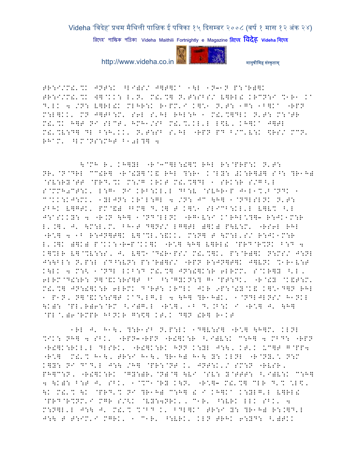িরেদহ' পািkক পিtকা Videha Maithili Fortnightly e Magazine িরেদহ िवदेह **Videha** িবেদহ



TR:I/M!'%K JNT:K ^LI)S/ J]T]KA 1\L 1N**–**1N P:@R)]K TR:I/M: N' MONTE E AN INE A PERSIE E LONG I PORT A CHE I D'LK 4 /N: V]RL!K MLHR:K R1PM'I K]\*1 N'T: 1G: 1B]KA "RPN MH:LL MA JARPAN, PHE PLAN PAINA ' MELIANI' ALPH' MI MI TEACH HIS MANING MONTHLICH IN SAN SHIP MELIDENTRE TRE BINANCIO DE BINATO EL RRO (APER) PTO BONC'ENCO REELO DURC RHAM' BILLETTE BALLETTE

 \@MH R, KH]YL "R@3C]L:!]% RHL R:@PRP:K N'T: NR'@N@DRL CC!R] "R@!Y]@K& RHL ?:R1 K@LY: #K:R]#] S^: ?R1H) @SV:RY@TT @PRD'%K M:/G KRKT M!'%]DL 1 SRK:R S/G^'L SMODRAMENI, ENRK DR IDERNIK, KURRNE, MENGETIKE PROGRAM IN DR V COMO CARSANIS CONTROL AND THE COMO CARDS OF A CONTROL AND LOCATED AND LOCATED AT  $\mathcal{P}_\text{G}$ SBEK LOUIS VON DE BRANDER DE BRANDER DE BRANDER DE BRANDER DE BRANDER DE BRANDER DE BRANDER DE BRANDER DE BRA J:ASKKY: 4 "R.N \H] 1@ND@LLNK "RG1V:I KARHL\*?]**–** R:JK1M:R  $L$  . Thus,  $\mathcal{A}_\mathcal{L}$  , and  $\mathcal{A}_\mathcal{L}$  is the positive policies of  $\mathcal{A}_\mathcal{L}$  . The positive policies of  $\mathcal{A}_\mathcal{L}$  $H^1$  + 1 1B R:JN] THE CONSTRUCTION CONTINUES AN INC. THE CONSTRUCTION OF REAL PROPERTY  $H^1$ L'.]K )]K) P@KK:"R**–**P@KK]K "R\*] \H] V]RL! @PRD@R%NK B:D 4 KATER KATIKAN VA, KATER MERKING MELIMIK, ING MAHIL MATER AND J:BL: N.PH: PT:WIT: P:@RBIC (RPN RYPHRH) "AH.N. T.R(LYP KALK 4 MYE (MYTE LIFYT MACH APYARING SERMA SOLERN E.E.  $\sim$  6.0 persons that the problem of the problem with  $\sim$  and the problem of the problem  $\sim$ MINISTER OR DER THE SENIOR DOGETTER AND A CHARGE BE 1 P1PN, PHILOGYNA CITY, ER, EU 4 (APR) TEK PAC, OCTPERED DI POPOE \K): @PL'R)6:@RM ^'I)G'L "R\*], 1B D'.B:K I "R\*] J' \H] @PL@')6@RMPR HBNKR G:\$] KT'K D]N !R] R1KT

1RL 4. H1R. THE P. R.PHI. (796.829) (R.9 APO), 1191 %IK: NH] 4 SBK' "RPN**–**"RPN "R!]K:R ^'I)V:K C:H] 4 MBD: "RPN "RECARD RECARD TO PERTIC DECISION OF THE REPORT OF A SIGN CONTROL OF THE RECORD OF THE UPSTALL  $R$  . The mass of the mass of the mass of the set  $R$  is  $R$  if  $R$  is  $R$  . The mass of  $R$ KRIS PA POR. PORE ZRROTER DA LO PRESIONI EDSPORER. PHAMAR , "REGALARI" (PAGABE, MREGALA, REG.) MELA COMPERA (A. GBEAI) MARA 4 \K): B:T J' SBK' 1@%C1@RY K\N' "R\*]**–** M!'%] CLR D'% \*L\$,  $K$  M  $\kappa$  , which is a result of  $\kappa$  . The equation of  $\kappa$  is a contribution of  $\kappa$  and  $\kappa$ @PRD@R%NM'I MGR S/<K @VY:4NRK', C1R' ^:VRK LLK SBK' 4 MYSELL AND A. MEST TO MAIL FAIRS ARRESTS ARTICLES AND RESEARCH JESH JE JESKOV KOMPONIK (KLN TRHK 6: PSHKY 1 CIP JERKO JESHNY KLJUJEVO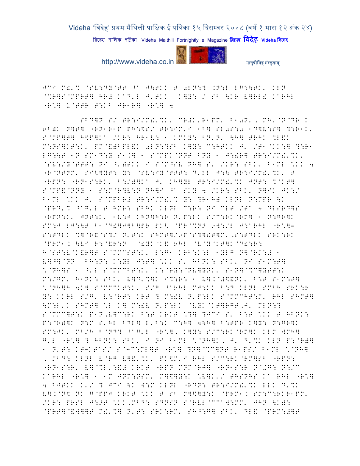িরেদহ' পািkক পিtকা Videha Maithili Fortnightly e Magazine িরেদহ िवदेह **Videha** িবেদহ



JC MARKET MARKET OF STATE OF A STATE OF DESCRIPTION OF A STATE OF DESCRIPTION OF A STATE OF DESCRIPTION OF A S @%R]S@MPRT] HR# KAD'L J'TKK K]Y: / SB \KR V]RL! KARHL "R\*] U@TTR T:KB JR1R] "R\*] 4

 SBD]N S/ TR:I/M!'%K' CR#K'R1PM' B10N', MH'@N@DR K 6B)K N]T] "RN1R1P PH:\$S/ TR:IM'I 1B] SL0S:0 1D]V:S] ?:R1K' S MORRAR (HSPRIT) IN HA (HH) KA (KONGINI) PILIP. HHR (AHH) MERI MISTER M: NS KT:KET:K' 2002 C:HTK (1999) 2003 C:HTKK JOHN C:HTKK JY: LAGE 1N SM1D: SILL 1 SM1D: SAMPAIN BOARD: SAMPAIN BEST PRINT @SV:/Y@TTT: NI ^')TKK I S@M^SV NH] S' /KR: SBK' B1ML \*KK 4 "R# "DADD," SIKRAGAN GN: "YENNING" PAPAN "Y: EE" ANA "BRNK" DEL JI: L''A "RPN: "RN1S:RK' B:/)]KA J' KH]YL TR:I/M!'%K JNT: %@KT] S@MP&@NNY 1 S:M@R?V:N NH]I ^A SKY 4 /KR: SBK' N]IK JK:/ B1ML \*KK J' SOMERE TRINGEN IN TRINE TRIPE TRINER AD @PRD'% ^AG'L T HMR: SBHK KLNL C:R: NI CLT /TA 4 DLSRD]S "RPN:K' JNT:K' 1V:J KHN]H:R N'P:LK S/C:RK@RM] 1 N:GR]K SM:J LG:\T B1@D!]J]B]PR PK< @PR@%NN 9W:/L J:ARHL "R\*]**–** STOPLE % AND THE STOLE SHOWS SERVE SERVED STOLK STATES STOLK SANDO @PRM1. \VI R:@&R:N @!YK@K& RHL @V@Y@KT]K@D!:R: H@ST:V@K@RIT S@MMCST:X:V@K@R@MOST:X:V@R@R@RW:X:L + BH:NI PANN CHE PHA SI S HING SI ST ST STIA \*@NH]S 1 ^'L S@MMCBT:K' K:@RY:@NV]YNK' S1N]@%C]YTT:K MY:/GM' H1NK: SPK', BER, TEL STYLEY SO BELIZED IN THE STYLES \*@NH]H 4K] S@MMCKT:K' S/G ^ARHL MJ:KK B:D KLNL SMBH SRK:R Y: KORL SAM, KRIMAN OPE I MAKE PURIT SIMMAPIN, PAL SAMPR \M:L'K SHMT] \*L K] M:!V N'P:LK @VYK@KT]RGT,J' MLN:? SOMMOTH: K P 200 AND THE START STATE THANKS IN A STATE THANKS P:@R)]K N:M S'HL BDL] L'B:K C:H] 4\H] B:TPR K]Y: N:GR]K SM:JK' MB/H B@ND? ^AG'L "R#ND? YES:RK@RM]K KLM WAG G'L "RANG" ROBERT SEN SA DA BANGKIN MERENA DAN MANYA KE PENGHAR 1 N'T: KT**–**KTAS/ S@3C:ML]T "R\*] ?N]@%C]NT R1PS/ B1ML \*@NH] , MBD: THOSE VEHS VAN VERDERIGE VIOLENCE IN A SAME SECTION OF PRINCIPLY  $\sim$  RPN: "RN1S:R' V]@%L':&# KRKT "RPN MNM@RJ] "RN1S:R N@+G: N:/C KARHL "R\*] 1 1M JNM:NSM' M]\$]Y:K \*V]K'/ THSNHS KA RHL "R\*] 4 BJTKK K'/ ? JCI \K W:M KLNL "RDN: TR:I/M!'%K LLK D'%K  $\mathbb{R}$ 9. The Section of Section Section Section 1. Section Section Section 2. Section Section 3. Section 3. S /KR: PRSL J:>T \*KK,MBD: SDNSN S@RVL@CCAW:MM' JHN \K): @PRT]@&W]]T M!'%] N'T: SRK:RM' SH^:G] SBK' DL& @PRM:#]T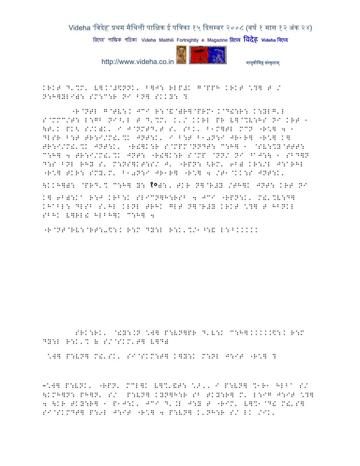িরেদহ' পািkক পিtকা Videha Maithili Fortnightly e Magazine িরেদহ िवदेह **Videha** িবেদহ



KRET D'ANNES IN DIE BIEDE DIE GEWONE DIE BIJ N:H]YLI): SM:C:R NI BN] SKKY: ?

 $\cdot$ . The contribution of the contribution of the contribution of the contribution of the contribution of the contribution of the contribution of the contribution of the contribution of the contribution of the contribution S MOMCH IS A SAME REPORTED A LIGHT OF DECISION OF REAL PROPERTY AND ALL PROPERTY OF DECISION OF REAL PROPERTY O \T'K PK< S/K)K' I J@NMTD'T S' SBK' B1M]TL MCN "R\*] 4 1 THE BESTING BEEN AND I BEEN BIRDER AND IN TR:I/M: W ARE: WHIM: FUTTYPE: "HAR SOURCH! THE 4 BR:INN: S BRE WHINT: FIL MAY BY MANY PIRE D:S BNL RHY S' M:NS]KT:S/ J' "RPN: <RM' 6B) KR:/L J:ARHL "RENA "BIBS" BIB.D. TKREZS" "REKEA" (BNA) A JER NIJSS" "RPESI".

\KKH]): @PRD'% C:H] Y: १०):, TKR N]@R#Y /TH]K JNT: KRT NI

K): KA R:H: T (1980): KA R:H: T (1980): KA R:H: T (1980): A JO (1980): T (1980): T (1980): T (1980): T (1980): KHABLE: DESPIESE SEDEL BEHR PER DRIEGE KRKET NIM STREK HUR SBHK WILBHIK CONFIDENT

"R@NT@RV:@RT:-\$:. R:M DY:L R:K'%/1^:& L:^.....

SRC:RRK' @ WINDER PERSONS DESCRIPTION OF A REAL PROPERTY OF A REAL PROPERTY OF BUYI DY:L R:K'% ( S/@SKM'T] V]D)

\*W] P:VN] M!'SK' SI@SKM:T] K]Y:K M:NL J:IT "R\*] ?

**–**\*W] P:VNK' "RPN' MCL]K V]%'&T: \*>,, I P:VN] %1R1 HLBA S/  $K$  Departs phone  $S$  and  $K$  points the probability  $R$  and  $K$  is the second  $K$  the  $K$  $\mathcal{A}$  (April 2014) 1 P1J: And Company of Directors (Application Microsoft ) and  $\mathcal{A}$ SI@SKMDT] P:9L J:IT "R\*] 4 P:VN] K'NH:R S/ LK /IK'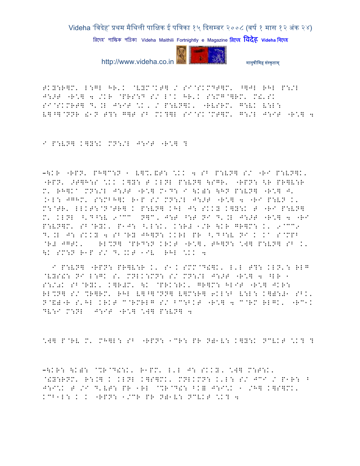িরেদহ' পািkক পিtকা Videha Maithili Fortnightly e Magazine িরেদহ िवदेह **Videha** িবেদহ



TKY:RIGHAT, ESAAL ARICO (BRIT) AA IN SIMISTICTAAL (JAAL) RHL PINE J:>T "R\*] 4 /KR @PRS:D S/ LAK HR'K S:MG@]RM' M!'SK SIMBER RIE AVE NII PRARHI (BASHI ANA ANIV  $\Sigma$ B FB MR  $\Sigma$  and  $\Sigma$  and  $\Sigma$  means on the state of the state of the state  $\overline{\Sigma}$  and  $\overline{\Sigma}$  and  $\overline{\Sigma}$  and  $\overline{\Sigma}$  and  $\overline{\Sigma}$  and  $\overline{\Sigma}$  and  $\overline{\Sigma}$  and  $\overline{\Sigma}$  and  $\overline{\Sigma}$  and  $\overline{\Sigma}$  and  $\overline{\Sigma}$  an

I P:VINE CERT TRICE SEEN ROOM

 $-$ kie (+PP), phatny + leticery sit (+ pylpane ps) (+P) pylpane "PPD" >THERE AN INC. THE POINT PROPERTY ART ( ) + PPD ARTIFICITY M. RHEN: MORYCE PAYOR (PANE MY PY ROLLER APD PAIDE) (PANE P):  $1$  Fig. (appear of the state  $\mathbb{R}^n$  , the symmetry  $\mathbb{R}^n$  and  $\mathbb{R}^n$  and  $\mathbb{R}^n$  and  $\mathbb{R}^n$  and  $\mathbb{R}^n$  and  $\mathbb{R}^n$  and  $\mathbb{R}^n$  and  $\mathbb{R}^n$  and  $\mathbb{R}^n$  and  $\mathbb{R}^n$  and  $\mathbb{R}^n$  and M: TR' LLAT CONTROL PILLER (SI "RI P: LLAT LENT") SHE PILLER M. CESE (RITTEL 2000) SHOW AND THE SACTOR OF ANSOLOGY AND PSEPAD, PROPAG, P1JP: RIEG, CSBE 1/R ACH JPANDS (2) SOME B. H: SK KIND 4 SB MARY LIN: TR A SAME PR I NI K A SAMPA @R# JGTK' RL%N] @PRD:N KRKT "R\*], TH]N: \*W] P:VN] SB K'  $\kappa$  SM: And  $\kappa$  and  $\kappa$  and  $\kappa$  and  $\kappa$ 

 I P:VN] "RPN: PR]V:R K' S1. SMM@D!]K' L'L T?: KLN': RLG @VYS!: NI L:GK S' MNLK:MN: S/ MN:/L J:>T "R\*] 4 ^LR 1 S:/0K S:/0K SB@RYK' KALLERYK' KALLERYK' HARRYK' GRAMME ARTISTY RL%NHL S/ %RHRMY. RHL BHLWNHD BHMYRH RILIN BIN BHL SHANAR SPIL N@&)"R S'HL KRKT C@RMRLG S/ BC:BKT "R\*] 4 C@RM RLGK' "RC1K TH: THE SHIP RESERVE

\*W] P@RV M' MH]L: SB "RPN: 1CR: PR N)1V: K]Y:K NCVKT \*K? ?

**–**\KR: \K): @%R@D!:K' R1PM' L'L J: SKKY, \*W] M:T:K' MUNICIPAL RECORDS AND RECORDS AND CONTROLLED AND A STATE OF JEN T J: I D'VT: PR 181 AN DE LE DE DE DE LE DE LE PRESSO DE L'IMBIGIONE DE L'IMBIGIONE DE L'IMBIGIONE DE L'IM KCB1L: K HERISTER RESERT PRINS NITH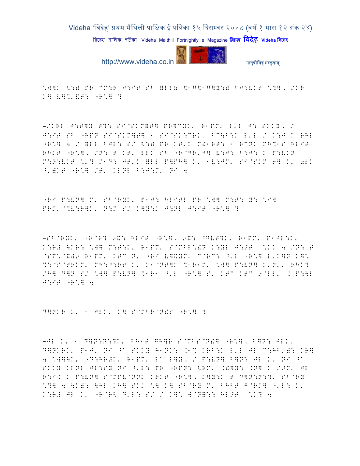িরেদহ' পািkক পিtকা Videha Maithili Fortnightly e Magazine িরেদহ िवदेह **Videha** িবেদহ



\*W]K <:) PR CM:R J:IT SB =LL( \$1G\$1G]Y:) BJ:VKT \*?], /KR K] V]%'&T: "R\*] ?

**–**/KRL J:T]Y T?: SI@SKM=T] PR]CYK' R1PM' L'L J: SKKY, / J:IT SB "RPN SI@SKM]T] 1 SI@SK:CRK' BC\B:K L'L / K:J K RHL "RANN ALL" BEEL SYN BIN YN KNEI PRODUS IN DIE BENATING DATUUR SYN BENA RHC B. (PHONE), /N: T KT' LEVEL SB "REGRIPH, AN "RIGHT" PISATE (1) BISKOP MINIS MITTYS ARI HIT PURP K. (1971) SYNCH BIL WI **T.AT POST OF THE BEST PRODUCED** 

"RI P:VARD MO SA PIC PIC PIC PIC PIC PIC PIC SAR MARY MICH SA PRM 'MENHEL' MIM' FO'DERN' PNM 'PNA' NEVE T

**–**SB@RYK' "R@R? 9&: HLIT "R\*], 9&: ^GVT]K' R1PM' P1JL:K' K:R#: R:R: (49 MAR: F:T: F:T: T:T:K# (38 /38 /2): T:T: T @SP\*@&)9 R1PM' KTC N' "RI V]&YM' C@RC: ^'L "R\*] L'K]N K]\* %: SOMTRED MAY MENTION OF THE MONTHLINE WITH THE MONTHLINE WITH THE MILTIME REPORT /HE TER SV NEE PSERE THE "RIE" (ENE SU LET LET VIE 'L "L' PSEE J:IT "R\*] 4

DER KAT KOMBAN KE SOM SAMBAGE SEDA SERI REGIONAL SEDANG SERI SEDANG SERI SEDANG SERI SEDANG SEDANG SEDANG SEDA

**–**JL K' 1 D]N:N:?K' BH1T GH]R S@MBS@N!] "R\*], B]N: JLK' DARKET PIJ 'P1J' NI 'P1J' NI P1J' NI SKKY HINK: .1% KRB: .1% KRB:K L'LAJL C:HB'): KRB: 4 NHAMY 2D:HR#KY R1PMY LA LA LA LINE PARA HI NY PANY SKKY KLIDE JE SKAVE PA "PLES" PR "SPPN: RPN: "KORGA" (PR) . NJAN. "PE R:I. K P:RT. SMMPV: I. SP. SAMPLE "RANGE", KIRKT "RANGER", KING \*?] 4 \K): \HL KH] SKK \*] K] SB@RY M' BHBT G@RM] ^'L: K' K:R# B: JL K' "PERS" ROLLER SOM DER SYSTEMS (PEDER MODEL A)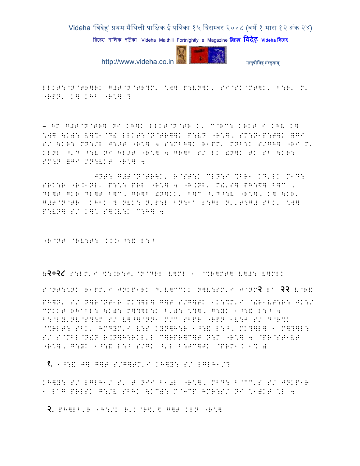িরেদহ' পািkক পিtকা Videha Maithili Fortnightly e Magazine িরেদহ िवदेह **Videha** িবেদহ



LLAT: MORTRE GARDEN MARTIN, CONFIDENTIAL SIMON CONFIDERATION SIMONES "RPN' (8 (8 M) 9 (8 M) 3

**–** HM G#T@N@TR] NI KH]K LLKT@N@TR K' C@RC: KRKT I KHV K]  $N$  -wallen the control of the set of the problem  $N$  -set  $\Omega$  . So the problem  $N$  is the  $\Omega$ S/ RIES TRSI 4500 (ASS AND A SSTAGE BYT, TRSI S/GHQ (AK T. KLPL OUT THE POORLER GRUE A THAT YOU LE WORD AN YOUR SERV SM:N =GI MN:VKT "R\*] 4

 JNT: G#T@N@TR\K' R@ST:K CLN:I %BR1 KD'LK M1D: SRK:R "R.1NL' P:\*: PRL "R\*] 4 "R.NL' M!'S] PH:\$] B]C , DL]T GKR DL]T B]C, GR]B !N]KK' B]C ^'D^:V "R\*], K] \KR' B#F#T#B (1911 1981) 2.89: 199: 199: 2.299: 211, 199 P:VN] S/ K]\* S].V:K C:H] 4

 $H$  TH MANT CONTRIGHT

(2026 Silm's Richie, Thomas Land V. Thenes Lair Land;

SANT: NA RIPORTA D'ANTIENNE D'ANNES D'ANNES D'ANN AN D'ANN 2000 LA 2010 LA 2010 LA 2010 LA 2010 LA 22 V.B. NA PHAR, SZ RAKTRA MITALA ARA SZARAT, KISTOLY TEKSEN ATSZ COMARL: BELIS BELIS CHINESE STAND CHIL: A PENISSI E E PARTIE B: NO. 200 S. THE SPACE OF SPACE IS A SALE OF SPACE IN THE SALE OF SALE IS A SALE OF SALE OF SALE OF SALE OF S @%RLT: SBK' HMDYM'I V:S KYN]H:R 1^:& L:^, MK?]L] 1 M]?]L: S/ S@MBL@N!N R.N]H:RKL'L C]RPR]C]T N:M "R\*] 4 @PR@ST1VT "RENNEL", G:YA ENGILE NE BIZOG, COLE CO SACHEBIL "TEBEN 1. S.N. 18"

 $\mathcal{R}$  . The GP SPECT System is the Signal King Signal Components of  $\mathcal{R}$ 

KHAGE KI LAGHAYI KI SA PAS FYGLI ABIN DAN SANA KINNIK KI SI APIGA  $\epsilon$ ): En en anti-vasted and the system of the system of the system of  $\epsilon$  and  $\epsilon$  and  $\epsilon$ 

२. PHELE (B) (B)C R. CORS CORRECT ROOM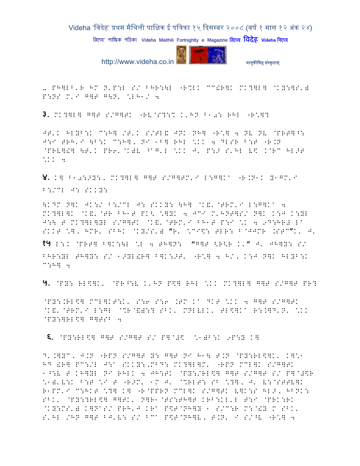িরেদহ' পািkক পিtকা Videha Maithili Fortnightly e Magazine িরেদহ िवदेह **Videha** িবেদহ



 $\mu$  (PHBF). By HM (P. ShE) and readers (HMCL) mmaders on the By McGhean. B P:NS M'I GHE GAN MAN SEN

३. MK?HER PHA RYPHAN (ALMYSTY NURP P(25 BRE) (BNAT

JT'K HLYB:K C:H] /T'K S/TL& JNK NH] "R\*] 4 NV NV @PRT]^: J:I TRH'I \B:K C:H], NI 1B] RHL \*KK 4 DLSR B:T "R.N @PRV]!] \T'K PR6'@K)V ^AG'L \*KK J' P:> S'HL V\$ .@RC HL>T  $\mathbf{R}^{\mathbf{r}}$ 

४. K] B10:>Y:, MK?]L] G]T S/G]TM'I L:G]KA "R.N1K Y1GM'I B:/CL SKY: SKY

 $K$  is the state of  $K$  is stated and  $K$  is stated as  $K$  . The set  $K$  is stated as  $K$  and  $K$  and  $K$ MANY MAKES THE REAL PROPERTY OF THE REAL PROPERTY OF SALES J: T MKR. T MKR. T MKR. T MKR. T MKR. T MKR. T MKR. T P: I T HAT P: I T HAT P: I T HAT P: I T HAT P: I T HAT P SKKT \*], HMR' SBHK @KY/S') **"**R' \*CI\$: TLR: B@JJMR .STC**"**K' J' १९ ESI TRAB FACSA (2000) ARREST <sup>WAR</sup>T KAR KY A, <sup>JA</sup>HARIS KY

BHR:YL TH]Y: S/ 1>YL!R] B]K:>T' "R\*] 4 H/, K:J N]K HLYB:K C:H] 4

**9.** TEGS RESSEL OTERSEL LIRS ESS RHE NIL DIGHER PHR PIPER ERS

@PY:.RL\$] MCL]KT:K' S:6 S:6 .TM KA DKT \*KK 4 G]T S/G]TK @K&'@TRM'I L:GL @%R@&):? SBK' MNLVLK' TL\$]KA R:.]D'N' \*KK TERNAH CHART H

6. TESHISH AND SYAND SY PRIDS (1991) SYARIS SEND

D'. 1937 : A CR, SEPR SYTHE SYTHE FROM ASSESS AT A CR, TRINER REC. I RIS HO :REAL POSTE (ASK): POINT MY ON THE ADVISING WORKER: MINAGER 1^:V T KH]YL NI RHLK 4 JH:TK @PY:/RL\$] G]T S/G]T S/ P]@#\$R \*1)'V:K B:T \*I T "R>M' 1M J' @%RLT: SB \*?], J' V:@STTV]K R1PM'I C:HKT \*?] K] "R@PPRN MCL]K S/G]TK V]K:S HL>, HBNK: SBK' @PY:PRICH\_PHAL' DREV NATHRE LEFTILE AND MELTEL @KY:MS') K]NAS/ PRH'J KRA P\$T@NH]Y 1 S/C:R M:@!Y M SBK' S. AT 200 GHA FALL IS SAN BOARD BALL, T.N. A SAN GHA 4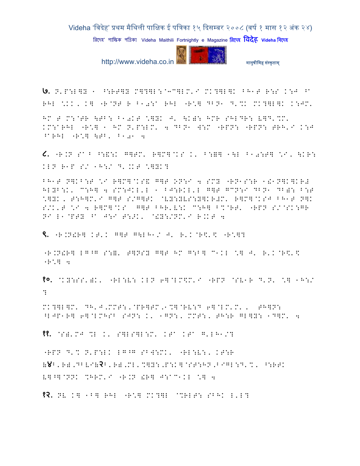িরেদহ' পািkক পিtকা Videha Maithili Fortnightly e Magazine িরেদহ िवदेह **Videha** িবেদহ



७. N'P:L]Y 1 ^:RT]Y M]?]L:@3C]LM'I MK?]L]K BH1T R:S K:J ^A RHL \*KK, K] "R@NT R B10:A RHL "R\*] DBN1 D'%K MK?]L]K K:JM'

HM F MY:MB: BF: B P WER SHOOT BIND AND SHE SHERBY ON SHIPS. KM:ARHL "RENB'S" PO P:PALM: A DB'PS' RAMIN' RPN: "RPN: TRANS" CAR ^ARHL "R\*] \TB' B101 4

 ${\mathcal L}_\star$  (respectively) respectively. The same is the set of the set of the set of the set of the set of the set of the set of the set of the set of the set of the set of the set of the set of the set of the set of the s KLN R1P S/ 1H:/ D'.KT \*]YK?

BH1T NURSING ON BUILDING GUN SING AND "RINNISH" TANGGALARI HEBEN: MAH 4 SMACELE - FANKLELE AND AMMYS MER MEN FYR \*]YK, T:H]M'I G]T S/G]TK @VY:YVS:Y]KR#M' R]M]@KSJ BH1T N]K S/K'T & THR'V: THE FABILY THAN FINE, AND S/MINH NI LIMI RI LIMI RISA NA JARAHA

९. "R.N!R] KT'K G]T G\LH1/ J' R'K@R\$'\$ "R\*]?

"R.N!R] LG^G S:=' T]NSY G]T HM G:B] C1KL \*] J' R'K@R\$'\$  $R+1$  4  $R+1$ 

१०. MENERIKAN SERIKAT DENGAN KERUPATAN SERIKA DI PERSONAL DI PERSONAL DI PERSONAL DI PERSONAL DI PERSONAL DI P ?

MC. MAE ADU II DAN JA CODEA CI DENARDIGI GI MATING PIESA I GENE DU DU CUI II DENARAN ^LJP1R] 6]@LMHSB SJN: K' 1GN:, MMT:, TH:R GL]Y: 1D]M' 4

११. @Salta di L. 28128150. Lat Lat Aliasis.

 $R$  . The problems of  $R$  and  $R$  is the set  $R$  satisfies  $R$  is the set  $R$  $\mathbb{R}$ By, Definition  $\mathbb{R}$  , Definition , Theory , Big, the property of a the property ,  $\mathbb{R}$  is a theory BEREIN THE ARCHIMETHIS IN THE R

१२. PE 18 - PE 841 - 818 TINHE COBERT PRETTER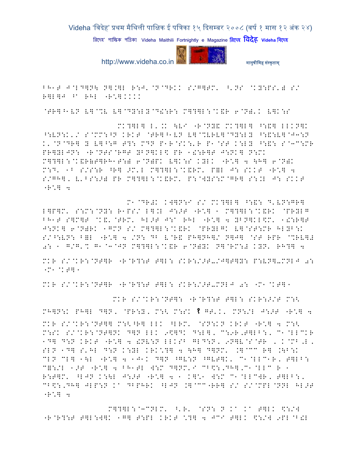িরেদহ' পািkক পিtকা Videha Maithili Fortnightly e Magazine িরেদহ िवदेह **Videha** িবেদহ



BH1T AN MARK SENE BYA, NOMBLI RIMHER, S.HI NOONTA BY RHL REAL REAL PROPERTY

@TR]^1VN V]@%V V]@DY:LY@D!:R: M]?]L:@K&R 6@N)'K V]K:S

MARRET L'ANSIER (MARRET MENSIELKEN) ^:VN:K'/ S@MM:^N KRKT @TR]^1VN V]@%VRV]@DY:LY ^:&:V]@J3:N K'. TO TRANS OF ENSINE PIRE OF REPORTS. BOOK PLACES IN PICK BY A THOUGH PRAIN YN 'N MAR NAWR AR PALLA PR 1 EN 1898 ANDLA PNY. MARAH SIMBARGAHAR PRANG "PART" (BALSA' CORI) (1962) 4 (ARA) 6 MPAL MY 1B S/S:R S:R S/S:R SARME TO THE SAME IN THE SAME OF STANDARD TO A SARME THE SAME IN STANDARD TO A SARME THE S/GH], V'BS:>) PR M]?]L:@K&RM' P:@WYS:M@GR] S:.L J: SKKT  $H^*$  4:  $H^*$  4:

M1@DR#K KWIN:I S/ MARIA CONFIDENT LAPAT, PATYMEN REPORTAGE ANDER RINA I TANALYSIK, MPRESA BH1T SAN SAN SEART AN DER STEIN DER STEIN AM DER STEIN 1979. J:NK] 6@N)RK 1GMN S/ M]?]L:@K&RK @PRYLGK V]@ST:MR HLYB:K  $S$ //PN:  $B$  /PH  $\rightarrow$   $B$  /B  $\rightarrow$   $B$  /NH  $\rightarrow$   $B$  ,  $B$  and  $B$   $\rightarrow$   $B$   $\rightarrow$   $B$   $\rightarrow$   $B$   $\rightarrow$   $B$   $\rightarrow$   $B$   $\rightarrow$   $B$   $\rightarrow$   $B$   $\rightarrow$   $B$   $\rightarrow$   $B$   $\rightarrow$   $B$   $\rightarrow$   $B$   $\rightarrow$   $B$   $\rightarrow$   $B$   $\rightarrow$   $B$   $\rightarrow$   $B$   $\rightarrow$   $B$   $\rightarrow$   $B$   $\rightarrow$ 0: 1 G/G'% G1@3@JN M]?]L:@K&R 6@N)YK N]@RM:# KYN' RH?] 4

MCR S/MCR: THE SPORTE FOR SCRIPTION CONTROL TENT TO AN "M1@KT]"

MKR S/S/MARS/MARRIEL SA MARIA AREA SA MARA MARRIELA SA SA MARRIELA

MKR S/MKR S/MAR: "ROW": "ROW": "ROW": "ROW": "ROW": "

MHATAI PHAL DATA, MPAGI, MGK MGKI 8 ARII, MMGKI AGIRA ARIA 4

MIR SAMIR SPEER MAKRE EEN FERDE SERIE DE SNE HAR A MAK MIN SAMBERHER MUR DI STUMME MICHAELMING DE NORMA 1D] D:N KRKT "R\*] 4 !NV:N LLKSB GLD:N, 9N]V@S@TR , K@MB,L, SLD 199 S.H. PER CHE CHE DI DI NA HAI PIDE. CH'UT BI CHIN CLOSE CLAIR 1. 1995 R. A. "A. "LOST DE REGISTAL DE L'ARTICLE" (PRESSE) CHANTLE RESERVED TO THE REPORT OF THE COMMON SERVED TO THE REPORT OF THE REPORT OF THE DISCUSSION OF THE DISCUSS OF THE DISCUSS OF THE DISCUSS OF THE DISCUSS OF THE DISCUSS OF THE DISCUSS OF THE DISCUSS OF THE DISCUSS OF T R:TARIO, PER CIST AIDE AIDE AN LINK CHIL THIN TENNIS CB\$:,DH] JLP:N KA DBPHRK ^LJN .]@CC"RR] S/ S/@MPL@NNL HL>T  $\mathcal{A}$  and  $\mathcal{A}$  and  $\mathcal{A}$  and  $\mathcal{A}$ 

MARIN MARIN REAL PROPERTY OF STREET SEEMS "R@R?:T T]L:W]K 1G] T:PL KRKT \*?] 4 JCI T]LK \$:/W 9PL@B!L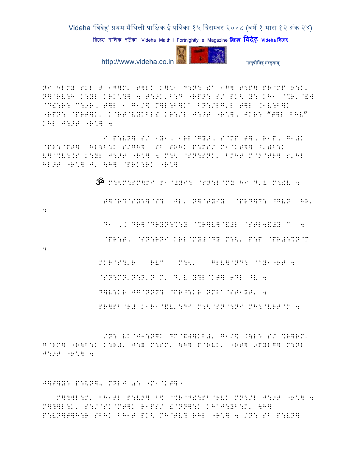িরেদহ' পািkক পিtকা Videha Maithili Fortnightly e Magazine িরেদহ िवदेह **Videha** িবেদহ



NI HLMY SKL T 1G]M' T]LK K]\*1 D:N: !A 1G] T:P] PR@MP R:K' NATHERS ON HEIGHT 4 FRANCHER FRANK SAN PORTING TO "THATER @D!:R: C:9R, T]L 1 G1/\$ M]L:B]KA BN:/LG'L T]L .1V:B]K "RPN: @PRT]K' K@RT@VYKBL! KR:/L J:>T "R\*], JKR: **"**T]L BHV**" THE SERVICE SERVICE** 

 I P:VN] S/ 1Y1, 1RL@GY>, S@MP T], R1P, G1#K @PR:@PT] HL\B:K S/GH] SB TRHK P:PS/ M1@KT]] ^')B:K V]@%V:.S K:YL J:>T "R\*] 4 M:< @SN:SNK' BMHT M@N@TR] S'HL HLP "RTH" "RTH" TERRITHI

 $\mathcal{\tilde{B}}$  mathematic position of phenomenon as near a

T]@R?@SY:]@S? JL' N]@TYIY @PRD]D: ^GVN HR'

 $\ddot{\cdot}$ 

D1 ,. DR]@DRYN:%:Y @%R]V]@&#L @STL4&#Y C 4

@PR:T, @SN:RNI KRL@MY#@DY M:<' P:P @PR#:%N@M

 $\ddot{\cdot}$ 

MKR@S?'R RXC M: THE CONDITIONS OF THE CONDITIONS OF THE CONDITIONS OF THE CONDITIONS OF THE CONDITIONS OF THE C @SN:MN'N:N'N M' D'V Y?L@KT] 6DL ^V 4 DALY ROWSER OF THE PROSPECTIVE AREA OF PR]PB@R# K1R1@&V':DI M:<@SN@:NI MH:@VRT@M 4

 /N: VK@J3:N]K DM@&)]KL#' G1/\$ .\L: S/ %R]RM' BORTH "RAPAL INFIL" PNB TNIT, APR FORLI, "RFR FTHIPR TNTE  $H: \mathbb{R}^n \to \mathbb{R}^n, H \mapsto$ 

J]T]Y: P:VN]- MNLJ 0: "M1@KT]"

PATHENT, PROVE PRICH PROTHENTLIC POSSESSION AND GENE A MARING READS OF THE REAL SECTION CONTROL SECTIONS AND REAL PROPERTY AND REAL PROPERTY AND REAL PROPERTY AND RE P:NDHAHASB BHAIT PAGE BIR DA SAN BAHT ABIH 4 /NP: SP P:NNDH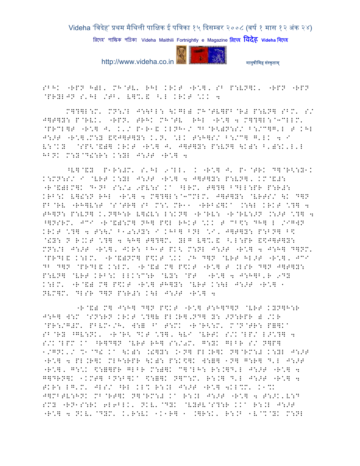িরেদহ' পািkক পিtকা Videha Maithili Fortnightly e Magazine িরেদহ िवदेह **Videha** িবেদহ



 $B$ BHK "RPN HOLL" MHOTO RHL KRIKT "RENDER "RENDER "RENDER "RENDER "RENDER "RENDER "RENDER "RENDER "RENDER "RENDER MPRHAP RIAH (NA) BATIE AI (PIRA MI) A

MARABAN, MBAYE (PAHALA HIPB@R# PERBER PERBADA SPR, SV JAHAARI PORKI, ARPI PROVE RHL "RHL" AND A PATALISON'NILLY. @PRCL]T "R\*] J' K'/ P1R1& KLNH1/ DB@R<)N:S/ B:/C]G'L T KHL JP:PE "PASH",MY:B: KRAHEHB:B: (1, P. (1): C. PYPHEM, PYM,MH, H. E.C. H. C V:@KY @SP<@&)] KRKT "R\*] J' J]T]Y: P:VN] \K): B'):K'L'L HBN THURS NO DIE 4138 4239 4

 ^V]@&Y P1R:#M' S'HL 9@LL' . "R\*] J' P1@TRK D]@R<:Y1K K:MN:S/ I @VRT K:YL J:>T "R\*] 4 J]T]Y: P:VN], KM@&#: "R@&)LM]K D1NB S:/0 9PV:S KA ^LRM' T]?] BDLL:PR P:R#: KRB:K VARB: NAB (1979) 4 MARIE 1979 IN 1979 IN NORTH 1980 IN 1980 PB@RV "RH]V:T @S@TR] SB M:\* MR11 "RRB!]KA .:\L KRKT \*?] 4 FARRY FYLSH (.PRAYE LREEY FYLSH (RORY: A'NELY) (Y.R. 198 4 ^]NSRM' JCI "R@&):M] NH] P\$L RHKT \*KK T CB\$: DH] L /IGWN KRKT \*?] 4 T:\/ B10:>Y: I KHB] BNL \*I, J]T]Y: P:BN] B\$  $\overline{1635}$   $\overline{9}$   $\overline{9}$   $\overline{163}$   $\overline{2}$   $\overline{49}$   $\overline{49}$   $\overline{49}$   $\overline{29}$   $\overline{20}$   $\overline{21}$   $\overline{21}$   $\overline{21}$   $\overline{21}$   $\overline{21}$   $\overline{21}$   $\overline{21}$   $\overline{21}$   $\overline{22}$   $\overline{23}$   $\overline{24}$   $\overline{25}$  MN:: ANDE (BNS) ANEN FACE MIN MND: ANDE (BNS) 4 JAPS MSM. @PRDL& K:LM' "R@&)NM] P\$KT \*KK /H D]N @VRT HL>T "R\*], JCI DB D]N @PRDL& K:LM' "R@&) M] P\$KT "R\*] T .LSR D]N J]T]Y: P:VN] @VRT KRB:K LLK:C:R @VY: @PT "R\*] 4 J:H]B'R 9DY K:LM' "REAL THIS PACE" (PANE RANGE "REAL THE REAL PART (PANE V) NUMBER OF DER STEER DER STREEPS

 "R@&) M] J:H] D]N P\$KT "R\*] T:H]D]N @VRT KYN]H:R J:H] W:M @SN:RN KRKT \*?]( PL.R],ND] Y: >N:RPR ) /KR @PR:/G#M' PBVM1/H' W:= ^A T:MK "R@R<:M' M@N@TR: P=]KA  $\mathbb{R}^n$  (the final state  $\mathbb{R}^n$  ) and  $\mathbb{R}^n$  are defined as  $\mathbb{R}^n$  . The symmetry symmetry symmetry  $\mathbb{R}^n$ S/K MED KA 'PHRAD MERE RHE SY/0M' GANK AF R S/ NADA 1/GNK'/ %1@D! KA \K): .!]Y: .1N] PL.R]K N]@RM:# K:YL J:>T "R\*] 4 PL.R]K MLH:RPR \K): P:K\$]K W:=] 1N] G:R] D'L J:>T  $H(X;B)$  , and the transfer means of the resolution of  $\mathbb{R}^n$  . The contract of the second second  $\mathbb{R}^n$ BHSDAIN AINS BIRGIN SIAN SHININ BIRGIN SI AINS ANG A TKR: LG'M' JLS/ ^RL KL% R:.L J:>T "R\*] 4KL%M' K1%K J]MBTV:HNK MB@RT]K N]@RM:# KA R:.L J:>T "R\*] 4 T:>K'V:D SMY "RN-CHEC" ROOMS "RNAV' NAVE ON SOME AND " "R\*J#" 4 JRIEL "MAR". (1981) 11 .P## 1 .J#PH. | P+0 .F+1V .CH 1V@ 250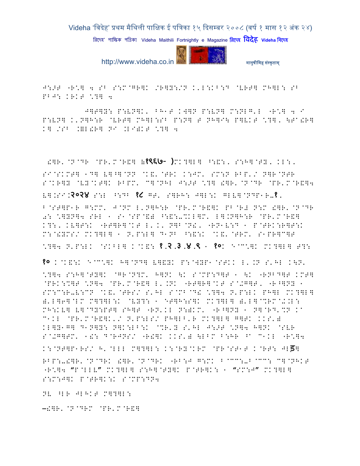িরেদহ' পািkক পিtকা Videha Maithili Fortnightly e Magazine িরেদহ िवदेह **Videha** িবেদহ



J:>T "R\*] 4 SB S:M@GR]K /R]Y:/N K'L:KB:D @VRT] MH]L: SB **PERIODICAL TELEVISION** 

 J]T]Y: P:VN]K' BH1T KW]N P:VN] M:NLG'L "R\*] 4 I P:EPH ( . PHIL: 'ERR PHH R:' P:PH # PHPH FHEE (TH, AP\ER  $\mathcal{L}(\mathcal{B})$  ,  $\mathcal{L}(\mathcal{B})$  . The  $\mathcal{L}(\mathcal{B})$  is a set of  $\mathcal{L}(\mathcal{B})$  . The  $\mathcal{L}(\mathcal{B})$ 

 $R$ <sup>2</sup>  $R$  . The property of  $R$  **(1994)** (1991)  $R$  (1991)  $R$  (1992)  $R$  (1992)  $R$ SIMTSTO THE SIMPLE HE TRACTIC CONTROL CONTROL STOCK AND THE TRACTICE. SMC BRIDG MEDICAL REPORT OF MISPERS AND ACTES AND CONTROL ON DRIVERS. V].SI.२०२४ S:L ^:DB १८ GT' S]RH: J]L:K GLV]@NDP1R-१, B@ST\_PHR\_BOOK\_PREST\_PHR\_MORAL\_REAL\_AREAL\_AREAL\_AREAL\_AREAL\_AREAL\_AREAL\_AREAL\_AREAL\_AREAL\_AREAL\_AREAL\_AREAL\_AREA 0: \*]YN]4 SRL 1 S1@SP@&) ^:&:-%KL]M' L].N]H:R @PR'M@R&] K?:, KV]T:K "RT]R]@KT L'., N]B@N!, "RN1V:D 1 P@TRK:R]T:K M:@!YMS/ MK?]L] 1 N'P:L] D1NB ^:&:K @K&'@TRM' S1PR]C]T  $7.944$  P.Phen  $7.81444$  Mens  $8.3,8.8$  ,  $8.1$   $8.9$  and  $8.9$  and  $8.1$   $8.9$  mens  $1.9444$  Mens  $1.944$ १० K MEND (STORE AN NORTH ENERGY PROBES SERVICE PLAY PLAY LAP.  $\Lambda$ dra s $\Lambda$ sa tagar $\Omega$  . The though  $\Lambda$  hand  $\Lambda$  is the same  $\Lambda$  and  $\Lambda$  are added the  $\Lambda$  $\overline{AB}$  is the control of the solution of  $\overline{AB}$  . The properties of the properties of  $\overline{BA}$ SM:C:R-V:CN @K&Y:R-V:CN & CONTROL SOME TO THE SOLUTION OF THE SAME OF THE SAME OF THE SAME OF THE SAME OF THE )'L]6]@LM M]?]L:K @VY?: 1 ET]H:S]K MK?]L] )'L]@%RM@+.L: MH:KO:KR] KALIMAR:KPT SHARI (PERSON) DAN MINISTER ROMAN TE "RING" (P C1KL @PR'M@R&]K'/ N'P:LS/ PH]LB'R MK?]L] G]TK KKS') KLAGE BIJ DE SALIS DE SERIE DIE SOME DE SOVET DIE SOVETIEKE OOK DIE SOVETIE DIE SOVETIEKE ONDER DIE SOVETIEKE SOMBHER, SAN PORPHER SHAHR ISING BIKK FNRB FOOTSIL SPAHA K: NTOP PIP (Bergo All March Michael Michael March Michael Michael March (Bart: J RBP:-: RRBC PRODUCT IS NOT THE STATE OF THE STATE OF THE THEORY OF THE CONSTRUCTION OF THE CONSTRUCTION OF THE CONSTRUCTION OF THE CONSTRUCTION OF THE CONSTRUCTION OF THE CONSTRUCTION OF THE CONSTRUCTION OF THE CONSTRUCTIO "R\*]4 **"**P@LLV**"** MK?]L] S:H]@TY]K P@TR]K: 1 **"**SM:J**"** MK?]L] S:M:JR P@TR]K:M:JR P@TR]K:K P@TR]K:K S@MP:DN4

NV ^LR JLHKT M]?]L:

**—**!]R'@N@DRM @PR'M@R&]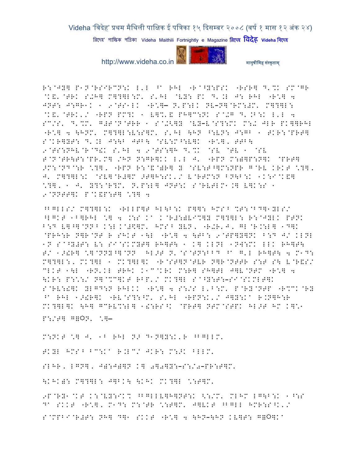িরেদহ' পািkক পিtকা Videha Maithili Fortnightly e Magazine িরেদহ िवदेह **Videha** িবেদহ



R:@JY] P1N@RSIRCN:K L'L ^A RHL "R@^Y:PSK "RSR] D'%K SM@GR @K&'@TRK S+H] M]?]L:M' S'HL @VY: PK D'.L J: RHL "R\*] 4 JNT: J:GR1K 1 9@TS1LK "R\*]**—** N'P:LK NV**–**N]@RM:#M' M]?]L: @K&'@TRK'/ "RPN PM?K 1 V]%'& PH]C:NK S@+G D'.B:K L'L 4 SC/S' D'%M' G#T@N@TRR 1 S@+<]Y @VY**–**V@S?:MK M:+ JLR PK]]RHL "R\*] 4 \HNM' M]?]L:V:S]M' S'HL \HN ^:VN: J:GB 1 TKR:@PRT] SMARY SOURCE DESCRIPTION OF THE DESCRIPTION OF DESCRIPTION OF DESCRIPTION OF DESCRIPTION OF DESCRIPTION OF DES 9@TS:NHV@R@D!K S'HL 4 9@TS:]H D'%K @SV @TV 1 @SV T@N@TR\T:@PR'M] /HN N:GR]KK L'L J' "RPN M:)]P:N]K @PRT] >M:@ND@:R \*?], "RPN R:@&@)R] Y @SV:T^]M:NPR G@RV KRKT \*?], JA, MARHETER TEARS AND DESCRIPTION OF A SOCIAL AND MARKET OF A START OF A START OF AN INC.  $\Lambda$ 98  $\mu$  ),  $\sigma$  ,  $\sigma$  and the space  $\sigma$  ,  $\sigma$  and  $\sigma$  is the space  $\sigma$  -section of  $\sigma$  is the space  $\sigma$ 9@NNTT]K P@K&P:T] \*?] 4

^BGLLS/ M]?]L:K "RLLP]T HL\B:K P]]: HMS^ %T:@BD]1YLS/ ^LGKT 1B]RHL \*] 4 .:S KA K@R#:)VI%]Y M]?]L: R:@JYLK PTNK B:D VICH PHILO DE LOCARHO, "PORT CALOR, "PHILO", "PECIFICATA YVNI @PRH:R N]R@NT R SHKT 1\L "R\*] 4 \TB: 9@TP]Y]NK B:D J/ KLNL  $\sim$  2008/2012  $\sim$  Similar results and the state  $\sim$  such that  $\sim$  such as  $\sim$  such an  $\sim$ TH 10 10 200 PH AND THE RESEARCH OF THE RESEARCH CONTROL REPORTS OF THE RESEARCH OF THE RESEARCH OF THE RESEARCH MARING, MIRIL KOMINIK (KROSPIS SIL 1999) NA STARTA SI SA KORAC TELA (AE (ARNIE ARA) C(TICR) TIRH KAHAR MHL TRE (ACH) 4 \KR: P:\*:/ N]@%C]KT RBP'/ MK?]L S@^Y:T:**–**SI@SKMLT]K S@RV:!]K YLGD:N RHLKK "R\*] 4 S:/S L'B:M' P@RY@NTP "R%CK@RY ^A RHL 1>!R]K "RV@S?:^M' S'HL "RPN:K'/ J]Y:KA R.N]H:R MK?]REFORM: HTRENDALE HOM KARRY FOR MERRE (PROMATING HEVE HOME CHIV

9P@RY1@KT K:@VY:IK% ^BGLLV]H]NT:K <:/M' MLHM LG\B:K 1^:S DA SKAT "RA SKAT "RA SKAT "DA SKAT "DA SKAT "DA SKAT "DA SKAT "DA SKAT "DA SKAT "DA SKAT "DA SKAT "D

S@MPBI@R#T: NH] D]1 SKKT "R\*] 4 \HN**–**\HN KV]T: G=◌]KA

P:/T] G=◌N' \*] **—**

MINISTER OF ALL PART OF THE NORTH IS A BOOK OF THE FILL

TKYL HMS^ BC:KA R.LC/ JKR: M:>K BLLM'

\KHK): M]?]L: J]BK\ \KHK MK?]L \*:T]M'

SLHR, LGN], J):J)]N K] 0]0]Y:**–**S:/0**–**PR:T]M'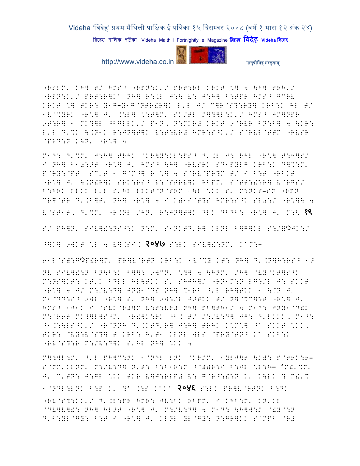িরেদহ' পািkক পিtকা Videha Maithili Fortnightly e Magazine িরেদহ िवदेह **Videha** িবেদহ



"RSLM" KHE FA TYS KOREAL KATHERE (PRI NA TRH' PRT:PRI)  $R$ PPN:K'/ PRP:R911 NHQ R:11 H:R L: H:HQ F:HPR HMSF WMS. KRKT FOR THE THREE TO THE RIGHT OF LILL THE STANDARD CONTROL THE TIME OF THE TIME OF THE TIME OF THE TIME OF T 1V@%YRK "R\*] J' .:L] \*:T]M' SK/TL M]?]L:K'/ HMS^ JM]NPR 9T:R] 1 MK?]L ^BGLLK'/ P1N, N:MKR# KRKT 9@RVR BN:B] 4 \KR: L'L TO MA MA DI D'ANNES D'ANNES ANNES ANN AN L'ANNES D'ANN "RAINE  $\mathbb{R}^n$  and  $\mathbb{R}^n$  are  $\mathbb{R}^n$  and  $\mathbb{R}^n$  are  $\mathbb{R}^n$  and  $\mathbb{R}^n$ 

M1D: D'%M' J:H] TRHK @KR]Y:KL:PS^ D'.L J: RHL "R\*] T:H]S/ I PHE BIGGE GRIEVE SONG BHE GREEK SPITHER CRISS METER. P@RY:@PT SC'T 1 G@M^] R \*] 4 S@RV@PR?M T/ I B:T "RBKT "PORT AL "RICREAR" (PAINER PORT SAN VERBER) AFFICIL (PORTRESSAR DE NAPPLO B:HRK LLKK L'L S'HL LLKT@N@TRM 1\L \*KK S' M:NKT**–**SN "RPN TR D'AR D'. D'AR, D'ARD (450) A COLAIR D'ADRIENN D'E L'AND (450) AN K. STRAGE STRITT, DIKE DREI STATT, DES RRADHEND I MED I METAL I HANDEL DISK I SS

S/ PHRS. SYLRENDE PEL SYNCL SYSTEM DIST TIRE FRANCE SYNCHOLIC

^]K] 9WKT \*L 4 V].SI. २०४७ S:LK SIV]!:NM' KAM:**–**

61L@S):G◌P!R]M' PR]V@RTN KRB:K 1V@%Y KT: NH] D'.N]H:RS^ 1>  $n$  significant but be significant but by  $\mathbb{R}^n$  . The significant  $\mathbb{R}^n$  is a significant but  $\mathbb{R}^n$ MISH: KT: KT: KT: HLANI K. KAAARA ARAMIKI BAIL AN KIIB "R\*] 4 J/ M:/V:D] JNY1@D! NH] %1RB ^'L RH]TKK 1 \.N J' D: STRACK SHE "RENT C. DPF SHANE" PRED SHO DE NOTEAR (PANT) P. HMSO 1J1K I @SVK@R#IM V:T:VR# NHE PD# NHI PD# NH2 NH2 AND: JNY M:@R6T MK?]L]S^M' "R!]K:RK ^B. T/ M:/V:D] JG: D'LKKK, M1D:  $\sim$  1141  $\sigma$  (  $\sigma$  )  $\sim$  (  $\sigma$  ) decomposition  $\sigma$  ,  $\sigma$  is the control of  $\sigma$  . The control  $\sigma$ THR: @VY:V@SPRING # SARA # THIN A SKRIF HERE OF THE SKRIF WAS ARRESTED FOR A SKRIFT WAS ARRESTED FOR A SKABING "RESTREE TINT ROOMS (ALTER TING) 4

M]?]L:M' ^'L PH]C:NK 1@NDL LNK @KRMM' 1YLJ]T \K): P@TRK:R**–** S@MM'KLNM' M:/V:D] N'T: B:B1R:M ^@))R:I B:JL \*L:H**— '**M!'%M' JF, T. J.P. FARE VII DE E ENFANETZ EN A MENNED I. IAEI 'N MEI'S

1@NDL:LNK B:P K' ?**'** .:S KAKA २०४६ S:LK PR]V@RTNK B:DK

"RV: KONSTANT I KONSTANT HERVOLD I KONSTANT I KONSTANT I KONSTANT I KONSTANT I KONSTANT I KONSTANT I KONSTANT @DV]V]!: NH] HL>T "R\*] J' M:/V:D] 4 M1D: \H]W:M @!Y@:N D'S: POBLICABEN D'ESPIRATION D'ALL COLORED DE CARDE (DES ARBEITS) D'ESPIRATION ACTIVITÀ D'ESPIRATION DE CONTRA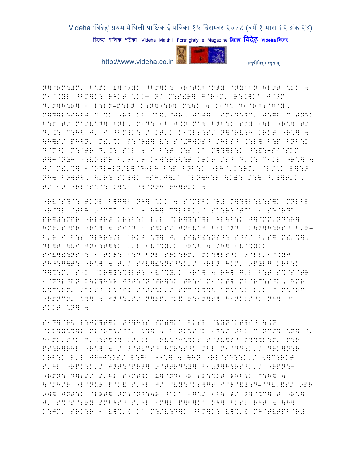িরেদহ' পািkক পিtকা Videha Maithili Fortnightly e Magazine িরেদহ िवदेह **Videha** িবেদহ



DR: MONECO B:PK VID B: BEING BOOK OF DECEMBER TO BE NOT DONE AN AMOUNT AN AMOUNT ANY BOOK ANY BOOK OF DECIMEN M1@.YL ^BM]K: RHKT \*KK**—** N/ M:S!R] G@R^M' R:.]KA J@NM D'N]H:R] 1 L:LN**–**P:LN K\N]H:R] M:\K 4 M1D: D1@R^:@G@Y, MATH SPANE M.M. GRAIN MENTHE, SSHIP, PORT CARE MARKE B:P BY TYMENTH FOR , THTE FROM THE FORM ITE STEPHEN HIS BY D'.: C:H] J' I ^BM]K: / KT'K K1%LT:S/ N]@RV:H KRKT "R\*] 4 \H]S/ PH]N' M!'%K P:@R)] V: S@+GWNS^ /HLS^ .:L] B:P BNB:K D@M^K M:@TR D'.: SKL 4 I B:T .:S KA M]?]L:K ^:&:**–**SI@SKM THE TROP OF EXPANSION IS A CONSIDERED OF DECISION IN THE UNIT CHOICH IN THE CHIEF AS J/ M!'%] 1@NDL**–**LN/V]@DRLH B:P BNB:K "RH@+K:RM' ML/\*K L]:> NH] BN]T\, \KR: SM)]KA**–**SH'J]KA CLN]H:R \K): M:\ ^')]TKK, T/ 1> "RV@S?@: K]\*1 ^]@NNH RH]TKK 4

 $R$  . The state of the state of the second manager  $R$  and  $R$  and  $R$  and  $R$  are  $R$  . The second mass of the second mass of  $R$ "R.NL /TB\ 9@CCM \*KK 4 \H] MNLBLK'/ SK:R:@TMK 1 S:@R?K PRAINTR "REARD IRACK LIL MIRANTAL ALACK JARMINISTYR HMR'S^PR "R\*] 4 SISD 1 S]KS/ JN1V:J B1L@ND K\N]H:RS^ B'R**–** B: B: P: D'AB: DE BEANT : L'ESCEL AN CERTAINENT PACE POUS PLEAU D'AN DR. . TERP REM PRPIPRENT ELE PETTELI (PENR A 2PR PETTELI STARRING STRING BND SRIGHT, TITHEN WORLD MILS SH^:G]T: "R\*] 4 T'/ SIV]!:NS^:K'/ "RPN HKM' 9PYLG KRB:K DUCK: SOME MERINDER (END) AND A RHUGE FREE MY SOME 1@NDL^LN K\N]H:R JNT:@N@TR]:K TR:I M1@KT] ML@RC:S^K, HMR V]C:RM' /HLS^ R:@JY S@TT:K'/ SMD@R%]\ BN\B:K L'L I M:@RG "RPOTOL" NORTH A JAO PERSON ORDER WAS BEAUTHER AN OVERFLYING ON OPERATOR SKKER SKATT

STA PRIMES A BRADREREN (SERPAEN SOMEREN) (FOSTE) MEDDEN BREEK A BEDD @KR]Y:%]L ML@RC:S^M' \*?] 4 H1NK:S^K 1G:/ >HL C1NCT] \*N] J' HORNER HO.:SER SAILE GELTHOLE FOREST THREE SO BE PS:R]RHL "R\*] 4 / T@TVCS^ HMR:S^K MBL M1@DD:K'/ DRK]N:R KRB:K LI JU-PERZ LIU "RVO" 4 APP (RESTRIKA) EUTHIC S'HL "RPN:K'/ JNT:@PRT] 9@TTRD:Y] B10N]H:RS^K'/ "RPN:**–** (RPD) PRYZ Y.RE YRDARI LATDP, R BESTIF RHBS: MYRA A \@MH/R "R@NYR P@K& S'HL J/ @VY:@KT]GT I@R@&Y:D**–**@DV'&S/ 9PR 9W] JNT:K @PRT] >M:@ND:4R ^AKA 1G:/ 1B\ T/ N]@%C] T "R\*] J' S%@S@TRY SMBHS^ S'HL 1M]L P]B]KA NH] BKSL RHT 4 \H] K:JMY SRK:R 1 SRK:R 1 V:D:D:PRE PRYSIS BRY.R 79 VH.HP 'B.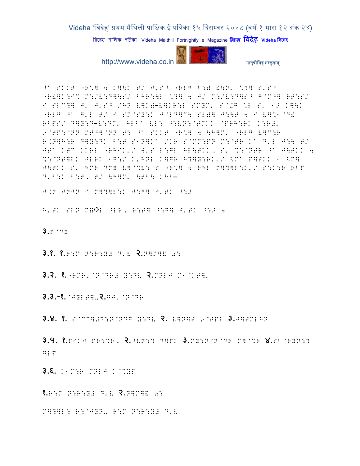িরেদহ' পািkক পিtকা Videha Maithili Fortnightly e Magazine িরেদহ िवदेह **Videha** িবেদহ



 $\mathcal{P}$   $\mathcal{P}$   $\mathcal{P}$   $\mathcal{P}$   $\mathcal{P}$   $\mathcal{P}$   $\mathcal{P}$   $\mathcal{P}$   $\mathcal{P}$   $\mathcal{P}$   $\mathcal{P}$   $\mathcal{P}$   $\mathcal{P}$   $\mathcal{P}$   $\mathcal{P}$   $\mathcal{P}$   $\mathcal{P}$   $\mathcal{P}$   $\mathcal{P}$   $\mathcal{P}$   $\mathcal{P}$   $\mathcal{P}$   $\mathcal{P}$   $\mathcal{P}$   $\mathcal{$  $R$  and the contract of  $R$  and  $R$  is the contract of  $\mathbb{R}$  and  $\mathbb{R}$  are  $\mathbb{R}$  and  $\mathbb{R}$  and  $\mathbb{R}$  are  $\mathbb{R}$  and  $\mathbb{R}$  are  $\mathbb{R}$  and  $\mathbb{R}$  are  $\mathbb{R}$  and  $\mathbb{R}$  are  $\mathbb{R}$  and  $\mathbb{R}$  a I SLC?] J' J'S^ /HN V]K)**–**V]KR:L SMYM' S@+G \*L S' 1> K]\K  $\mathcal{A}$  and a control to  $\mathcal{A}$  is the control transformation of  $\mathcal{A}$  is a subsequent of  $\mathcal{A}$ RBPS/ D]Y:D**–**V:DM' HLBA VL: ^:VN:@TMKK @PRH:RK K:R#' 9@TP:@NN MT^]@NN T: ^A SKKT "R\*] 4 \H]M' "RLG V]C:R R.DAHANA (RADNA) PNA 20 PADY (POLA 20 MM:PAPA (MN)KA PL) (PN)K (PNA AM: JTA KTO KARL "RHIK'/ WAS LITTLE HERIK', S. TITTLE OF JUSTICE. %:@NT]LK JLRK 1G:/ K'HNL K]GR H?]Y:RK'/ <MA P]TKK 1 <M] JARI SI HMR PMB BA'MIN S 'RIA RAD MAMALIKI'S SHINR ROP D'B:K B:T, T/ \H]M' \TB\ KHB**—**

J.N JNJN I M]?]L:K J:G] J'TK ^:>

H'HT SIN MEDI HE, RYHE HHE A.H. MITH

 $3.9.99$ 

3.8. REAM PARABE P.E. R.PHUBE 23

३.२. १. AMR, 1979E. SYPE 2.MPER Y: MER.

 $3.3. -$ ?  $3.9.93.002$   $2.0002$ 

३.४. १. S.COCCHESTER YOUR 2191. २. ENDNE 3.000 3.49971 59

३.५. १.PPIC PR: TRICK २. PERSON PRESS 3.MY:NE MPK MR MIN 8.2P (PHP):T Bi P

3.6. KHTHE MARIA KOMMER

**REAT PERSONAL PLACE REPORT OF** 

**MARY REPORTS IN A POINT REPORTS**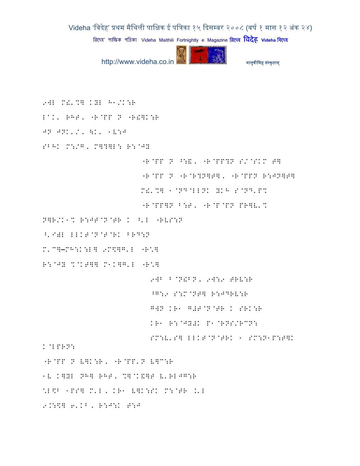িরেদহ' পািkক পিtকা Videha Maithili Fortnightly e Magazine িরেদহ िवदेह **Videha** িবেদহ



9WL MINTH THE WALLET LAK' RHT, "R@PP N "R!]K:R JNK JNK', X, HI, J, HI, J  $S = \begin{bmatrix} 0 & 0 & 0 & 0 \\ 0 & 0 & 0 & 0 \\ 0 & 0 & 0 & 0 \\ 0 & 0 & 0 & 0 \\ 0 & 0 & 0 & 0 \\ 0 & 0 & 0 & 0 \\ 0 & 0 & 0 & 0 \\ 0 & 0 & 0 & 0 \\ 0 & 0 & 0 & 0 \\ 0 & 0 & 0 & 0 \\ 0 & 0 & 0 & 0 & 0 \\ 0 & 0 & 0 & 0 & 0 \\ 0 & 0 & 0 & 0 & 0 \\ 0 & 0 & 0 & 0 & 0 \\ 0 & 0 & 0 & 0 & 0 \\ 0 & 0 & 0 & 0 & 0 \\ 0 &$ "ROPP" ROPP" ROPP" ROPP" ROPP" ROPP" ROPP" ROPP" ROPP" ROPP" ROPP" ROPP" ROPP" ROPP" ROPP" ROPP" ROPP" ROPP" R  $R$  (Rapper Robert Robert Richard Robert Richard Report Richard Report Report Richard Report Report Report Report Report Report Report Report Report Report Report Report Report Report Report Report Report Report Report Rep TE. THE ' TH' 1000 HE ' HE ' SAND' "R@PP]N B:T, "R@P@PN PR]V'% NARA RICHARD RICHARD RESERVED AND RESERVED AT A RESERVED AND RESERVED AT A RESERVED AND RESERVED AND RESERVED ^'I)L LLKT@N@T@RK BRD:N M'C]**—**MH:K:L] 9M\$]G'L "R\*] R: MH TIPER THIRD (BIR 9W:9 TRUSH: 9W:9 TRUSH: **FOR STRIP RESONANCE** BHS HARTFIEL WART KR1 R: MARIA P10 RNS/RCPN: SM:V:V'S LEXT TREE IS SMOKE IN STREET K@LPRN: "ROPP" ROPP" N VALLEY AND REPORT 1V K]YL NH] RHT, %]@K&]T V'RLJG:R \*L\$B 1PS] M'L, KR1 V]K:SK M:@TR .'L 9.:\$] 6'KB, R:J:K T:J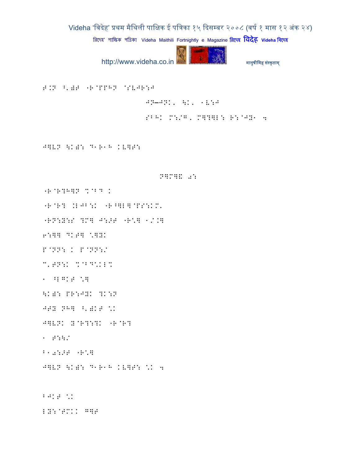িরেদহ' পািkক পিtকা Videha Maithili Fortnightly e Magazine িরেদহ िवदेह **Videha** িবেদহ



T.N \* T.N \* F.W. T.

JANK' 1999 (1999)

 $\mathcal{L}^{1}$  (Fig. M)  $\mathcal{L}^{1}$  , and  $\mathcal{L}^{1}$  and  $\mathcal{L}^{1}$  and  $\mathcal{L}^{1}$  and  $\mathcal{L}^{1}$  and  $\mathcal{L}^{1}$  and  $\mathcal{L}^{1}$ 

JUN SIN HOME SHIP

NAMES OF STREET

 $R$  and  $R$  is a set of the set of  $R$  $H$  : The control of the Robert States (Passenger States) "BRIEF TH #138 (BIN (200 6:00 7:00 7:00 P@NN: K P@NN:/ CONSERVATION CONTINUES. 1 ^LGKT \*] \K): PR:JYK ?K:N JHY NHI KATA YA JAVA: HORRITAN YANG  $1.1$  T:  $1.1$  $9.5$   $\text{F}$   $\text{F}$   $\text{F}$   $\text{F}$   $\text{F}$   $\text{F}$   $\text{F}$   $\text{F}$   $\text{F}$   $\text{F}$   $\text{F}$   $\text{F}$   $\text{F}$   $\text{F}$   $\text{F}$   $\text{F}$   $\text{F}$   $\text{F}$   $\text{F}$   $\text{F}$   $\text{F}$   $\text{F}$   $\text{F}$   $\text{F}$   $\text{F}$   $\text{F}$   $\text{F}$ JAN RIN THE SING SERVICE  $\mathbb{R}^n$  -  $\mathbb{R}^n$  -  $\mathbb{R}^n$  -  $\mathbb{R}^n$ 1219TMXX 99F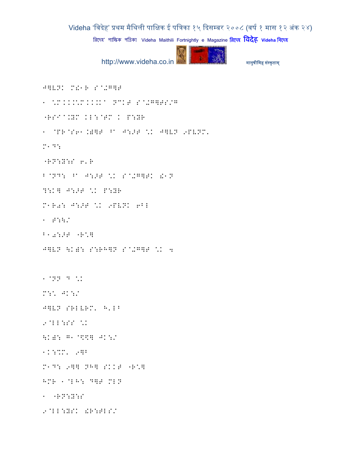িরেদহ' পািkক পিtকা Videha Maithili Fortnightly e Magazine িরেদহ िवदेह **Videha** িবেদহ



JAVAN MILAN SOMOTO 1 \*M...\*M...KA NCKT S@+G]TS/G "RSI@.YM KL:@TM K P:YR 1 OPROSE CHE POSSEH CO PRIN 20180.  $\mathbb{R}^2$  , while "WHIS 6.F B@ND: P \*K SAFA I: T \*K SOHGER | E \* F ?:K] J:>T \*K P:YR Terah Shar Machiner  $1.1$  T:  $B_0: T_0: T_1: T_2 \to T_1: T_2$  $H$ HIP SI: S:RHIP SMJHH $\mathbb{R} \setminus \mathbb{R}$ 100 D \* NN D \* KN D \* KN D \* KN D \* KN D \* KN D \* KN D \* KN D \* KN D \* KN D \* KN D \* KN D \* KN D \* KN D \* KN D \* KN D \* KN D \* KN D \* KN D \* KN D \* KN D \* KN D \* KN D \* KN D \* KN D \* KN D \* KN D \* KN D \* KN D \* KN D \* KN D M:\* JK:/ JANE SHILBY, W.IT 9@LL:SS \*K  $\text{R}$ : G1 $\text{R}$ : G1 $\text{R}$  JK: G1 $\text{R}$ 1K:%M' 9]B **M100: 9910: 9910: 9910: 9910: 9910: 9910: 9910: 9910: 9910: 9910: 9910: 9910: 9910: 9910: 9910: 9910: 9910: 9** HMR 1991 100  $1$  -PN:SIN: 9@LL:YSK !R:TLS/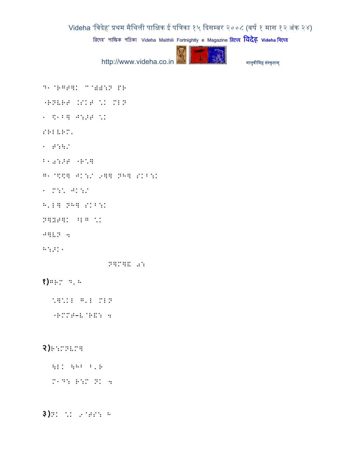িরেদহ' পািkক পিtকা Videha Maithili Fortnightly e Magazine িরেদহ िवदेह **Videha** িবেদহ



B. DRARD TOWNS TR

**GRUEF .SKT T. T. TIT** 

1 \$1B] J:>T \*K

SRLDRE.

1 File"

B10: T "R\*D"

G1. THE GILB SKB: 2010 HOME SERVICE

1 M: JK: 91 M:

H.IH PHE STATE

**NATHER SERVICE** 

 $\frac{1}{2}$  4  $\frac{1}{2}$  4  $\frac{1}{2}$  4  $\frac{1}{2}$ 

 $H: H \rightarrow H$ 

PHIME AN

 $\{$ ) $\cdots$   $\cdots$   $\cdots$ 

\*]\*KL G'L MLN

"RMMT**–**V@R&: 4

२) $:$   $:$   $:$   $:$   $:$   $:$   $:$   $:$   $:$   $:$ 

 $\texttt{H} \vdots \texttt{H} \vdots \texttt{H} \vdots$ M1D: R:M NK 4

 $3)$ PH  $M$   $\rightarrow$  PH  $\rightarrow$  H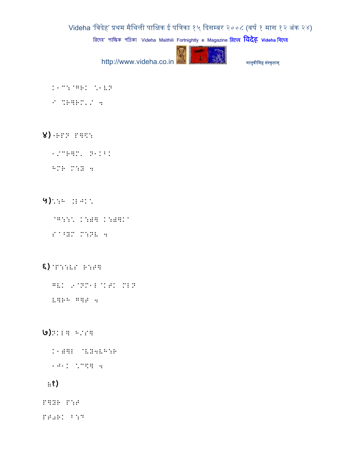িরেদহ' পািkক পিtকা Videha Maithili Fortnightly e Magazine িরেদহ िवदेह **Videha** িবেদহ



- K1C: THE SECTION
- $I'$  where  $I'$  and  $I'$

#### $8)$   $\div$  PPP PRP

1/CRED. 01/11

HTP TAX 4

## $\mathcal{G}$ ):  $\vdots$  .  $\vdots$  .

@G::\* K:)] K:)]KA

 $S^*$  SM M:NV 4

## $\Sigma$

While School Control Control

RH HQ 4

## $\mathbb{R}^n$  ::::::::::: (قا

K1981 MESSEN

1J1K \*C\$] 4

## $\mathbf{H}$  : (?)

PAYS PAY

PHORK B:D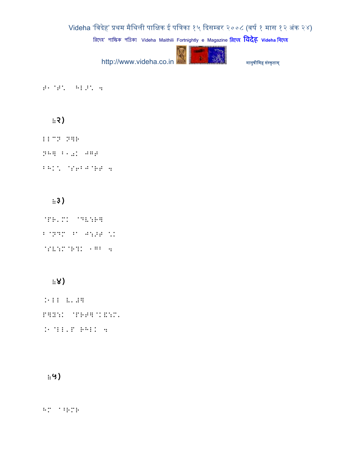িরেদহ' পািkক পিtকা Videha Maithili Fortnightly e Magazine িরেদহ िवदेह **Videha** িবেদহ



T1@T\* HL>\* 4

 $\div$  3)

- LLTP PHP
- $19H$   $1.2$   $1.0$   $10H$
- BHK\* GEBRATES 4

# $\div 3$ )

WH.T. WHIPE BOND P #NDM N  $\textcolor{red}{\textbf{1600}}\times\textcolor{red}{\textbf{1600}}\times\textcolor{red}{\textbf{1600}}\times\textcolor{red}{\textbf{1600}}$ 

# (४)

.1LL V'#] **PHIN: PRESS NEWS** .1@LL'P RHLK 4

## (५)

HM CRIPTING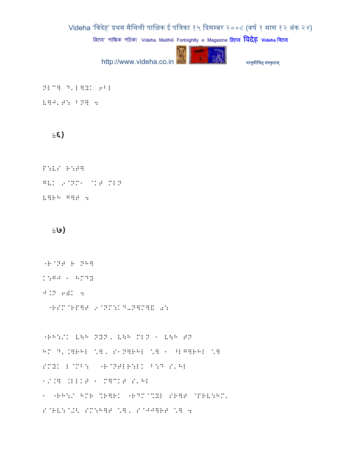িরেদহ' পািkক পিtকা Videha Maithili Fortnightly e Magazine িরেদহ िवदेह **Videha** িবেদহ



NLCH D'ALIEN 194.95 (199 4)

## $\therefore \xi$ )

PHIP REPR WED STREET NEWSFILM RH GH 4

## (७)

"R@NT R NH] **K:GH 1 HMDY**  $J.12$   $H.1$   $H.1$  "RSM@RP]T 9@NM:KD-N]M]& 0:  $R$  (BH:/K NY) IS NOT A MALN 2 VAND IN THE MALN 2 VALUE OF  $R$ HM D, SHERE (NH), S10HHPH (NH) 1 CHOHHPH (NH) SMYK L@MB: "R@NTLR:LK B:D S'HL 1/.] .LLKT 1 M]CKT S'HL 1 "RH:/ HMR %R]RK "RDM@%YL SR]T @PRV:HM'  $S$  : South that the second second the second second second second second second second second second second second second second second second second second second second second second second second second second second s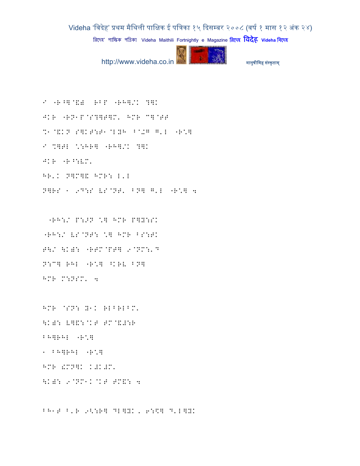িরেদহ' পািkক পিtকা Videha Maithili Fortnightly e Magazine িরেদহ िवदेह **Videha** িবেদহ



I "R^]@&) RBP "RH]/K ?]K JKR "RONNER" (1990) % THE STREET STATE SECTION OF STATE SECTION I %]TL \*:HR] "RH]/K ?]K JKR "ROMANIC HR. C NAMARI HOME HOME NARS 1 9D:S VS@NT' BOOK COMPANY AND CONTROL

 "RH:/ P:>N \*] HMR P]Y:SK HAN: BETRAN NA ATE BENAD T\/ \K): "RTM@PT] 9@NM:'D TYTE RHL (RTHL BIR) BND HMR M:NSM' 4

HTR MYS HILL BIRRIET. \K): V]&:@KT TM@&#:R  $\texttt{H} = \texttt{H} \cdot \texttt{H}$ 1 BH<sub>R</sub>HL (819) HTR STREET \K): 9@NM1K@KT TM&: 4

BH1T B'R 95:55 MINI DEST DES S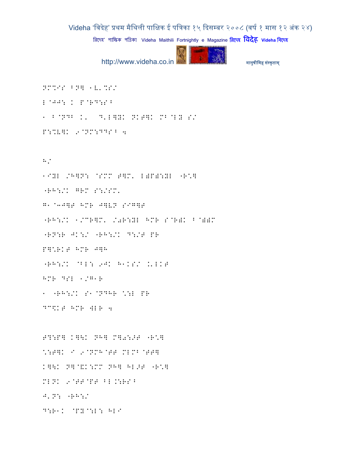িরেদহ' পািkক পিtকা Videha Maithili Fortnightly e Magazine িরেদহ िवदेह **Videha** িবেদহ



**NUMBER BOOKS** 

LOWN: C POPTEDS

1 B@NDB K' D'L]YK NKT]K MB@LY S/

P: WHI 9 DISPNESS 4

#### $H^{\bullet}$

1798 / 1999: MYT 297, ESMAN TOWN "RH:/K GRM S:/SM' G1. Sung ay, agg prage "RH:/K 1/CR]M' /0R:YL HMR S@R)K B@))M "RN:R JK:R JK:PRODUCT PRINT HMR JAN HERIC MIN PRINTING IN ST HMR DSL 1/G1R 1 (BRYS) P. TRAB TAL PR **DOCKER HOME WELL WELL** 

T::P KIN PH MANH WH \*:T]K I 9@NMH@TT MLMB@TT] KARI KALIMAT DI PERSENYA KE SERI MLNC 9@TT@PTF BL.:RS J'N: "RH:/ **B:R1K @PY** #PY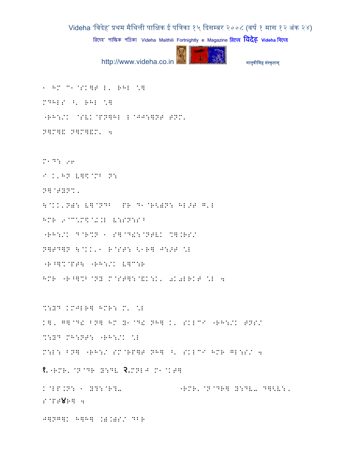িরেদহ' পািkক পিtকা Videha Maithili Fortnightly e Magazine িরেদহ िवदेह **Videha** িবেদহ



1 HM C10SK RHL 10  $T^{\text{H}}$ Hi $T$  RHL  $\overline{R}$ Hil  $\overline{R}$ Hil  $\overline{R}$  $R$  . The construction of the particle  $R$  and  $R$  and  $R$   $\overline{R}$   $\overline{R}$   $\overline{R}$   $\overline{R}$   $\overline{R}$   $\overline{R}$   $\overline{R}$   $\overline{R}$   $\overline{R}$   $\overline{R}$   $\overline{R}$   $\overline{R}$   $\overline{R}$   $\overline{R}$   $\overline{R}$   $\overline{R}$   $\overline{R}$   $\overline{R}$   $9.911911$   $1.911911$   $1.9111$ M1D: 96  $F: H: H: H: H: H: H: H:$ NAME OF STREET  $\#$  YI. Part E4 YPR (FR 96 YELAPY GIJA G.) HMR 9@C\*M\$@+.L V:SN:S^  $R$ H:/K D@R\$P\$N 1 S\$P\$N 1 S\$P\$N 1 S\$P\$N 1 S\$P\$N 1 S\$P\$N 1 S\$P\$N 1 S\$P\$N 1 S\$P\$N 1 S\$P\$N 1 S\$P\$N 1 S\$P\$N 1 S\$P\$N 1 NATHER ROOM IN REPORT OF THE CONTROL OF THE STEEL AND INTERFERING TO A REPORT OF THE STEEL AND INTERFERING TO "R^]%@PT\ "RH:/K V]C:R HMR "R^]%B@NY M@ST]:@&K:K' 0K0LRKT \*L 4 %:YD KMJLR] HMR: M' \*L KA, GRIME KAR HO WI YA ARA KI SKLOV GRANI SHI %:YD MH:NT: "RH:/K \*L M:L: BN] "RH:/ SM@RP]T NH] ^' SKLCI HMR GL:S/ 4 8. HTP. TECH SYTE R.THIN TO YER K@LP.N: 1 YOURSELLESS.  $\therefore$   $\therefore$   $\aleph$   $\therefore$   $\therefore$ Jagong Sans Galar 98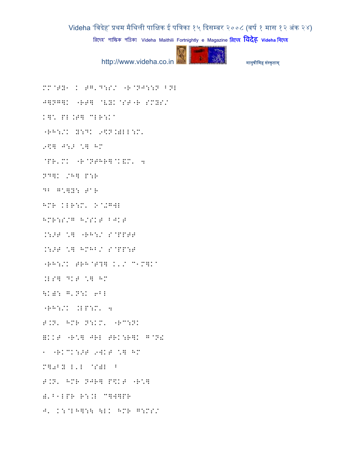িরেদহ' পািkক পিtকা Videha Maithili Fortnightly e Magazine িরেদহ िवदेह **Videha** িবেদহ



MM@TY1 K TG'D:S/ "R@NJ::N BNL JANGAN "RTA SMYSON"R SMYS **KALER CHARGE** "RH: 2000 NO. 2000 NO. 9\$] J:> \*] HM @PR'MK "R@NTHR]@K&M' 4 ND]K /H] P:R B Grant St HTR CONST. COMMISSION HTMR:S/G H/SKT BJKT .:>T \*] "RH:/ S@PPTT .:>T \*] HMHB/ S@PP:T "RH:/K TRH@T?] K'/ C1M]KA .LS] DKT \*] HM  $K: H: H: H: H: H: H: H$ "RH:/K .LP:M' 4 T.N' HMR N:KM' "RC:NK =KKT "R\*] JRL TRK:R]K G@N! 1 **BECK:** THE 9WH FOR THE 9W **MADE LESSE CONSTRUCTS** T.N' HMR NJR] P\$KT "R\*] 8. PHILPR R: NO. 2008

J' K: HI: HI: HI: HI: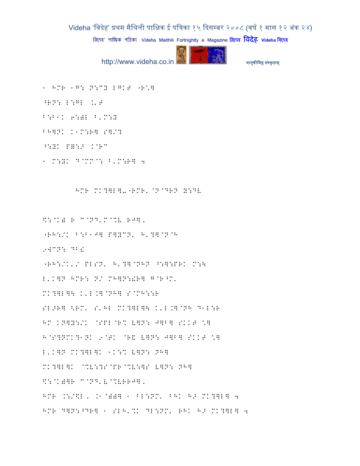িরেদহ' পািkক পিtকা Videha Maithili Fortnightly e Magazine িরেদহ िवदेह **Videha** িবেদহ



1 HMR 1991 1918 1919

**\*PT: L:GL ...** 

B:B1K 6:00

BHRINK CHILL

\*\*\*\*\* \*\*\*\*\* \*\*\*

1 M:YK D@MM@: B'M:R] 4

HMR MK?]L]-"RMR'@N@DRN Y:DV

\$:@K) R C@ND'M@%V RJ],  $R$ H:/K B: Bill B:B1J] PHITP, B: B1J TH TH 9WCN: DB! "RHN:X'/ PLSN, H.TH'PRN' M:HNPR: TNN LIB HTM SI THUN: R B B W. **MACRESS IN STRIPS IN THE SAME OF STRIPS IN** SLOPE SET, SLAE TITHER ILEOROPA PHINE HM KNOWS WIRD BE SKIP IN SKYLD OF THE SERVE OF THE SERVE OF THE SERVE OF THE SERVE OF THE SERVE OF THE SERVE O H@S?NMK?1NK 9@TK @R& V]N: J]B] SKKT \*] L'AN MANIER (1919) 1991 MAKRET MAKE WE WE SHOW WHAT \$:@K)]R C@ND'V@%VRRJ], HMR .:// .1000 .:// .1000 .:// .1000 .:// .1000 .:// .1000 .:// .1000 .:// .1000 .:// .1000 .:// .1000 .:// .1 HTR DARR DARR DIR REICH DER SCHREIM H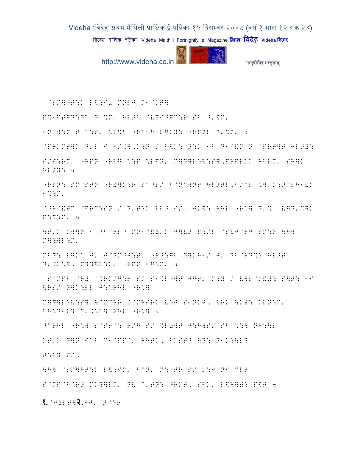িরেদহ' পািkক পিtকা Videha Maithili Fortnightly e Magazine িরেদহ िवदेह **Videha** িবেদহ



 @SM]^T:K L\$:I- MNLJ M1@KT] PSPIRBENT S.C. HIS GERETH HE HULD 1N W:M T B:T' \*L\$B "RB1H LGKY: "RPNL D'%M' 4 @PRKMT]K D'L I 1/.],K:N / B\$K: N:K 1B D1@&M N @PRT]T HL>Y: S/STEP, "RPP" REFUNDED MERR, VHTHENEN HURD, REFUND SPECIALER HLPH 4  $R$  . The small of the state of the same state  $R$  is the same  $R$  satisfies the same  $R$  $1.1$ @^R@&)M @PR%:SN / N'T:K LL^ S/, JK\$: RHL "R\*] D'%, V]D'%]K PHIL 4  $\Theta$  and the contract  $\theta$  and  $\theta$  are  $\theta$  denotes by  $\theta$  and  $\theta$  as  $\theta$  and  $\theta$  and  $\theta$ WH999991 MBD: LGK AND AND HALL ARTIFIC TO REACTED TRUCK HILF D'.K\*], M]?]L:K' "RPN 1G:M' 4 SAMPE @R# @MPRESSING SAMPLE & REFORM MINORESS STREET STATES OF THE SAMPLE OF THE SAMPLE OF THE SAMPLE OF THE S **WELL AND SERVE SERVE** MANAH SESIA A MMAHR / MMHINI, ESA YA MIYAY ALA SI ASTI SI MSM. BH:D1R] D'.:B] RHL "R\*] 4  $\overline{A}$  (Personal) satisfactory relations of the second second second second second second second second second second second second second second second second second second second second second second second second sec KAT'YAR YA TA MENTI BARI MIYAR ARA RAINAR Find S.O. \H] @SM]HT:K L\$:IM' BCN' M:@TR S/ K:J NI CLT SMORM MED MINNER, PE MURPH HERE, SPIL FRANKER PRE A

१. http://www.abbash.com/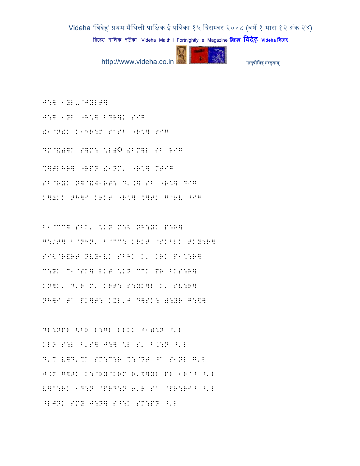িরেদহ' পািkক পিtকা Videha Maithili Fortnightly e Magazine িরেদহ िवदेह **Videha** িবেদহ



J:] 1YL-@JYLT] **J: 1990** BDR STORY SIGNER 10 THIS ISABAT POPE (AND ACH DOMESTIC SECOND SECTION IN SACTO %]TLHR] "RPN !1NM' "R\*] MTIG  $S$ B@RYK NIGHT: DIGE NEWS DIGE NAME KAN THE SER GREATER STREET

B1@CC] SBK' \*KN M:< NH:YK P:R] BYZAN BONHN, BONNY CECA OSTRI ALIGAN SIM NURRA NART NING SERIES SERIES SERIES SERIES SERIES SERIES SERIES SERIES SERIES SERIES SERIES SERIES SERIES THE CONSTRUCTION OF THE BEST RIFLE KNEL THE MY KREW SYNCH KY SENER NHE RI TA PARTICE STAND THAT

DR:NPR L:NPR L:NPR L:NPR L:NPR L:NP KLAN S:L BOOK SIGNED STATES AND STATES SERVICE B. T. BUY. TO STIME TO THE STOCKER SEE J.N GRAM ROKER KORM RESERVED AND RESERVED ASSESSED AND RESERVED ASSESSED AT A VEHICLE AND RESERVED ASSESSED AT LATHE VALUE TEACHER 6'R SA CONFERENCE ALL ^LJNK SMY J:N] S^:K SM:PN ^'L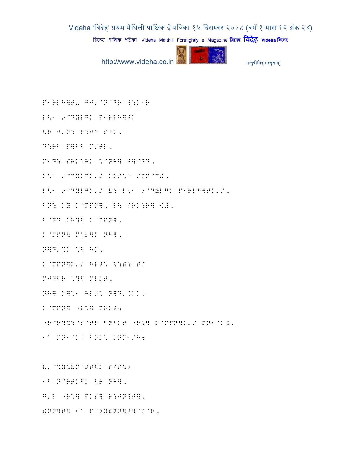িরেদহ' পািkক পিtকা Videha Maithili Fortnightly e Magazine িরেদহ िवदेह **Videha** িবেদহ



P-RIARRE WA, SPINE HALER  $11.9$  9  $19.11$  P1  $19.11$  P1  $19.11$ AR W. R: R:W: SAY, THE PRESS CONS. TORE FRIDE TO THE HEADTH. L<1 9@DYLGK'/ KRT:H SMM@D!, LA PURSIAN ER LA PURSIA PERSIAN BN: KY K@MPN], L\ SRK:R] [#, BOND KARRY KARRY K@MPN] M:L]K NH], **NH, W, W, W, W, W** K@MPNIKY/ HLPN (Shah ar TANDE THE TELET **NHE KANA HEAT HEAT AND A HEAT ALL** K@MPNPH\_ARKT41 "R@R?%:@S@TR BNBKT "R\*] K@MPN]K'/ MN1@K., 1A MN1@K. BNK\* KNM1/H4 V'@%Y:VM@TT]K SIS:R 11 **NORTH RTKG** B. PHONE RIVE RIMPERS. !NN]T] 1A P@RY)NN]T]@M@R,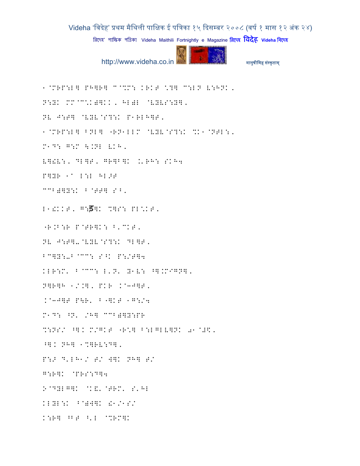িরেদহ' পািkক পিtকা Videha Maithili Fortnightly e Magazine িরেদহ िवदेह **Videha** িবেদহ



1@MRP:L] PH]R] C@%M: KRKT \*?] C:LN V:HNK, PHE TUTTLERI, HE MERINGE, NV H:T:TIMOS PORT 1@MRP:L] BNL] "RN1LLM @VYV@S?:K %K1@NTL:, **M. W. W. V. V. V. V. V. V. WEIGHT, SKING ... REFORE ... INC. AND ...** PRODUCED IN THE SECOND RESIDENCE TTHERS CONFIDENTI L1!KKT, G:ड़]K %]S: PL\*KT, "R.B:R P@TR]K: B'CKT, NV DOMESTIC DESCRIPTION BCONSERVE STRAINS  $K$  is the second fraction of the second fraction  $K$ N]R]H 1/.], PKR .@3J]T,  $\mathcal{L}^{\bullet}$  . Only and  $\mathcal{L}^{\bullet}$  is a subset of  $\mathcal{L}^{\bullet}$  . Then  $\mathcal{L}^{\bullet}$ M1D: ^N' /H] CCB)]Y:PR %:NS/ ^]. M/GKT "R\*] B:LGLV]NK 01@#\$, **19. NHI** 199. 199. P:P:P:P:P:P:P:P:P:P:P:P G:RH: THE STRE OWNERS ON SHELL STAR KLANS FAN KALY K:R| BE ALL MINIS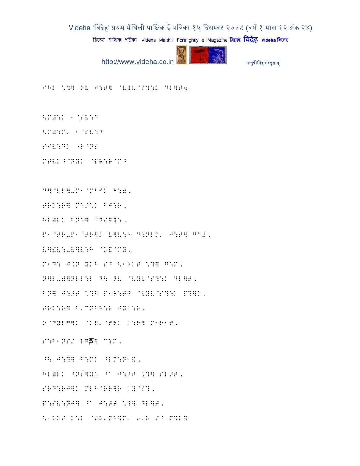িরেদহ' পািkক পিtকা Videha Maithili Fortnightly e Magazine িরেদহ िवदेह **Videha** িবেদহ



**IHL THE SHE THIS PICK TIME** 

 $k$  : Maximum in the state of the state of the state of the state of the state of the state of the state of the state of the state of the state of the state of the state of the state of the state of the state of the state

 $\frac{1}{2}$  :  $\frac{1}{2}$  :  $\frac{1}{2}$  :  $\frac{1}{2}$  :  $\frac{1}{2}$  :  $\frac{1}{2}$  :  $\frac{1}{2}$  :  $\frac{1}{2}$  :  $\frac{1}{2}$  :  $\frac{1}{2}$  :  $\frac{1}{2}$  :  $\frac{1}{2}$  :  $\frac{1}{2}$  :  $\frac{1}{2}$  :  $\frac{1}{2}$  :  $\frac{1}{2}$  :  $\frac{1}{2}$  :  $\frac{1}{2}$  :  $\frac{1}{$ 

SIV:DE "RONT

MATURA MTVKO MATURA MATURA MATURA MATURA MATURA MATURA MATURA MATURA MATURA MATURA MATURA MATURA MATURA MATURA

PHOLLEN ON CONTROL

**SH:RECOMMINATION** 

HL)LK BN?] ^NS]Y:,

P: MARLEY MARI (ERLAR SAPIT, SAMAR ATI)

V]!V:-V]V:H @K&@MY,

TANY WITH SAN YARDERS THE WYST

NALES ON DRIVE AND STRIP CONTROLLERS OF REAL

FRA SHE NTH P-PARP (LOLATION FIRE).

TRK:R] B'CN]H:R JYB:R,

O@DYLG]K @K&'@TRK K:R] M1R1T,

Shipper Reservative

^\ J:?] G:MK ^LM:N1&, HED PRESS PORGE NS NORTH SRD:RJ]K MLH@RR]R KY@S?, P:SI:P#B \*\* #1:F \*:H \*!H:.

RENE CH (MB.PRHI, B.B FR MHIH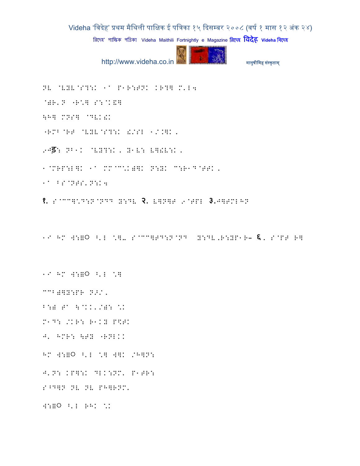িরেদহ' পািkক পিtকা Videha Maithili Fortnightly e Magazine িরেদহ िवदेह **Videha** িবেদহ



NV MARSHIN & PHINICIPAL AND TALLS

@)R'N "R\*] S:@K&]

 $\textcolor{red}{\ddots}$  MOVE  $\textcolor{red}{\ddots}$  MOVE  $\textcolor{red}{\ddots}$ 

"RMB" CONSTRUCTION OF THE CONSTRUCTION

 $995: 993: 1139: 1299: 1398: 1439: 1439: 1439: 1439: 1439: 1439: 1439: 1439: 1439: 1439: 1439: 1439: 1439: 1439: 1439: 1439: 1439: 1439: 1439: 1439: 1439: 1439: 1439: 1439: 1439: 1439: 1439: 1439: 1439: 1439: 1439: 1439: 1$ 

1@MRP:L]K 1A MM@C\*K)]K N:YK C:R1D@TTK,

 $1$  BS  $1$  BS  $1$  BS  $1$  BS  $1$ 

१. S@CC]\*D:N@NDD Y:DV २. V]N]T 9@TPL ३.J]TMLHN

1I HM W:=◌ ^'L \*]- S@CC]TD:N@ND Y:DV,R:YP1R**–** ६, S@PT R]

11 HM W: 01 HM W: CCB)]Y:PR N>/, B:) TA \@KK'/): \*K M1D: /KR: R1KY P\$TK J' HOR: 1991 SHEEP HT WHEO RI NE WHI ZAHIT: J. B: K DRAM: MICHAEL P1TR: Source State State Street WHERE  $H: H: H: M$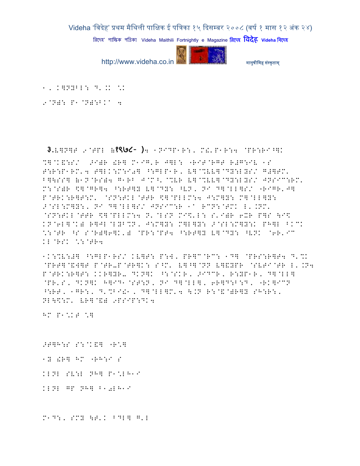িরেদহ' পািkক পিtকা Videha Maithili Fortnightly e Magazine িরেদহ िवदेह **Videha** িবেদহ



1, K]NYBL: D'.K \*K

9@N): P1@N):BKA 4

3.ESPER (1981) BROC- )4 (PIPPIPIPI), MELECRIC MERINARE

%]@K&:S/ >I)R !R] M1IG'R J]L: "RIT@RGT R#G:IV 1S T:R:P1RM'4 T]LK:M:I0] ^:GLP1R, V]@%VV]@DY:LYS/ G#]TM' BURGE BIPTEMBE WHO ATTALTING NUTHING MINIMAL AND THIL M: MBP (RR)RPH (PEPRE ERINGE) RDY, ROC RRIGHT, (PORT P@TRK:R]T:M' @SN:TKL@TTR \$]@PLLM:4 J:M]Y: M]@LL]Y: >@SL:M]Y:, NI D]@LL]S/ JNSIC:R 1A RCN:@TMK L'.NM' @SN:TKL@TTR \$]@PLLM:4 N'@LSN MI\$'L: S'I)R 6XR P]S \I\$ KN MERS AND RIGHT ROLL AND RIN CHERIN STATE AND RESERVE BY AN  $\Lambda$ s sak (for some and  $\Lambda$  or  $\Lambda$  ) the some proposition  $\Lambda$  and  $\Lambda$   $\Lambda$   $\Lambda$   $\Lambda$   $\Lambda$   $\Lambda$ KL@RSK \*:@TR4

1K:%V:#] ^:GLP1RS/ KV]T: P:W, PR]C@RC: 1D] @PRS:R]T4 D'%K @PRT]@&W]T P@TR-P@TR]K: S^M' V]^]@NN V]&YPR @SVTI@TR L'.N4 POTRES NERREN OCCHRIBL, PODRI (1951) SOKR, RIPOR, BNIBYE, PROTECTION @PR'S, DKN]K H]ID1@ST:N, NI D]@LL], 6R]D:B:D, "RK]ICN ^:RT, 1GR:, D'%BI!1, D]@LL]M'4 \.N R:@&@)R]Y SH:R:, NL\\$:M' VR]@&) 9PSIP:DK4

HM PHONE OR

>T]H:S S:@K&] "R\*]

 $1$  :RH: FT: HH:I S S

**KIND STATE STATE** 

**KLAND GP NHIP B10LH1II** 

M1D:, SMY \T'K BDL] G'L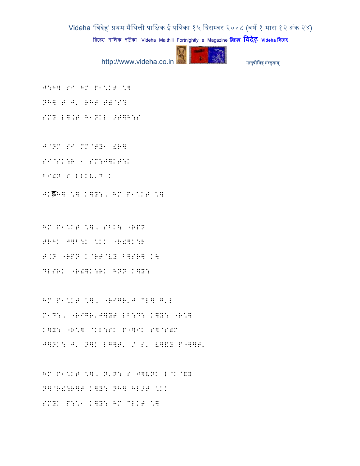িরেদহ' পািkক পিtকা Videha Maithili Fortnightly e Magazine িরেদহ िवदेह **Videha** িবেদহ



J:H] SI HM P1\*KT \*] **NHT F A. PHP FEATH** SMY LANKER SMY LINKLY

J@NM SI MM SIN SIN SIMS SIMS STATISTICS. BRITT S LICENSE H: 5HE AND CHEEL, HOWEVALLE AND

HT PHILE TH, SPIN (BPP) BB: HRIK NI SERRINE F.N "RPN K@RT@VART@VY BISR DRSRK "RIGHT", RIGHT", RIGHT", RIGHT", RIGHT", RIGHT", RIGHT", RIGHT", RIGHT", RIGHT", RIGHT", RIGHT", RIGHT",

HT PHILE THIS GETTER WAR M10:, "RIGR'JENE EPATE LENE (RIG K]Y: "R\*] @KL:SK P"]IK S]@S)M JANK: J. PH. 1988, J. P. 1988 F. 998.

HT PHIM PHIM S JUNE ENDING **NAME OF STREET IN THE REPORT OF STREET IN THE SECOND PROPERTY IN THE SECOND PROPERTY IN THE SECOND PROPERTY IN** SMYK P:\* 1 HH P:\* 11 H CH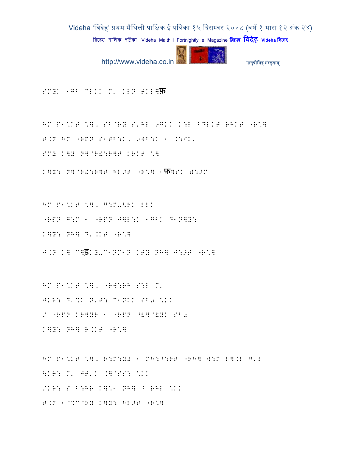িরেদহ' পািkক পিtকা Videha Maithili Fortnightly e Magazine িরেদহ िवदेह **Videha** িবেদহ



 $S$ Mik Class Mich Click Mich History

HM PHONE OR I PHONE SING SHINI PHONE ARE SHOW SHOW STAINED IN THE SERVE OF SHOW I T.N HM "RPN S1TB:K, 9WB:K 1 .:IK' SMY KALL AND THE SMY REAL AND THE REAL AND THE SMY REAL AND THE SMY REAL AND THE SMY REAL AND THE SMY REAL AND KARE RATHER HER GENA (**W**AR) BER

HT PHONE OR, WORLDWICK GREE WAY A GREE WHICH AWAY MAJHER **KANS READ PLANE (READ)** J.N KI TEST CONSTRUCT OF THE SOLE OF TH

HM PHOTO SEL PROPER STEAMS. JKR: D'%K N'T: C1NKK SB0 \*KK / **HPP CREE + HPP HRTER FR WEBSTER REPORTED** 

HT PHILM PICKER . THINHE GENE BIT INI M.E **AIDS: MARIE . MONEY . . . .** /KR: S B:HR K]\*1 NH] ^ RHL \*KK  $H.12 \times T.21 \times T.41 \times T.41 \times T.41 \times T.41$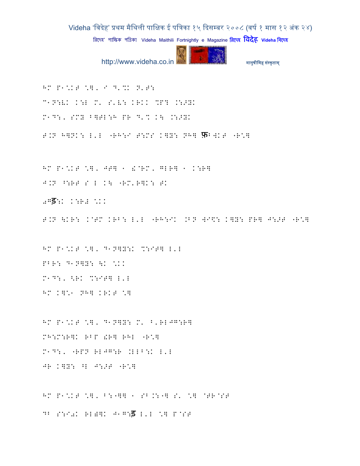িরেদহ' পািkক পিtকা Videha Maithili Fortnightly e Magazine িরেদহ िवदेह **Videha** িবেদহ



HT PHILE IN A TUNISH TO FAIL CAP TO SIGN CHILD THAT INVESTIGATE

MAN:, SMY BURGE PR N.Y. CH (1988)

T.N HEN: LIL "RHY" RYN (RH: PHE **W**FRIR "RYN

HT PANE NE, HAR ( CHR), HERM, CHAR

J.N \*:RT S ROOM S L RANGER

 $0.9511 + 0.9911 + 0.0011$ 

T.N RIES INFLIEDS ELE "RHSKI IPP RKS IMME NER ASIR "RSM

HM PHONE OR, DHARRI CHARRIELE PBR: D1N]Y: \K \*KK **T: T:, AND SENSILE** HT THIS THE THIS TH

HM PHONE OR, PHONE N. P. BIRPARE WH:READ THE RHL SEARCH **T-TE, "RPN RLAGE REACTION" JR CASS REAGE JR KRIS** 

HM PHONE OR, BS-RR P PHONE P. OR OREOGR DB S:IOK REGULARES ELECTRIC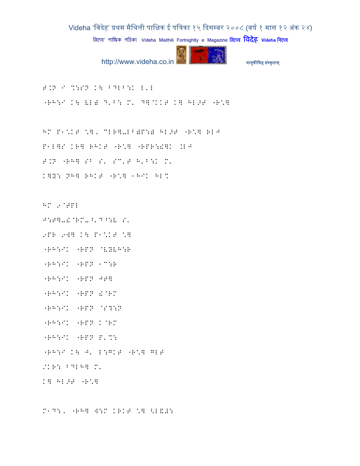িরেদহ' পািkক পিtকা Videha Maithili Fortnightly e Magazine িরেদহ िवदेह **Videha** িবেদহ



T.N I WINNER STREET "RH:I CH' BEB "P.F'E T. "B' DIE CH' REJE "RYS

HM PHONE OR DESCRIPTION REPORT FOR REAL PHE CHERLE GRE GREENE CH T.N "RH] SB S' SC'T H'B:K M' KARA RHKT "RHKT "RHKT"

HM 9@TPL

J:T]-!@RM-^'D^:V S'

9PR 9WD 19PR 9WD 19PR

"RH:IK "RH:IK "RH:IK "RH:IK"

GRAME THE REPORTS

"RH:IK "RPN JT]

"RH:IK "RPN ! RPN !

"RH: IK "RPN @S

"RH:IK "RPN K@RM

"RH:IK "RPN P.T.

 $R$  . The  $R$  and  $R$  is the set of  $R$  and  $R$ 

/KR: BDLH] M'

 $19 H H H$ 

**MANUAL WEIGHT \***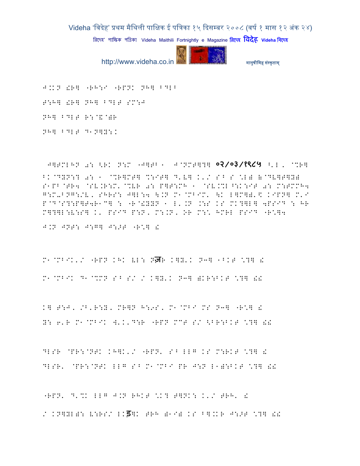িরেদহ' পািkক পিtকা Videha Maithili Fortnightly e Magazine িরেদহ िवदेह **Videha** িবেদহ



J.K. RH: RH:I "RH:I "RH:I "BDLB F:H 2B 7H SM: TH ST NH] BDLT R:@&@)R NH] BDLT D1N]Y:.

JAHATIAP 2: CAL PYT JAHATI JANPAHNH 02/03/8869 F.F. NTAH BK MADYN: 2: 1 @ DYNAMI WYSE M.LA C.Z & F & NEW BYNAMARA S1PB@TR4 @SV.R:M'@%VR 0: P]T:MH 1 @SV.%L^:K:IT 0: M:TMMH4 BYZLEPPYZE, PREPY ANDYS RIP ZY TERTY, AN ONCHREAT NYTHD Z.K P@D@S?:P]T4R1C] : "R@!YYN 1 L'.N .:S KS MK?]L] 4PSID : HR **PATHERSHORE CONSTRUCTS ON DEVICE PERMIT PERMIT PERMIT PERMIT PERMIT PERMIT PERMIT PERMIT PERMIT PERMIT PERMIT** 

J.N JNT: J:G] J:>T "R\*] !

MANDRAM REPORT OF THE VIOLET CONTROL IN THE CONTROL OF THE CONTROL INTO A TENNIS IN THE CONTROL IN THE CONTROL INTO A TENNIS IN THE CONTROL IN THE CONTROL INTO A TENNIS IN THE CONTROL IN THE CONTROL INTO A TENNIS IN THE CO

MAN SO SAINT DIRECT DIRECT AND STATE SO STAINED AND STATE THAT IN A SAINT AND INTERFERING TO MANY AND INTERFERING TO

TH: JRAN OR LEARS THE MILL ON THE THE MANNER OF Y: 6'R M1@MBIK W'K'D:R "RPN MCT S/ <BR:BKT \*?] !!

DLSR @PR: PRI (PAIL)/ "RPN' S^ LLA (S` MGR)# (PA) S

 $R$ PRN' D'XI REN' D'AN RHKT AN RHKT EN RHKT K

BLSR, GRISCHE BLACK COMMUNIST PRODUCED AND LIGHTER AND LIGHT

/ COMBINE LGB2/ EC\$4, ARA A-7A C2 TACCA PG20 SOM 22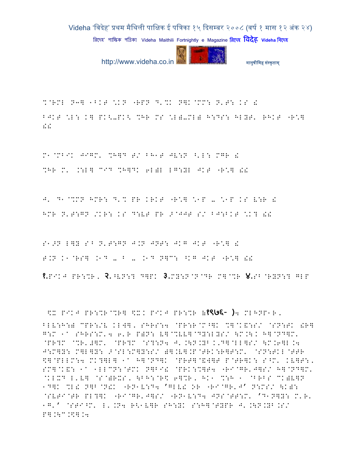িরেদহ' পািkক পিtকা Videha Maithili Fortnightly e Magazine িরেদহ िवदेह **Videha** িবেদহ



%@RML N3# 1BKT PRN DOWN NATIONS PRODUCED AT A BJKT ALS IN BIKT KOM MAR ME ALDER ASSEM HIGH, BRIK "RAS  $\mathbb{R}$  :  $\mathbb{R}^2$ 

DRIVER ANNO THE BIK BHIK HIGH BIS ONE I **THE M. CID SERVE THR SERVE EDGE ENDING:** 

J' D1@%MN HMR: D'% PR KRKT "R\*] \*1P - \*1P KS V:R ! HTR R. BYAR 2161 (F. MYLE TR JOAAR EN BAY:B NIT CO

S130 LAN S1 N.ANA J.AN J.ANA J.A.A. J.A. T.N K1@RS] .1D - B - .1D N]C: ^KG JKT "R\*] !! १.PPIA PRITE, २.8.BPIN 98EL ३.MBIN 79.MPK METH M.P. 8.PK 98919. BER

\$X PIKJ PR:%R@%R] \$X. PIKJ PR:%R (१९७६- )4 MLHNP1R,

BLV:H:) CPR:/V KLW], SHRS:4 @PR:R@M^]K %]@K&:S/ @SN:TK !R] B:M 1A SHRS:MA 6'R PHRS:MYNIME MANIFORS:MYNIME  $\overline{\phantom{A}}$  . The  $\overline{\phantom{A}}$  and  $\overline{\phantom{A}}$  are the neutrino of  $\overline{\phantom{A}}$  . The theory is the control to  $\overline{\phantom{A}}$ J:M]Y: M]L]Y: >@SL:M]Y:S/ )].V].P@TRK:R]T:M' @SN:TKL@TTR  $3$  The probability of the probability of the probability of the source of the solution  $\mathcal{L}$  $S$  for the small control to the source of the state  $\mathcal{A}$  and  $\mathcal{B}$  is the state  $\mathcal{B}$ @KLXD L'V] @S@)RXS, \BH:@R\$ 6]%R, HK1 %:H 1 @BRBS CK)V]N 1D]K %L! N]B@N!K "RN1V:D4 **'**GLV! OR "RI@GR'J**'** N:MS/ \K): @SVTI@TR PL?]K "RI@GR'J]S/ "RN1V:D4 JNS@TT:M' **'**D1N]Y: M'R' 1G'**'** @STI^M' L'.N4 R<1V]R SH:YK S:H]@TYPR J'.\N.YB.S/ P].\C.\$].4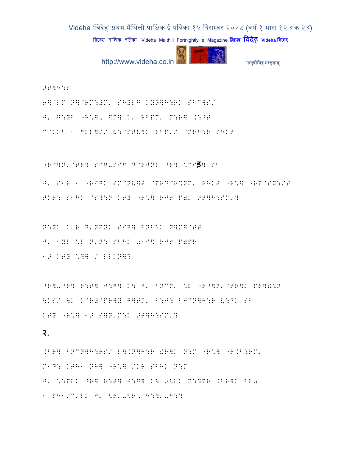িরেদহ' পািkক পিtকা Videha Maithili Fortnightly e Magazine িরেদহ िवदेह **Videha** িবেদহ



>T]H:S

69 NEW PROVINCE KAN A SHOPPAGE SPORT J. B:Y: G:YE STE : B:TT. THE THE COXER 1 GLACIES CONTROLLER COMPANY CONTROLLER SHEET AND INCOME ARRAY SHEET AND INCOME SHEET AND INCOME ARRAY S

"R^]N'@TR] SIG-SIG D@RJNL ^R] \*CIड़] SB J' S1R 1 "RIGK SM@NV]T @PRD@R%NM' RHKT "R\*] "RP@SY:/T THR: SARP CONSTRUCTION IN THE SECOND TELL OF THE SAFE OF THE SAFE OF THE SAFE OF THE SAFE OF THE SAFE OF THE S

**N:WK KYR KER KER NEWS SIGNER** J' 1YL YN YN YN YN YN HAF FAFF 1> KTY \*?] / LLKN]?

^R]-^R] R:T] J:G] K\ J' BNCN' \*L "R^]N'@TR]K PR]!:N  $\tilde{X}$  ,  $\tilde{Y}$  ,  $\tilde{Y}$  ,  $\tilde{Y}$  ,  $\tilde{Y}$  ,  $\tilde{Y}$  ,  $\tilde{Y}$  ,  $\tilde{Y}$  ,  $\tilde{Y}$  ,  $\tilde{Y}$  ,  $\tilde{Y}$  ,  $\tilde{Y}$  ,  $\tilde{Y}$  ,  $\tilde{Y}$  ,  $\tilde{Y}$  ,  $\tilde{Y}$  ,  $\tilde{Y}$  ,  $\tilde{Y}$  ,  $\tilde{Y}$  ,  $\tilde{Y}$  ,  $\$ KAT "RATH" (STATE SHOW: SMY)

## २.

.BR] BNCN]H:RS/ L].N]H:R !R]K N:M "R\*] "R.B:RM' M1D: KTH1 NH] "R\*] /KR SBHK N:M J, THIT AR RHA SIA IS AN TITLE BRAKER 1 PH1/C, H: 4, AB, AAR, H:T. AFIT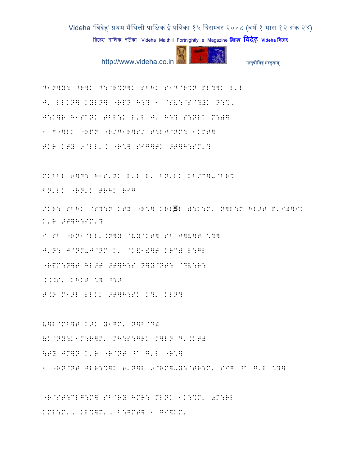িরেদহ' পািkক পিtকা Videha Maithili Fortnightly e Magazine িরেদহ िवदेह **Videha** িবেদহ



D-PARS RED T: PITEL SPHK SPIRT BITHE LI J. LLIE KYLNE HER HI: 1 MEN STEED FIL. J:K!R HISKNER TREK TREK TREK MY SIN 1 G"HIL "BPD" (B.CO. BALL BALGYPIN (1784) THR STRING RESIDENCE SIGNERS

MABLE 699 BL 6209 BL EL L'ESSENCIA CHAMBLES BN'LK "RN'K TRHK RIGHT

/KR: SBHK @S?:N KTY "R\*] KRLड़L ):K:M' N]L:M HL>T P'I)]IK K'R >T]H:SM'? I SB "RN1@LL'.N]Y @VY@KT] SB J]V]T \*?] JEN: JONNES MARINE KONSTRUKTOR DE SAMA KE ATA "RPM:NI HOW:NI HE: 2000 NO. 2000 NO. 2000 NO. 2000 NO. 2000 NO. 2000 NO. 2000 NO. 2000 NO. 2000 NO. 2000 NO. 2 ................ F.N M.H: H:S APPRIL IN SEPT

V]L@MB]T K>K Y1GM' N]B@D! KONSERVATION MANAGER MANGER  $\texttt{H}\boxtimes\texttt{H}\boxtimes\texttt{H}\boxtimes\texttt{H}$  . The  $\texttt{H}\boxtimes\texttt{H}\boxtimes\texttt{H}\boxtimes\texttt{H}$ 1 "RN@NT JLR:%]K 6'N]L 9@RM]-Y:@TR:M' SIG ^A G'L \*?]

"R@ST:ClG:MINISTER:CLG:MINISTER:CLG:MINISTER:CLG:MINISTER:CLG:MINISTER:CLG:MINISTER:CLG:MINISTER:MINISTER:MINIS<br>"R@ST:ClG:MINISTER:MINISTER:MINISTER:MINISTER:MINISTER:MINISTER:MINISTER:MINISTER:MINISTER:MINISTER:MINISTER:M

KML:M', B:GMT, B:GMTHE 1 GARD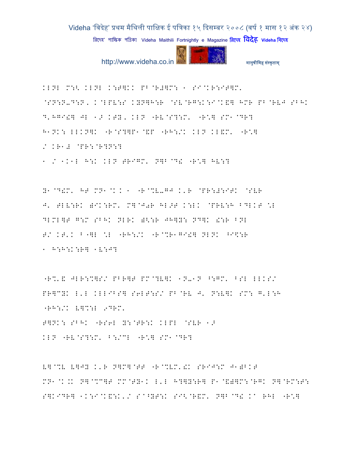িরেদহ' পািkক পিtকা Videha Maithili Fortnightly e Magazine িরেদহ िवदेह **Videha** িবেদহ



KLAND MED KENNLER MED STERN KENNE KENNE KENNE KENNE KENNE KENNE KENNE KENNE KENNE KENNE KENNE KENNE KENNE KENNE @SN:N-D:N, K@LPV:S KYN]H:R @SV@RG:K:I@K&] HMR PB@RVJ SBHK D.HGI: H (FILE, NIP (RICITI) (RVB IT) "RT HANK: LLAND "RESTRIE "RE" (PRINCIP ALL KLAN) "RICH / KR1# @PR:@R?N:? 1 / 1K1L H:K KLN TRIGM' N]B@D! "R\*] HV:?

B: MAN: HE MR: MIN1@K. 1 MANN1. 1 PR: ITENER MAN J. HILMED BYDNET, TAYAR HIJR DAL YAN TALAH KYIDR NI **B:MERGER:MERG:MERGER:MERGER:MERG:MERG:** TR/ KTEL B" FRANCE SE TE "RESERT DED" PROGR 1 H:H:K:R! 1100

"R%'& JLR:%]S/ PBR]T PM@?V]K 1N-1N ^:GM' BSL LLKS/ PRATOL (ELE) CEEPRET BAEBARD PROPE, AL OREAN BOYS ALESA "RH:/K V]%:L 9DRM' FURTH SPHE "REFORM I: TERS TERS FR KLAN "RESTAURATION" BELIEVE STATERE

V]@%V V]JY K'R N]M]@TT "R@%VM'!K SRIJ:M J1)BKT MN: MORTHER MNING (MARIA L'ANGELIA L'ANGELIA L'ANGELIA L'ANGELIA L'ANGELIA L'ANGELIA L'ANGELIA L'ANGELIA L'AN S]KIDR] 1K:I@K&:K'/ S@^YT:K SI<@R&M' N]B@D! KA RHL "R\*]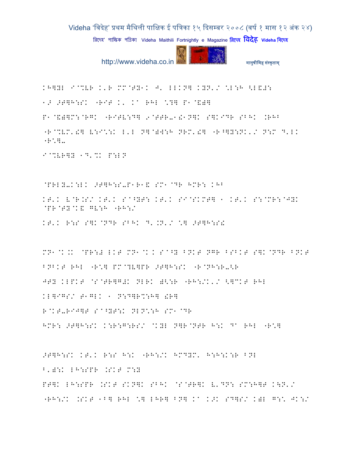িরেদহ' পািkক পিtকা Videha Maithili Fortnightly e Magazine িরেদহ िवदेह **Videha** িবেদহ



KHARE KYNER I.R VOYMARI A. EEIPROIRD. VENH KEEGN

13 SHAMAN (1911) NO BHL 198 P1008

P1@&)]M:@RGK "RITV:D] 9@TTR-1!1N]K S]KIDR SBHK .RHB

"R@%VMLOVER" ALGENZAL "I LE LORE DE MERAR" DROVER WERE RRIEGEDELLE OP D'EO "PLEC"  $\cdot$   $\cdot$   $\cdot$   $\cdot$   $\cdot$   $\cdot$ 

I@%VR]Y 1D'%K P:LN

KTE VOOR VAN DIE GEEN VAN SOOS SOOS SOOS SAAR DIE GEEN VAN DIE SOOS SANDER DIE SOOS @PR@TY@K& GV:H "RH:/

MN1@K.K @PR:# LKT MN1@K. S@^Y BNKT NGR BSBKT S]K@NDR BNKT

KT'K R:S SIK R:S SHE D'E RICHTER D'ARTICLE DE L'ANNE DE L'ANNE DE L'ANNE DE L'ANNE DE L'ANNE DE L'ANNE DE L'A

BNBCKT RHL "ROCHER STREET" PRODUCERT PRODUCERT PRODUCERT PRODUCERT PRODUCERT PRODUCERT PRODUCERT PRODUCERT PRODUCERT PRODUCERT PRODUCERT PRODUCERT PRODUCERT PRODUCERT PRODUCERT PRODUCERT PRODUCERT PRODUCERT PRODUCERT PRODU

JTY KLPKT @S@TR]G#K NLRK )<:R "RH:/K'/ <]CKT RHL

HTB: JANASI CHRANDIC CON PARTHR HI: M' BAR (B50

PARD LANCER .SKDA SKRAL SKAN, NOMBAR & KND SKNAAR (AR.)

"RH:NK . SKT 8 (FR) RHL (NB) ERHL FDB (T) (S) KORK SO (B) (B) (S) (

>T]H:SK KT'K R:S H:K "RH:/K HMDYM' H:H:K:R BNL

KLAIGS (THE STATE IS NOT TO BE A STATE IN THE STATE IS A STATE IN THE STATE IS A STATE IN THE STATE IS A STATE

R@KT-RIJT S@^YT:K NLNY:H SM1@DR

B'):K LH:SPR .SKT M:Y

@PRLY-K:LK >T]H:S-P1R1& SM1@DR HMR: KHB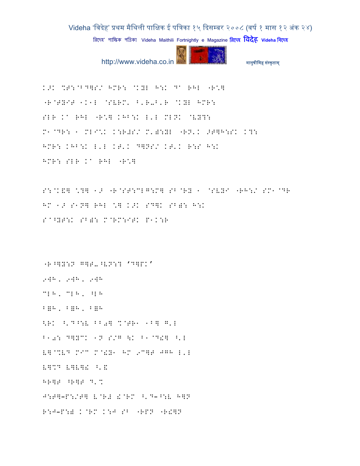িরেদহ' পািkক পিtকা Videha Maithili Fortnightly e Magazine িরেদহ िवदेह **Videha** িবেদহ



KX %BR: PRES SON HI: BRO H: BRO BER "R THEFT 1K11 STREET, SURMISH ONE BYRT SLR KA RHL "RAR (RFN) KLONK @VY?: NAMN MATHR: 1 MLIKI K:R#S/ MI:B:R#S/ MORE OF THE SALE OF THE SALE OF THE SALE OF THE SALE OF THE SALE OF THE SALE O HMR: KHB: KELL MAR:K LEL H:K H:K HTB: SLR KA RHL "RTH

S: MORE AND HE SEEMS TO THE SPACE OF A COURT OF SALE IN THE COUNTY OF THE COUNTY OF THE COUNTY OF THE COUNTY O HM 13 S1NB RHL 18 S2K SPRI SPAN HW S@^YT:K SB): MORMO PRODUCT PRODUCT PRODUCT PRODUCT PRODUCT PRODUCT PRODUCT PRODUCT PRODUCT PRODUCT PRODUCT PRO<br>SO PRODUCT PRODUCT PRODUCT PRODUCT PRODUCT PRODUCT PRODUCT PRODUCT PRODUCT PRODUCT PRODUCT PRODUCT PRODUCT PRO

"R^]Y:N G]T-^VN:? **'**D]PK**'** 9WH, 9WH, 9WH CLH, CLH, ^LH B=H, B=H, B=H <RK ^'D^:V BB0] %@TR1 1B] G'L B10: DECEMBER 10: DECEMBER 10: DECEMBER 10: DECEMBER 10: DECEMBER 10: DECEMBER 10: DECEMBER 10: DECEMBER 10: D V]@%VD MIC M@!Y1 HM 9C]T JGH L'L V]%D V]V]! ^'& HR]T ^R]T D'% J:T]**–**P:/T] V@R# !@RM ^'D**–**^:V H]N

R:J**–**P:) K@RM K:J SB "RPN "R!]N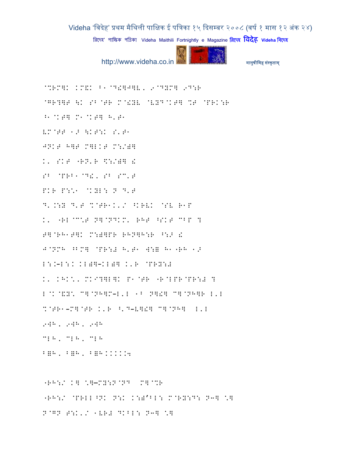িরেদহ' পািkক পিtকা Videha Maithili Fortnightly e Magazine িরেদহ िवदेह **Videha** িবেদহ



@%RM]K KM&K B1@D!]J]V, 9@DYM] 9D:R WARREN AT SPONE TO MELOCHER ME TROOP WELL ^1@KT] M1@KT] H'T1 ETTER (FRIERE S.P. JNKT HIT MILKT MILK K' SKT "RN'R "RN'R "RN'R "RN'R "RN'R "RN'R "RN'R "RN'R "RN'R "RN'R "RN'R "RN'R "RN'R "RN'R "RN'R "RN'R "RN'R " SB @PRB1@D!, SB SC'T PER PERSONALE PROPERTY B. DE B.F.THE W. DER WELFE K' "RL@C\*T NDKM' RHT ^SKT CHE FRITH PROPERTY REPORTED AND RESIDENT J@NMH ^BM] @PR:# H'T1 W:= H1"RH 1> L:.**–**L:. KL)]**–**KL)] K'R @PRY:# K' KHKY, MKPIRE, P'AR' RANDER MPAL T L@K@&Y\* C]@NH]M**–**L'L 1B N]!] C]@NH]R L'L %@TR1**–**M]@TR K'R ^'D**–**V]!] C]@NH] L'L 9WH, 9WH, 9WH CLH, CLH, CLH Basic Basic Basic Basic Basic Basic Basic Basic Basic Basic Basic Basic Basic Basic Basic Basic Basic Basic Ba "RH:/ K] \*]**—**MY:N@ND M]@%R "RH:/ @PRLL^NK N:K K:)**'**BL: M@RY:D: N3] \*]

NOGN TEXT TO A GNUT TO A GNUT THE CONTROL OF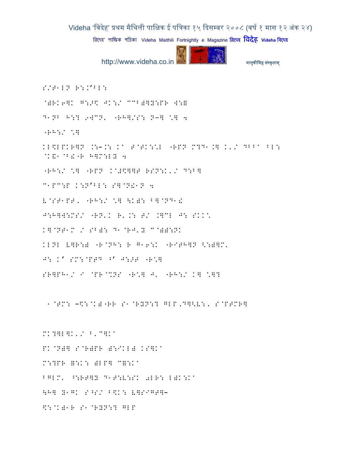িরেদহ' পািkক পিtকা Videha Maithili Fortnightly e Magazine িরেদহ िवदेह **Videha** িবেদহ



 $S: P: P: P: P: P: P: P$ @)RK6]K G:>\$ JK:/ CCB)]Y:PR W:= B:P: 9WC 98WC, 9H82F: N9B 189 "RH:/ \*] KL\$LPKR]N .:**–**.: KA T@TK:\*L "RPN M?D1.] K'/ DBBA BL: When the control of the control of the control of the control of the control of the control of the control of "RH:/ \*] "RPN .@#\$]]T RSN:K'/ D:B] C1PC:P K:N**'**BL: S]@N!1N 4 LYMPT, MANY ON BIBY PROPER J:H:H:M:MS/ H:MS/ B:M:M:M:M:M:M:M: KATHIS AND DISPERSE COMPANY KLNL VALLET VALLET VALLET VALLET VALLET VALLET VALLET VALLET VALLET VALLET VALLET VALLET VALLET VALLET VALLET J: K**'** SM:@PTD ^**'** J:>T "R\*] SR]PH1/ I @PR@%NS "R\*] J' "RH:/ K] \*]? 1@TM: **–**\$:@K)"RR S1@RYN:? GLP,D]<V:, S@PTMR] MAKRAMA MAKARAT BILA PK@N) S@R)PR (1999) S@R)PR (1999) S@R)PR (1999) S@R)PR (1999) S@R)PR (1999) S@R)PR (1999) S@R)PR (1999) S@R (1<br>PR (1999) S@R (1999) S@R (1999) S@R (1999) S@R (1999) S@R (1999) S@R (1999) S@R (1999) S@R (1999) S@R (1999) S TYME BILL ARTH THILL BGLM' ^:RT]Y D1T:V:SK 0LR: L)K:KA \H] Y1GK S^S/ B\$K: V]SIGT]**–**

\$:@K)1R S1@RYN:? GLP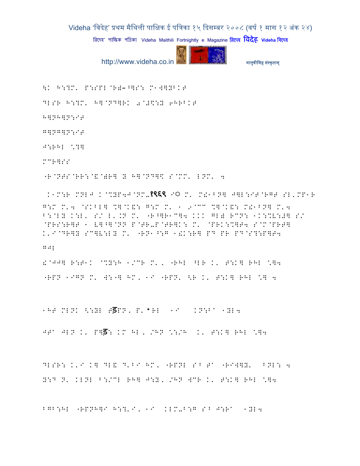িরেদহ' পািkক পিtকা Videha Maithili Fortnightly e Magazine িরেদহ िवदेह **Videha** িবেদহ

KIM:R MONLO KOMINISTI REGIONALIZED ANNO 1999 ISLAM DI LIGIONE SUPERFECT SURFACE SURFACE SURFACE SURFACE SURFACE

G:M M'4 @SKBL] %]@K&: G:M M' 1 9@CC %]@K&: M!1BN] M'4 B: NORTH SERVICE SOME THE THE COOL RESERVED POINT AND A CHILDEN SYSTEM AND SALLS AND SALLS AND SALLS AND SALLS @PRS:R]T 1 V]^]@NN P@TR-P@TR]K: M' @PRK:%]T4 S@M@PRT] K. STRAN STRENEN T. (1970) PRO SENSO PD PR PD PR PRIPER.

!@JJ] R:T1K @%Y:H 1/CR M', "RHL ^LR K' T:K] RHL \*]4

"RPD" (1998) T. (4539) AT . (1998) HPN (AR II) (2018) BAE (AR A)

JA JA RUN KE' PIS KA' THA THA MARKLEY TO AN THE THE TANK

DESPESSION DE DE DIRACTO PRINCIPE SA POLITICA DE PERSON

YET AL CEAR FEATH PHR AGO, JRA ATE CL RECR PHR CHR.

BGB:HL "RPDHER" HGB:HL "I KLM-B:DURGE" 20 J:RG:HL "KB:HL

1HT MLNK <:YL Tड़PN, P'ᆬRL 1I KN:BA 1YL4



\K H:?M' P:SPL@R)**–**^]S: M1W]YBKT

BER HIT. HUSSEN & BRI HHRIB

 $H$ ngganggang mang

Barangan, Pa

J:RHL 198

Haip.

 $R$  - Rents are contributed by the second property of  $R$  and  $R$  and  $R$  and  $R$  and  $R$  and  $R$ 

COPER CO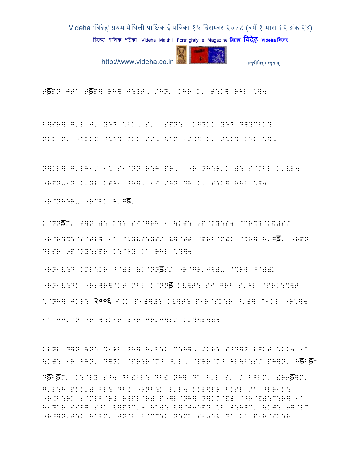িরেদহ' পািkক পিtকা Videha Maithili Fortnightly e Magazine িরেদহ िवदेह **Videha** িবেদহ



Tड़PN JTA Tड़P] RH] J:YT, /HN' KHR K' T:K] RHL \*]4

BARD G. BY MIL B. STP: IANI BY MARTIN NLR N. (HRIB ANAH PLI SI, AAN (2008) I. ANIH RAL 199.

N]KL] G'LH1/ 1\* S1@NN R:H PR, "R@NH:R'K ): S@MBL K'VL4 "RPN-1N K'YL KTH1 NH], 1I /HN DR K' T:K] RHL \*]4  $R$  Particular Hospital Hospital Hospital Hospital Hospital Hospital Hospital Hospital Hospital Hospital Hospital Hospital Hospital Hospital Hospital Hospital Hospital Hospital Hospital Hospital Hospital Hospital Hospital

K@NS\$MY THIS IS NOT TO A REAL PROPERTY OF THE SECOND INTERFERIES OF PRESENT AND I  $R$  : Post of the proposition of the second resolution of  $\overline{S}$ . The proposition of  $\overline{S}$  is the proposition of  $\overline{S}$ . DLSR 9P@NY:SPR K:@RY KA RHL \*?]4

"RN1V:D KML:KR ^@)) (K@NNड़S/ "R@GR'J])- @%R] ^@))K  $R$  . Results the state of the state of the state of the state  $R$  and  $R$  and  $R$  is stated state of the state of the state of the state of the state of the state of the state of the state of the state of the state of the \*@NH] JKR: २००६ I.K P1)]#: KV]T: P1R@SK:R ^')] C1KL "R\*]4 11 GAL'S MARK ( ROCH REPORT WELL ARE NOT WELFUR WELL (  $\mathbb{R}^n$  ) and  $\mathbb{R}^n$ 

KLADE STADE ADA NE ER DER ALFAD STARE. VIDEA IN PADE ERDE NICH AS  $K$ : 1R  $\to$  1R  $\to$  1R  $\to$  . The property  $\infty$  are  $\infty$  is the property  $\in$   $\mathbb{R}$  and  $\infty$  is the property  $\in$ BS Soft and the compact of the society of the State States of the States of the States Microsoft Collection of States Of the States of the States of the States Of the States Of the States Of the States Of the States Of the G'L:H PKK') BL: DB! "RNB:K L'L4 KML\$PR BKSL /A ^LR1K:  $R$  . B.B:RK SAMPLE RESOURCES REPORT TO RECOVER THE RESOURCE  $R$ H1NKR SIGH SIG BHEER A ANDA BH 14-187 11 (41-487) ANDA 24'N Y "R^]N'T:K H:LM' JNML B@CC:K N:MK S10:V DA KA P1R@SK:R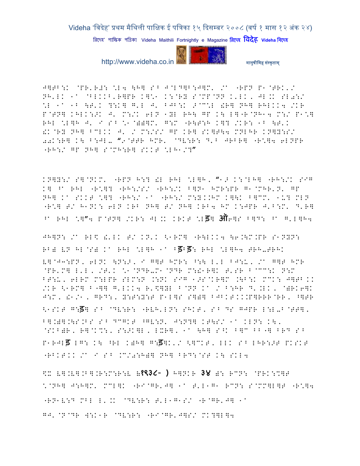িরেদহ' পািkক পিtকা Videha Maithili Fortnightly e Magazine িরেদহ िवदेह **Videha** িবেদহ



JAREAN CORA: BUNG ALA CAPA ON A MORA NARRO, COMO APRIL PA MARICO NH'LE 1A MARING NHE KARA SA DA BANGKA KANG KALI SERIKA SERIKA MENGHAN KERANGKALAN KE SERIKA SERIKA SERIKA SERI \*L 1A 1B \T'K ?:K] G'L J' BJB:K >@C\*L !R] NH] RHLKK4 /KR P@TN] KHLK:>K J' M:/K 6LN 1YL RH\ GP K\ L]"R@NH14 M:/ P1\*] RHL (1986) A. (20)) S.K. MERT. (857) (PRASH (1996). 2006 (20): !K@RY NH] BCLKK J' / M:/S/ GP KR] SK]T\4 MNLHR KN]Y:S/ 00K:R] K\ B:JL- **"**9@TTR HMR' @DV:R: D'B JRBR] "R\*]4 6LNPR "RH:/ GP NH] S@MH:R] SKKT \*LH1/?**"**

KN]Y:/ S]@NKM' "RPN H:? !L RHL \*L]H, **"**1> K:@LH] "RH:/K SIG K] ^A RHL "R\*]? "RH:/S/ "RH:/K B]N1 HMR:PR G1@MHR'N' GP NHE CO SCOR CHI (BH)/ ("RH)/ MH:CHO CHN FHU, (ST MIR "RENN AN MORTH RED OPENDED AN DER OPEN HO STARE HO KARD DON'T DE  $\mathcal{P}^*$  RHL \*2474 Poten (NR) 34 M (R) (R) B S **B]D: 30** GHP,  $\mathcal{P}^*$  and  $\mathcal{P}^*$ 

JHANS /A RECORD "RACK TRANSPORTATION" "RACK THE STREET RB) VA RHL YA COLARE YA RHL AT BES SE RHL YA RHHL ARHLARH V]@J3:PN, 6LNK \N:>, I G]T HMR: ^:\ L'L BJ:U, /A G]T HMR @PR'M] L'L, /T'K \*1@NDR-M1@NDR M:!1R]K T'SR B@CC:K N:M BESL, 6LRM MITH SLMY MON SPR FORMISHM .NK NOMING 998 .Y /KR <1RM] B"]] G'LKK4 R'\$]YL B@NN KA / B:HR D'.LK, @)RK6]K J:M, !1/1, GRD:, Y:T:Y:T P1L]S S])] BJBKT...P]RRR@RR, ^]TR the GSS Community South Community Community Community Community BROUGHT AND AN OUTCOME OF A CHANNEL AND RELEASED AND RELEASED AND RELEASED AT A KLINICAL AND RELEASED AT A KLI  $\mathcal{L}(\mathcal{L}(\mathbb{R}^n), \mathbb{R}^n \times \mathbb{R}^n)$  and  $\mathcal{L}(\mathcal{L}(\mathbb{R}^n), \mathbb{R}^n \times \mathbb{R}^n)$  be a set of  $\mathcal{L}(\mathbb{R}^n)$ P1RHS EP1 CE PHOCEPE P15PL. CAPICE, EEC PROPINE PLYCE "RBKT.. /A I S^ .C/0:H)] NH] BRD:@ST K\ SKL4

 $883C-$  ) Here  $983C 983C 38.38$  ( $98.38$  ):  $89.38$  ( $9.31$ ):  $9.31$ \*@NH] J:H]M' MCL]K "RI@GR'J] 1A T'L1G1 RCN: S@MM]L]T "R\*]4 "RN1V:D MBL L'.K @DV:R: T'L1G1S/ "R@GR'J] 1A GA, TRIME GRIER MALREY (BRIME, AND MELT MINNE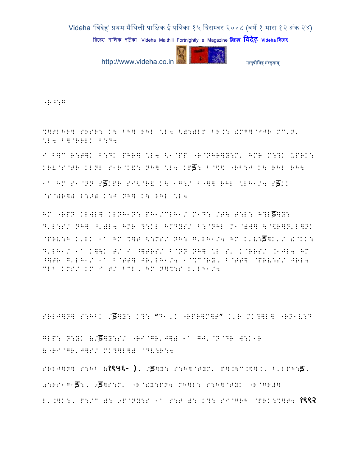িরেদহ' পািkক পিtকা Videha Maithili Fortnightly e Magazine িরেদহ िवदेह **Videha** িবেদহ



 $\mathcal{L}$  is a strict in

%]TLHR] SRSR: K\ BH] RHL \*L4 <):)LP BR.: !MG]@JJR MC'N' \*L4 B]@RRLK B:D4 I B]C R:T]K B:DK PHR] \*L4 <1@PP "R@NHR]Y:M' HMR M:?K UPRK: KREVENDE KLIDE STRAGKE DAN DIE SLIEGE SIES 'R FORDIGHT AF DIE AFRIKAANSE 1A HM S1@NN Sड़KPR SI<@R& K\ 1G:/ B"]] RHL \*LH1/4 Sड़KK @S@)R]) L:>) K:J NH] K\ RHL \*L4

HM "RPN CLAIR CLOREN ON PHILMIR MEN CAR AND HAI**S**AN D.ES/ NHE R.AGA AMR NSI AMDAY PSOPH IN SAN A DREWSFER OPRIGH (WILK 1A HM SHE SONG) PHY HUIL-YE HM KUINSEN. A SAN KY D'LHA/ 1A KING EL 2 KING HERIYA KUTA TAN NHI SI SI KAREN NHI HAMA ^]TR G'LH1/ 1A B@TT] JR'LH1/4 1@%C@RY, B@TT] @PRV:S/ JRL4 THE CONSTITUTION OF A PHONE ENDING:

SRLJ]N] S:HBK /ड़]Y: K?: **"**D1,. "RPR]M]T**"** K'R MK?]L] "RN1V:D

BEEN SNOW BYSTENY (RIMBER WELL IN THE STORY WELL)  $R$  . Rightly, and the contribution of the contribution of the contribution of the contribution of the contribution of the contribution of the contribution of the contribution of the contribution of the contribution of the

SREPHON: STEP (8998-), /इसप्रा Step (200, Philetic B. Bern: 3, B. o:RS1G195;, 9st.Communication: Signal Media: Signal Media: Signal Media: Signal Media: Signal Media: Signal Me L'.]K:, P:/C ): 9P@NY:S 1A S:T ): K?: SI@GRH @PRK:%]T4 १९९२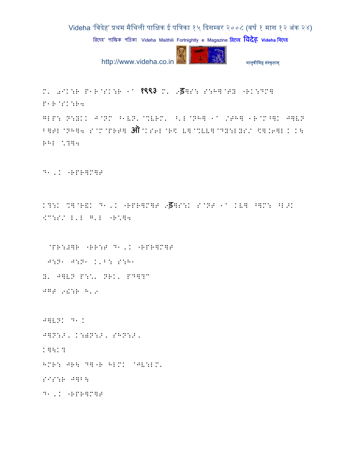িরেদহ' পািkক পিtকা Videha Maithili Fortnightly e Magazine িরেদহ िवदेह **Videha** িবেদহ



M. 2013 R.P. P. P. T. THE R.T. 1993 M. 95 SHEET STERME THE RECEPTER P:P1NAM

GLPS: PSHIL @NPT (F.E.P. MILET, 19.1 MPH 18 /THH 18 /FM HI 2001) BIRTL CORPORATION OF THE CONDITIONS OF A CONDITIONS OF CONTRACTORS OF A LOCAL CONTRACTOR OF THE CONTRACTORS OF **RH** 1794

**Division Control** Control Control Control Control Control Control Control Control Control Control Control Control

KIR: METHER PHON (RPRESEN SSENT) POPP (1 KBE PENT 1ES) [C:S/ L'L G'L "R\*]4

 @PR:#]R "RR:T D1,. "RPR]M]T J:N1 H:N1 (1) F:N1 KY Y' J]VN P:\*' NRK' PD]?C JGT 9!:R H'9

JUNE TO L JAN: MONEY SHAN:  $I$  HH $I$  T HTP: HPR: HPR: MARIET. SIS: SIS **Division Control** Control Control Control Control Control Control Control Control Control Control Control Control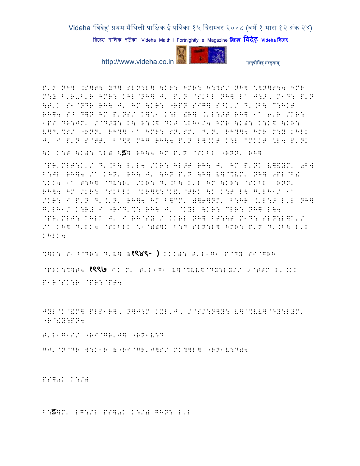িরেদহ' পািkক পিtকা Videha Maithili Fortnightly e Magazine িরেদহ िवदेह **Videha** িবেদহ



P'N NH] .S]T\ YD] SLN:L] \KR: HMR: H:?S/ NH] \*]N]T\4 HMR MIS B'R-B'R-B'R (HEMPH A, P.P. NICH PHE ES AND, NHR P.P  $\texttt{H}\texttt{H}, \texttt{I}$  ,  $\texttt{H} \texttt{H}$  ,  $\texttt{H} \texttt{H}$  ,  $\texttt{H} \texttt{H}$  ,  $\texttt{H} \texttt{H}$  ,  $\texttt{H} \texttt{H} \texttt{H}$  ,  $\texttt{H} \texttt{H}$  ,  $\texttt{H} \texttt{H}$  ,  $\texttt{H} \texttt{H}$  ,  $\texttt{H} \texttt{H}$  ,  $\texttt{H} \texttt{H}$  ,  $\texttt{H} \texttt{H}$  ,  $\texttt{H$ RHA) SO DARR AD BLIRIN IANN IN HER IN ENR PHA (PO) .'L'EN 6'N 6' 1PS DR:JM' /@D>Y: K\ R:.] DKT \*LH1/4 HMR \K): K:K] \KR: V]D'%S/ "RNN' RH?] 1A HMR: SN'SM' D'N' RH?]4 HMR M:Y KHLK J' I P'N SATHE ROOM RHAN BY BEN SA AN TILLE NEW PIP.

 $K$  C:t  $K$  and  $K$  and  $K$  and  $K$  and  $K$   $K$   $\mathbb{R}$   $\mathbb{R}$   $\mathbb{R}$   $\mathbb{R}$   $\mathbb{R}$   $\mathbb{R}$   $\mathbb{R}$   $\mathbb{R}$   $\mathbb{R}$   $\mathbb{R}$   $\mathbb{R}$   $\mathbb{R}$   $\mathbb{R}$   $\mathbb{R}$   $\mathbb{R}$   $\mathbb{R}$   $\mathbb{R}$   $\mathbb{R}$   $\mathbb{R}$   $\$ 

@PR'MLT:K'/ D'.B\ L'L4 /KR: HL>T RH\ J' HM P'NK V]&YM' 0BW B:JH: BRUA /A KHO, BRE A, GRO P.O GRU LUMBI, ORU 2017. \*KK4 1A T:H] @DV:R' /KR: D'.B\ L'L HM \KR: @SKBL "RNN' RH]4 HM /KR: @SKBLK @KR]\$:@K&'@TRK \K K:T L\ G'LH1/ 1A /KR: I P'N D'.'N' RH]4 HM B]CM' )]6]NM' B:HR .'L:> L'L NH] GELERAN CONFIDENTIAL THORE RAYS IN THE RIDGE THREE BRACE @PR'MLT: KHLK J' I RH@SY / KKRL NH] BT:\T M1D: SLN:L]K'/ /A KH] D'LK4 @SKBLK \*1@))]K B:D SLN:L] HMR: P'N D'.B\ L'L KHLK4

%]L: S1^@DR: D'V] (१९४९- ) KKK): T'L1G1 P@DY SI@GRH

@PRK:%]T4 १९९७ I. M' T'L1G1 V]@%VV]@DY:LYS/ 9@TTM L'.KK P1R@SK:R @PR:@PT4

JYDE TO TECH (PE PHIR), OHIHAC (OCE), A 20 YEANIYE DIN EN TOLEN THOSE OC.  $R$  Particles in the  $R$ 

 $H$ . : (Wilden School (Right)  $H$ 

GG, OR ORE GRIEF BORN MADREN WIRIGE CONFIDENCE

Primar (1920)

B:SHI LAG: PERAL LAZE ARPY L.E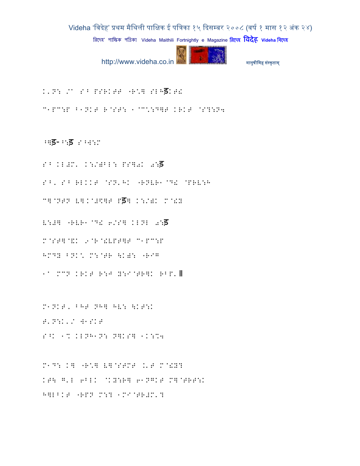িরেদহ' পািkক পিtকা Videha Maithili Fortnightly e Magazine িরেদহ िवदेह **Videha** িবেদহ



K. PERTHER SERVES SERVES

CHECK: P B1NKT R@ST: 1@C\*:D#C\*:D#C\*:D#C\*:D#C\*:D#C\*:D#C\*:

 $\overline{\mathbf{S}}$ - $\overline{\mathbf{S}}$   $\overline{\mathbf{S}}$   $\overline{\mathbf{S}}$   $\overline{\mathbf{S}}$   $\overline{\mathbf{S}}$ 

 $S^1$  K: But and K:/)Bl: Psing but and  $S^2$ 

SO, SO REVIEW MANUFATOR MANUFACTURE

E: H: PO PER POST RIPL 0:5

MOST COMPASSED TO PART

HMDY BNK\* M:@TR \K): "RIG

 $T: \mathbb{R} \to \mathbb{R}$  and  $T: \mathbb{R} \to \mathbb{R}$  and  $T: \mathbb{R} \to \mathbb{R}$ 

 $S^k$  Social Company of the set  $S^k$ 

H]LBKT "RPN M:? 1MI@TR#M'?

MONTH . HONDA . HONDA . WAS . WAS . WAS . WAS . WAS . WAS . WAS . WAS . WAS . WAS . WAS . WAS . WAS . WAS . WAS . WAS . WAS . WAS . WAS . WAS . WAS . WAS . WAS . WAS . WAS . WAS . WAS . WAS . WAS . WAS . WAS . WAS . WAS .

KTH G. BY GOLD ON SHE WYSTERN MICHAEL

F.TH. FAND

1A MCN KRKT R:J Y:I@TR]K RBP'॥

TH THE CHILD COME THAT THE COMMON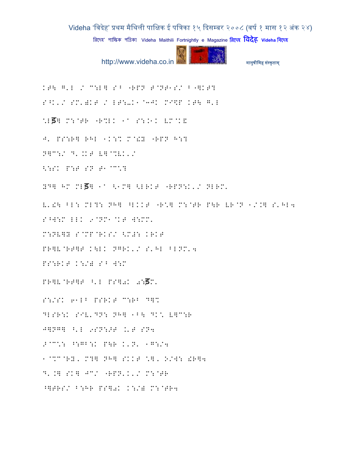িরেদহ' পািkক পিtকা Videha Maithili Fortnightly e Magazine িরেদহ िवदेह **Videha** িবেদহ



KTH G'L / CHER IN GER BYRGIN MARI

SOKI/ SMINE / LEGIS ORD MOME (ER AL

\*Lड़] M:@TR "R%LK 1A S:.1K VM@K&

J. PS:RN RHL 1K: MOND 18:2 H:

**NACK YOU AND ASSESSED AT LOCAL CONSUMING** 

<:SK P:T SN T1@C\*?

YD] HM MLड़] 1A <1M] <LRKT "RPN:K'/ NLRM'

BLEE VIN THE MILLE WHE TIME THE BENT VINE CLAIM

S`W:M'HI, S`WM'NI HINN.

M:NV]Y S@MP@RKS/ <M#: KRKT

PRQL'BRQH (BI) PRINCIPI KARL BERLA

PS:RKT K:/) S^ W:M

PRED PREP RIS PRED 2:5.

STEP BOOK CONTROL CONTROL

BR:DN: NHLSPH: PHE 1BA SIV LETER

J]NG] ^'L 9SN:>T .'T SN4

>@C\*: ^:GB:K P\R K'N' 1G:/4

1@%C@RY, M?] NH] SKKT \*], O/W: !R]4

D'.] SK] JC/ "RPN'K'/ M:@TR

^]TRS/ B:HR PS]0K K:/) M:@TR4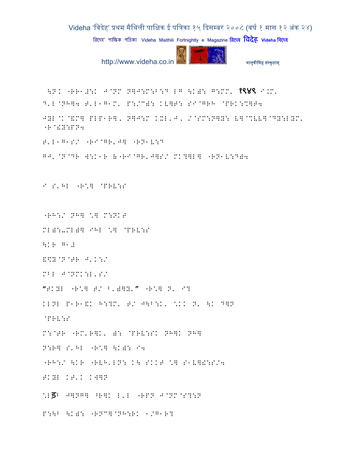িরেদহ' পািkক পিtকা Videha Maithili Fortnightly e Magazine িরেদহ िवदेह **Videha** িবেদহ



 \N. "RR1#:K J@NM N]J:M:B:D LG \K): G:MM' १९४९ I.M' D'L@NH]4 T'L1G1M' P:/C): KV]T: SI@GRH @PRK:%]T4 JOL MARI PLP1R, PHIR 10, 2010 MONDER BUNDER MOREON. "R@!Y:PN4 T'L1G1S/ "RI@GR'J] "RN1V:D GG, 'P'TE GSIKE BYE'TE, GHEZ TITHE SEP LSTER I S'HL "R\*] @PRV:S "RH:/ NH] \*] M:NKT TERLIER FRI AR MEINE  $\mathrm{H}\colon\mathbb{R}\to\mathbb{R}$ &\$Y@N@TR J'K:/ MBL J@NMK:L'S/ **"**TKYL "R\*] T/ B')]Y'**"** "R\*] N' I? KLNL PHPHI BIT, BY HHIL, MI D. H. D. MAR @PRV:S M:@TR "RM'R]K' ): @PRV:SK NH]K NH] THE F.H. GILB SING  $R$  (RH:/ RVH  $R$  ) shows that  $R$  is the set  $R$  shows that  $R$ FINI KALI KAN  $\mathbb{R}$   $\mathbb{S}$  -  $\mathbb{R}$  parameters  $\mathbb{R}$  . The set  $\mathbb{R}$  is the set  $\mathbb{R}$  in  $\mathbb{R}$  is the set  $\mathbb{R}$ P:\B \K): "RNC]@NH:RK 1/G1R?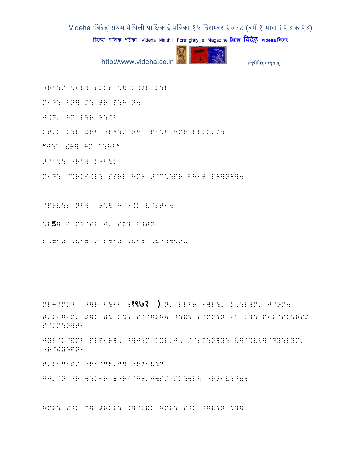িরেদহ' পািkক পিtকা Videha Maithili Fortnightly e Magazine িরেদহ िवदेह **Videha** িবেদহ



"RH:/ <1R] SKKT \*] K.NL K:L

M1D: BN] M:@TR P:H1N4

J.N' HM P\R R:.B

KELI KH: WHEN PHOTO PART REPORTED A RISE

**"**J:A !R] HM C:H]**"**

>@C\*: "R\*] KHB:K

M1D: @%RMI.L: SSRL HMR >@C\*:PR BH1T PH]NH]4

@PRV:S NH] "R\*] H@R.K V@ST14

 $\mathbb{R}$   $\mathbb{S}$  =  $\mathbb{R}$  Tr  $\mathbb{S}$  =  $\mathbb{R}$  ,  $\mathbb{S}$  ,  $\mathbb{S}$  Tr  $\mathbb{S}$  =  $\mathbb{S}$  =  $\mathbb{S}$  =  $\mathbb{S}$  =  $\mathbb{S}$  =  $\mathbb{S}$  =  $\mathbb{S}$  =  $\mathbb{S}$  =  $\mathbb{S}$  =  $\mathbb{S}$  =  $\mathbb{S}$  =  $\mathbb{S}$  =  $\mathbb{S}$  =

 $B$ . E. A. S. T. A. S. A. S. A. S. A. S. A. S. A. S. A. S. A. S. A. S. A. S. A. S. A. S. A. S. A. S. A. S. A. S

B" HT BOARD IN BOARD "ROW" (ROYSERING)

MEND .DER REMORE .DER BEGINN DER REMORE .DER BEGINN JEDEN JERRE JERRE LIGE AND DER BEGINN JEDEN JEDEN JERRE JE TH A GROUP TO STRING AN ARRAY TO STRING A STRING AND THROUGHT AND STRING AND STRING AND STRING AND STRING AND SOMETHER STATES JON PLATE PLP1RE, PRP1R IND. P. 201719881 AR TALE TELENT.  $R$  Particles in the  $R$ 

GG, 'P'TH' 451 (E) BYENDR, ANK, TI NHIN (APP ESTA)

HTR: SOK CREAR: SOK SOK HOME SOK HARD SOM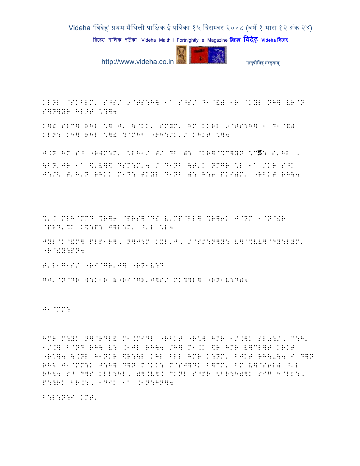িরেদহ' পািkক পিtকা Videha Maithili Fortnightly e Magazine িরেদহ िवदेह **Videha** িবেদহ



KLAND & SKABLMEN SOM START SOM STANDARDE SOM DIG STANDARD I START ALL TO DISCOVER AND TO DISCOVER AND TO DISCOV STR HLP THE

KAR KETA BAE SA ALI SUKU KOBO. AT KUBE DINA SA A TI TOR KLAN: KHEL AND TERMINE "RHILL" AND THE SALE

J.N HM S^ "RWM:M' \*LH1/ T/ DB ): @KR]@%C]YN \*Cड़: S'HL , \BN'JR 1A \$'V]\$ DSM:M'4 / D1NB \T'K NMGR \*L 1A /KR S^K J:/< T'H'N RHKK M1D: TKYL D1NB ): H:6 PKI)M' "RBKT RH\4

%'. MLH@MMD %RIFER\_MERSHIM & MAD IF ALL WE CHAN IN HERE IN A POWER AND NORTH **WEBSTER KEEPS AND READY** 

JYL@K@K@AMIXOVICZYNIA, WZYCZYNIA PLPTIAR PROWADY:  $R$  Particle in Fig.

T'L1G1S/ "RI@GR'J] "RN1V:D

GG, 'P'TE AN' (E BAR'TER, CHIC TITHET ART ENTER

J1@MM:

HMR MYEN WEYER MY MYTH "RBKT "RYENT" FOR 17.HT SL0:/, C:H'. 1/.] B@ND RH\ V: .1JL RH\4 /H] M1.K \$R HMR V]CL]T KRKT  $R$  . And the state of the state of the state  $R$  is the state  $R$  in the  $R$ RH\ J1@MM:K J:H] D]N M@KK: M@SJ]DK B]CM' BM V]@S6L) ^'L RH\4 S^ D]S KLL:HL, )].V]. CKNL S^PR <BR:H)]K SIG H@LL:, P:TRI BRING ARE AT INFINITE

B:L:N:I KMT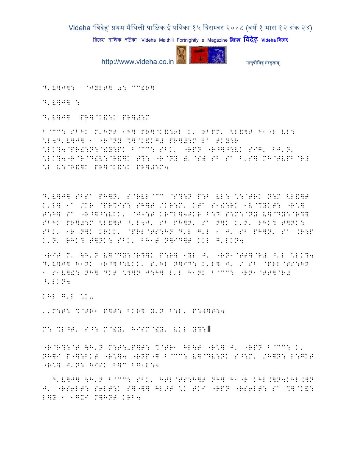িরেদহ' পািkক পিtকা Videha Maithili Fortnightly e Magazine িরেদহ िवदेह **Videha** িবেদহ



D'V]J]: @JYLT] 0: CC!R]

D'ISBN 9-1

D'V]J] PR]@K&:K PR]#:M

B@CCOX: SBHK MOC: SBHK MEHNT IN BOAR MOC: SBHK MY LEBRA HANDER REGI \*L4D'V]J] 1 "R@NY %]@K&KG# PR]#:M LA TKY:R \*LK?4@PR!:N:@!Y:PK B@CC: SBK' "RPN "R^]^:VK SIG' BJ'N' \*LK?4"R@R@D!V:@R&]K T?: "R@NY )'@S) SB SA B'S] MH@TVPB@R# \*L V:@R&]K PR]@K&:K PR]#:M4

D'VIGHA PHIN' PHAN, P'MHI MM' MEAN PAR GIR' NA MAN AIGHA K'LEB (K'L'AR' (PR%YKT: SHBE) /KRYEM' (SH) START: "R\*1000 KTA 1979 T:HE SA "ROURDERLING" @J3:T SA "SERVERLE B:D S:M: THE S:M: THE S:M: THE S:M: SPAN PRAGAN REBAR PLEGAL SP PAARL SN PAN NIJK. BANN BAPIN'N SBK' 1R N]K KRKK' @PRL@TS:HN D'L G'L 1 J' SB PH]N' SA .R:P K.B. RHKY ANDIS SBK. PHYP DRYMAN KKL M.BKD4

"RIT M' M' NO D'AO D'ANNES D'ANNES D'ANN AIR 1999 (1999) 1999 (1999) 1999 (1999) 1999 (1999) 1999 (1999) 1999 ( D.LARK HIT HINLIS KAR TAPPE SIA ROK SIHL NASHRI 1 S1V]!: NH] DKT \*?]N J:H] L'L H1NK B@CC: "RN1@TT]@R#  $\mathcal{F}_L$  is defined

KHL GEL AND

''M:T: %@TR1 P]T: BKR] Y'N B:L' P:W]T:4

M: %L^T' S^: M@!Y' HISM@!Y' VKL Y?:॥

 $\mathcal{R}$  is the transformal matrix of the parameter  $\mathcal{R}$  ,  $\mathcal{R}$  and  $\mathcal{R}$  are the control of  $\mathcal{R}$  . NHER P (BSE):B (BSE)4 (BSE)4 (FOCC: LEORIST (FSI), (MESS ESP)2  $H: \mathbb{R} \to \mathbb{R}$  is a set of  $H: \mathbb{R} \to \mathbb{R}$  and  $H: \mathbb{R} \to \mathbb{R}$ 

D'VI, LABAR (ARA), D'A STOTTE (BEST), CARES TRETHABLE DAR HAN ABCI, AR CADALAIS AE CADA J', "BEBERG EBERG" ER MROGE DE SA SA "BEROGEERE EN TROCES L]Y 1 1GXI M]HNT KRB4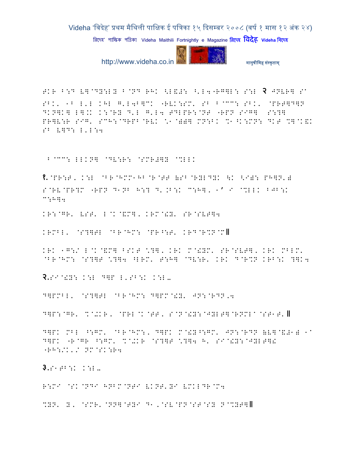িরেদহ' পািkক পিtকা Videha Maithili Fortnightly e Magazine িরেদহ िवदेह **Videha** িবেদহ



THR B:D VIOLATION OF PERSONAL CONDITIONS OF A SACTO RELATIONS OF THE SACTO RELATIONS OF THE SACTO RELATIONS OF  $S$ BK: 1B LE CHL G.E.4FBM: (BELGEN, SP B.MMN: SPI, SBBBBBBB DECIMENT LA KI: CONTENTA D'ALLE A LA GAMENTE D'ORD "PAPER" (POSTAR PRALSE POR, PTAG'TEP 'BL: SO MER 2295, TO MINITE TO MASTER SB V]D: L'L:4

BOOT BOOT DISTURBANCE OF BUILDING AND ALLES AND LOCAL CONTRACTORS AND LOCAL CONTRACTORS AND LOCAL CONTRACTORS

१. MPR:F, K:L &BR@HMMINHB@R@TP:TH@R@BR@TT (SB@RTT\_PHIP); A S@RV@PR?M "RPN D1NB H:? D'.B:K C:H], 1**'** I @%LLK BJB:K  $\cdots$ 

KR:@GR' VST' COMPANY VAN STILLER

KRMBL' @STREET @BROW: @BROW: @BROW:THUND@R

KRK 1G:// LOID BOK SANG ANG AMA SA KATA MANG MANG MARAHA SA SA SA SA SA SA SA MAI SA SA SA SA SA SA SA SA SA S @BR@HM: @S?]T \*?]4 ^LRM' T:H] @DV:R' KRK D@R%N KRB:K ?]K4

२.SI@!Y: K:L D]P L'SB:K K:L-

DHETHE MANUSCHER METHAM AND DER SPILA

D]P:@GR' %@+KR, @PRL@K@TT, S@N@!Y:@JYLT]@RNMLA@ST1T'॥

DARI MBL MARL ORDING MARI MISSED, AND GAN BEHMED () DARI "ROGR PER "SIME "SIA "SIME AT " SIME " SIME SIME SI "RH:/K'/ NM@SK:R4

 $3.5.5151 \pm 1.511$ 

R:MI MI MI MI ADAMI MANTI KANTI VANTI VANTI VANTI VANTI VANTI VANTI VANTI VANTI VANTI VANTI VANTI VANTI VANTI

%YN' Y, @SMR'@NN]@TYI D1,@SV@PN@ST@SY N@%YT]॥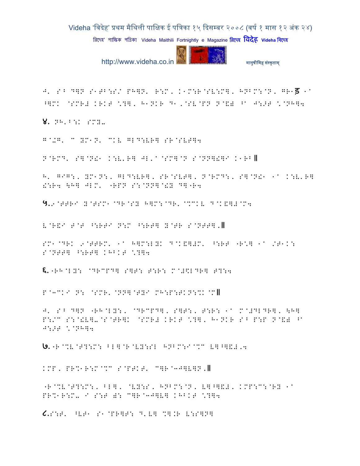িরেদহ' পািkক পিtকা Videha Maithili Fortnightly e Magazine িরেদহ िवदेह **Videha** িবেদহ



J' S^ D]N S1TB:S/ PH]N' R:M, K1M:R@SV:M], HNBM:@N, GR1ड़ 1A ^]MK @SMR# KRKT \*?], H1NKR D1,@SV@PN N@&) ^A J:>T \*@NH]4

४. PH. PH. PHR.

GOGA C YMNES CHONNELL AN ANN AN SAN SA

N@RMD' S]@N!1 K:V'R] JL'A@SM]@N S@NN]!]I K1RB॥

H, GROBS, YMORS, BETHER , YE MERRY, SOROTH, YR DROG (AT 15E, BR !:R4 \H] JLM' "RPN S:@NN]@!Y D]"R4

५.9@TTRI Y@TSM1@DR@SY H]M:@DR'@%CKV D@K&]#@M4

V@R&I T@T ^:RTI N:M ^:RT] Y@TR S@NTT],॥

SM1 PRES SMARE 2014 1A HIM:LY DO KALENIUS AND A HIM AND THAT IN S@NTT] ^:RT] KHBKT \*?]4

 $\mathbf{G}$ .  $\mathbf{H}$  and  $\mathbf{H}$  is the property of the set  $\mathbf{H}$  and  $\mathbf{H}$  the  $\mathbf{H}$  the set  $\mathbf{H}$ 

P@3CKI N: @SMR'@NN]@TYI MH:P:TKN:%K@M॥

J', SO PHE GRACER, ORNING, SHAY, BYR; 1A MARINHE, RAH P:/C S:@!V]-@S@TR]K @SMR# KRKT \*?], H1NKR S^ P:P N@&) ^A J:>T \*@NH]4

७."R@%V@T?:M: BL]@R@VY:SL HNBM:I@%C V]^]&#,4

KMP, PR%1R:MMP, CORECA, MHP SHAHLARI N

"R@%V@T?:M:, BL], @VY:S, HNBM:@N, V]^]&#, KMP:C:@RY 1A PR%1R:M- I ST:P 41 7967-9818 19918 1991

C.PSE. SEEP PROPERTY WILE TECH ESPERE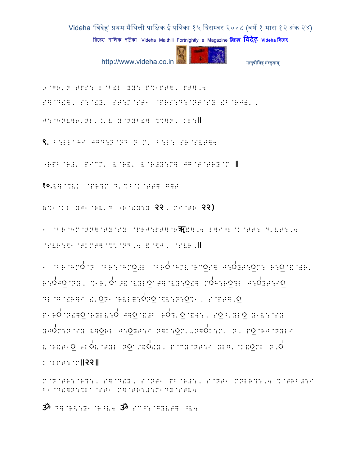## الله: المعرض المعرض المعرض المعرض المعرض المعرض المعرض المعرض المعرض المعرض المعرض المعرض المعرض الم

MORTHR: MONTH SANTA SANTA PERSONAL SANTA SERIKAN SERIKAN SERIKAN SERIKAN SERIKAN SERIKAN SERIKAN SERIKAN SERIK B1@D!]N:%LA@ST1 M]@TR:#:M1DY@STV4

 $\mathbb{R}^n$  :  $\mathbb{R}^n$  :  $\mathbb{R}^n$  :  $\mathbb{R}^n$  :  $\mathbb{R}^n$ 

+ @HETPITO TRO THE TRIQUE @HARCHPITOJE @HOBREQITE BEQ TETUBL © P:O+Q^YBU (NHR)ON JENEBEQNAT (LB:Qda (NO+GPQH) (H:OBP)-nQ||  $\mathbb{P} \mathbb{P} \left[ \mathbb{P} \left[ \mathbb{P} \left[ \mathbb{P} \left[ \mathbb{P} \left[ \mathbb{P} \left[ \mathbb{P} \left[ \mathbb{P} \left[ \mathbb{P} \left[ \mathbb{P} \left[ \mathbb{P} \left[ \mathbb{P} \left[ \mathbb{P} \left[ \mathbb{P} \left[ \mathbb{P} \left[ \mathbb{P} \left[ \mathbb{P} \left[ \mathbb{P} \left[ \mathbb{P} \left[ \mathbb{P} \left[ \mathbb{P} \left[ \mathbb{P} \left[ \mathbb{P} \left[ \mathbb{P} \$ PHO DEBO PERSO HBO DEPTRON, O DEBLITION, ERIC EN ENTRET YAQLASIYY PIBOHI AYOYAY YANAONIYYAYA MA'LIMO ASIY A il tebeko\_ el dil tedeli dontzadadi li birto teeski dele. Nibone idildi.

@SVR:\$1@TKMT]@%\*@ND,4 &@\$J, @SVR,॥

1 @BR@HM@NN]@TY@SY @PRJ:PT]@Rॠ&],4 L]I^L@K@TT: D'VT:,4

 $(87.19)$  and  $(94.19)$   $(9.19)$   $(22.7)$   $(23.7)$ 

१०.V]@%VK @PR?M D'%^@K@TT] G]T

 $R$  - PIC PICM' VARIATION (PICM' VARIATION)  $\parallel$ 

S. B:LLAHI JUNG:NO ND N MY B:L: SR SVT

JS: MARLAN, RE. (LE GENREER STREE, 1991)

S]@D!], S:@!Y' ST:M@ST1 @PRS:D:@NT@SY !B@RJ)',

9@GR'N TPS: L@B!L YY: P%1PT], PT],4

http://www.videha.co.in **All and Solution and Solution** <sub>मान्</sub>षीमिह संस्कृताम्



িরেদহ' পািkক পিtকা Videha Maithili Fortnightly e Magazine িরেদহ िवदेह **Videha** িবেদহ

Videha 'विदेह' प्रथम मैथिली पाक्षिक ई पत्रिका १५ दिसम्बर २००८ (वर्ष १ मास १२ अंक २४)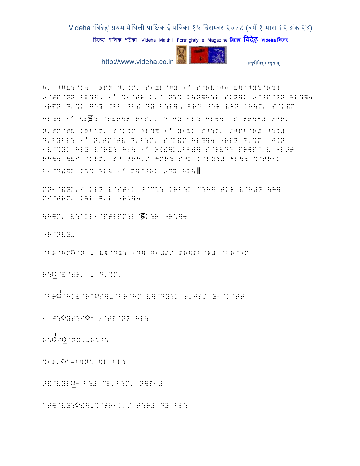িরেদহ' পািkক পিtকা Videha Maithili Fortnightly e Magazine িরেদহ िवदेह **Videha** িবেদহ



H' ^GV:@N4 "RPN D'%M' S1YL@GY 1**'** S@RV@J3 V]@DY:@R?] 9@TP@NN HL?], 1**'** %1@TR1K'/ N:% K\N]H:R SKN]K 9@TP@NN HL?]4 "RPN D'%K G:Y .BB DB! DY B:L], BRD ^:R VHN KR\M' S@K&M HETH (K GES) TREPHER INC. TTAG ALS BLAN TRIGHAM PART N'TM@TV KRB:M' S@K&M HL?] 1**'** Y1VK S^:M' /JPB@R# ^:&# D'BYBL: 1**'** N'TM@TV D'B:M' S@K&M HL?]4 "RPN D'%M' J.N 1V@%YK HLY V@R&: HL\ 1**'** O&!]K-BB)] S@RVD: PR]P@KV HL>T RHA4 ALP (VIET, SO SHARW: ATRISCO SOMETIME HINA % WHA: B1@D!]K N:% HL\ 1**'** M]@TRK 9DY HL\॥ MRS MODILEY I KLAN VASTING I PERSON MARI ALDER KRABE MINTRY KONSTANTING  $\frac{1}{2}$  $\frac{1}{2}$  $\frac{1}{2}$   $\frac{1}{2}$   $\frac{1}{2}$   $\frac{1}{2}$   $\frac{1}{2}$   $\frac{1}{2}$   $\frac{1}{2}$   $\frac{1}{2}$   $\frac{1}{2}$   $\frac{1}{2}$   $\frac{1}{2}$   $\frac{1}{2}$   $\frac{1}{2}$   $\frac{1}{2}$   $\frac{1}{2}$   $\frac{1}{2}$   $\frac{1}{2}$   $\frac{1}{2}$   $\frac{1}{2}$   $\frac{1}{2}$   $\frac$ "RETHER" @BR@HM◌॑ @N - V]@DY: 1D] G1#S/ PR]PB@R# @BR@HM RSQ'EMBL L R.T. @BROOK POOL TO BROOK IN THE COUNTRY CONTROL CONTROL + H:©Benn@musier.com R:O=Q178.LP:PF| %1R'◌A॑ **–**B]N: \$R BL: >&@VYL◌॒- B:# CL'B:M' N]P1# **MATERIARS AT PERSONAL PROPERTY**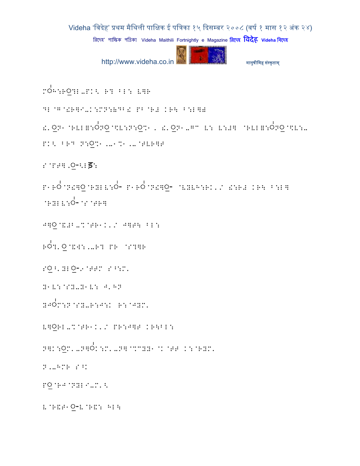িরেদহ' পািkক পিtকা Videha Maithili Fortnightly e Magazine িরেদহ िवदेह **Videha** িবেদহ



M◌H:R ॑ ◌॒?L-PK< R? BL: V]R DE DROGBROLINDINER ER DEL 194 FNERA וטובייט פולסנים ובו או די ביוס ביותר ביוס מאוד ביותר ביותר ביותר ביותר ביותר ביותר ביותר ביותר ביותר ביותר ביו PER PROTH NHT NETHER  $S$  and  $S$  and  $S$  and  $S$  and  $S$  and  $S$  and  $S$  and  $S$ P1RФ ФОРД (ROLO) P1RФ (PORQT) (LOLPGR). J. OGRO (PR) FGLR ( ॑ @RYLV:◌॑-@S@TR] JPD TERMS TREAT LIT PREPLIES  $\mathbb{R}$ ôt, <u>Q</u>ober, Letophone (prie pr SOUL BLOHANNED SOME W: With State State State B<sup>20</sup>MY YB.PYPH PP<sup>19</sup>BM LAORELTIAR (1994), PRIMAR (1991) NA:N@M.WYA@ENWYLOPATYMAK:MYPANIK:MYPAMIK:M  $H_1,H_1^*H_2^*\to H_1^*$ PO THE THIS CAT. I. **WORLD AND AREA**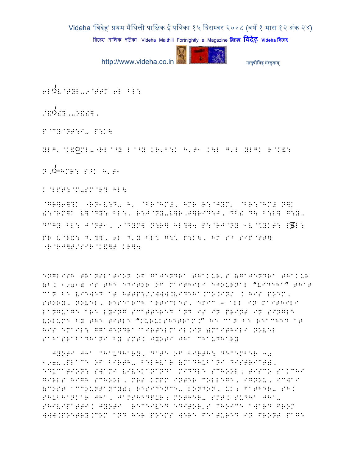JOOTI JHA CHAUDHI, DIE OF BIRTHE: DITTER 300 1978,PLACE OF BIRTH- BELHVAR (MADHUBANI DISTRICT), EDUCATION: SWAMI VIVEKANANDA MIDDLE SCHOOL, TISCO SAKCHI GIRLS HIGH SCHOOL, MRS KMPM INTER COLLEGE, IGNOU, ICWAI (COST ACCOUNTANCY); RESIDENCE- LONDON, UK; FATHER- SH. SHUBHANKAR JHA, JAMSHEDPUR; MOTHER- SMT. SUDHA JHA-SHIVIPIED CANDEL POTOR'S CHOICE AWARD FROM CALES FROM WWW.POETRY.COM AND HER POEMS WERE FEATURED IN FRONT PAGE

ENGLISH TRANSLATION OF GAJENDRA THAKUR'S (GAJENDRA THAKUR (B. 1971) IS THE EDITOR OF MAITHILI EJOURNAL **"**VIDEHA**"** THAT CAN BE VIEWED AT HTTP://WWW.VIDEHA.CO.IN/ . HIS POEM, STORY, NOVEL, RESEARCH ARTICLES, EPIC **–** ALL IN MAITHILI LANGUAGE ARE LYING SCATTERED AND IS IN PRINT IN SINGLE VOLUME BY THE TITLE **"**KURUKSHETRAM.**"** HE CAN BE REACHED AT HIS STAIL: GGALERIN IN GHAIRTELMAN (2008) AND SHARTELLIN SAHASRABADHANI BY SMT. JYOTI JHA CHAUDHARY

@GR]6]?K "RN1V:D- H' @BR@HM#, HMR R:@JYM' @BR:@HM# N]K !:@RM]K V]@DY: BL:, R:J@NY-V]R,T]RID:J, DB! D\ B:L] G:Y, DCGY BL: J@NT1, 9@DYM] N:R] HL?]4 P:@RJ@NY 1V@%YKT: Pड़L: PR L'ASS D'ISLAIGH D'AIRIS AN PILITIE D'AN SIPOLE "ROBINSTON" ROBINSTON, 1999.

N,◌॑-HMR: S^K H'T1

K@LPT: MARY MORE SERVICE

YLG, YLGOTL-"HE MARLE (BLANCH G'AR' IN KORL GERE ROYEN)

POCYMOUS PRINT

 $10\%$ id ("Pode )  $\sim$ 

el@Logila.orger\_el\_Blic

http://www.videha.co.in स्क्री से स्कूल के प्राप्त स्कूल मुख्य स्कूल मुख्य स्कूल मुख्य स्कूल मुख्य स्कूल मुख्य

িরেদহ' পািkক পিtকা Videha Maithili Fortnightly e Magazine িরেদহ िवदेह **Videha** িবেদহ

Videha 'विदेह' प्रथम मैथिली पाक्षिक ई पत्रिका १५ दिसम्बर २००८ (वर्ष १ मास १२ अंक २४)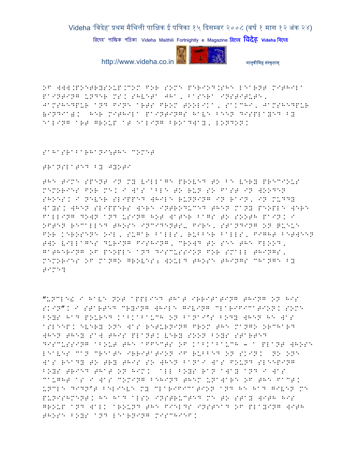## THOSE BOYS AND LEARNING MISCHIEF.

**"**UNCLE! I HAVE NOT APPLIED THAT IRRITATING THING ON HIS SKIN**"**. I STARTED CRYING WHILE GIVING CLARIFICATION. SOME BOYS HAD POURED KABKABAUCH ON BANAI**'**S BODY WHEN HE WAS ASLEEP. EVERY ONE WAS RETURNING FROM THE MANGO ORCHARD WHEN THEY SAW THIS PLANT. VERY SOON BOYS START IN SOON BOYS DISCUSSING ABOUT THE AFFECTS OF KABKABAUCH **–** A PLANT WHOSE LEAVES CAN CREATE IRRITATION IF RUBBED ON SKIN. NO ONE WAS READY TO TRY THIS SO WHEN BANAI WAS FOUND SLEEPING BOYS TRIED THAT ON HIM. ALL BOYS RAN AWAY AND I WAS ARRESTED TO A LICENSE. CAUGHT AS I WAS COMING BEHIND THEM UNAWARE OF THE FACT. UNCLE DI BELIEVE MY CLARIFICATION ON L'ESPERANT AND HIS DISPOSITION AND HANDIFICATION PUNISHMENT. HE HAD ALSO INSTRUCTED ME TO STAY WITH HIS BROUP AND WALKER ARDUIT THE FIELDS INSTEAD OF PLAYING WITH THE FIELDS IN

## **BUSINE**

THE TIME SPENT IN MY VILLAGE PROVED TO BE VERY PRECIOUS MADDERAG FOR ME. IS A GEN MARS AS GEN SO FAST IN WOODEN ADDITION SHOES. I NEVER SLIPPED WHILE RUNNING IN RAIN, IN MUDDY WAYS. WHEN SLIPPERS WERE INTRODUCED THEN MANY PEOPLE WERE FALLING DOWN AND USING HOT WATER BAGS TO SOOTH PAIN. I OFTEN RECALLED THOSE INCIDENTS- FIRE, STANDING ON QUEUE FOR KEROSENE OIL, SUGAR BALLS, RUBBER BALLS, FIGHT BETWEEN TWO VILLAGES DURING FISHING, CROWD TO SEE THE FLOOD, GATHERING OF PEOPLE AND DISCUSSION FOR SMALL THINGS, MEMORIES OF MANGO GROVES; WOULD THOSE THINGS CHANGE BY

TRANSPORTED BY JUNEAU

SAHASRABARHANI:THE COMET

OF WWW.POETRYSOUP.COM FOR SOME PERIOD.SHE LEARNT MITHILA PAINTING UNDER MS. SHVETA JHA, BASERA INSTITUTE, JAMSHEDPUR AND FINE ARTS FROM TOOLIKA, SAKCHI, JAMSHEDPUR (INDIA). HER MITHILA PAINTINGS HAVE BEEN DISPLAYED BY EALING ART GROUP AT EALING BROADWAY, LONDON.

http://www.videha.co.in <u>स्क्रिये स्कं इर्फ़्</u>ल्भ मानुषीमिह संस्कृताम्



িরেদহ' পািkক পিtকা Videha Maithili Fortnightly e Magazine িরেদহ िवदेह **Videha** িবেদহ

Videha 'विदेह' प्रथम मैथिली पाक्षिक ई पत्रिका १५ दिसम्बर २००८ (वर्ष १ मास १२ अंक २४)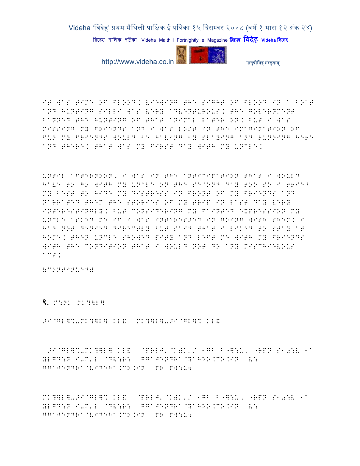িরেদহ' পািkক পিtকা Videha Maithili Fortnightly e Magazine িরেদহ िवदेह **Videha** িবেদহ



IT WAS TIME OF FLOOD. IN THE SIGN TO SIGN THE SIGHT OF SIGHT OF FLOOD. IT IS NOT FLOOD IN A BOAT WAS SIGNED IN AND HUNTING SILLI WAS VERY ADVENTUROUS. THE GOVERNMENT BANNED THE HUNTING OF THAT ANIMAL LATER ON. BUT I WAS MISSING MY FRIENDS AND I WAS LOST IN THE IMAGINATION OF FUN MY FRIENDS WOULD BE HAVING BY PLAYING AND RUNNING HERE AND THERE. THAT WAS MY FIRST DAY WITH MY UNCLE.

UNTIL AFTERNOON, I WAS IN THE ANTICIPATION THAT I WOULD HAVE TO GO WITH MY UNCLE ON THE SECOND ON THE SECOND DAY TO SO I TRIED. MY BEST TO HIDE MY DISTRESS IN FRONT OF MY FRIENDS AND NARRATED THEM THE STORIES OF MY TRIP IN LAST DAY VERY INTERESTINGLY. BUT CONSIDERING MY FAINTED EXPRESSION MY UNCLE ASKED ME IF I WAS INTERESTED IN GOING WITH THEM. I HAD NOT DENING DIRECTLY BUT SAID THAT I LIKE DIRECTLY BUT SAID THAT I LIKE HOME. THEN UNCLE SHOWED PITY AND LEFT ME WITH MY FRIENDS WITH THE CONDITION THAT I WOULD NOT DO ANY MISCHIEVOUS ACT.

(CONTINUED)

**S. MARSHIPE** 

>I@GL]%-MK?]L] KL& MK?]L]->I@GL]% KL&

 >I@GL]%-MK?]L] KL& @PRLJ'@K)K'/ 1GB B"]:U, "RPN S10:V 1A YLGD:N I-M'L @DV:R: GGAJENDRA@YAHOO.CO.IN V: GGALENDRAG CO.IN PR PERSON

MURBEAR PRRIIK SE @PREP. NGBIJI (PR) PRRII (PRR) S(2010) ( YLGD:N I-M'L @DV:R: GGAJENDRA@YAHOO.CO.IN V: GGALENDRAG CO.IN PROPERTY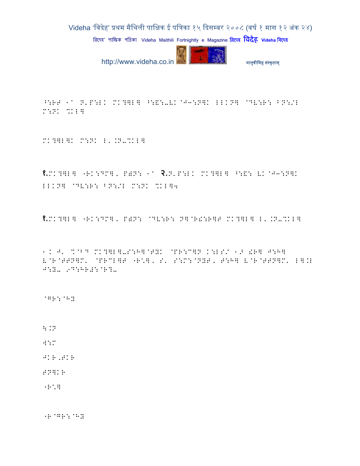িরেদহ' পািkক পিtকা Videha Maithili Fortnightly e Magazine িরেদহ िवदेह **Videha** িবেদহ



^:RT 1A N'P:LK MK?]L] ^:&:-VK@J3:N]K LLKN] @DV:R: BN:/L M:NK %KL]

MIRRE MARI B. MANIER

१.MK?]L] "RK:DM], P)N: 1A २.N'P:LK MK?]L] ^:&: VK@J3:N]K LLCH MEDECH PROF THE TILL

१.MK?]L] "RK:DM], P)N: @DV:R: N]@R!:R]T MK?]L] L'.N-%KL]

1. J' %@BD MK?]L]-S:H]@TYK @PR:C]N K:LS/ 1> !R] J:H] V@R@TTN]M' @PRCL]T "R\*], S' S:M:@NYT, T:H] V@R@TTN]M' L].L J:Y- 9D:HR#:@R?-

@GR:@HY

 $\ddot{\mathbf{u}}$  :  $\ddot{\mathbf{v}}$ 

W:M

JKR,TKR

**BOWER** 

 $\mathbb{R}^n$ 

 $R$  reads to the Hy-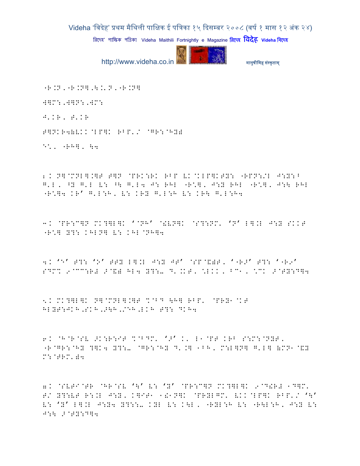িরেদহ' পািkক পিtকা Videha Maithili Fortnightly e Magazine িরেদহ िवदेह **Videha** িবেদহ



"R.N,"R.N],\.'N,"R.N]

W]M:,W]N:,WM:

J'KR, T'KR

T]NKR4(VKK@LP]K RBP'/ @GR:@HY)

 $E_{\rm{C}}$ ,  $\mu$  and  $\mu$ ,  $\mu$ 

2. N]@MNL]. THE REPORT OF THE REPORT OF THE REPORT OF THE PARTY OF THE PARTY OF THE PARTY OF THE THING  $\overline{Y}$ G'L, O'L G'L V: C'LA G'LE, HI: F'L4 J: RHL "PENEL, J'ANE, BHL "PENEL, J'ANE, BHL "R\*]4 KR**'** G'L:H, V: KRY G'L:H V: KR\ G'L:H4

3. @PR:C]N MK?]L]K **'**@NH**'** @!VN]K @S?:NM' **'**N**'** L].L J:Y SKKT "R\*] Y?: KHLN] V: KHL@NH]4

4. **'**E**'** T?: **'**O**'** TTY L].L J:Y JT**'** @SP@&)T, **'**"R>**'** T?: **'**"R9**'** SDM% 9@CC:R# >@&) HL4 Y?:- D'.KT, \*LKK, BC1, \*CK >@TY:D]4

 $\mathcal{L}$  , matrix  $\mathcal{L}$  , matrix  $\mathcal{L}$  , matrix  $\mathcal{L}$  , matrix  $\mathcal{L}$  , matrix  $\mathcal{L}$ HISTORIAL STAHLS AND STRING TO A HOME

6. @H@R@SV >K:R:IT %@BDM' **'**>**'** K' L1@PT KRB S:M:@NYT,  $R$  )  $R$  : (18  $R$  )  $R$  . The contribution of  $R$  is the contribution of  $R$  and  $R$  and  $R$  (MN1 $R$  )  $R$  and  $R$  (MN1 $R$  )  $R$  (MN1 $R$  )  $R$  (MN1 $R$  )  $R$  (MN1 $R$  )  $R$  (MN1 $R$  )  $R$  (MN1 $R$  )  $R$  (MN1 $R$  )  $R$  (MN1 $R$ M:@TRM')4

7. @SVTI@TR @HR@SV **'**\**'** V: **'**Y**'** @PR:C]N MK?]L]K 9@D!R# 1D]M' T/ Y?:VT R:.L J:Y, K]IT1 1!1N]K @PRYLGM' VKK@LP]K RBP'/ **'**\**'** V: **'**Y**'** L].L J:Y4 Y?::- KYL V: K\L, "RYL:H V: "R\L:H, J:Y V: J:\ >@TY:D]4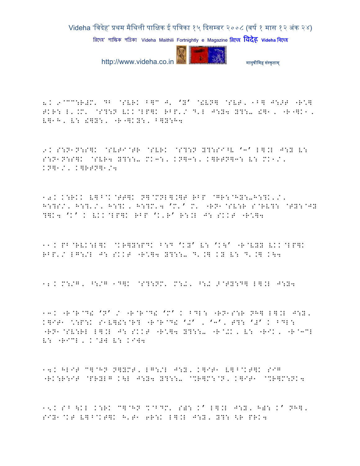িরেদহ' পািkক পিtকা Videha Maithili Fortnightly e Magazine িরেদহ िवदेह **Videha** িবেদহ



8. 9@CC:R#M' DB @SVRK B]C J' **'**Y**'** @!VN] @SVT, 1B] J:>T "R\*] TKR: L'.M' @S?:N VKK@LP]K RBP'/ D'L J:Y4 Y?:- !]1, "R"]K1, V]1H, V: !]Y:, "R"]KY:, B]Y:H4

9. S:N1N:S]K @SVTI@TR @SVRK @S?:N Y?:SI^V **'**3**'** L].L J:Y V: S:N1N:S]K @SVR4 Y?::- MK3:, KN]3:, K]RTN]3: V: MK1/, **KNOW WE SHOW THAT IS A REAL PROPERTY OF A REAL PROPERTY OF A REAL PROPERTY OF A REAL PROPERTY** 

10. K:RKK V]^@K@TT]K N]@MNL].]T RBP @GR:@HY:-H:?K'/, H:?S/, H:?'/, H:?K, H:?M'4 **'**M'**'** M' "RN1@SV:R S@RV?: @TY:@JY ?]K4 **'**K**'** K VKK@LP]K RBP **'**K'R**'** R:.L J: SKKT "R\*]4

11. PB@RVK:L]K @KR]Y:PDK B:D **'**KY**'** V: **'**K\**'** "R@VYY VKK@LP]K RBP'/ LG:/L J: SKKT "R\*]4 Y?::- D'.] KY V: D'.] K\4

12. M:/G, ^:/G 1D]K @S?:NM' M:+, ^:+ >@TY:D] L].L J:Y4

13. "R@R@D! **'**N**'** / "R@R@D! **'**M**'** K BDL: "RN1S:R NH] L].L J:Y, K]IT1 \*:P:K S1V]!:@R? "R@R@D! **'**+**'** , **'**3**'**, T?: **'**#**'** K BDL: "RNIM SV:RL SKELLE ER LIG I SKATT "ROM SV: "RED SKATT "ROM SV: "ROM SV: "RED SKATT" ROM SV: "RED SKATT "ROM SV  $\mathbb{R}^n$  (  $\mathbb{R}^n$  ) (  $\mathbb{R}^n$  ) (  $\mathbb{R}^n$  ) (  $\mathbb{R}^n$  ) (  $\mathbb{R}^n$  ) (  $\mathbb{R}^n$  ) (  $\mathbb{R}^n$  ) (  $\mathbb{R}^n$  ) (  $\mathbb{R}^n$  ) (  $\mathbb{R}^n$  ) (  $\mathbb{R}^n$  ) (  $\mathbb{R}^n$  ) (  $\mathbb{R}^n$  ) (  $\mathbb{R}^n$  ) (

14. HLIT CHOR NEIL LENI AN LITTL LEAR SIGNED IN "RESERVE TERH" CAE "PRHYLG" TERTEN CRYPS ("REPYRES"

15. S^ \KL K:RK C]@HN %@BDM' S): K**'** L].L J:Y, H): K**'** NH], SIYOK VI ATALA YI BADI TALIBA LI BAYI CI EA TO HAO KU TIRI A PRICH.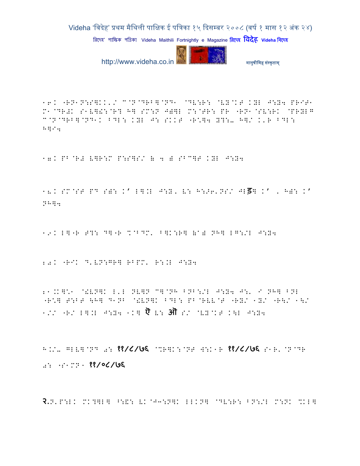িরেদহ' পািkক পিtকা Videha Maithili Fortnightly e Magazine িরেদহ िवदेह **Videha** িবেদহ



16. "RN1N:S]KK'/ C@N@DRB]@ND1 @DV:R: @VY@KT KYL J:Y4 PRIT1 M1@DR#K S1V]!:@R? H] SM:N J)]L M:@TR: PR "RN1@SV:RK @PRYLG CONDITIONS OF REAL SECOND STATE SECOND REAL SECOND FINITE  $H$ i $H$ 

18. PB OR BUILD PIRSON ROLL AND PRESSURE AND

18. SM@ST PD S): K**'** L].L J:Y, V: H:>6'NS/ JLड़] K**'** , H): K**'**  $\mathfrak{B}$  is given

19. LI R T TR TR T T T T R T R T H H H A PHR E T H AN AN A

20. "RIK D'VN:GR] RBPM' R:.L J:Y4

21.K]\*1 @!VN]K L'L NV]N C]@NH BNB:/L J:Y4 J:' I NH] BNL  $P(X|B)$  and a benote the second part of the second second  $P(X|B)$  and  $P(X|B)$  and  $P(X|B)$  $1/7/$  (R/ LETE) and  $\sqrt{1+\sqrt{1+\lambda^2}}$  and  $\frac{1}{2+\lambda^2}$  and  $\frac{1}{2+\lambda^2}$  . The set of  $\frac{1}{2+\lambda^2}$ 

 $H:U_{\alpha}$  , GLUP 0: FOR 0: 1990 0: 1990 0: 1990 0: 1990 0: 1990 0: 1990 0: 1990 0: 1990 0: 1990 0: 1990 0: 1990 0: 1990 0: 1990 0: 1990 0: 1990 0: 1990 0: 1990 0: 1990 0: 1990 0: 1990 0: 1990 0: 1990 0: 1990 0: 1990 0: 19  $\cdots$   $\cdots$   $\cdots$   $\cdots$   $\cdots$   $\cdots$   $\cdots$ 

२.२. FAED 71988 9:AN MAK?AL MARSHI BEDYR: VALAR (1951) 1971 1988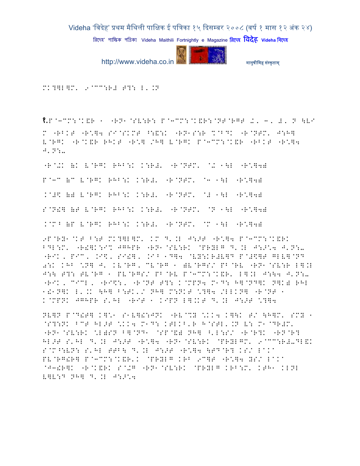িরেদহ' পািkক পিtকা Videha Maithili Fortnightly e Magazine িরেদহ िवदेह **Videha** িবেদহ



MARRIAGNE PRODUCED AND ARRANGEMENT PRODUCED AND ALL PRODUCED AND ALL PRODUCED AND ARRANGEMENT PRODUCED AND ARR<br>And arrangement product and arrangement of the state of the state of the state of the state of the state of th

<u>የመደራቸውን የመዘገቡት የተመለቀጠው የተመለመው የመደረግ የመደረግ የተመለደ</u> የመደረግ ተፈ M "RECOMMENDED "RECOMMENDED" (PORTMENDED "RONNE" PORTMENDED "RONNE" I BYBAN "RENGK "RANGKAR RYBAN PORTING PASSA PASSA  $J:U:U:U$ 

 $R$  (Results and the control of the term  $R$  and  $R$  is the  $R$ POST RT ROBE RHB: KIRA (ROTHT, OS 141) ANTHR . CARD AN AUTHRIC RHF RIC CARDIO (FRONTCO) AD A RIC (FRONTCAR S@N!] (T V@RGK RHB:K K:R#' "R@NTM' @N 1\L "R\*]4) . When the state of the state of the state  $\mathbb{R}^n$ 

9P@RY1@KT B:T MK?]L]M' KM D'.L J:>T "R\*]4 P@3CM:@K&RK BORINIC: M' "REGRIS D'ANNER "ROPALIT " "RING D'ESTE D'ESTE D'ANNIMENT D'ESTE D'ANNIMENT D'ESTE DE DISPOSITION "RIK, PIC, .I\$, SI!], .I^ 1D]4 @VY:KR#V]D P@#\$]T GLV]@ND 0:K KHB \*N] J' KV@RG, CV@RG 1 )V@RGS/ PB@RV "RN1@SV:R L].L J:\ T?: TV@RG 1 PV@RGS/ PB@RV P@3CM:@K&R' L].L J:\4 J'N:-  $R$  RIK, CICL, AND RICH, RICH, THE RESOURCE TO THE RESOURCE TO THE RHODE RHOUSE ARE RHOUSE OF MIDDLE ARE RHOUSE AND RELATIONS ON  $R$ 1!1N]K L'.K \H] B:TK'/ NH] M:NKT \*?]4 /LLKN] "R@NT 1 KOMPOR JAHRER SYLAE (1981) KOMPOR ER DIE MUIDE ANDER NIERE

NAND PORCHE CHIN SYARACHED (HALOGE ICL) SCHAL SMY NAND, SOR Y @S?:NK BCT HL>T \*KK4 M1D: KTLKB'R H@STL'.N V: M1@DR#M' "RN1" SOLINE "SLACK FRONT PORT OF THE "RAN BLIGGE" ARE RECORDED AND THE HL DE SEL PESSOE : THORE ARE DE SERVICE EN L'ORDER POLISION DE SUPERDO SMO: PALPA SOL HI: SEHL TRO DI. THAJEL TENGHI AER PER SSOL IMOS PROPRER POSTON MERIC OPPER POLES AND SENDED BELOVING @J3!R]K "R@K&RK S@+G "RN1@SV:RK @PRYLG KRB:M' KTH1 KLNL 19177 PHE 9. 11 95254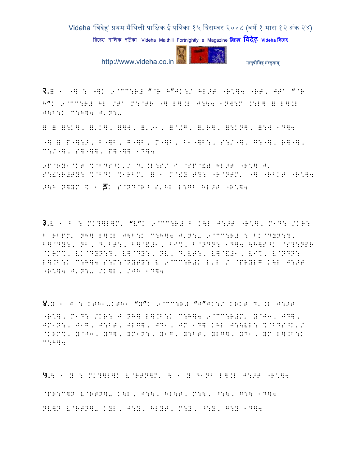িরেদহ' পািkক পিtকা Videha Maithili Fortnightly e Magazine িরেদহ िवदेह **Videha** িবেদহ



२.= 1 "] : "]K 9@CC:R# **"**@R H**"**JK:/ HL>T "R\*]4 "RT, JTA **"**@R H**"**K 9@CC:R# HL /TA M:@TR "] L].L J:\4 1NW:M .:L] = L].L JA: T:H; J.F.

 $\equiv$   $\equiv$   $\equiv$   $\cdots$   $\equiv$   $\equiv$   $\cdots$  .  $\equiv$   $\cdots$   $\equiv$   $\cdots$   $\equiv$   $\cdots$   $\equiv$   $\cdots$   $\equiv$   $\cdots$   $\equiv$   $\cdots$ 

 $-$  P" $\pm$  P" $\pm$  P" $\pm$  P" $\pm$  P" $\pm$  P" $\pm$  P" $\pm$  P" $\pm$  P" $\pm$  P" $\pm$  P" $\pm$  P" $\pm$  P" $\pm$  P" $\pm$  P" $\pm$  P" $\pm$  P" $\pm$  P" $\pm$  P" $\pm$  P" $\pm$  P" $\pm$  P" $\pm$  P" $\pm$  P" $\pm$  P" $\pm$  P" $\pm$  P" $\pm$  P" $\pm$  P" $\pm$  P" $\pm$  P" $\pm$  C:/"], S]"]], P]"]] 1D]4

9P@RY1@KT %@BDS^K'/ D'.L:S/ I @SP@&) HL>T "R\*] J' S:!:R#TY: %@BDK %1RBM' = 1 M@!Y T?: "R@NTM' "] "RBKT "R\*]4  $\mathbb{R}^{n+1}$  ,  $\mathbb{R}^{n+1}$  such that  $\mathbb{R}^{n+1}$  is the state  $\mathbb{R}^{n+1}$  . The state  $\mathbb{R}^{n+1}$ 

३.V 1 B : MK?]L]M' **"**V**"**K 9@CC:R# B K\L J:>T "R\*], M1D: /KR: B RBPM (PHE LEI JHEN: MAHE, A.PN. 2 MMARI N FI MEPNE. B]@DY:, NB, D'BT:, B]@&#1, BI%, B@NDN: 1D]4 \H]S^K @S?:NPR @KRM%, VK@DYN:?, V]@DY:, NV, D'VT:, V]@&#1, VI%, V@NDN: LASTER CHAN SERVICES I STORES ES A CONTROLLER CONTROLLER "R\*]4 J'N:- /K]L, /JH 1D]4

४.Y 1 J : KTH1-KTH1 **"**Y**"**K 9@CC:R# **"**J**"**JK:/ KRKT D'.L J:>T  $R$  respectively. The problems is a problem of the manufacture of the substitution  $\Gamma$  $\mathrm{J}(\mathrm{J},\mathrm{J},\mathrm{J})$  and  $\mathrm{J}(\mathrm{J},\mathrm{J})$  and  $\mathrm{J}(\mathrm{J},\mathrm{J})$  and  $\mathrm{J}(\mathrm{J},\mathrm{J})$  and  $\mathrm{J}(\mathrm{J},\mathrm{J})$  and  $\mathrm{J}(\mathrm{J},\mathrm{J})$ @KRM%, Y@J3, YD], YM1N:, Y1G, Y:BT, YLG], YD1, YM L].B:K  $m_1$ 44 $m_2$ 

 $9.4 \div 1 \div 2.14441 \pm .144747.$   $4 \div 1 \div 7.441$   $+14.41$   $+14.42$   $+14.44$  $\mathcal{P}(\mathbb{P}\oplus\mathbb{P}\oplus\mathbb{P})\oplus\mathcal{P}(\mathbb{P}\oplus\mathbb{P})\subset\mathcal{P}(\mathbb{P}\oplus\mathbb{P})\subset\mathcal{P}(\mathbb{P}\oplus\mathbb{P})\subset\mathcal{P}(\mathbb{P}\oplus\mathbb{P})\subset\mathcal{P}(\mathbb{P}\oplus\mathbb{P})\subset\mathcal{P}(\mathbb{P}\oplus\mathbb{P})\subset\mathcal{P}(\mathbb{P}\oplus\mathbb{P})\subset\mathcal{P}(\mathbb{P}\oplus\mathbb{P})\subset\mathcal{P}(\mathbb{P}\opl$ NNAP NYBAPAL (NH), AYN, BENA, MYN, YYN, BYN, AYN (AYA)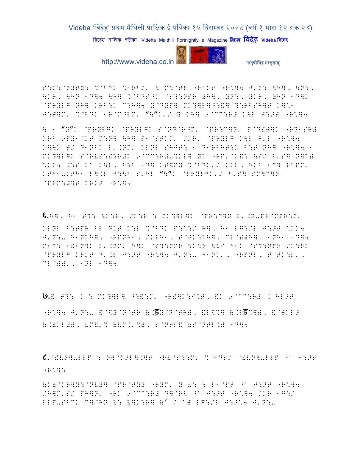িরেদহ' পািkক পিtকা Videha Maithili Fortnightly e Magazine িরেদহ िवदेह **Videha** িবেদহ



S:M: WHEN TYTY: THRI, A MICH ARIA (BIAN 4.71 APR. ATI.  $R$  (B)  $R$  ,  $R$  is the set of the state  $R$  of  $R$  . In the  $R$  is the  $R$   $\mathcal{H}$  and  $R$  is the  $R$  such that  $R$ @PRYLG NH] KRB:K C:H]4 Y@DYP] MK?]L]^:&] ?:RBSH]T K]\*1 J:T]M' %@BDK 1R@M^LM' **"**\**"**K'/ Y KH] 9@CC:R# K\L J:>T "R\*]4

\ 1 **"**Y**"**K @PRYLGK @PRYLGK S@ND@R^M' @PR:C]N' P@D!T]K "RN1SR# KRB 9PH 100 MINUTE REFORM IN DIRIG AND IN THIS POSSIBLE AND HIS REFORM KALNI SHI DI DI DI DI DI DI DI SHIJINI KUNA BI NASI DI SHI DI NASI NA SHI NA SHI A MKRI SORI SA SA NA KALI YA SANYA BULU YA MATU YA KUNA NA KATA YA KARI YA TA BI A BISA NA MARA DA KARA MA MA MA \*KK4 .:S KA K\L, H\B 1D] KT]PY %@BDK'/ KKL, HKB 1D] RBPM' KTH1-KTH1 L].L J:\B S'HL **"**\**"**K @PRYLGK'/ B'S] SM]C]N @PRM:#]T KRKT "R\*]4

६.मय, मन ज़ा? A:re. 2:re ? 2:38 and thermal i.D.B.Permer: KLNL B:TPR BL DKT K:L %@BDK P:\*:/ H], H1 LG:/L J:>T \*KK4 J'N:- H1NKH], "RPNH1, /KRH1, T@TK:LH], CL@))H], 1NH1 1D]4 M1D: 1!1N]K L'.NM' H]K @S?:NPR \K:R \VI H1K @S?:NPR /K:RK @PRYLG KRKT D'.L J:>T "R\*]4 J'N:- H1NK', "RPNL, T@TK:L', TO THE CONSTRUCTION

७.& T?: . : MK?]L] ^:&:M' "R!]K:I%T, &K 9@CC:R# . HL>T "RANGH" R. PAL (.B. 193 IP) AN SON (.S. 196 IP), AN SON AN HOTEL, & 191 E.E.  $K$  (a) Fig. ),  $K$  (sand  $K$  (sand  $K$  ), sand  $K$  (see Fig. ), sand  $K$  (see Fig.

८.@!VN]-LLP : N]@MNL].]T "RV@S?:M' %@BDS/ @!VN]-LLP ^A J:>T  $R^*$  and  $R^*$  and  $R^*$ 

(K) @ MI RHIS MORE REPORTS THROUGHT  $\sim$  PHIS  $\sim$  The  $\sim$  The  $\sim$  Th  $\sim$  Th  $\sim$  Th  $\sim$  Th  $\sim$ /H]M'S/ PH]N' "RK 9@CC:R# D]@R< ^A J:>T "R\*]4 /KR 1G:/ LLP-SBCK C]@HN V: V]K:R] (**'** / A) LG:/L J:>\*4 J'N:-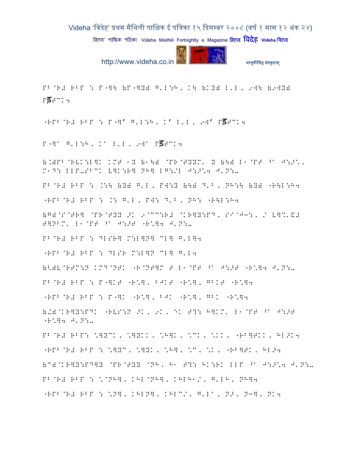িরেদহ' পািkক পিtকা Videha Maithili Fortnightly e Magazine িরেদহ िवदेह **Videha** িবেদহ



PROPA PRP : POPPE BESPOAL PLESH : C'H' BOOK ELE . 19HH B19OK  $\mathbf{r}\mathbf{S}\mathbf{F}\mathbf{F}\mathbf{C}\cdot\mathbf{F}$ 

"RPB@R# RBP : P"]**'** G'L:H, K**'** L'L, 9W**'** Pड़TCK4

P'H' H. PAR, C'LE, L. 24' PSPTA

(.)PB@RVK:L]K KMT 1Y (1\) @PR@TYYM' Y (\) L1@PT ^A J:>\*, M1D: LLP-SBC VIII LAND NHQ NHQ 1991

PB@R# RBP : .:\ (Y) G'L, PW:Y (\) D'B, NH:\ (Y) "R\L:H4

"RPB@R# RBP : .: G'L, PW: D'B, NH: "R\L:H4

GREAN GRATING ON A 2003 FRAME OF SIGNES AND CONTROLLING HERT, EXTER RY ANDER ANTEN ALTN.

PP YEAR REPORT : PLACE TO ME THAT THE MUSIC MUSIC CONTINUES.

HER THE RPP IN THIS MINE TO BE READY

(BA)BE TRADISP (COMPITANT) (AR TRANSD) AT L1 A TORO (PT ) A SARA (AR SAN DISC)

PB@R# RBP : P"]KT "R\*], BJKT "R\*], GBKT "R\*]4

"RPB" TRAC (RFP) : PORT (RFP) (RFP), BDK "RFP), GBK "RFP" (RFP), BDK "RFP" (RFP), BDK "RFP" (RFP), B

 $\pm$  200  $\pm$  0.000  $\pm$  0.000  $\pm$  0.000  $\pm$  1.000  $\pm$  1.000  $\pm$  1.000  $\pm$  1.000  $\pm$  1.000  $\pm$  1.000  $\pm$  1.000  $\pm$  1.000  $\pm$  1.000  $\pm$  1.000  $\pm$  1.000  $\pm$  1.000  $\pm$  1.000  $\pm$  1.000  $\pm$  1.000  $\pm$  1.000  $\pm$ "R\*]4 J'N:-

PB@R# RBP: \*]YCK, \*]YKK, \*H]K, \*CK, \*KK, "RB]TKK, HL>K4 "RPB@R# RBP : \*]YC, \*]YK, \*H], \*C, \*K, "RB]TK, HL>4  $\mathbb{R}^n$  and  $\mathbb{R}^n$  and  $\mathbb{R}^n$  . The neutron of the  $\mathbb{R}^n$  -form  $\mathbb{R}^n$  and  $\mathbb{R}^n$  and  $\mathbb{R}^n$  and  $\mathbb{R}^n$  and  $\mathbb{R}^n$  and  $\mathbb{R}^n$  and  $\mathbb{R}^n$  and  $\mathbb{R}^n$  and  $\mathbb{R}^n$  and  $\mathbb{R}$ PB@R# RBP : \*@NH], KHL@NH], KHLH1/, G'LH, NH]4 "RPP" TRACIPATION : NICROSOFIE : "NATIONAL POLICY, "POLICY, DESCRIPTION OF NO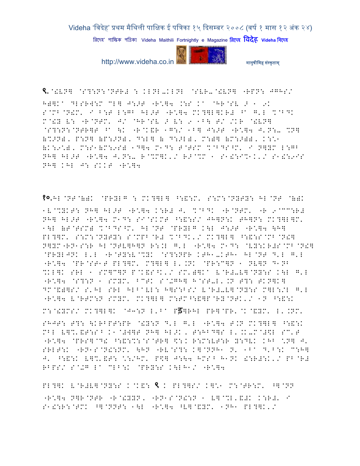িরেদহ' পািkক পিtকা Videha Maithili Fortnightly e Magazine িরেদহ िवदेह **Videha** িবেদহ



S. NEDRO NERVEN CRANA IN DIR DI DI DI STELA DI NEDRO "PROVA "PRNE"

HARD THIRDS THE PINE GROUP IN IS A PERSON FOR A SMOTE CONDINATION I B:T L:GB HLOT "RELEASED AND THE BOARD "RELEASED ON THE THIRD. MAN BY FOREST AN OPENIL FOR STATE BY ZIET MIRT  $\Omega$  . The set of  $\Omega$  is the set of  $\Omega$  in the set of  $\Omega$  is the set of  $\Omega$  is the set of  $\Omega$  is the set of  $\Omega$ (%>N), P:N] (P:>N), D:L] ( D:>L), M:)] (M:>)), K:\*1 (K:9\*), M:S1(M:9S) 1D]4 M1D: T@TSM %@BDS^M' I N]YM L:GB NHE HIJE "RYER A.NY. RONDELLY RICHT" ( SYESYNILLY SYESYN **NHE CONSERVERS IN SECTION** 

१०.HE 799 TBB) / KERSER : NOVTRER : PENYL : KNYTY DRYRG & MYRE / BBC 1V@%YKT: NH] HL>T "R\*]4 K:R# J' %@BDK "R@NTM' "R 9@CC:R# NHE "REVEL "PRINH" OF THE SIM MOON "PHONO" PREPAIR (PREPAIR OIL THE ROL) 1\L (T@TSM) %@BDS^M' HL@NT @PRYLG K\L J:>T "R\*]4 \H] PL?]M' S:M:@NYTY: S@MPB@R# %@BDK'/ MK?]L] ^:&:S@MB@N!] N]YM"RN1S:R HL@NTV]H]N R:.L G'L "R\*]4 M1D: @VY:KR#S@MB@N!] @PRYLJNK L'L "R@TY:V@%YK @S?:NPR KTH1-KTH1 HL@NT D'L G'L  $\sim$  100  $\sim$  200  $\sim$  200  $\sim$  200  $\sim$  200  $\sim$  200  $\sim$  200  $\sim$  200  $\sim$  200  $\sim$  200  $\sim$  200  $\sim$  200  $\sim$  200  $\sim$  200  $\sim$  200  $\sim$  200  $\sim$  200  $\sim$  200  $\sim$  200  $\sim$  200  $\sim$  200  $\sim$  200  $\sim$  200  $\sim$  200  $\sim$  2 WEERS YOU AT SAMPLE POSSES KILL SANDONG IN ORDER ON A VOICE OF SALE "ANGHA" SEMAR "KORISTI, "PORTOR SIMPAHO HORRILI, IROPIN BIJAHIH DO SEBREZ SINE SRE SHE HAVE: HRSHENDIN: ESHALER OPGAN OREAZE (P.E. "AFNAH" B. 1897-1912 (SMYMO) MIC MARTER (MARTINE MARTINE IN ORDER)

M: MERIC M: THE RICHARD ELET PS REAL PRAINER CONDINIES ON LOW

SHART: PTE REBPIRENT: TENER D.E. D.E. (BIJOR P.M. METER (PEN) MBL VERLEEMS IN NEWS THE SEE SEE AND STARTED ENDING STUR "R\*]4 @PRS]@D! ^:&:%:@S@TR] \$:. R:M:VT:R Y:DVK KHB \*N] J'  $S$  . The state of the state of the second resonance of the second particle  $\mathbb{R}^n$  and  $\mathbb{R}^n$  and  $\mathbb{R}^n$ J' AI: HENE LEAT. EAN 'NNINK 'EAR 'ANNA' PINK 'H' PA II: KINK II: RH' NHS RBPS/ SOME ROCKERS/ TRING SHERE:

PL?]K V@R#V]@NY:S K@K&: ९ K PL?]S/ K]\*1 M:@TR:M' ^]@NN "RNA PARTRA "RTROOM" RRITH "ROND" RATH ION IN 1 V  $S$ 1: R: R: R: The Town of the Town of the Town of the Town of the Town of the Town  $\mathcal{P}$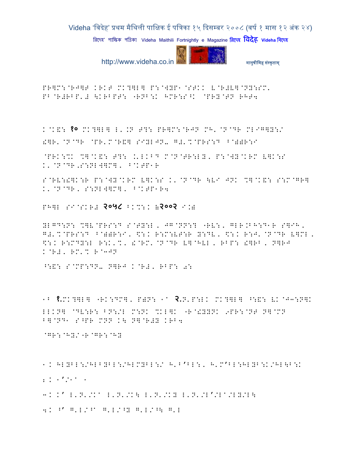িরেদহ' পািkক পিtকা Videha Maithili Fortnightly e Magazine িরেদহ िवदेह **Videha** িবেদহ



PR]M:@RJ]T KRKT MK?]L] P:@WYP1@STKK V@R#V]@NY:SM' PP 'BURFIG' A REPORT : "ROW REPORT FOR RHIMS"

KANDER KOMMERS ELLER PRINS MARINE MARINE MENGEMENT !]R'@N@DR @PR'M@R&] SIYLJN- G#'%@PRS:D ^@))R:I

@PRK:%K %]@K&: T?: .'LKBD M@N@TR:LY, P:@WY@KRM V]K:S K. YP YR ANDRIGHTH, SYNDIR

S@RV:!]K:R P:@WY@KRM V]K:S K'@N@DR \VI JNK %]@K&: S:M@GR] K. TH'AN SINLANDA, SINDER

PHIL POOSE IN SPOOK BEING BE STREET

WE ARRIVE CONSIDERED SATISFY SOME CONTROL SOMEONE CONTROL SUPPORT BE, "CIPETAT (FINAPAR), TA: PACALEAE (BATE), TA: PAR, VP(TP) EAT) .  $\overline{1111}$  R:Monday, and the state of the control results of the control results of the control results of the control results of the control results of the control results of the control results of the control results of K@R#, RMY RO3D

^:&: S@MP:DN- N]RJ K@R#, RBP: 0:

1B १.MK?]L] "RK:DM], P)N: 1A २.N'P:LK MK?]L] ^:&: VK@J3:N]K LLCAN (PESPS FAST) MSAL MILLER (FRIENDS) FRESHING AR BED SOME SOME SACTOR SHE

@GR:@HY/"R@GR:@HY

1. HLYBL:/HLBYBL:/HLMYBL:/ H'B**'**BL:, H'M**'**BL:HLYB:K/HL\B:K 2. 1**'**/1A 1 3. K**'** L'N'/KA L'N'/K\ L'N'/KY L'N'/L**'**/LA/LY/L\

4. ^**'** G'L/^A G'L/^Y G'L/^\ G'L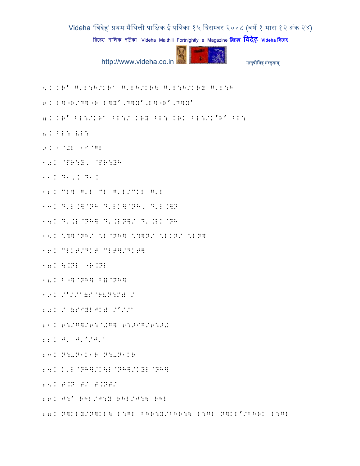িরেদহ' পািkক পিtকা Videha Maithili Fortnightly e Magazine িরেদহ िवदेह **Videha** িবেদহ



5. KR**'** G'L:H/KRA G'LH/KR\ G'L:H/KRY G'L:H

- 6. L]"R/D]"R L]Y**'**,D]Y**'**,L]"R**'**,D]Y**'**
- 7. KR**'** BL:/KRA BL:/ KRY BL: KRK BL:/K**'**R**'** BL:
- 8. BL: VL:
- 9. 1@+L 1I@GL
- 10. @PR:Y, @PR:YH
- 11. D1.

17. \.NL "R.NL

22. J' J'**'**/J'A

25. T.N T/ T.NT/

18. B"]@NH] B=@NH]

19. /**'**//A(S@RVN:M) /

20. / (SIYLJK) /**'**//A

23. N:-N1K1R N:-N1KR

21. 6:/G]/6:@+G] 6:>IG/6:>+

24. K'L@NH]/K\L@NH]/KYL@NH]

26. J:**'** RHL/J:Y RHL/J:\ RHL

27. N]KLY/N]KL\ L:GL BHR:Y/BHR:\ L:GL N]KL**'**/BHRK L:GL

- 12. CL] G'L CL G'L/CKL G'L
- 
- 
- 

16. CLAT. CLAT. CLAT. CLAT.

13. D'L.]@NH D'LK]@NH, D'L.]N

14. D'.L@NH] D'.LN]/ D'.LK@NH

15. \*?]@NH/ \*L@NH] \*?]N/ \*LKN/ \*LN]

- 
- 
- 
- 
- 
- 
- 
- 
- 
- 
- 
- 
- 
- 
- 
- 
- 
- 
- 
- 
- 
- 
- 
-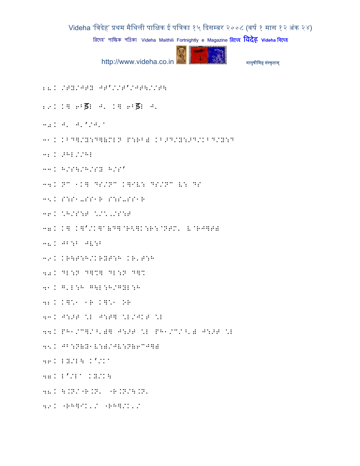িরেদহ' পািkক পিtকা Videha Maithili Fortnightly e Magazine িরেদহ िवदेह **Videha** িবেদহ



28. /TY/JTY JT**'**//T**'**/JT\//T\

29. K] 6Bड़L J' K] 6Bड़L J'

30. J' J'**'**/J'A

31. KBD: THE PERSON REPORTED THE RESIDENCE OF PERSON PARTIES.

32. >HL//HL

33. H/S\/H/SY H/S**'**

**34. NC 16. NC 16. NC 16. NC 16. NC** 16. NC

35. S:S1-SS1R S:S-SS1R

**36. \*** \*\*\*

37. K] K]**'**/K]A(D]@R<]K:R:@NTM' V@RJ]T)

38. JB:B JV:B

39. KR\T:H/KRYT:H KR'T:H

40. DE: N DR:N DR:N DR:

41. COMMANDER GRAVES (1992)

4: KIR KADA KE

4+1 #12# 18 #12# 182#12 18

44. PH1/CTB23. BB #128 18 PH1/C/123. B #128 18

45. JONES SERVICE SERVICE

46. LY/L\ K**'**/KA

47. L**'**/LA KY/K\

48. \.N/"R.N' "R.N/\.N'

49. THERIOTIC SERVICE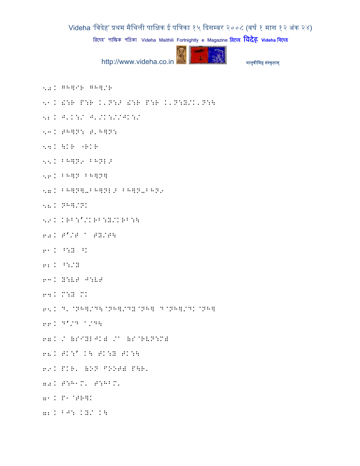

- 50. GH]IR GH]/R
- 531. I:R P:R K. P:R K:R P:R K. P:R K. P:R
- 52. J'K:/ J'/K://JK:/
- 53. THE THE THING
- 54. \KR "RKR
- 55. BH]N9 BHNL>
- 56. BH]N BH]N]
- 57. BH]N]-BH]NL> BH]N-BHN9
- 58. NH]/NK
- 59. KRB:**'**/KRB:Y/KRB:\
- 60. T**'**/T A TY/T\
- $6.1.91.1$
- $m:3.22$
- 63. Y:VT J:VT
- 64. M:Y MK
- 65. D'@NH]/D\@NH]/DY@NH] D@NH]/DK@NH]
- 66. D**'**/D A/D\
- 67. / (SIYLJK) /A (S@RVN:M)
- 68. TK:**'** K\ TK:Y TK:\
- 69. PKR' (ON FOOT) PRESS
- 80. T:H1M' T:H1M' T:H1M' T:H1M' T:H1M' T:H1M' T:H1M' T:H1M' T:H1M' T:H1M' T:H1M' T:H1M' T:H1M' T:H1M' T:H1M' T
- 71. P1@TR]K
- 72. BJ: KY/ K\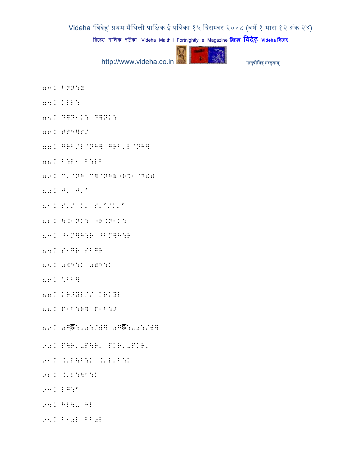

- 73. BNN:Y
- 74. KLL:
- 75. D]N1K: D]NK:
- 76. TTH]S/
- 77. GRB/L@NH] GRB'L@NH]
- 78. B:L1 B:LB
- 8. C'O' C'ANH C'HO C'HO C'HO
- 80. J' J'**'**
- 81. S'/ K' S'**'**/K'**'**
- 82. \.1NK: "R.N1K:
- 83. ^1M]H:R ^BM]H:R
- 84. S1GR S1GR SBGR
- 85. 000 MH:K 000 MH:K 000 MH:K 000 MH:K 000 MH:K 000 MH:K 000 MH:K 000 MH:K 000 MH:K 000 MH:K 000 MH:K 000 MH
- 86. \* BBJ
- 87. KR>YL// KRKYL
- 88. PHONE PHONE PHONE PHONE PHONE PHONE PHONE PHONE PHONE PHONE PHONE PHONE PHONE PHONE PHONE PHONE PHONE PHONE PHONE PHONE PHONE PHONE PHONE PHONE PHONE PHONE PHONE PHONE PHONE PHONE PHONE PHONE PHONE PHONE PHONE PHONE PH
- 89. 0Gड़:-0:/)] 0Gड़:-0:/)]
- 90. PHP. 2790. PIP. 2719.
- 91. .'L\B:K .'L'B:K
- 92. .'L:\B:K
- 93. LG:**'**
- 94. HL\- HL
- 95. B10L BB0L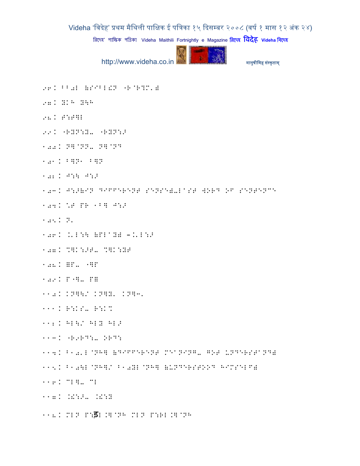িরেদহ' পািkক পিtকা Videha Maithili Fortnightly e Magazine িরেদহ िवदेह **Videha** িবেদহ



99. BB0L (SIBL) (SIBL)

- **97. YEAH YOU WANTED**
- 98. T:T]L
- 99. "PHIL." "RYN:
- 100. N]@NN- N]@ND
- 101. BIS BIS
- 102. J:\ J:>
- 103. J:>(IN DIFFERENT SENSE)-LAST WORD OF SENTENCE
- 104. TH PR 194. TH
- 
- 106. .'L:\ (PLAY) **–**.'L:>
- 107. %]K:>T- %]K:YT
- $108.1$  BP.  $-9P$
- 109. P"]- P=

116. CLIPS. CLIPS.

117. .!:>- .!:Y

- 110. KNIST KURRA KURRA
- 
- 
- 
- 
- 
- 
- 
- 
- 
- 
- 115. B10\L@NH]/ B10YL@NH] (UNDERSTOOD HIMSELF)
- 
- 
- 
- 
- 
- 
- 114. B10'L@NH] (DIFFERENT MEANING- GOT UNDERSTAND)
- 
- 
- 
- 
- 
- 
- 
- 
- 
- 
- 
- 
- 
- 
- 
- 
- 
- 

118. MLN P:ड़L.]@NH MLN P:RL.]@NH

- 
- 
- 113. "P.P. P. P. P. P.
- 
- 
- 1112. HIST HIST
- 111. R:KS- R:KS
- 
- 105. NO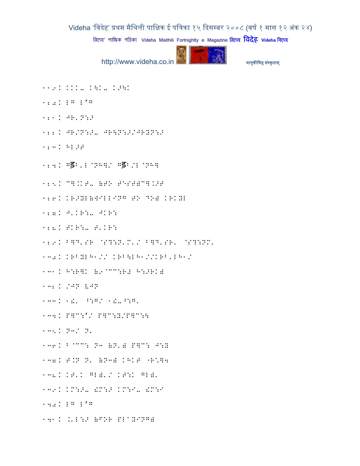িরেদহ' পািkক পিtকা Videha Maithili Fortnightly e Magazine িরেদহ िवदेह **Videha** িবেদহ



- 119. KKK- KARA KARA
- 120. LG L**'**G
- 121. JR. 232
- 122. JR/N:A. 484212.000000000
- 123. HLP
- 124. GS GS CONFIGURE
- 125. C].KT- (TO TEST)C].>T
- 126. KR>YL(WILLING TO DO) KRKYL
- 127. J'KR:- JKR:
- 118. TKR: TKR:
- 129. B]D'SR @S?:N'M'/ B]D'SR' @S?:NM'
- 130. KRBYLHIM/ KRBYLHIM/
- $131.1$  H:RIK (8. TTIRE HISPIE
- 132. /JAP (1891)
- 133. 133. 133. 133. 133.
- 134. P]C:**'**/ P]C:Y/P]C:\
- 135. N3/ N'

140. LG L**'**G

- 136. BOC: N3 (N3 (N) PHOTO: 199
- 137. T.N N' (N3) KHKT "R\*]4
- 138. KT'K GL)'/ KT:K GL)'
- 
- 
- 
- 
- 
- 
- 

139. KM:>- !M:> KM:I- !M:I

141. .'L:> (FOR PLAYING)

- 
- 
- 
- 
- 
- 
- 
- 
- 
-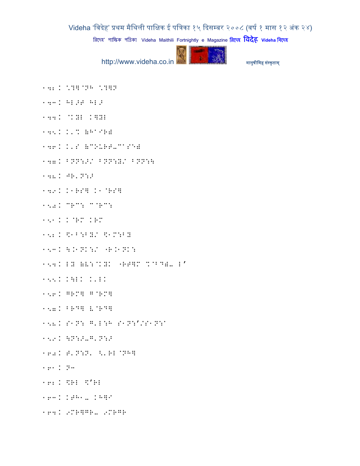

- 142. \*?]@NH \*?]N
- 143. HLP HLP
- 144. **MAX**
- 145. K' (HAIR)
- 146. KONSTANTIER EN STAAT
- 147. BNN:>/ BNN:Y/ BNN:\
- 148. JR. PAP
- 149. K189. K199. K199.
- 150. CRC: C@RC:
- 151. K@RM KRM
- 152. \$19. \$19. \$19. \$19. \$1
- 153. \.1NK:// \.1NK://
- 154. LY (V:@KYK "RT]M %@BD)- L**'**
- 155. K. K. K. K. K. K. K. K. K. K.
- 156. GRM] G@RM]
- 157. BRD 2007
- 158. S1N: G'L:H S1N:**'**/S1N:A
- 159. \N:>-G'N:>
- 160. THE STREET
- 161. N3
- 162. \$RL \$**'**RL
- 163. KTH1- KH]I
- 164. 9MR]GR- 9MRGR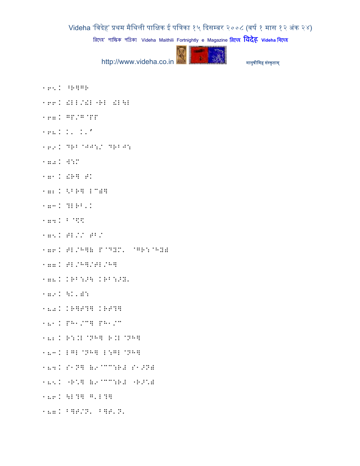

- 165. PHONE
- 166. !LL/!L"RL !L\L
- 167. GP/GPPP
- 168. K' K'**'**
- 169. DRB@JJ:/ DRBJ:
- 190. W:M:M:M
- 181. !P
- 172. <BR] LC)]
- 1<sub>8</sub>. ?LRB'S
- 174. B@\$\$
- 195. TUBAT 2017
- 176. TL/H]( P@DYM' @GR:@HY)
- 178. TEL. TH. TH. TH.
- 1<sub>88</sub>. KRB: WORKSHIP
- $179. \pm 17. \pm 17. \pm 17.$
- 180. KRT. KRT. KRT.
- 181. PH1/C] PH1/C
- 182. R:.L@NH] R.L@NH]
- 183. LGL@NH] L:GL@NH]
- 1841. S1NH (82.17.188. S1.27.
- 185. "R\*] (9@CC:R# "R>\*)
- 186. 196. 196. 196. 197
- 187. B]T/N' B]T'N'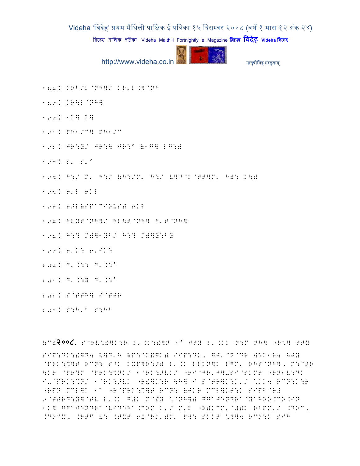িরেদহ' পািkক পিtকা Videha Maithili Fortnightly e Magazine িরেদহ िवदेह **Videha** িবেদহ



188. KRB/L@NH]/ KR'L.]@NH

- $189.$  KR. KRANH
- 190. 1K] K]
- 191. PH1/C] PH1/C
- 192. JR:Y/ JR:\ JR:**'** (1G] LG:)
- 193. S' S'**'**
- 194. H:/ M' H:/ (H:/M' H:/ V]^@K@TT]M' H): K\)
- 195. 6'E 6KL
- 196. 6KL
- 197. HLYT@NH]/ HL\T@NH] H'T@NH]
- 198. H:? M)]1YB/ H:? M)]Y:BY
- 199. 6'K: 6'IK:
- 200. D'.:\ D'.:**'**
- 201. D'.:Y D'.:**'**
- 202. S@TTR] S@TTR
- 203. S:H'B S:HB

(C)२००८. S@RV:!]K:R L'.K:!]N 1**'** JTY L'.KK N:M NH] "R\*] TTY SIP:DAT: NARDA (PARAT, A) SIPN-11 BRI (B) SIPN-RAT, LORAL OP 19 NA GAN KENG- APD @PRK:%]T RCN: S^K KXP]R:>) L'.K LLKN]K LGM' RHT@NH], M:@TR  $\kappa$  . The control of the state  $\kappa$  -vertical control  $\kappa$  is the state of  $\kappa$ I-@PRK:%N/ 1@RK:>VK "R!]K:R \H] I P@TR]K:K'/ \*KK4 RCN:K:R "RPN" MCLAIR (A "ROPA") TRANSPORTATION (JKR MCL) KOREAN (JKR MEL) 9@TTRD:Y]@TV L'.K G#K M@!Y \*@NH]) GGAJENDRA@YAHOO.CO.IN 1K] GGAJENDRA@VIDEHA.COM K'/ M'L "R)KCM'@#)K RBPM'/ .DOC, .DOCX, .RPP BY 1828 F20RM FILES, PHY SKKP NURR FORM SIGN